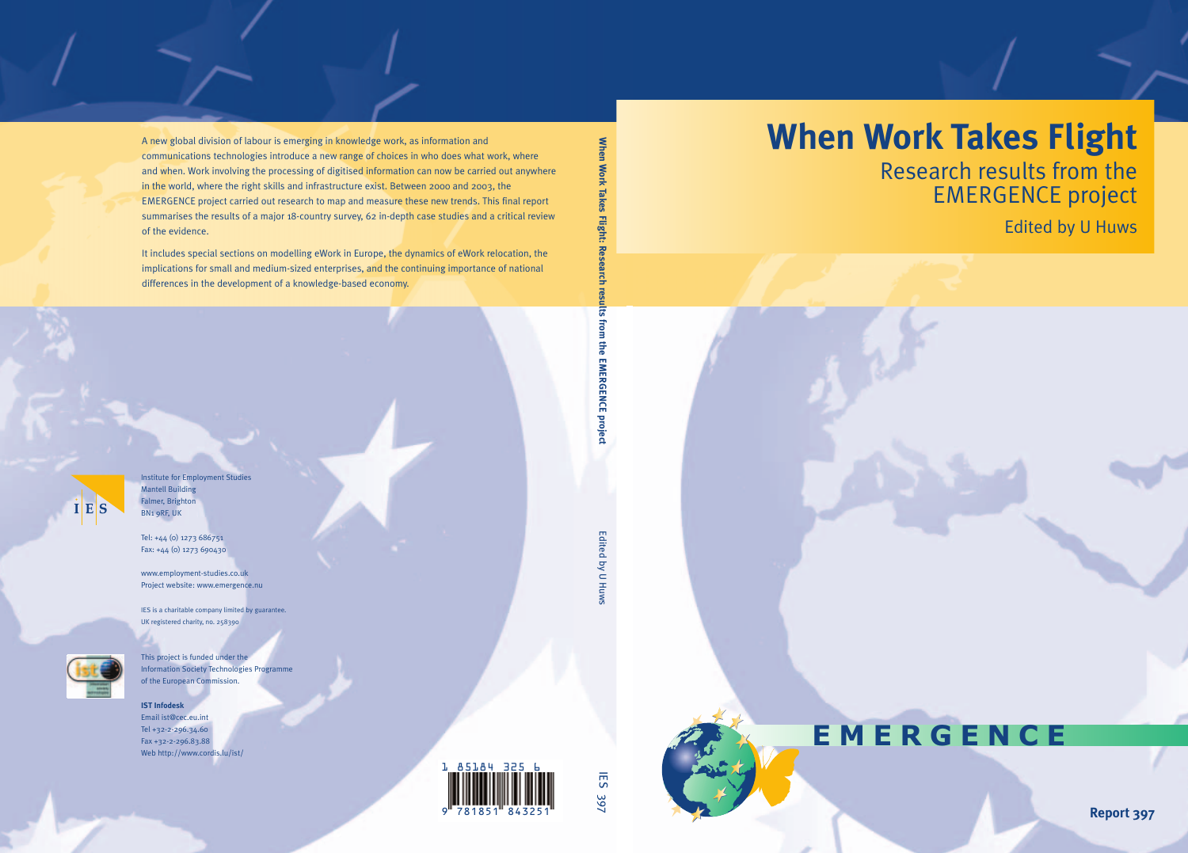# **When Work Takes Flight**

Research results from the EMERGENCE project

Edited by U Huws



# **EMERGENCE**

**Report 397**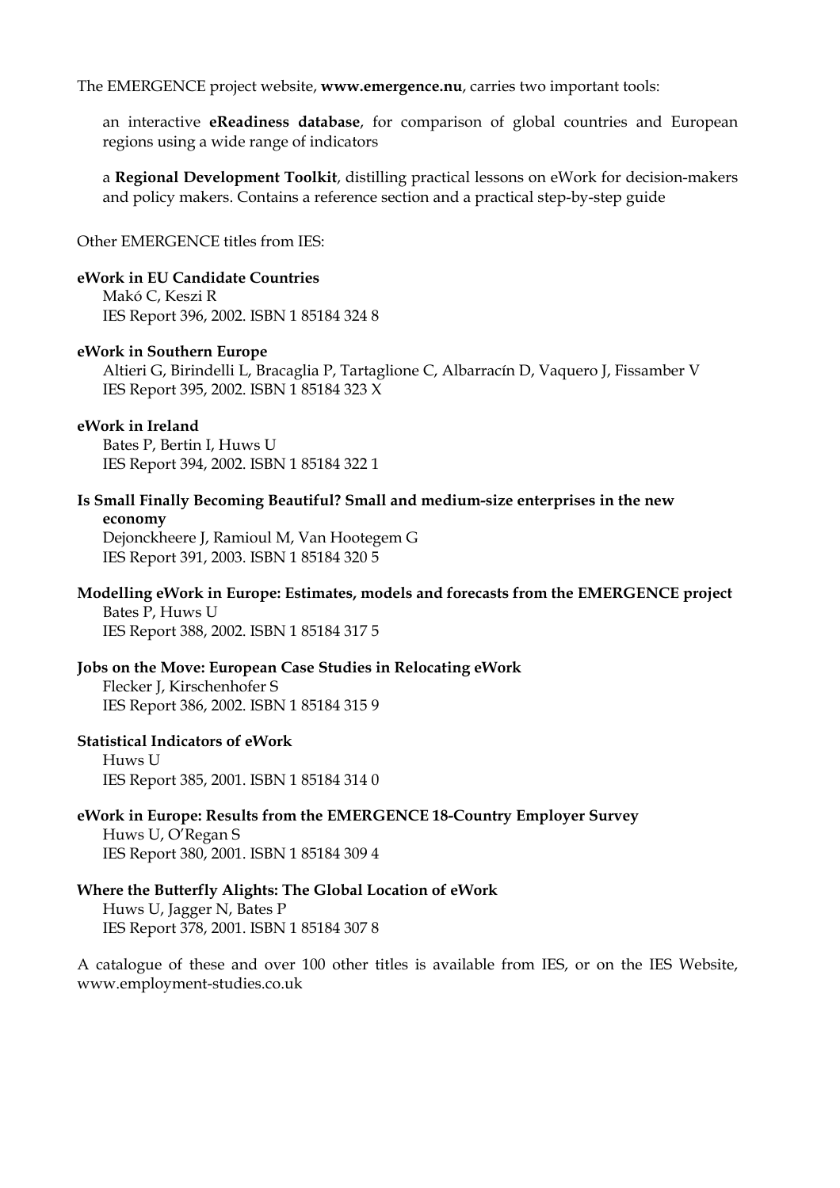The EMERGENCE project website, **www.emergence.nu**, carries two important tools:

an interactive **eReadiness database**, for comparison of global countries and European regions using a wide range of indicators

a **Regional Development Toolkit**, distilling practical lessons on eWork for decision-makers and policy makers. Contains a reference section and a practical step-by-step guide

Other EMERGENCE titles from IES:

#### **eWork in EU Candidate Countries**

Makó C, Keszi R IES Report 396, 2002. ISBN 1 85184 324 8

#### **eWork in Southern Europe**

Altieri G, Birindelli L, Bracaglia P, Tartaglione C, Albarracín D, Vaquero J, Fissamber V IES Report 395, 2002. ISBN 1 85184 323 X

#### **eWork in Ireland**

Bates P, Bertin I, Huws U IES Report 394, 2002. ISBN 1 85184 322 1

**Is Small Finally Becoming Beautiful? Small and medium-size enterprises in the new economy**

Dejonckheere J, Ramioul M, Van Hootegem G IES Report 391, 2003. ISBN 1 85184 320 5

#### **Modelling eWork in Europe: Estimates, models and forecasts from the EMERGENCE project** Bates P, Huws U

IES Report 388, 2002. ISBN 1 85184 317 5

#### **Jobs on the Move: European Case Studies in Relocating eWork**

Flecker J, Kirschenhofer S IES Report 386, 2002. ISBN 1 85184 315 9

#### **Statistical Indicators of eWork**

Huws U IES Report 385, 2001. ISBN 1 85184 314 0

**eWork in Europe: Results from the EMERGENCE 18-Country Employer Survey** Huws U, O'Regan S

IES Report 380, 2001. ISBN 1 85184 309 4

#### **Where the Butterfly Alights: The Global Location of eWork** Huws U, Jagger N, Bates P

IES Report 378, 2001. ISBN 1 85184 307 8

A catalogue of these and over 100 other titles is available from IES, or on the IES Website, www.employment-studies.co.uk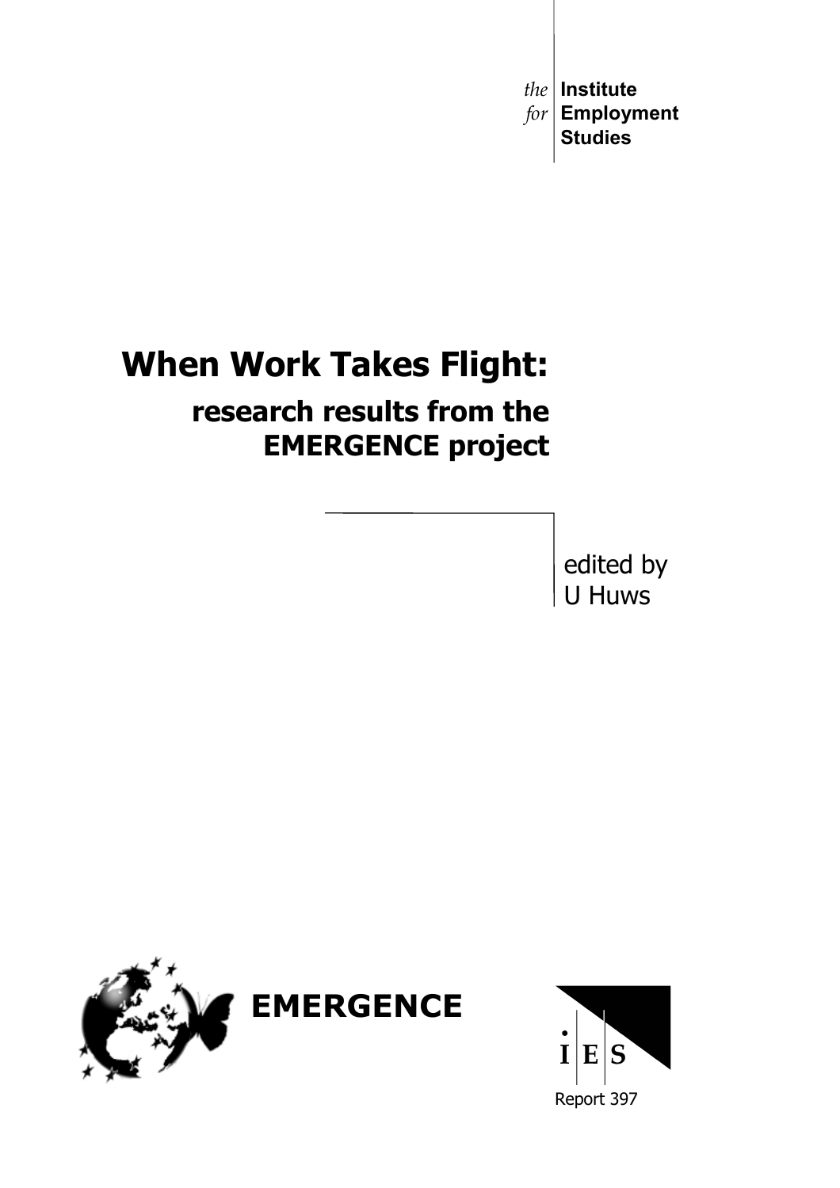*the* **Institute** *for* **Employment Studies**

# **When Work Takes Flight:**

# **research results from the EMERGENCE project**

edited by U Huws



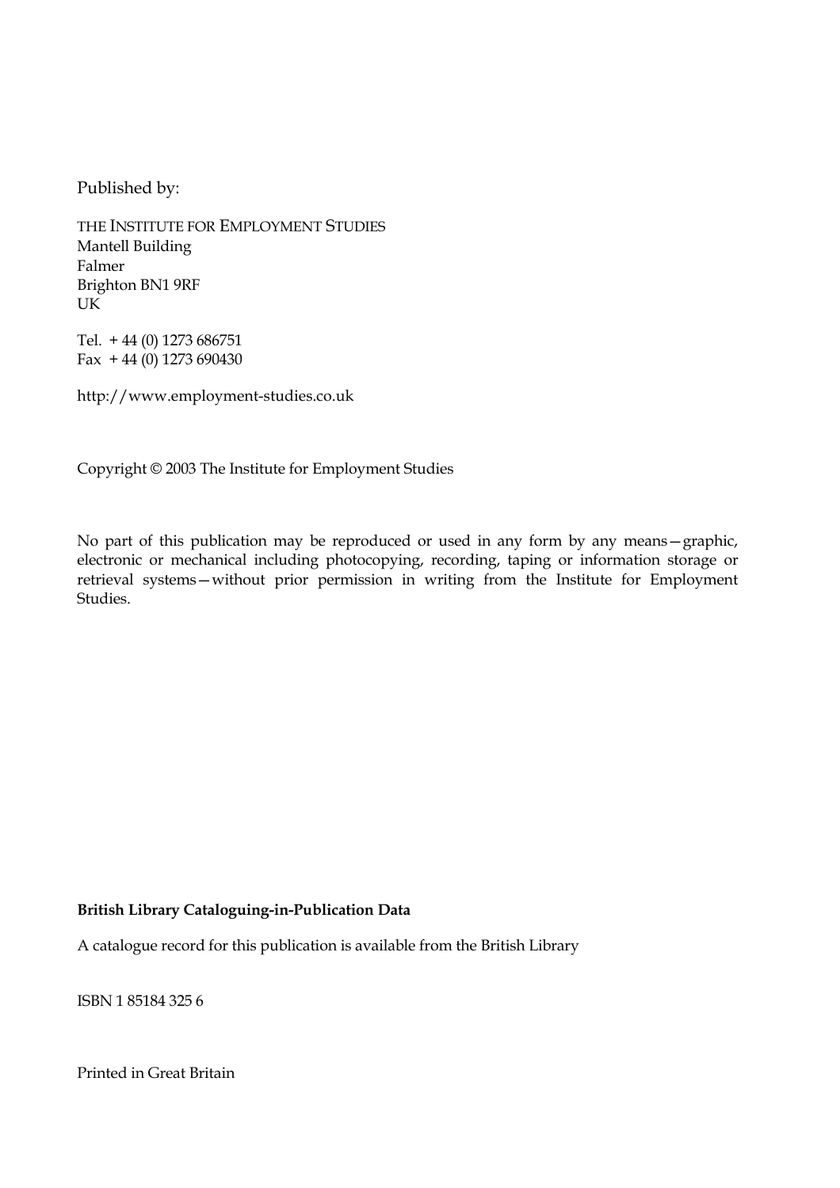Published by:

THE INSTITUTE FOR EMPLOYMENT STUDIES Mantell Building Falmer Brighton BN1 9RF UK

Tel. + 44 (0) 1273 686751 Fax  $+44$  (0) 1273 690430

http://www.employment-studies.co.uk

Copyright © 2003 The Institute for Employment Studies

No part of this publication may be reproduced or used in any form by any means—graphic, electronic or mechanical including photocopying, recording, taping or information storage or retrieval systems—without prior permission in writing from the Institute for Employment Studies.

#### **British Library Cataloguing-in-Publication Data**

A catalogue record for this publication is available from the British Library

ISBN 1 85184 325 6

Printed in Great Britain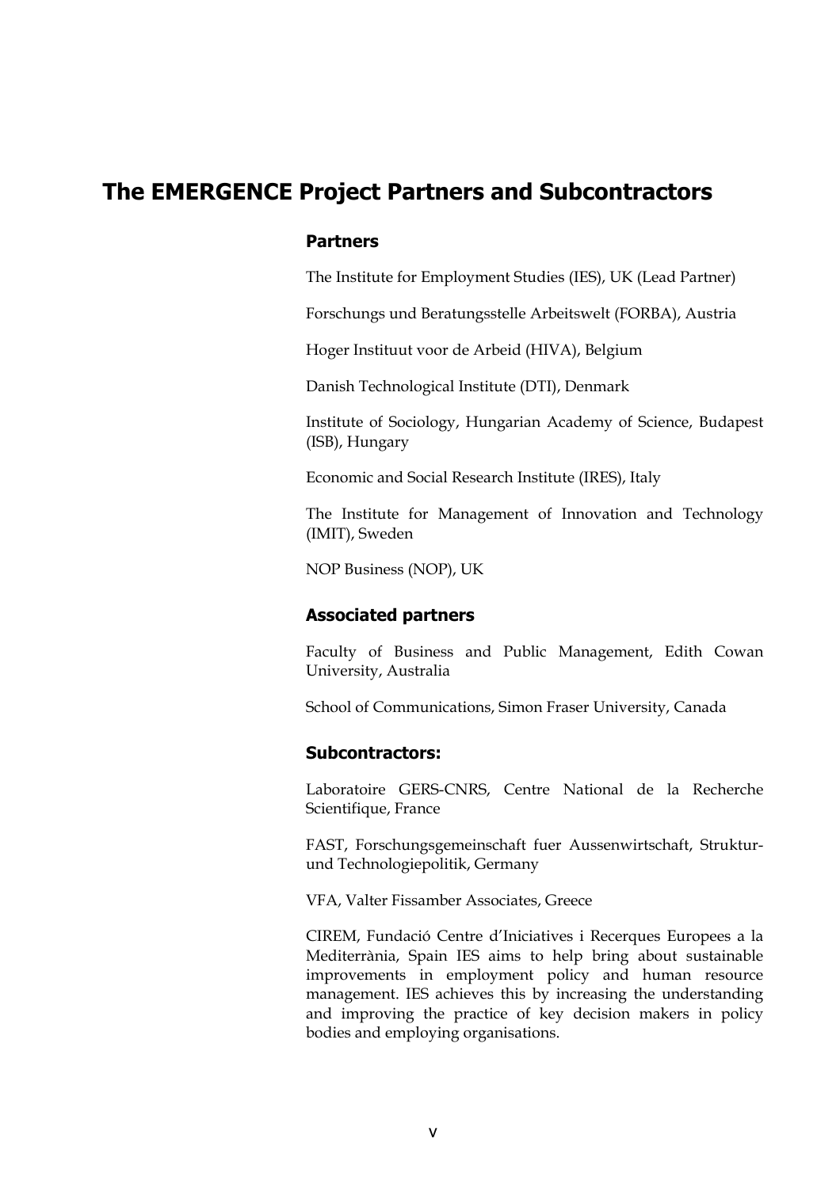# **The EMERGENCE Project Partners and Subcontractors**

#### **Partners**

The Institute for Employment Studies (IES), UK (Lead Partner)

Forschungs und Beratungsstelle Arbeitswelt (FORBA), Austria

Hoger Instituut voor de Arbeid (HIVA), Belgium

Danish Technological Institute (DTI), Denmark

Institute of Sociology, Hungarian Academy of Science, Budapest (ISB), Hungary

Economic and Social Research Institute (IRES), Italy

The Institute for Management of Innovation and Technology (IMIT), Sweden

NOP Business (NOP), UK

#### **Associated partners**

Faculty of Business and Public Management, Edith Cowan University, Australia

School of Communications, Simon Fraser University, Canada

#### **Subcontractors:**

Laboratoire GERS-CNRS, Centre National de la Recherche Scientifique, France

FAST, Forschungsgemeinschaft fuer Aussenwirtschaft, Strukturund Technologiepolitik, Germany

VFA, Valter Fissamber Associates, Greece

CIREM, Fundació Centre d'Iniciatives i Recerques Europees a la Mediterrània, Spain IES aims to help bring about sustainable improvements in employment policy and human resource management. IES achieves this by increasing the understanding and improving the practice of key decision makers in policy bodies and employing organisations.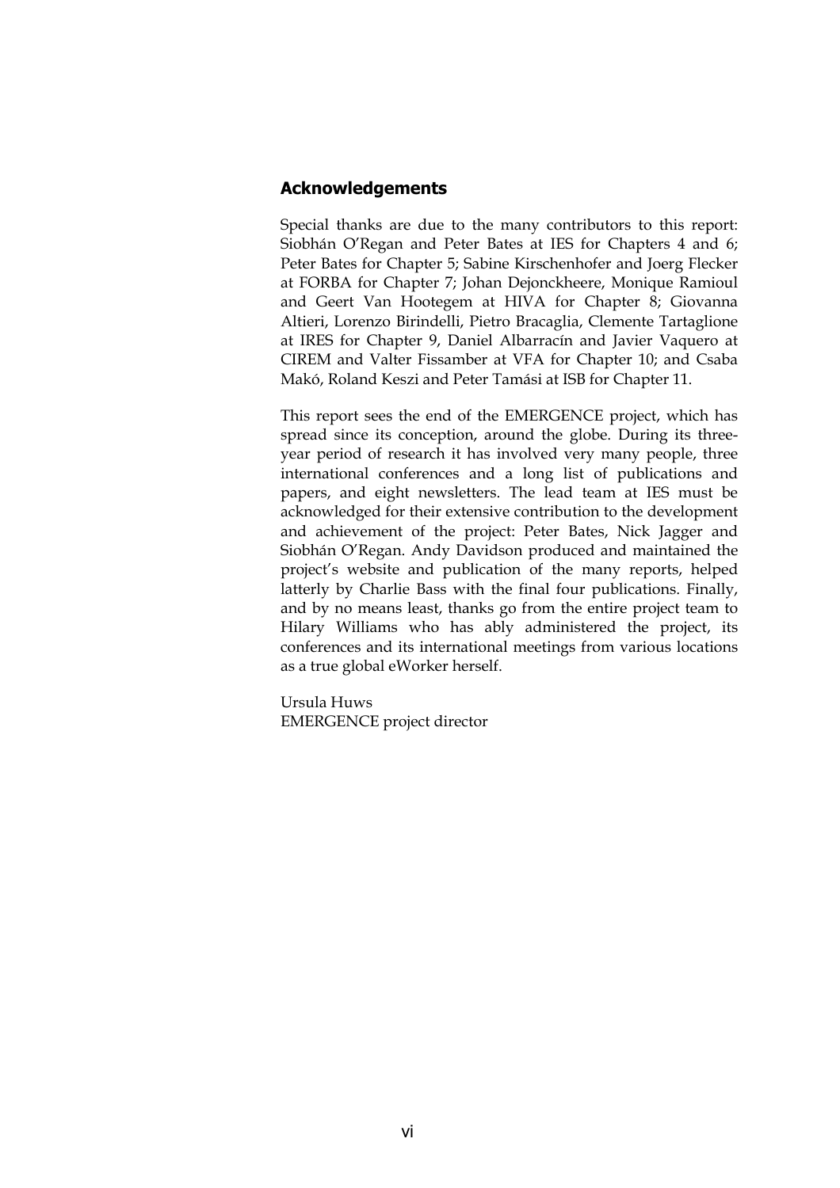#### **Acknowledgements**

Special thanks are due to the many contributors to this report: Siobhán O'Regan and Peter Bates at IES for Chapters 4 and 6; Peter Bates for Chapter 5; Sabine Kirschenhofer and Joerg Flecker at FORBA for Chapter 7; Johan Dejonckheere, Monique Ramioul and Geert Van Hootegem at HIVA for Chapter 8; Giovanna Altieri, Lorenzo Birindelli, Pietro Bracaglia, Clemente Tartaglione at IRES for Chapter 9, Daniel Albarracín and Javier Vaquero at CIREM and Valter Fissamber at VFA for Chapter 10; and Csaba Makó, Roland Keszi and Peter Tamási at ISB for Chapter 11.

This report sees the end of the EMERGENCE project, which has spread since its conception, around the globe. During its threeyear period of research it has involved very many people, three international conferences and a long list of publications and papers, and eight newsletters. The lead team at IES must be acknowledged for their extensive contribution to the development and achievement of the project: Peter Bates, Nick Jagger and Siobhán O'Regan. Andy Davidson produced and maintained the project's website and publication of the many reports, helped latterly by Charlie Bass with the final four publications. Finally, and by no means least, thanks go from the entire project team to Hilary Williams who has ably administered the project, its conferences and its international meetings from various locations as a true global eWorker herself.

Ursula Huws EMERGENCE project director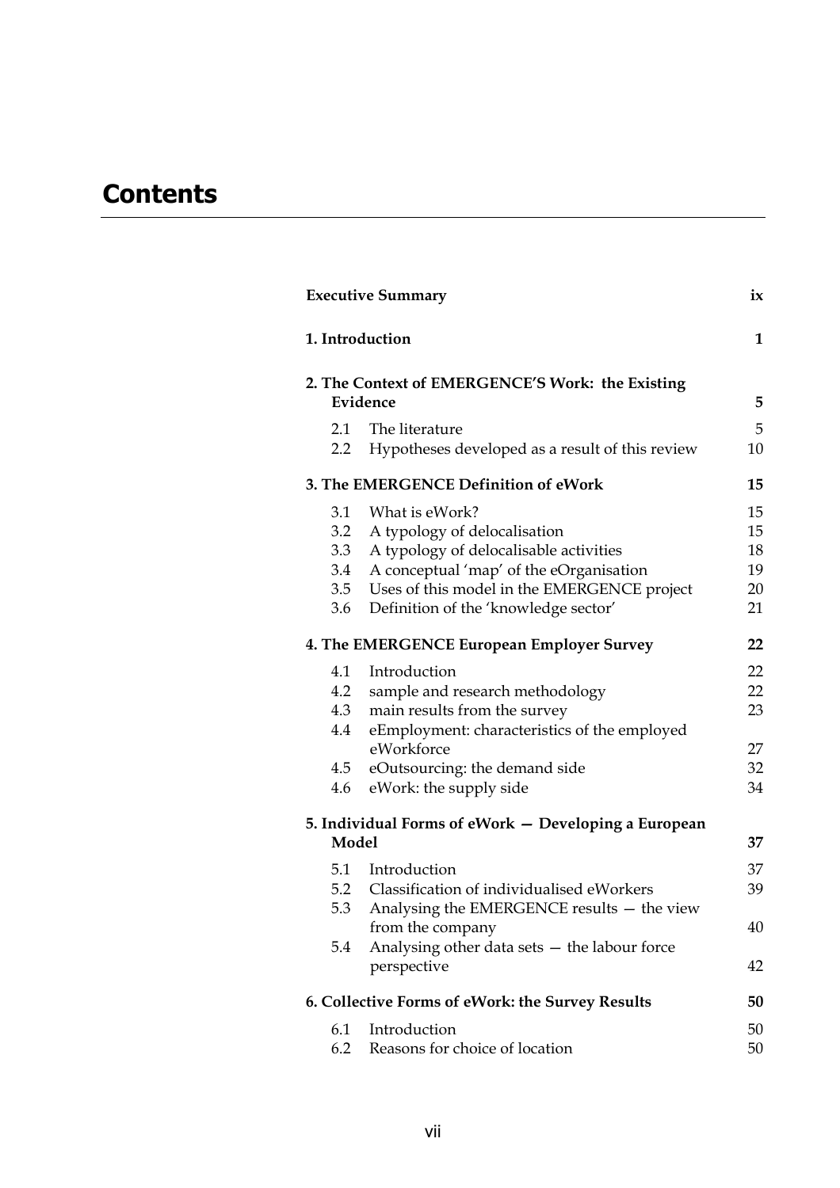# **Contents**

|                  | 1. Introduction                                      | $\mathbf{1}$ |
|------------------|------------------------------------------------------|--------------|
|                  | 2. The Context of EMERGENCE'S Work: the Existing     |              |
|                  | Evidence                                             | 5            |
| 2.1              | The literature                                       | 5            |
| $2.2\phantom{0}$ | Hypotheses developed as a result of this review      | $10\,$       |
|                  | 3. The EMERGENCE Definition of eWork                 | 15           |
| 3.1              | What is eWork?                                       | 15           |
| 3.2              | A typology of delocalisation                         | 15           |
| 3.3              | A typology of delocalisable activities               | 18           |
| 3.4              | A conceptual 'map' of the eOrganisation              | 19           |
| 3.5              | Uses of this model in the EMERGENCE project          | 20           |
| 3.6              | Definition of the 'knowledge sector'                 | 21           |
|                  | 4. The EMERGENCE European Employer Survey            | 22           |
| 4.1              | Introduction                                         | 22           |
| 4.2              | sample and research methodology                      | 22           |
| 4.3              | main results from the survey                         | 23           |
| 4.4              | eEmployment: characteristics of the employed         |              |
|                  | eWorkforce                                           | 27           |
|                  | 4.5 eOutsourcing: the demand side                    | 32           |
| 4.6              | eWork: the supply side                               | 34           |
|                  | 5. Individual Forms of eWork – Developing a European |              |
| Model            |                                                      | 37           |
| 5.1              | Introduction                                         | 37           |
| 5.2              | Classification of individualised eWorkers            | 39           |
| 5.3              | Analysing the EMERGENCE results - the view           |              |
|                  | from the company                                     | 40           |
| 5.4              | Analysing other data sets - the labour force         |              |
|                  | perspective                                          | 42           |
|                  | 6. Collective Forms of eWork: the Survey Results     | 50           |
| 6.1              | Introduction                                         | 50           |
| 6.2              | Reasons for choice of location                       | 50           |
|                  |                                                      |              |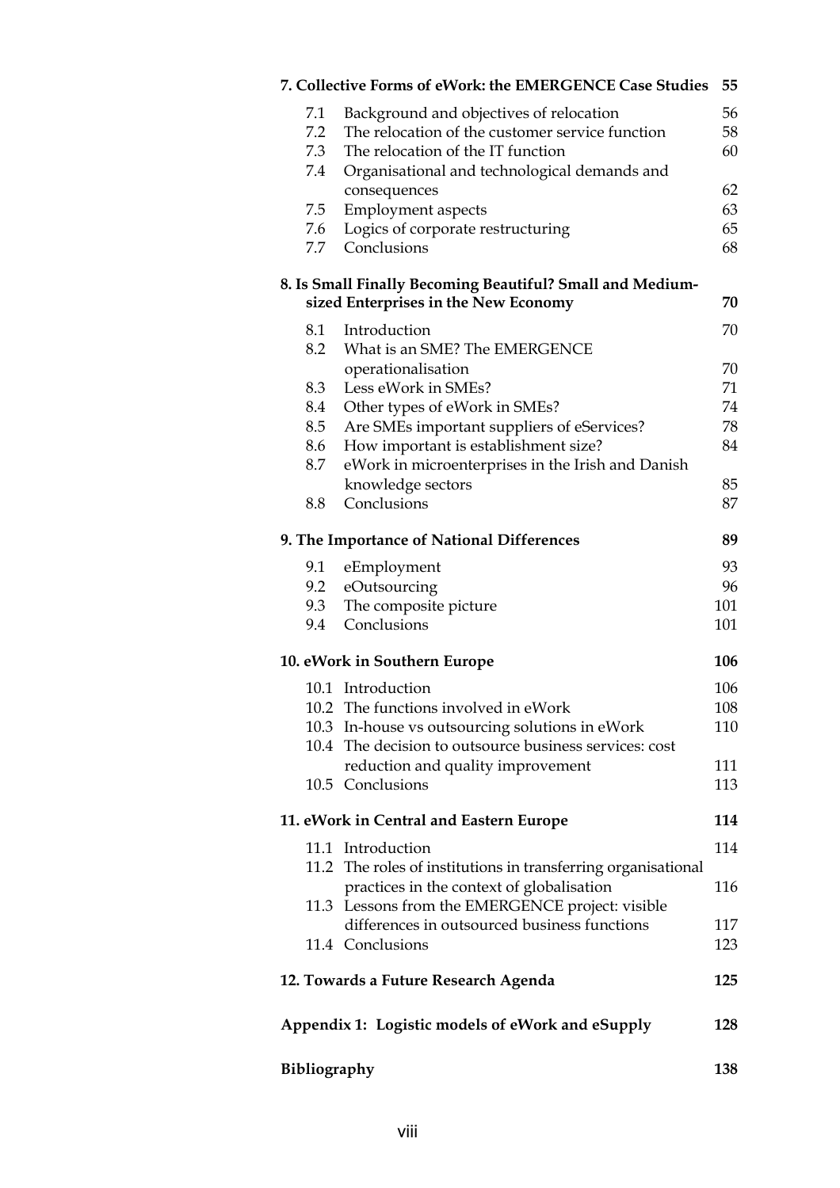| 7. Collective Forms of eWork: the EMERGENCE Case Studies                                          | 55  |  |  |  |
|---------------------------------------------------------------------------------------------------|-----|--|--|--|
| Background and objectives of relocation<br>7.1                                                    | 56  |  |  |  |
| 7.2<br>The relocation of the customer service function                                            | 58  |  |  |  |
| 7.3<br>The relocation of the IT function                                                          | 60  |  |  |  |
| Organisational and technological demands and<br>7.4                                               |     |  |  |  |
| consequences                                                                                      | 62  |  |  |  |
| 7.5<br><b>Employment</b> aspects                                                                  | 63  |  |  |  |
| Logics of corporate restructuring<br>7.6                                                          | 65  |  |  |  |
| Conclusions<br>7.7                                                                                | 68  |  |  |  |
|                                                                                                   |     |  |  |  |
| 8. Is Small Finally Becoming Beautiful? Small and Medium-<br>sized Enterprises in the New Economy | 70  |  |  |  |
|                                                                                                   |     |  |  |  |
| Introduction<br>8.1                                                                               | 70  |  |  |  |
| 8.2<br>What is an SME? The EMERGENCE                                                              |     |  |  |  |
| operationalisation                                                                                | 70  |  |  |  |
| 8.3<br>Less eWork in SMEs?                                                                        | 71  |  |  |  |
| 8.4<br>Other types of eWork in SMEs?                                                              | 74  |  |  |  |
| Are SMEs important suppliers of eServices?<br>8.5                                                 | 78  |  |  |  |
| How important is establishment size?<br>8.6                                                       | 84  |  |  |  |
| 8.7<br>eWork in microenterprises in the Irish and Danish                                          |     |  |  |  |
| knowledge sectors                                                                                 | 85  |  |  |  |
| Conclusions<br>8.8                                                                                | 87  |  |  |  |
| 9. The Importance of National Differences                                                         | 89  |  |  |  |
| 9.1<br>eEmployment                                                                                | 93  |  |  |  |
| 9.2<br>eOutsourcing                                                                               | 96  |  |  |  |
| 9.3<br>The composite picture                                                                      | 101 |  |  |  |
| Conclusions<br>9.4                                                                                | 101 |  |  |  |
| 10. eWork in Southern Europe                                                                      | 106 |  |  |  |
| 10.1 Introduction                                                                                 | 106 |  |  |  |
| 10.2 The functions involved in eWork                                                              | 108 |  |  |  |
| 10.3 In-house vs outsourcing solutions in eWork                                                   | 110 |  |  |  |
| 10.4 The decision to outsource business services: cost                                            |     |  |  |  |
| reduction and quality improvement                                                                 | 111 |  |  |  |
| 10.5 Conclusions                                                                                  | 113 |  |  |  |
|                                                                                                   |     |  |  |  |
| 11. eWork in Central and Eastern Europe                                                           | 114 |  |  |  |
| 11.1 Introduction                                                                                 | 114 |  |  |  |
| 11.2 The roles of institutions in transferring organisational                                     |     |  |  |  |
| practices in the context of globalisation                                                         | 116 |  |  |  |
| 11.3 Lessons from the EMERGENCE project: visible                                                  |     |  |  |  |
| differences in outsourced business functions                                                      | 117 |  |  |  |
| 11.4 Conclusions                                                                                  | 123 |  |  |  |
| 12. Towards a Future Research Agenda                                                              |     |  |  |  |
| Appendix 1: Logistic models of eWork and eSupply<br>128                                           |     |  |  |  |
|                                                                                                   |     |  |  |  |
| <b>Bibliography</b>                                                                               |     |  |  |  |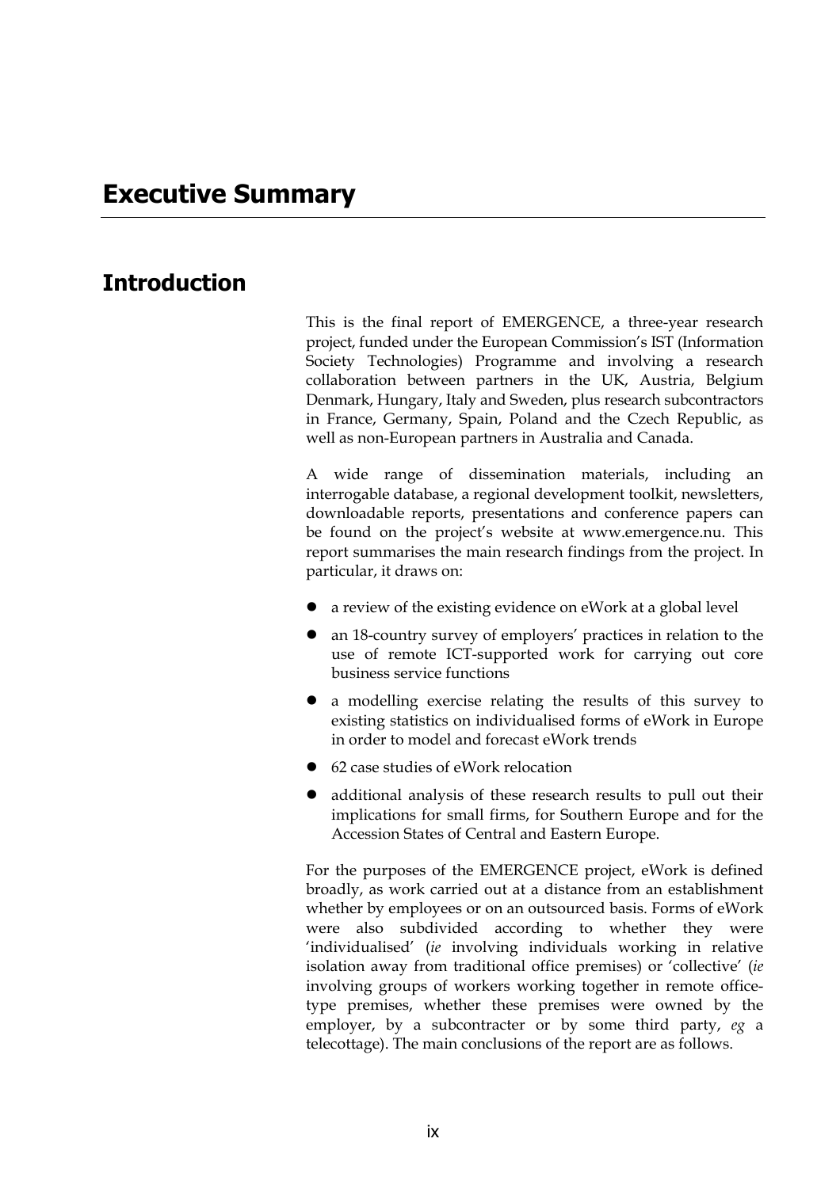# **Introduction**

This is the final report of EMERGENCE, a three-year research project, funded under the European Commission's IST (Information Society Technologies) Programme and involving a research collaboration between partners in the UK, Austria, Belgium Denmark, Hungary, Italy and Sweden, plus research subcontractors in France, Germany, Spain, Poland and the Czech Republic, as well as non-European partners in Australia and Canada.

A wide range of dissemination materials, including an interrogable database, a regional development toolkit, newsletters, downloadable reports, presentations and conference papers can be found on the project's website at www.emergence.nu. This report summarises the main research findings from the project. In particular, it draws on:

- a review of the existing evidence on eWork at a global level
- an 18-country survey of employers' practices in relation to the use of remote ICT-supported work for carrying out core business service functions
- z a modelling exercise relating the results of this survey to existing statistics on individualised forms of eWork in Europe in order to model and forecast eWork trends
- 62 case studies of eWork relocation
- additional analysis of these research results to pull out their implications for small firms, for Southern Europe and for the Accession States of Central and Eastern Europe.

For the purposes of the EMERGENCE project, eWork is defined broadly, as work carried out at a distance from an establishment whether by employees or on an outsourced basis. Forms of eWork were also subdivided according to whether they were 'individualised' (*ie* involving individuals working in relative isolation away from traditional office premises) or 'collective' (*ie* involving groups of workers working together in remote officetype premises, whether these premises were owned by the employer, by a subcontracter or by some third party, *eg* a telecottage). The main conclusions of the report are as follows.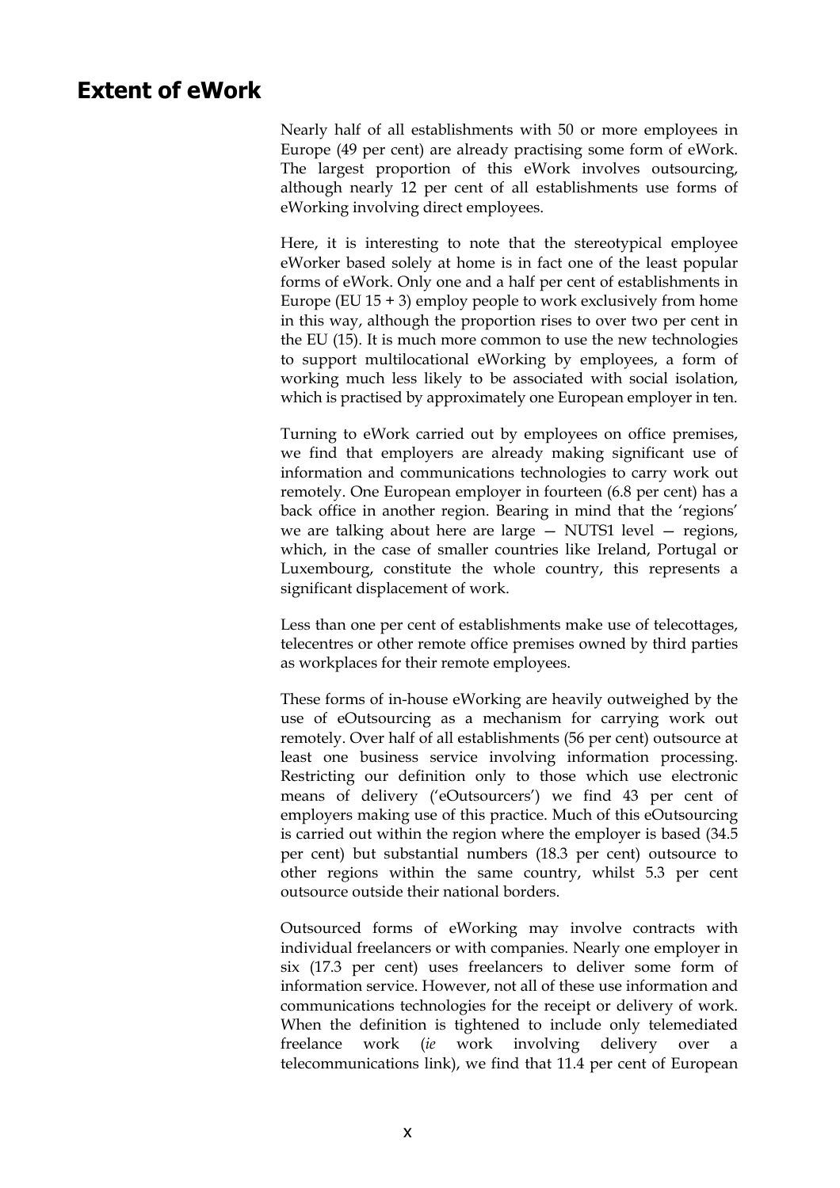### **Extent of eWork**

Nearly half of all establishments with 50 or more employees in Europe (49 per cent) are already practising some form of eWork. The largest proportion of this eWork involves outsourcing, although nearly 12 per cent of all establishments use forms of eWorking involving direct employees.

Here, it is interesting to note that the stereotypical employee eWorker based solely at home is in fact one of the least popular forms of eWork. Only one and a half per cent of establishments in Europe (EU  $15 + 3$ ) employ people to work exclusively from home in this way, although the proportion rises to over two per cent in the EU (15). It is much more common to use the new technologies to support multilocational eWorking by employees, a form of working much less likely to be associated with social isolation, which is practised by approximately one European employer in ten.

Turning to eWork carried out by employees on office premises, we find that employers are already making significant use of information and communications technologies to carry work out remotely. One European employer in fourteen (6.8 per cent) has a back office in another region. Bearing in mind that the 'regions' we are talking about here are large — NUTS1 level — regions, which, in the case of smaller countries like Ireland, Portugal or Luxembourg, constitute the whole country, this represents a significant displacement of work.

Less than one per cent of establishments make use of telecottages, telecentres or other remote office premises owned by third parties as workplaces for their remote employees.

These forms of in-house eWorking are heavily outweighed by the use of eOutsourcing as a mechanism for carrying work out remotely. Over half of all establishments (56 per cent) outsource at least one business service involving information processing. Restricting our definition only to those which use electronic means of delivery ('eOutsourcers') we find 43 per cent of employers making use of this practice. Much of this eOutsourcing is carried out within the region where the employer is based (34.5 per cent) but substantial numbers (18.3 per cent) outsource to other regions within the same country, whilst 5.3 per cent outsource outside their national borders.

Outsourced forms of eWorking may involve contracts with individual freelancers or with companies. Nearly one employer in six (17.3 per cent) uses freelancers to deliver some form of information service. However, not all of these use information and communications technologies for the receipt or delivery of work. When the definition is tightened to include only telemediated freelance work *(ie* work involving delivery over telecommunications link), we find that 11.4 per cent of European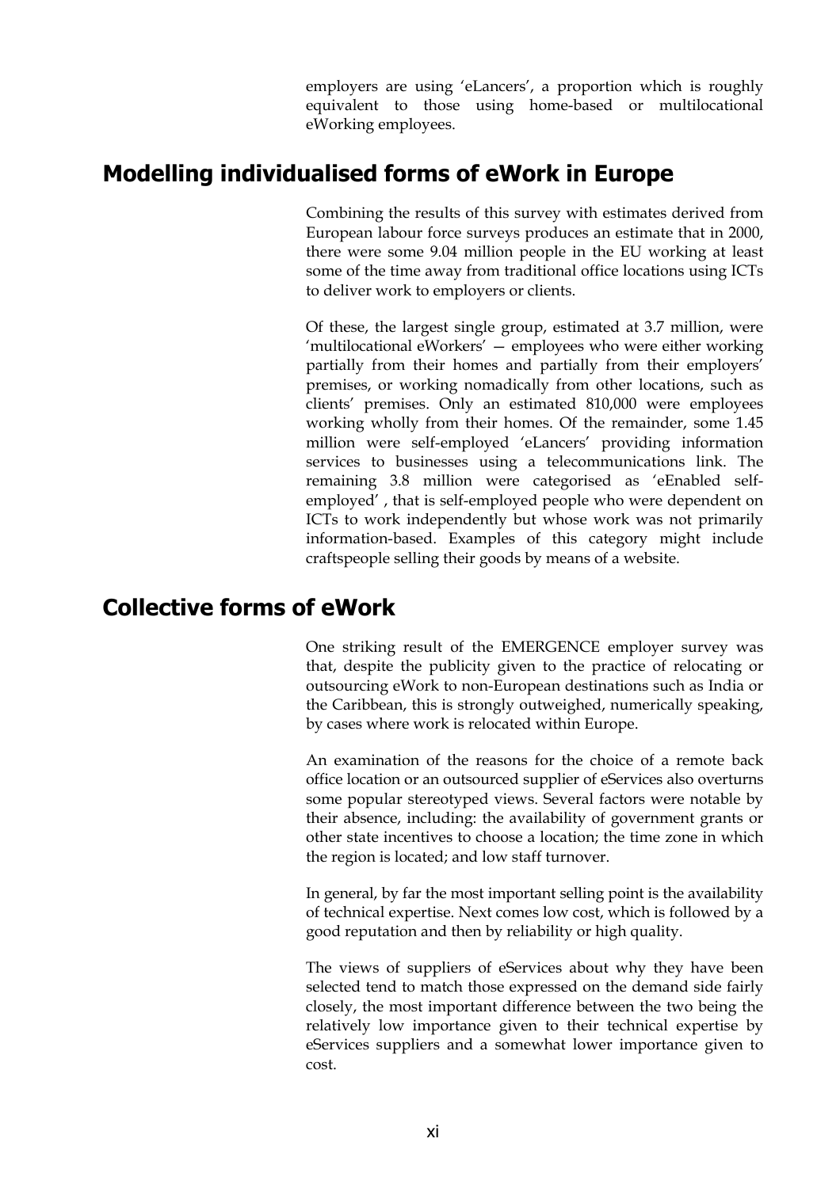employers are using 'eLancers', a proportion which is roughly equivalent to those using home-based or multilocational eWorking employees.

# **Modelling individualised forms of eWork in Europe**

Combining the results of this survey with estimates derived from European labour force surveys produces an estimate that in 2000, there were some 9.04 million people in the EU working at least some of the time away from traditional office locations using ICTs to deliver work to employers or clients.

Of these, the largest single group, estimated at 3.7 million, were 'multilocational eWorkers' — employees who were either working partially from their homes and partially from their employers' premises, or working nomadically from other locations, such as clients' premises. Only an estimated 810,000 were employees working wholly from their homes. Of the remainder, some 1.45 million were self-employed 'eLancers' providing information services to businesses using a telecommunications link. The remaining 3.8 million were categorised as 'eEnabled selfemployed' , that is self-employed people who were dependent on ICTs to work independently but whose work was not primarily information-based. Examples of this category might include craftspeople selling their goods by means of a website.

# **Collective forms of eWork**

One striking result of the EMERGENCE employer survey was that, despite the publicity given to the practice of relocating or outsourcing eWork to non-European destinations such as India or the Caribbean, this is strongly outweighed, numerically speaking, by cases where work is relocated within Europe.

An examination of the reasons for the choice of a remote back office location or an outsourced supplier of eServices also overturns some popular stereotyped views. Several factors were notable by their absence, including: the availability of government grants or other state incentives to choose a location; the time zone in which the region is located; and low staff turnover.

In general, by far the most important selling point is the availability of technical expertise. Next comes low cost, which is followed by a good reputation and then by reliability or high quality.

The views of suppliers of eServices about why they have been selected tend to match those expressed on the demand side fairly closely, the most important difference between the two being the relatively low importance given to their technical expertise by eServices suppliers and a somewhat lower importance given to cost.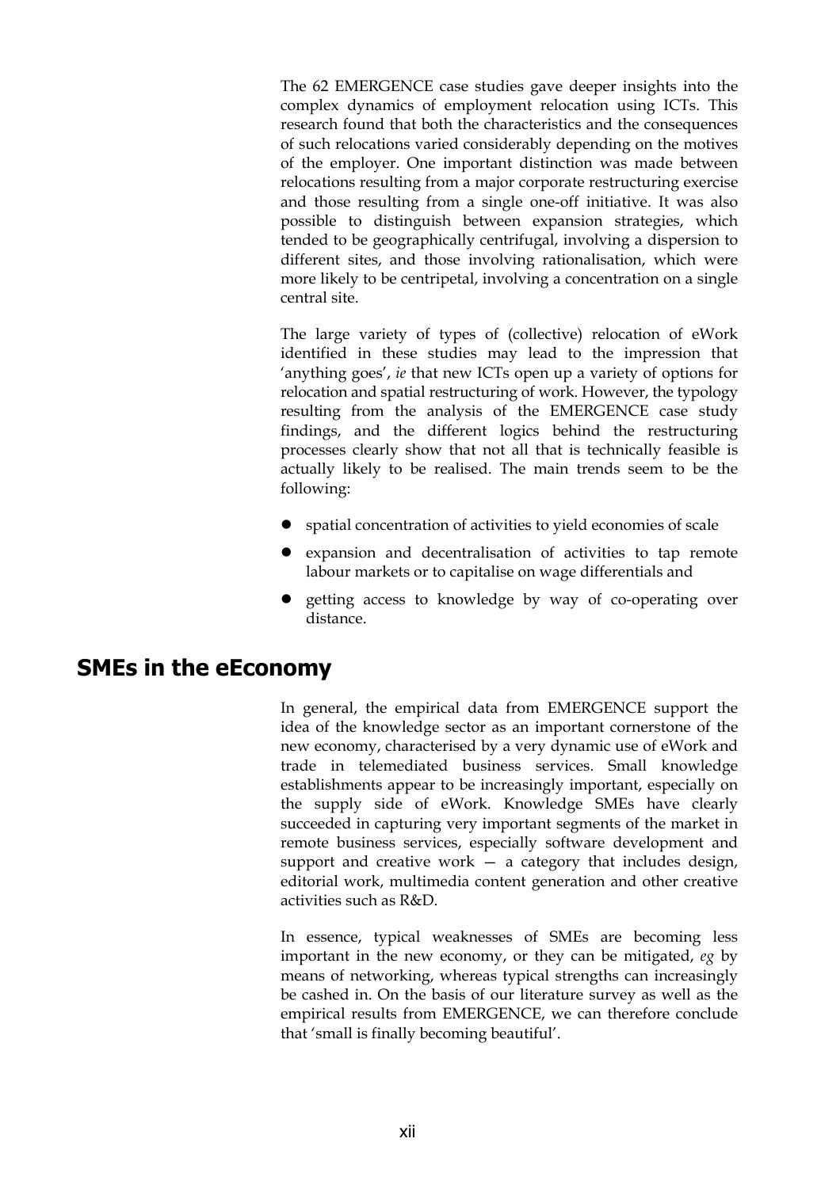The 62 EMERGENCE case studies gave deeper insights into the complex dynamics of employment relocation using ICTs. This research found that both the characteristics and the consequences of such relocations varied considerably depending on the motives of the employer. One important distinction was made between relocations resulting from a major corporate restructuring exercise and those resulting from a single one-off initiative. It was also possible to distinguish between expansion strategies, which tended to be geographically centrifugal, involving a dispersion to different sites, and those involving rationalisation, which were more likely to be centripetal, involving a concentration on a single central site.

The large variety of types of (collective) relocation of eWork identified in these studies may lead to the impression that 'anything goes', *ie* that new ICTs open up a variety of options for relocation and spatial restructuring of work. However, the typology resulting from the analysis of the EMERGENCE case study findings, and the different logics behind the restructuring processes clearly show that not all that is technically feasible is actually likely to be realised. The main trends seem to be the following:

- spatial concentration of activities to yield economies of scale
- $\bullet$  expansion and decentralisation of activities to tap remote labour markets or to capitalise on wage differentials and
- getting access to knowledge by way of co-operating over distance.

### **SMEs in the eEconomy**

In general, the empirical data from EMERGENCE support the idea of the knowledge sector as an important cornerstone of the new economy, characterised by a very dynamic use of eWork and trade in telemediated business services. Small knowledge establishments appear to be increasingly important, especially on the supply side of eWork. Knowledge SMEs have clearly succeeded in capturing very important segments of the market in remote business services, especially software development and support and creative work  $-$  a category that includes design, editorial work, multimedia content generation and other creative activities such as R&D.

In essence, typical weaknesses of SMEs are becoming less important in the new economy, or they can be mitigated, *eg* by means of networking, whereas typical strengths can increasingly be cashed in. On the basis of our literature survey as well as the empirical results from EMERGENCE, we can therefore conclude that 'small is finally becoming beautiful'.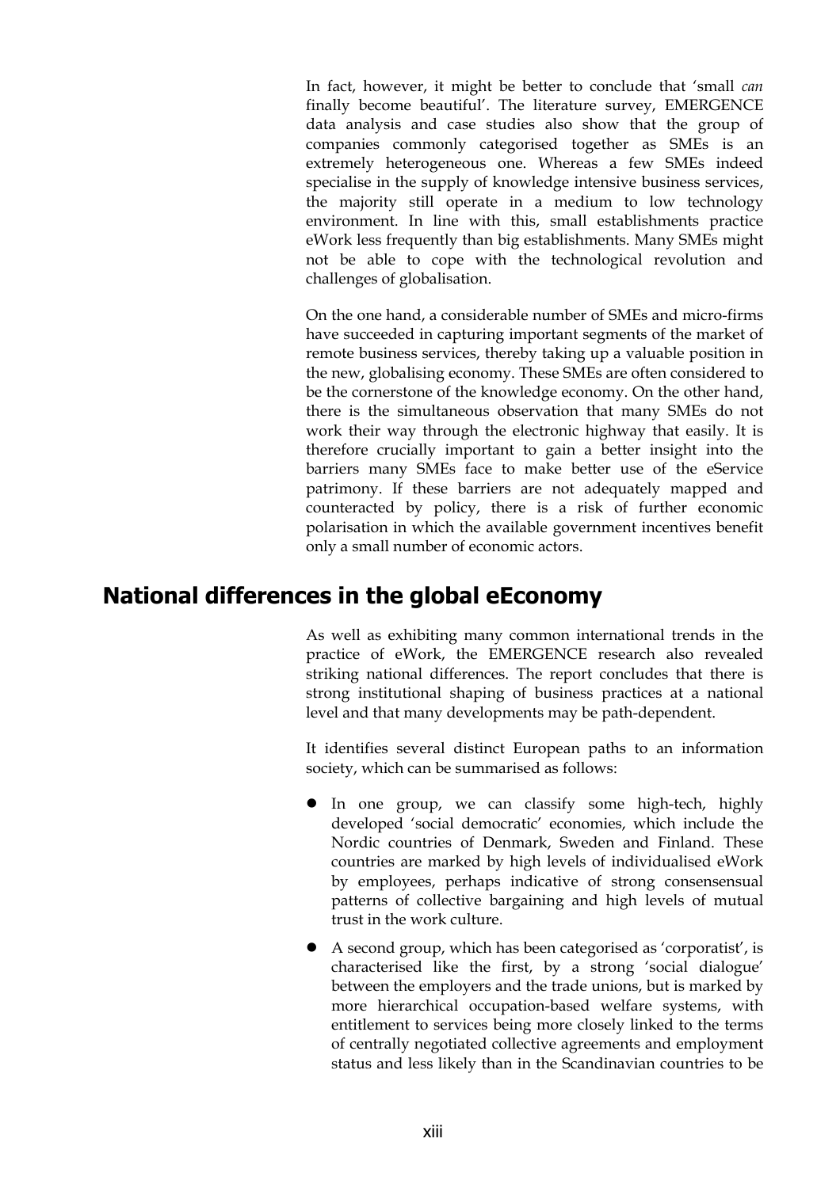In fact, however, it might be better to conclude that 'small *can* finally become beautiful'. The literature survey, EMERGENCE data analysis and case studies also show that the group of companies commonly categorised together as SMEs is an extremely heterogeneous one. Whereas a few SMEs indeed specialise in the supply of knowledge intensive business services, the majority still operate in a medium to low technology environment. In line with this, small establishments practice eWork less frequently than big establishments. Many SMEs might not be able to cope with the technological revolution and challenges of globalisation.

On the one hand, a considerable number of SMEs and micro-firms have succeeded in capturing important segments of the market of remote business services, thereby taking up a valuable position in the new, globalising economy. These SMEs are often considered to be the cornerstone of the knowledge economy. On the other hand, there is the simultaneous observation that many SMEs do not work their way through the electronic highway that easily. It is therefore crucially important to gain a better insight into the barriers many SMEs face to make better use of the eService patrimony. If these barriers are not adequately mapped and counteracted by policy, there is a risk of further economic polarisation in which the available government incentives benefit only a small number of economic actors.

# **National differences in the global eEconomy**

As well as exhibiting many common international trends in the practice of eWork, the EMERGENCE research also revealed striking national differences. The report concludes that there is strong institutional shaping of business practices at a national level and that many developments may be path-dependent.

It identifies several distinct European paths to an information society, which can be summarised as follows:

- In one group, we can classify some high-tech, highly developed 'social democratic' economies, which include the Nordic countries of Denmark, Sweden and Finland. These countries are marked by high levels of individualised eWork by employees, perhaps indicative of strong consensensual patterns of collective bargaining and high levels of mutual trust in the work culture.
- A second group, which has been categorised as 'corporatist', is characterised like the first, by a strong 'social dialogue' between the employers and the trade unions, but is marked by more hierarchical occupation-based welfare systems, with entitlement to services being more closely linked to the terms of centrally negotiated collective agreements and employment status and less likely than in the Scandinavian countries to be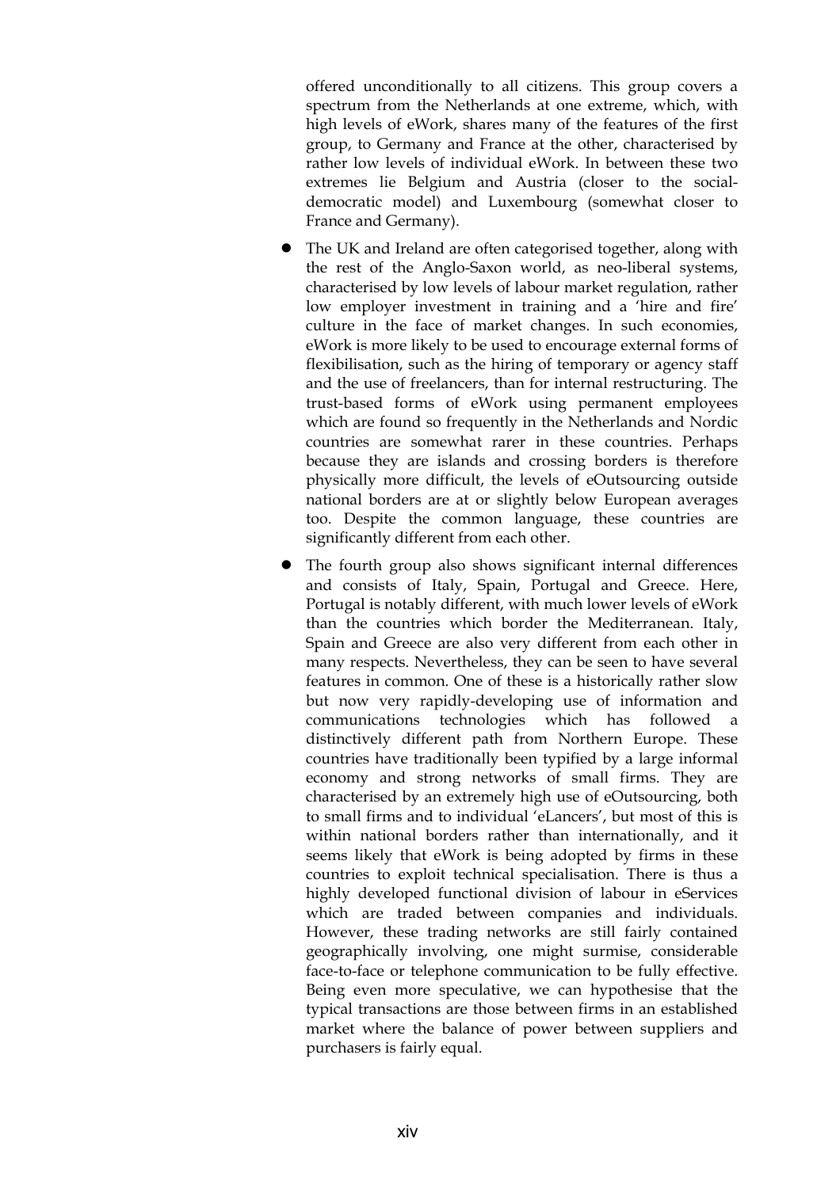offered unconditionally to all citizens. This group covers a spectrum from the Netherlands at one extreme, which, with high levels of eWork, shares many of the features of the first group, to Germany and France at the other, characterised by rather low levels of individual eWork. In between these two extremes lie Belgium and Austria (closer to the socialdemocratic model) and Luxembourg (somewhat closer to France and Germany).

- The UK and Ireland are often categorised together, along with the rest of the Anglo-Saxon world, as neo-liberal systems, characterised by low levels of labour market regulation, rather low employer investment in training and a 'hire and fire' culture in the face of market changes. In such economies, eWork is more likely to be used to encourage external forms of flexibilisation, such as the hiring of temporary or agency staff and the use of freelancers, than for internal restructuring. The trust-based forms of eWork using permanent employees which are found so frequently in the Netherlands and Nordic countries are somewhat rarer in these countries. Perhaps because they are islands and crossing borders is therefore physically more difficult, the levels of eOutsourcing outside national borders are at or slightly below European averages too. Despite the common language, these countries are significantly different from each other.
- The fourth group also shows significant internal differences and consists of Italy, Spain, Portugal and Greece. Here, Portugal is notably different, with much lower levels of eWork than the countries which border the Mediterranean. Italy, Spain and Greece are also very different from each other in many respects. Nevertheless, they can be seen to have several features in common. One of these is a historically rather slow but now very rapidly-developing use of information and communications technologies which has followed a distinctively different path from Northern Europe. These countries have traditionally been typified by a large informal economy and strong networks of small firms. They are characterised by an extremely high use of eOutsourcing, both to small firms and to individual 'eLancers', but most of this is within national borders rather than internationally, and it seems likely that eWork is being adopted by firms in these countries to exploit technical specialisation. There is thus a highly developed functional division of labour in eServices which are traded between companies and individuals. However, these trading networks are still fairly contained geographically involving, one might surmise, considerable face-to-face or telephone communication to be fully effective. Being even more speculative, we can hypothesise that the typical transactions are those between firms in an established market where the balance of power between suppliers and purchasers is fairly equal.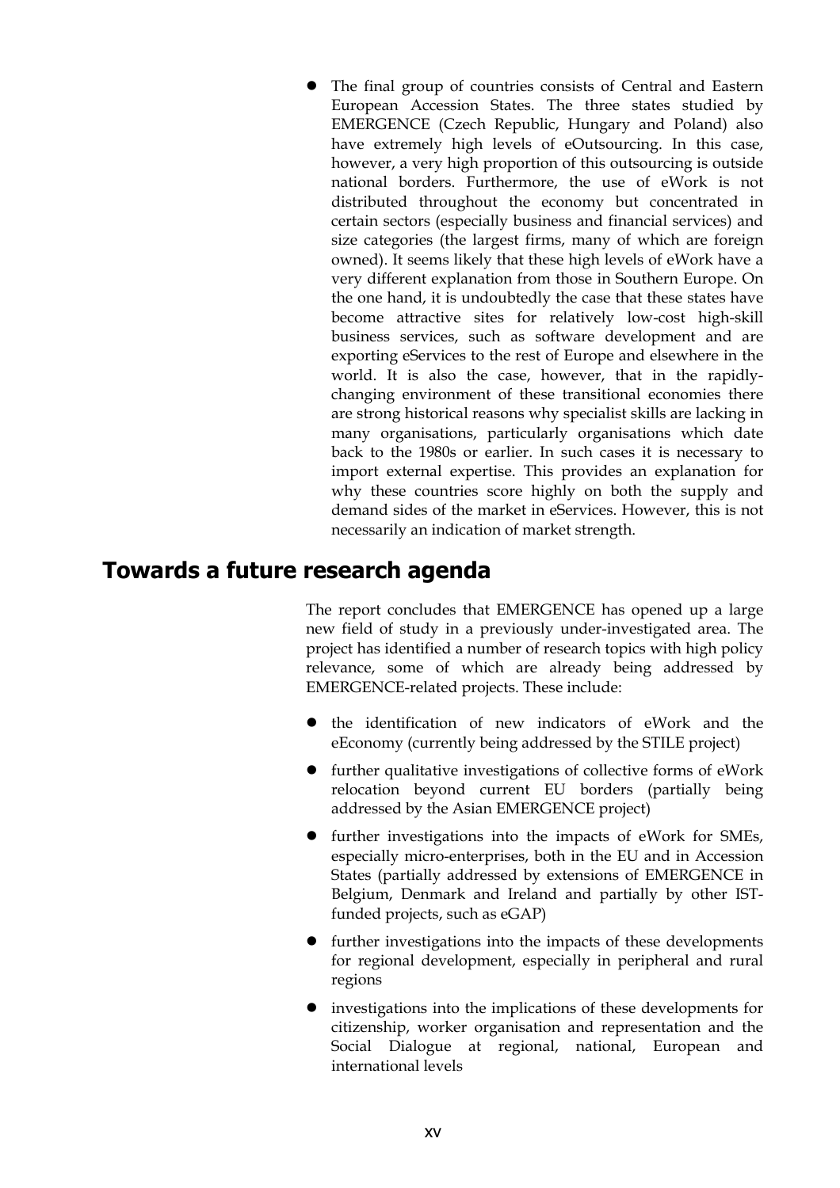The final group of countries consists of Central and Eastern European Accession States. The three states studied by EMERGENCE (Czech Republic, Hungary and Poland) also have extremely high levels of eOutsourcing. In this case, however, a very high proportion of this outsourcing is outside national borders. Furthermore, the use of eWork is not distributed throughout the economy but concentrated in certain sectors (especially business and financial services) and size categories (the largest firms, many of which are foreign owned). It seems likely that these high levels of eWork have a very different explanation from those in Southern Europe. On the one hand, it is undoubtedly the case that these states have become attractive sites for relatively low-cost high-skill business services, such as software development and are exporting eServices to the rest of Europe and elsewhere in the world. It is also the case, however, that in the rapidlychanging environment of these transitional economies there are strong historical reasons why specialist skills are lacking in many organisations, particularly organisations which date back to the 1980s or earlier. In such cases it is necessary to import external expertise. This provides an explanation for why these countries score highly on both the supply and demand sides of the market in eServices. However, this is not necessarily an indication of market strength.

### **Towards a future research agenda**

The report concludes that EMERGENCE has opened up a large new field of study in a previously under-investigated area. The project has identified a number of research topics with high policy relevance, some of which are already being addressed by EMERGENCE-related projects. These include:

- the identification of new indicators of eWork and the eEconomy (currently being addressed by the STILE project)
- $\bullet$  further qualitative investigations of collective forms of eWork relocation beyond current EU borders (partially being addressed by the Asian EMERGENCE project)
- $\bullet$  further investigations into the impacts of eWork for SMEs, especially micro-enterprises, both in the EU and in Accession States (partially addressed by extensions of EMERGENCE in Belgium, Denmark and Ireland and partially by other ISTfunded projects, such as eGAP)
- further investigations into the impacts of these developments for regional development, especially in peripheral and rural regions
- investigations into the implications of these developments for citizenship, worker organisation and representation and the Social Dialogue at regional, national, European and international levels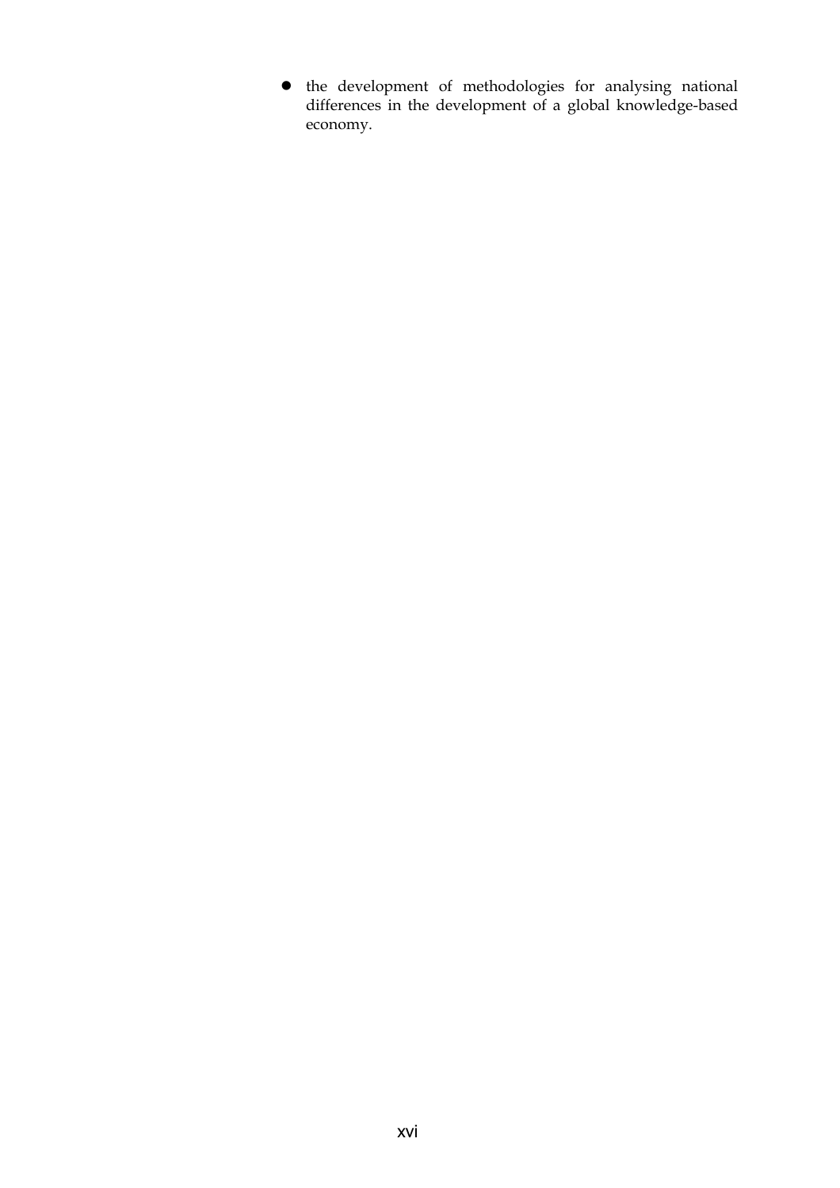$\bullet$  the development of methodologies for analysing national differences in the development of a global knowledge-based economy.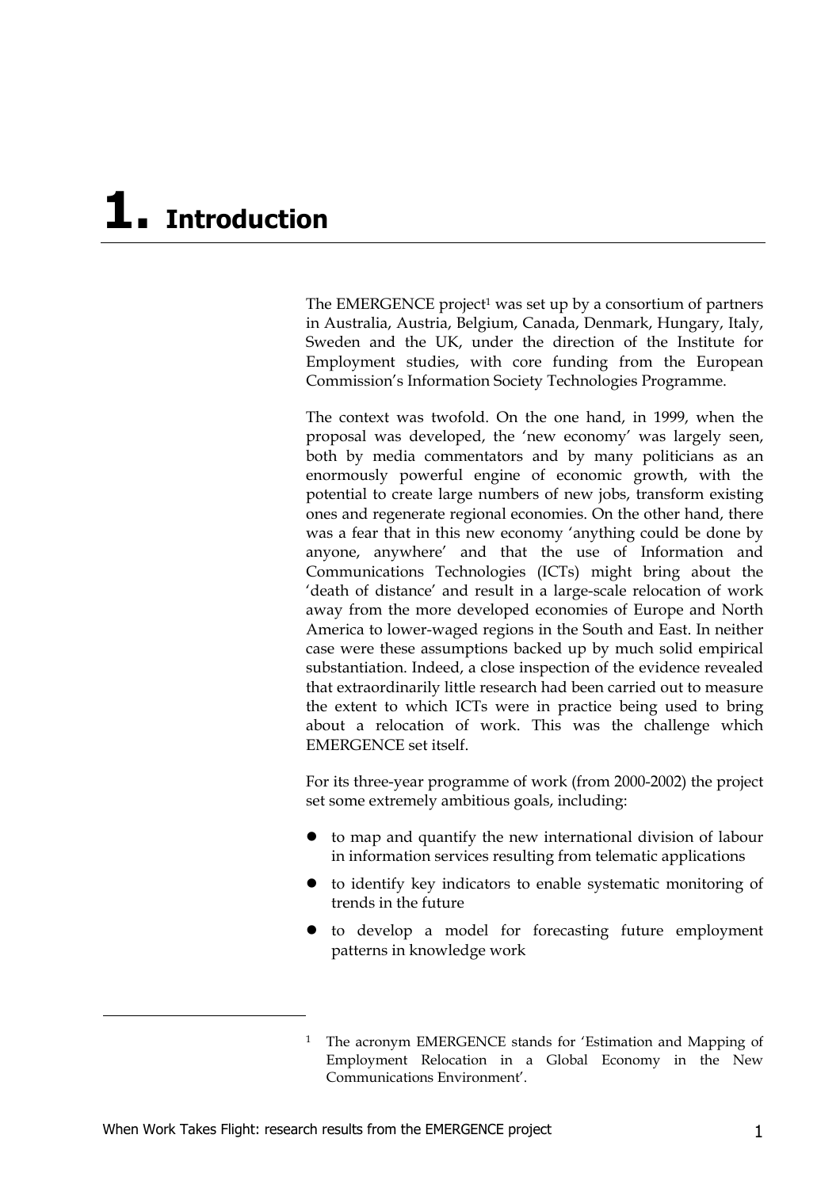# **1. Introduction**

The EMERGENCE project<sup>1</sup> was set up by a consortium of partners in Australia, Austria, Belgium, Canada, Denmark, Hungary, Italy, Sweden and the UK, under the direction of the Institute for Employment studies, with core funding from the European Commission's Information Society Technologies Programme.

The context was twofold. On the one hand, in 1999, when the proposal was developed, the 'new economy' was largely seen, both by media commentators and by many politicians as an enormously powerful engine of economic growth, with the potential to create large numbers of new jobs, transform existing ones and regenerate regional economies. On the other hand, there was a fear that in this new economy 'anything could be done by anyone, anywhere' and that the use of Information and Communications Technologies (ICTs) might bring about the 'death of distance' and result in a large-scale relocation of work away from the more developed economies of Europe and North America to lower-waged regions in the South and East. In neither case were these assumptions backed up by much solid empirical substantiation. Indeed, a close inspection of the evidence revealed that extraordinarily little research had been carried out to measure the extent to which ICTs were in practice being used to bring about a relocation of work. This was the challenge which EMERGENCE set itself.

For its three-year programme of work (from 2000-2002) the project set some extremely ambitious goals, including:

- to map and quantify the new international division of labour in information services resulting from telematic applications
- to identify key indicators to enable systematic monitoring of trends in the future
- to develop a model for forecasting future employment patterns in knowledge work

-

<sup>1</sup> The acronym EMERGENCE stands for 'Estimation and Mapping of Employment Relocation in a Global Economy in the New Communications Environment'.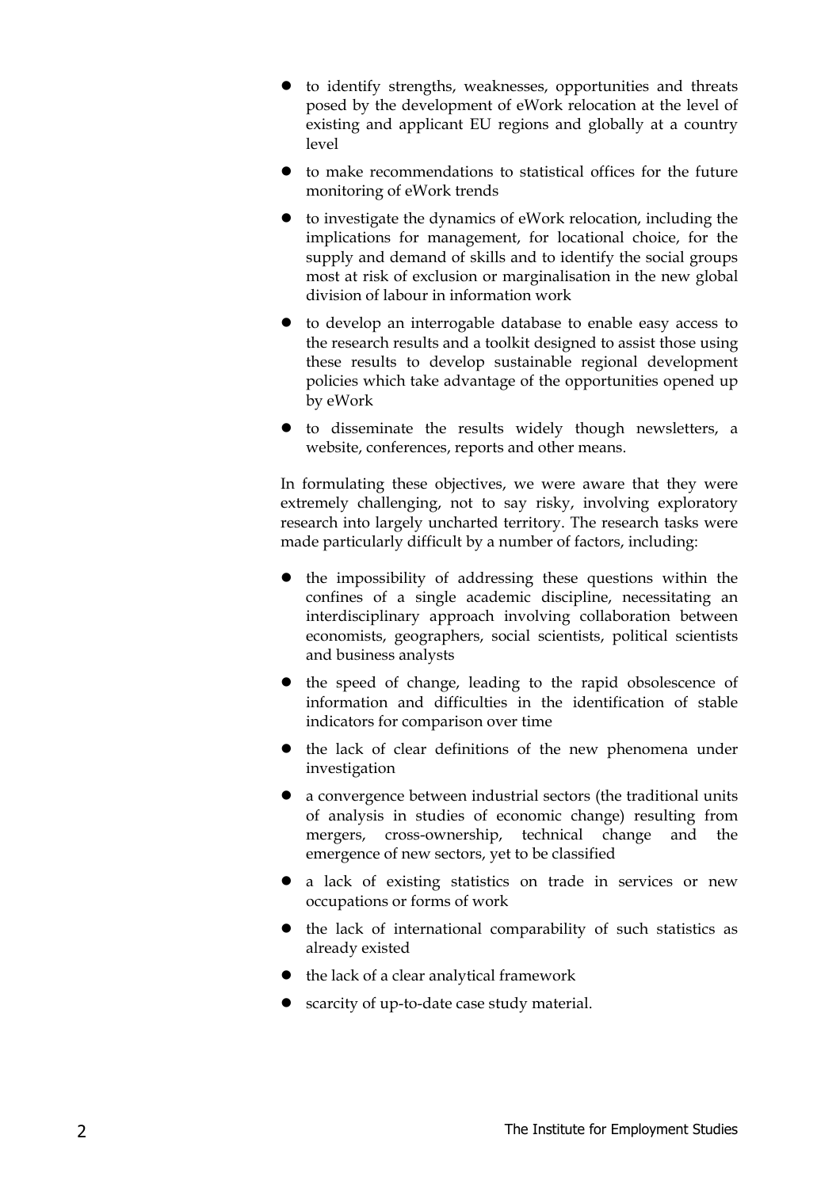- $\bullet$  to identify strengths, weaknesses, opportunities and threats posed by the development of eWork relocation at the level of existing and applicant EU regions and globally at a country level
- $\bullet$  to make recommendations to statistical offices for the future monitoring of eWork trends
- $\bullet$  to investigate the dynamics of eWork relocation, including the implications for management, for locational choice, for the supply and demand of skills and to identify the social groups most at risk of exclusion or marginalisation in the new global division of labour in information work
- $\bullet$  to develop an interrogable database to enable easy access to the research results and a toolkit designed to assist those using these results to develop sustainable regional development policies which take advantage of the opportunities opened up by eWork
- $\bullet$  to disseminate the results widely though newsletters, a website, conferences, reports and other means.

In formulating these objectives, we were aware that they were extremely challenging, not to say risky, involving exploratory research into largely uncharted territory. The research tasks were made particularly difficult by a number of factors, including:

- the impossibility of addressing these questions within the confines of a single academic discipline, necessitating an interdisciplinary approach involving collaboration between economists, geographers, social scientists, political scientists and business analysts
- $\bullet$  the speed of change, leading to the rapid obsolescence of information and difficulties in the identification of stable indicators for comparison over time
- the lack of clear definitions of the new phenomena under investigation
- a convergence between industrial sectors (the traditional units of analysis in studies of economic change) resulting from mergers, cross-ownership, technical change and the emergence of new sectors, yet to be classified
- a lack of existing statistics on trade in services or new occupations or forms of work
- $\bullet$  the lack of international comparability of such statistics as already existed
- $\bullet$  the lack of a clear analytical framework
- scarcity of up-to-date case study material.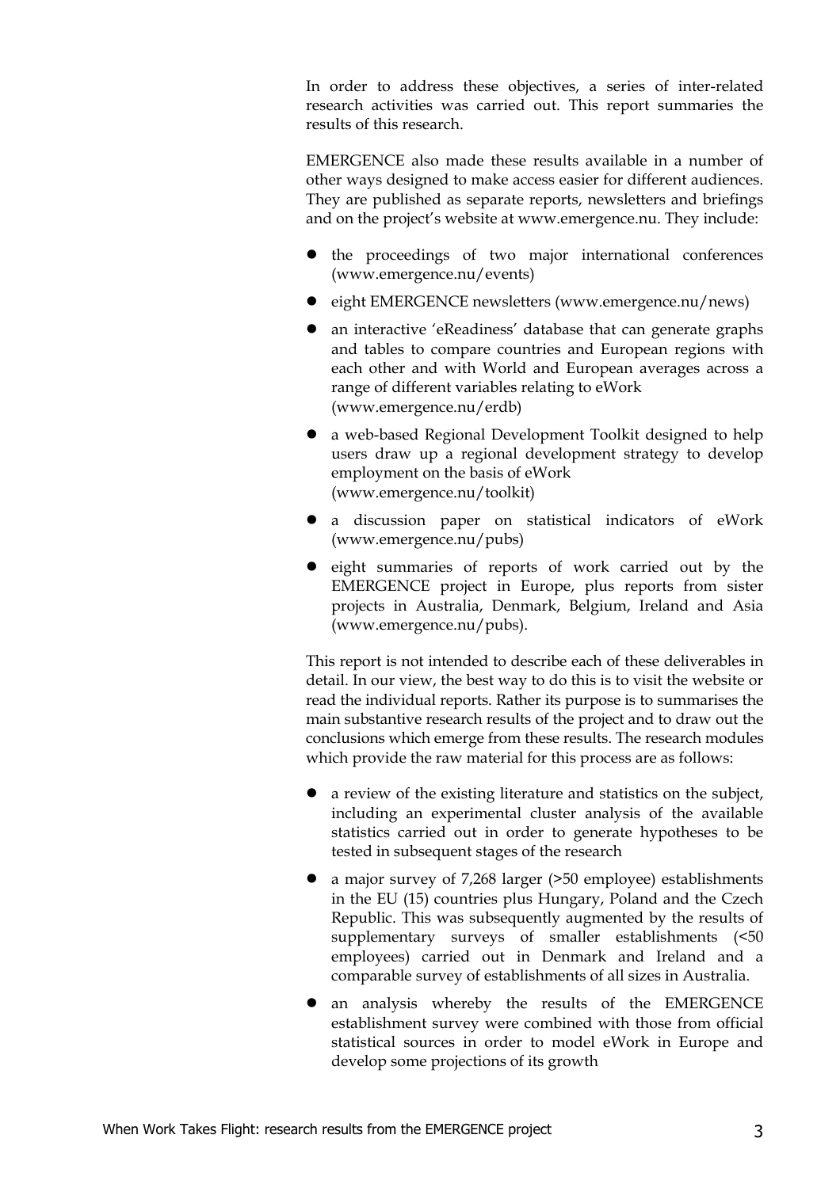In order to address these objectives, a series of inter-related research activities was carried out. This report summaries the results of this research.

EMERGENCE also made these results available in a number of other ways designed to make access easier for different audiences. They are published as separate reports, newsletters and briefings and on the project's website at www.emergence.nu. They include:

- $\bullet$  the proceedings of two major international conferences (www.emergence.nu/events)
- eight EMERGENCE newsletters (www.emergence.nu/news)
- an interactive 'eReadiness' database that can generate graphs and tables to compare countries and European regions with each other and with World and European averages across a range of different variables relating to eWork (www.emergence.nu/erdb)
- a web-based Regional Development Toolkit designed to help users draw up a regional development strategy to develop employment on the basis of eWork (www.emergence.nu/toolkit)
- a discussion paper on statistical indicators of eWork (www.emergence.nu/pubs)
- eight summaries of reports of work carried out by the EMERGENCE project in Europe, plus reports from sister projects in Australia, Denmark, Belgium, Ireland and Asia (www.emergence.nu/pubs).

This report is not intended to describe each of these deliverables in detail. In our view, the best way to do this is to visit the website or read the individual reports. Rather its purpose is to summarises the main substantive research results of the project and to draw out the conclusions which emerge from these results. The research modules which provide the raw material for this process are as follows:

- z a review of the existing literature and statistics on the subject, including an experimental cluster analysis of the available statistics carried out in order to generate hypotheses to be tested in subsequent stages of the research
- a major survey of 7,268 larger (>50 employee) establishments in the EU (15) countries plus Hungary, Poland and the Czech Republic. This was subsequently augmented by the results of supplementary surveys of smaller establishments (<50 employees) carried out in Denmark and Ireland and a comparable survey of establishments of all sizes in Australia.
- an analysis whereby the results of the EMERGENCE establishment survey were combined with those from official statistical sources in order to model eWork in Europe and develop some projections of its growth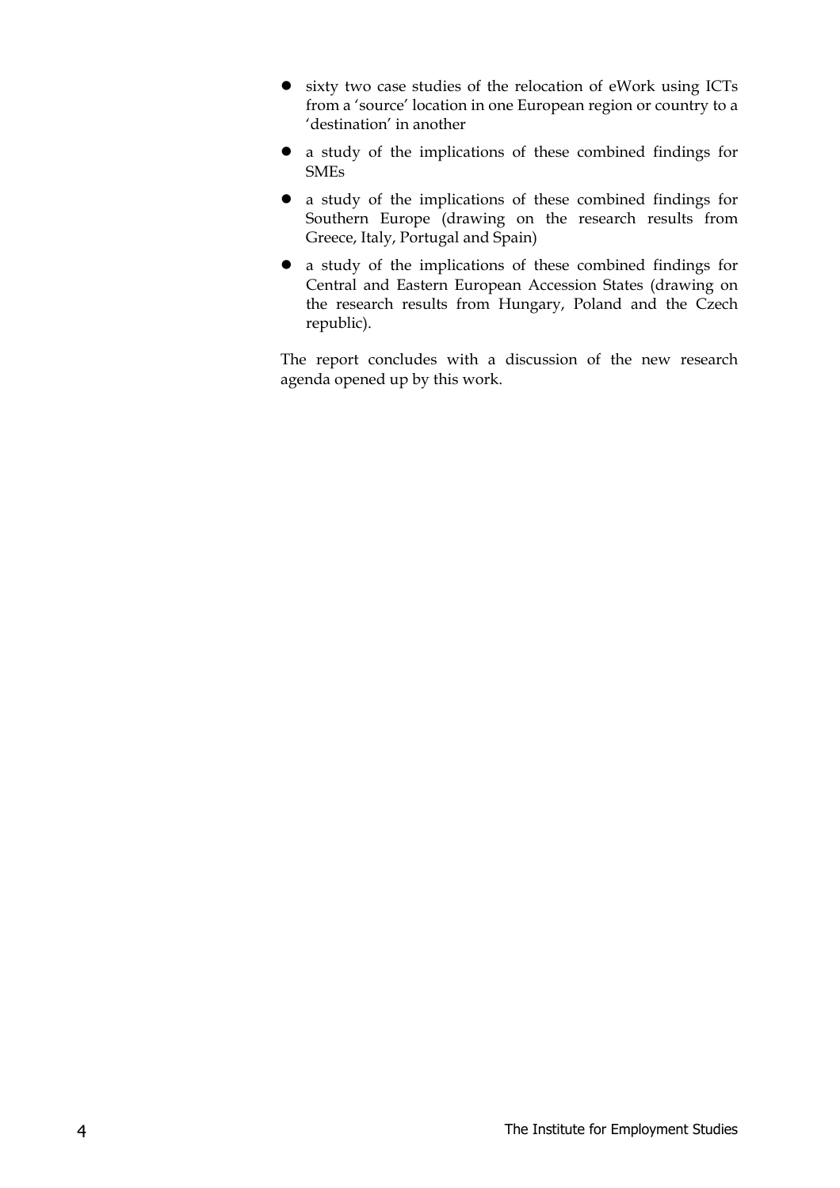- $\bullet$  sixty two case studies of the relocation of eWork using ICTs from a 'source' location in one European region or country to a 'destination' in another
- a study of the implications of these combined findings for SMEs
- a study of the implications of these combined findings for Southern Europe (drawing on the research results from Greece, Italy, Portugal and Spain)
- a study of the implications of these combined findings for Central and Eastern European Accession States (drawing on the research results from Hungary, Poland and the Czech republic).

The report concludes with a discussion of the new research agenda opened up by this work.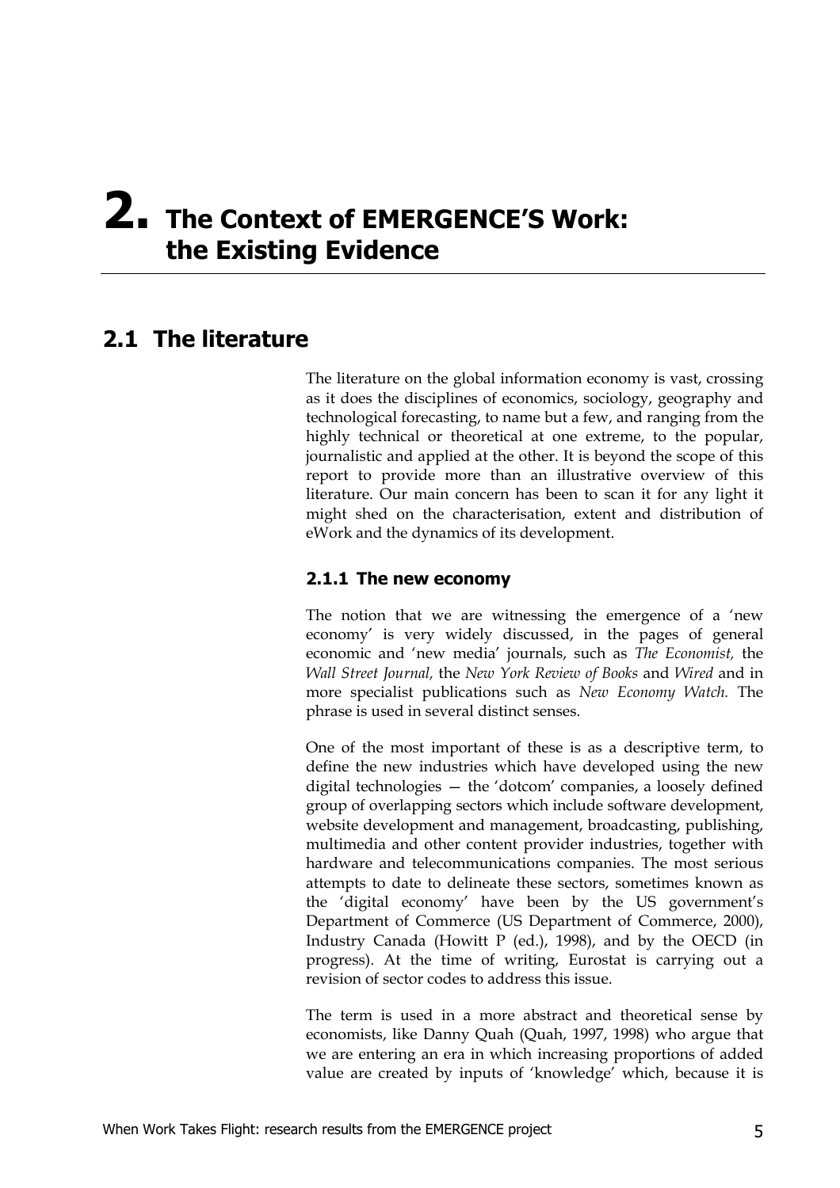# **2. The Context of EMERGENCE'S Work: the Existing Evidence**

# **2.1 The literature**

The literature on the global information economy is vast, crossing as it does the disciplines of economics, sociology, geography and technological forecasting, to name but a few, and ranging from the highly technical or theoretical at one extreme, to the popular, journalistic and applied at the other. It is beyond the scope of this report to provide more than an illustrative overview of this literature. Our main concern has been to scan it for any light it might shed on the characterisation, extent and distribution of eWork and the dynamics of its development.

#### **2.1.1 The new economy**

The notion that we are witnessing the emergence of a 'new economy' is very widely discussed, in the pages of general economic and 'new media' journals, such as *The Economist,* the *Wall Street Journal,* the *New York Review of Books* and *Wired* and in more specialist publications such as *New Economy Watch.* The phrase is used in several distinct senses.

One of the most important of these is as a descriptive term, to define the new industries which have developed using the new digital technologies — the 'dotcom' companies, a loosely defined group of overlapping sectors which include software development, website development and management, broadcasting, publishing, multimedia and other content provider industries, together with hardware and telecommunications companies. The most serious attempts to date to delineate these sectors, sometimes known as the 'digital economy' have been by the US government's Department of Commerce (US Department of Commerce, 2000), Industry Canada (Howitt P (ed.), 1998), and by the OECD (in progress). At the time of writing, Eurostat is carrying out a revision of sector codes to address this issue.

The term is used in a more abstract and theoretical sense by economists, like Danny Quah (Quah, 1997, 1998) who argue that we are entering an era in which increasing proportions of added value are created by inputs of 'knowledge' which, because it is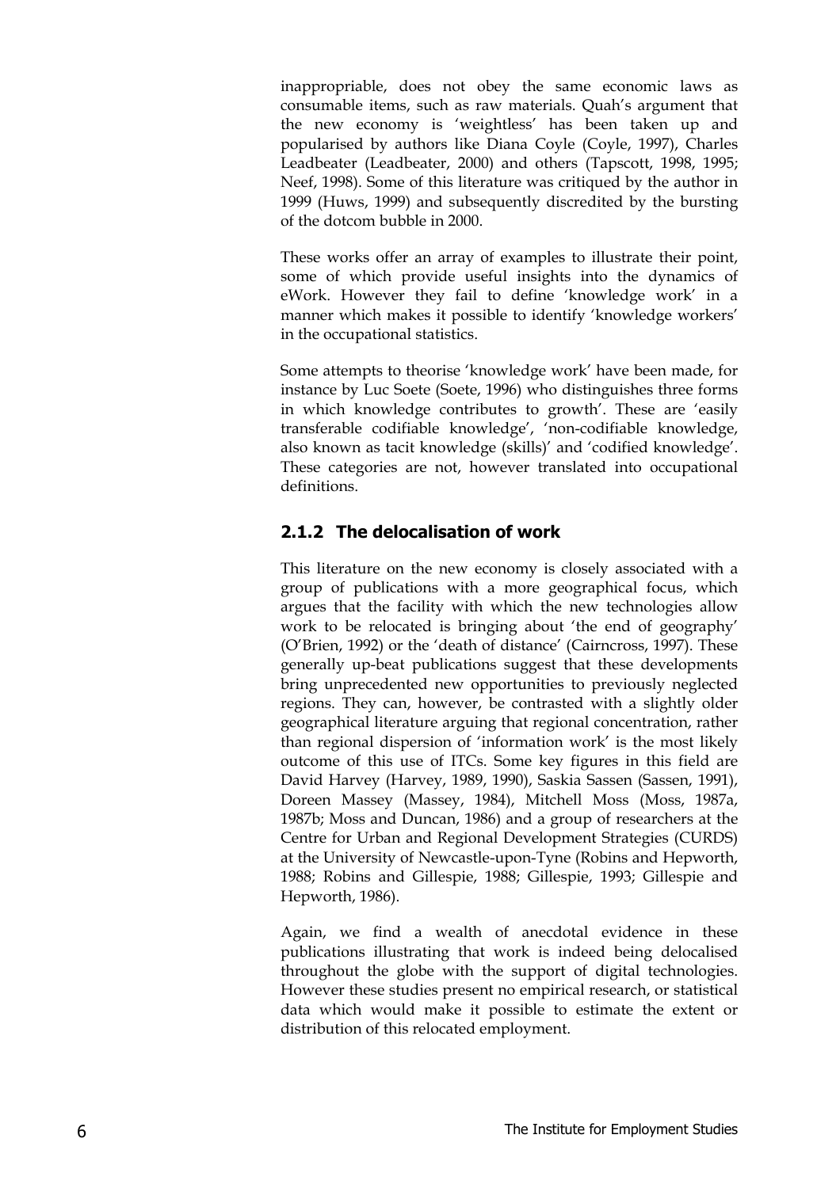inappropriable, does not obey the same economic laws as consumable items, such as raw materials. Quah's argument that the new economy is 'weightless' has been taken up and popularised by authors like Diana Coyle (Coyle, 1997), Charles Leadbeater (Leadbeater, 2000) and others (Tapscott, 1998, 1995; Neef, 1998). Some of this literature was critiqued by the author in 1999 (Huws, 1999) and subsequently discredited by the bursting of the dotcom bubble in 2000.

These works offer an array of examples to illustrate their point, some of which provide useful insights into the dynamics of eWork. However they fail to define 'knowledge work' in a manner which makes it possible to identify 'knowledge workers' in the occupational statistics.

Some attempts to theorise 'knowledge work' have been made, for instance by Luc Soete (Soete, 1996) who distinguishes three forms in which knowledge contributes to growth'. These are 'easily transferable codifiable knowledge', 'non-codifiable knowledge, also known as tacit knowledge (skills)' and 'codified knowledge'. These categories are not, however translated into occupational definitions.

#### **2.1.2 The delocalisation of work**

This literature on the new economy is closely associated with a group of publications with a more geographical focus, which argues that the facility with which the new technologies allow work to be relocated is bringing about 'the end of geography' (O'Brien, 1992) or the 'death of distance' (Cairncross, 1997). These generally up-beat publications suggest that these developments bring unprecedented new opportunities to previously neglected regions. They can, however, be contrasted with a slightly older geographical literature arguing that regional concentration, rather than regional dispersion of 'information work' is the most likely outcome of this use of ITCs. Some key figures in this field are David Harvey (Harvey, 1989, 1990), Saskia Sassen (Sassen, 1991), Doreen Massey (Massey, 1984), Mitchell Moss (Moss, 1987a, 1987b; Moss and Duncan, 1986) and a group of researchers at the Centre for Urban and Regional Development Strategies (CURDS) at the University of Newcastle-upon-Tyne (Robins and Hepworth, 1988; Robins and Gillespie, 1988; Gillespie, 1993; Gillespie and Hepworth, 1986).

Again, we find a wealth of anecdotal evidence in these publications illustrating that work is indeed being delocalised throughout the globe with the support of digital technologies. However these studies present no empirical research, or statistical data which would make it possible to estimate the extent or distribution of this relocated employment.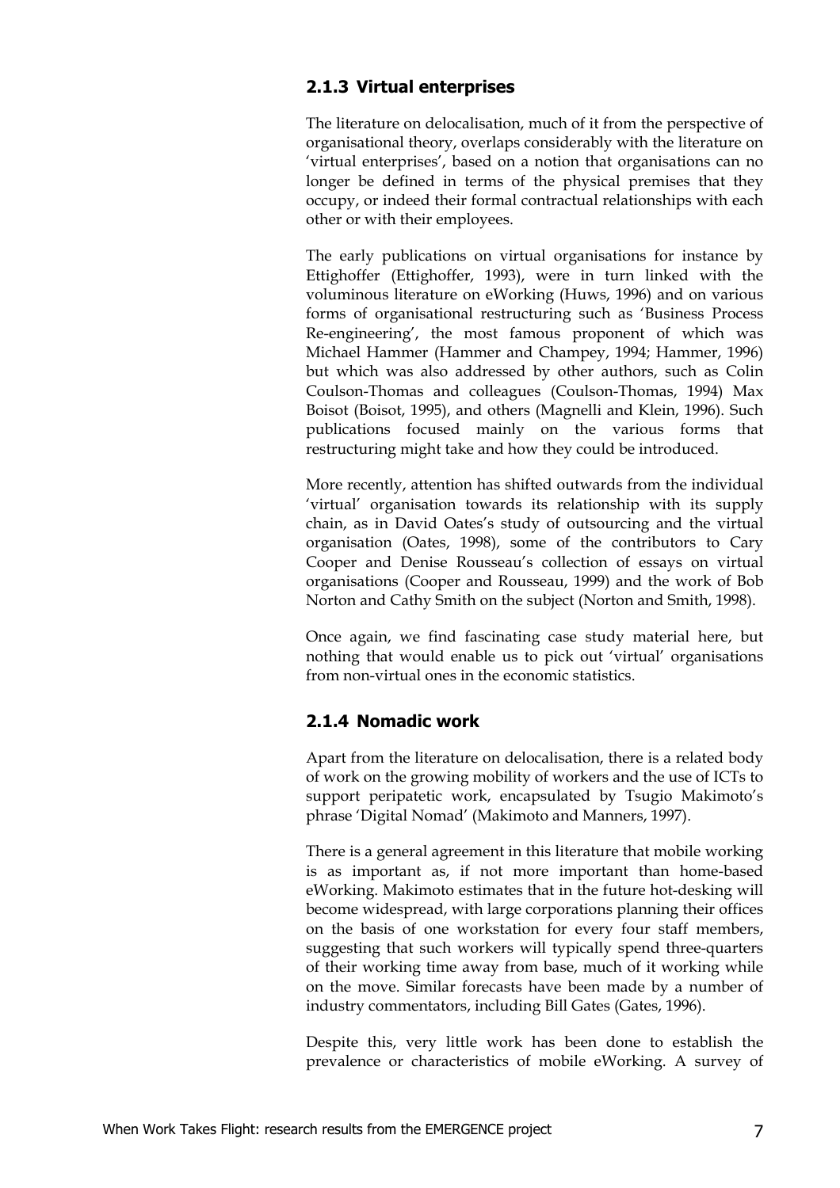#### **2.1.3 Virtual enterprises**

The literature on delocalisation, much of it from the perspective of organisational theory, overlaps considerably with the literature on 'virtual enterprises', based on a notion that organisations can no longer be defined in terms of the physical premises that they occupy, or indeed their formal contractual relationships with each other or with their employees.

The early publications on virtual organisations for instance by Ettighoffer (Ettighoffer, 1993), were in turn linked with the voluminous literature on eWorking (Huws, 1996) and on various forms of organisational restructuring such as 'Business Process Re-engineering', the most famous proponent of which was Michael Hammer (Hammer and Champey, 1994; Hammer, 1996) but which was also addressed by other authors, such as Colin Coulson-Thomas and colleagues (Coulson-Thomas, 1994) Max Boisot (Boisot, 1995), and others (Magnelli and Klein, 1996). Such publications focused mainly on the various forms that restructuring might take and how they could be introduced.

More recently, attention has shifted outwards from the individual 'virtual' organisation towards its relationship with its supply chain, as in David Oates's study of outsourcing and the virtual organisation (Oates, 1998), some of the contributors to Cary Cooper and Denise Rousseau's collection of essays on virtual organisations (Cooper and Rousseau, 1999) and the work of Bob Norton and Cathy Smith on the subject (Norton and Smith, 1998).

Once again, we find fascinating case study material here, but nothing that would enable us to pick out 'virtual' organisations from non-virtual ones in the economic statistics.

#### **2.1.4 Nomadic work**

Apart from the literature on delocalisation, there is a related body of work on the growing mobility of workers and the use of ICTs to support peripatetic work, encapsulated by Tsugio Makimoto's phrase 'Digital Nomad' (Makimoto and Manners, 1997).

There is a general agreement in this literature that mobile working is as important as, if not more important than home-based eWorking. Makimoto estimates that in the future hot-desking will become widespread, with large corporations planning their offices on the basis of one workstation for every four staff members, suggesting that such workers will typically spend three-quarters of their working time away from base, much of it working while on the move. Similar forecasts have been made by a number of industry commentators, including Bill Gates (Gates, 1996).

Despite this, very little work has been done to establish the prevalence or characteristics of mobile eWorking. A survey of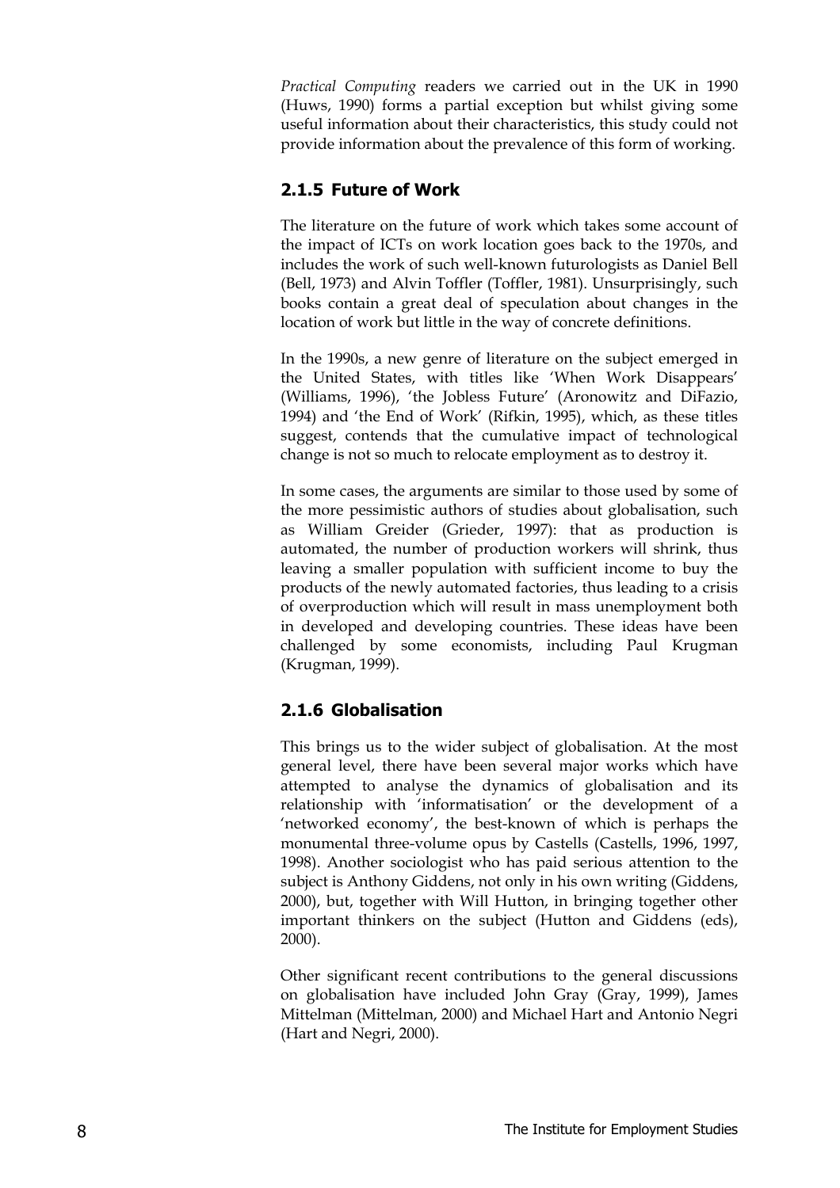*Practical Computing* readers we carried out in the UK in 1990 (Huws, 1990) forms a partial exception but whilst giving some useful information about their characteristics, this study could not provide information about the prevalence of this form of working.

#### **2.1.5 Future of Work**

The literature on the future of work which takes some account of the impact of ICTs on work location goes back to the 1970s, and includes the work of such well-known futurologists as Daniel Bell (Bell, 1973) and Alvin Toffler (Toffler, 1981). Unsurprisingly, such books contain a great deal of speculation about changes in the location of work but little in the way of concrete definitions.

In the 1990s, a new genre of literature on the subject emerged in the United States, with titles like 'When Work Disappears' (Williams, 1996), 'the Jobless Future' (Aronowitz and DiFazio, 1994) and 'the End of Work' (Rifkin, 1995), which, as these titles suggest, contends that the cumulative impact of technological change is not so much to relocate employment as to destroy it.

In some cases, the arguments are similar to those used by some of the more pessimistic authors of studies about globalisation, such as William Greider (Grieder, 1997): that as production is automated, the number of production workers will shrink, thus leaving a smaller population with sufficient income to buy the products of the newly automated factories, thus leading to a crisis of overproduction which will result in mass unemployment both in developed and developing countries. These ideas have been challenged by some economists, including Paul Krugman (Krugman, 1999).

#### **2.1.6 Globalisation**

This brings us to the wider subject of globalisation. At the most general level, there have been several major works which have attempted to analyse the dynamics of globalisation and its relationship with 'informatisation' or the development of a 'networked economy', the best-known of which is perhaps the monumental three-volume opus by Castells (Castells, 1996, 1997, 1998). Another sociologist who has paid serious attention to the subject is Anthony Giddens, not only in his own writing (Giddens, 2000), but, together with Will Hutton, in bringing together other important thinkers on the subject (Hutton and Giddens (eds), 2000).

Other significant recent contributions to the general discussions on globalisation have included John Gray (Gray, 1999), James Mittelman (Mittelman, 2000) and Michael Hart and Antonio Negri (Hart and Negri, 2000).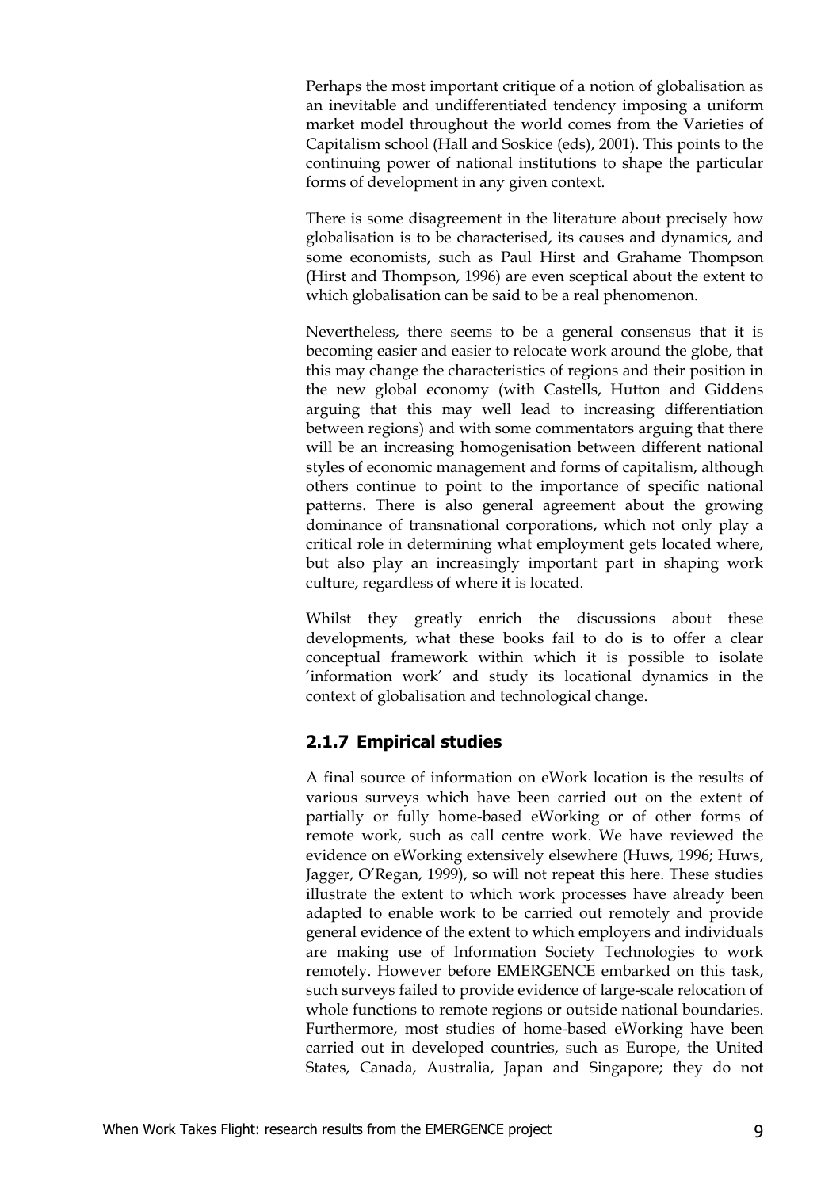Perhaps the most important critique of a notion of globalisation as an inevitable and undifferentiated tendency imposing a uniform market model throughout the world comes from the Varieties of Capitalism school (Hall and Soskice (eds), 2001). This points to the continuing power of national institutions to shape the particular forms of development in any given context.

There is some disagreement in the literature about precisely how globalisation is to be characterised, its causes and dynamics, and some economists, such as Paul Hirst and Grahame Thompson (Hirst and Thompson, 1996) are even sceptical about the extent to which globalisation can be said to be a real phenomenon.

Nevertheless, there seems to be a general consensus that it is becoming easier and easier to relocate work around the globe, that this may change the characteristics of regions and their position in the new global economy (with Castells, Hutton and Giddens arguing that this may well lead to increasing differentiation between regions) and with some commentators arguing that there will be an increasing homogenisation between different national styles of economic management and forms of capitalism, although others continue to point to the importance of specific national patterns. There is also general agreement about the growing dominance of transnational corporations, which not only play a critical role in determining what employment gets located where, but also play an increasingly important part in shaping work culture, regardless of where it is located.

Whilst they greatly enrich the discussions about these developments, what these books fail to do is to offer a clear conceptual framework within which it is possible to isolate 'information work' and study its locational dynamics in the context of globalisation and technological change.

#### **2.1.7 Empirical studies**

A final source of information on eWork location is the results of various surveys which have been carried out on the extent of partially or fully home-based eWorking or of other forms of remote work, such as call centre work. We have reviewed the evidence on eWorking extensively elsewhere (Huws, 1996; Huws, Jagger, O'Regan, 1999), so will not repeat this here. These studies illustrate the extent to which work processes have already been adapted to enable work to be carried out remotely and provide general evidence of the extent to which employers and individuals are making use of Information Society Technologies to work remotely. However before EMERGENCE embarked on this task, such surveys failed to provide evidence of large-scale relocation of whole functions to remote regions or outside national boundaries. Furthermore, most studies of home-based eWorking have been carried out in developed countries, such as Europe, the United States, Canada, Australia, Japan and Singapore; they do not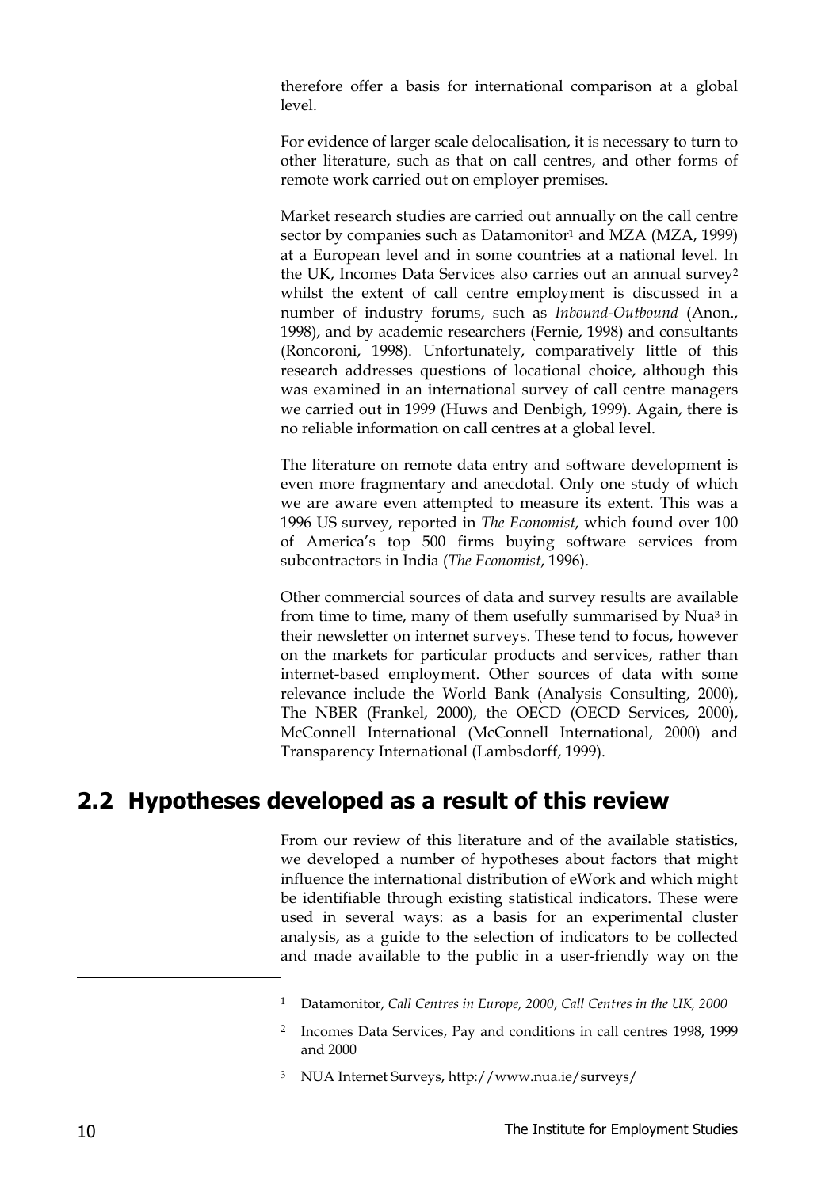therefore offer a basis for international comparison at a global level.

For evidence of larger scale delocalisation, it is necessary to turn to other literature, such as that on call centres, and other forms of remote work carried out on employer premises.

Market research studies are carried out annually on the call centre sector by companies such as Datamonitor<sup>1</sup> and MZA (MZA, 1999) at a European level and in some countries at a national level. In the UK, Incomes Data Services also carries out an annual survey2 whilst the extent of call centre employment is discussed in a number of industry forums, such as *Inbound-Outbound* (Anon., 1998), and by academic researchers (Fernie, 1998) and consultants (Roncoroni, 1998). Unfortunately, comparatively little of this research addresses questions of locational choice, although this was examined in an international survey of call centre managers we carried out in 1999 (Huws and Denbigh, 1999). Again, there is no reliable information on call centres at a global level.

The literature on remote data entry and software development is even more fragmentary and anecdotal. Only one study of which we are aware even attempted to measure its extent. This was a 1996 US survey, reported in *The Economist*, which found over 100 of America's top 500 firms buying software services from subcontractors in India (*The Economist*, 1996).

Other commercial sources of data and survey results are available from time to time, many of them usefully summarised by Nua3 in their newsletter on internet surveys. These tend to focus, however on the markets for particular products and services, rather than internet-based employment. Other sources of data with some relevance include the World Bank (Analysis Consulting, 2000), The NBER (Frankel, 2000), the OECD (OECD Services, 2000), McConnell International (McConnell International, 2000) and Transparency International (Lambsdorff, 1999).

### **2.2 Hypotheses developed as a result of this review**

From our review of this literature and of the available statistics, we developed a number of hypotheses about factors that might influence the international distribution of eWork and which might be identifiable through existing statistical indicators. These were used in several ways: as a basis for an experimental cluster analysis, as a guide to the selection of indicators to be collected and made available to the public in a user-friendly way on the

-

<sup>1</sup> Datamonitor, *Call Centres in Europe, 2000*, *Call Centres in the UK, 2000*

<sup>2</sup> Incomes Data Services, Pay and conditions in call centres 1998, 1999 and 2000

<sup>3</sup> NUA Internet Surveys, http://www.nua.ie/surveys/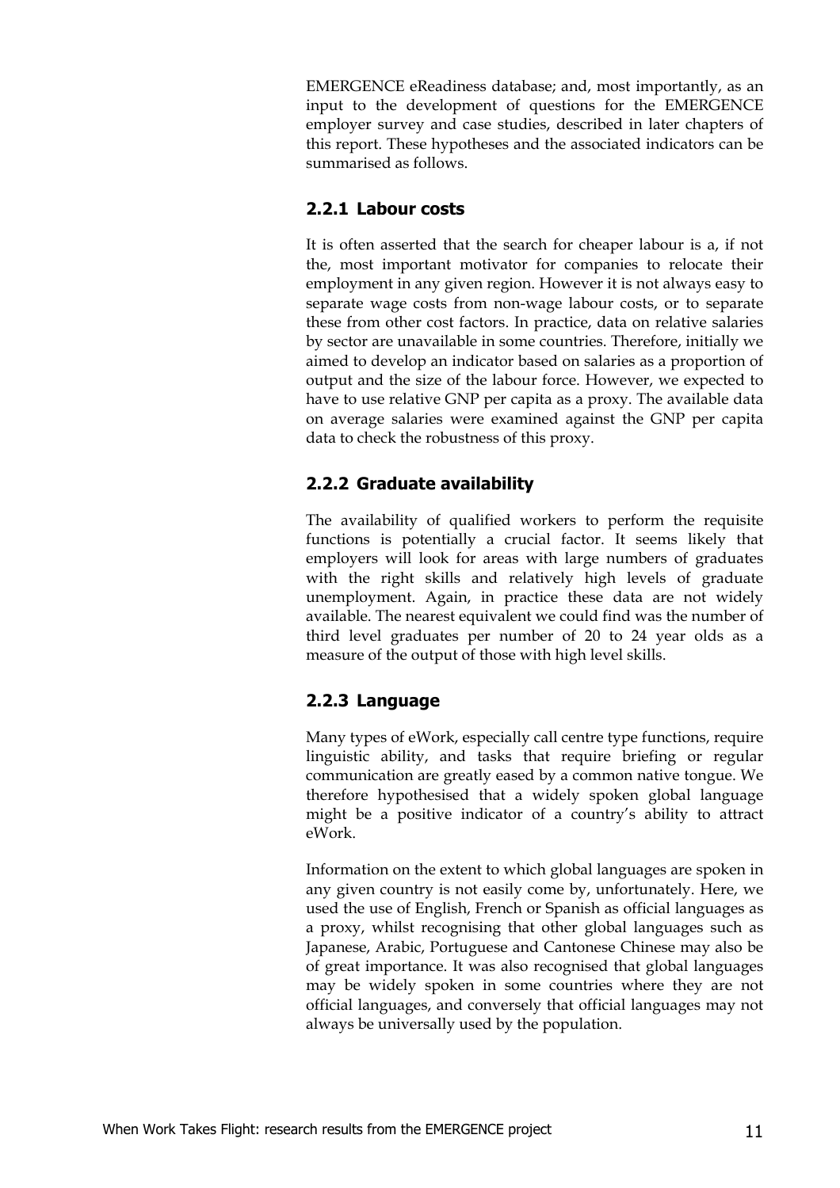EMERGENCE eReadiness database; and, most importantly, as an input to the development of questions for the EMERGENCE employer survey and case studies, described in later chapters of this report. These hypotheses and the associated indicators can be summarised as follows.

#### **2.2.1 Labour costs**

It is often asserted that the search for cheaper labour is a, if not the, most important motivator for companies to relocate their employment in any given region. However it is not always easy to separate wage costs from non-wage labour costs, or to separate these from other cost factors. In practice, data on relative salaries by sector are unavailable in some countries. Therefore, initially we aimed to develop an indicator based on salaries as a proportion of output and the size of the labour force. However, we expected to have to use relative GNP per capita as a proxy. The available data on average salaries were examined against the GNP per capita data to check the robustness of this proxy.

#### **2.2.2 Graduate availability**

The availability of qualified workers to perform the requisite functions is potentially a crucial factor. It seems likely that employers will look for areas with large numbers of graduates with the right skills and relatively high levels of graduate unemployment. Again, in practice these data are not widely available. The nearest equivalent we could find was the number of third level graduates per number of 20 to 24 year olds as a measure of the output of those with high level skills.

### **2.2.3 Language**

Many types of eWork, especially call centre type functions, require linguistic ability, and tasks that require briefing or regular communication are greatly eased by a common native tongue. We therefore hypothesised that a widely spoken global language might be a positive indicator of a country's ability to attract eWork.

Information on the extent to which global languages are spoken in any given country is not easily come by, unfortunately. Here, we used the use of English, French or Spanish as official languages as a proxy, whilst recognising that other global languages such as Japanese, Arabic, Portuguese and Cantonese Chinese may also be of great importance. It was also recognised that global languages may be widely spoken in some countries where they are not official languages, and conversely that official languages may not always be universally used by the population.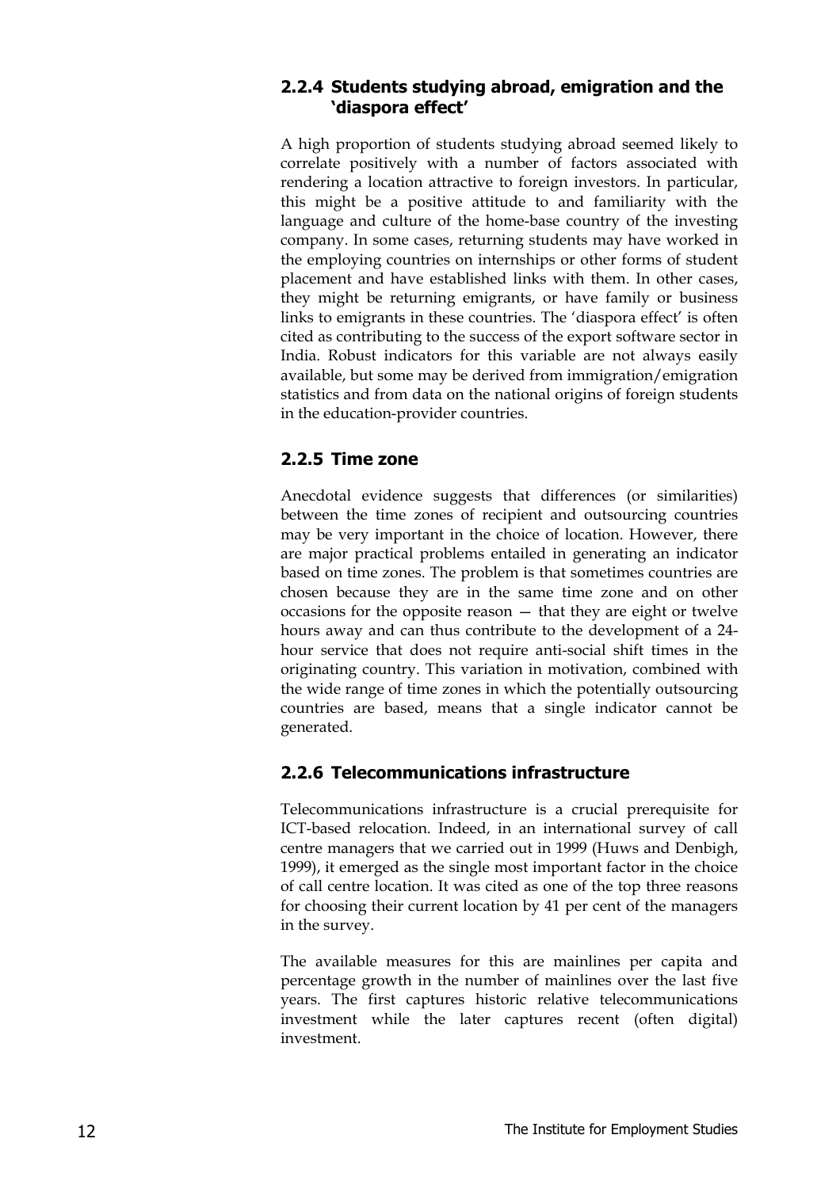#### **2.2.4 Students studying abroad, emigration and the 'diaspora effect'**

A high proportion of students studying abroad seemed likely to correlate positively with a number of factors associated with rendering a location attractive to foreign investors. In particular, this might be a positive attitude to and familiarity with the language and culture of the home-base country of the investing company. In some cases, returning students may have worked in the employing countries on internships or other forms of student placement and have established links with them. In other cases, they might be returning emigrants, or have family or business links to emigrants in these countries. The 'diaspora effect' is often cited as contributing to the success of the export software sector in India. Robust indicators for this variable are not always easily available, but some may be derived from immigration/emigration statistics and from data on the national origins of foreign students in the education-provider countries.

#### **2.2.5 Time zone**

Anecdotal evidence suggests that differences (or similarities) between the time zones of recipient and outsourcing countries may be very important in the choice of location. However, there are major practical problems entailed in generating an indicator based on time zones. The problem is that sometimes countries are chosen because they are in the same time zone and on other occasions for the opposite reason — that they are eight or twelve hours away and can thus contribute to the development of a 24 hour service that does not require anti-social shift times in the originating country. This variation in motivation, combined with the wide range of time zones in which the potentially outsourcing countries are based, means that a single indicator cannot be generated.

#### **2.2.6 Telecommunications infrastructure**

Telecommunications infrastructure is a crucial prerequisite for ICT-based relocation. Indeed, in an international survey of call centre managers that we carried out in 1999 (Huws and Denbigh, 1999), it emerged as the single most important factor in the choice of call centre location. It was cited as one of the top three reasons for choosing their current location by 41 per cent of the managers in the survey.

The available measures for this are mainlines per capita and percentage growth in the number of mainlines over the last five years. The first captures historic relative telecommunications investment while the later captures recent (often digital) investment.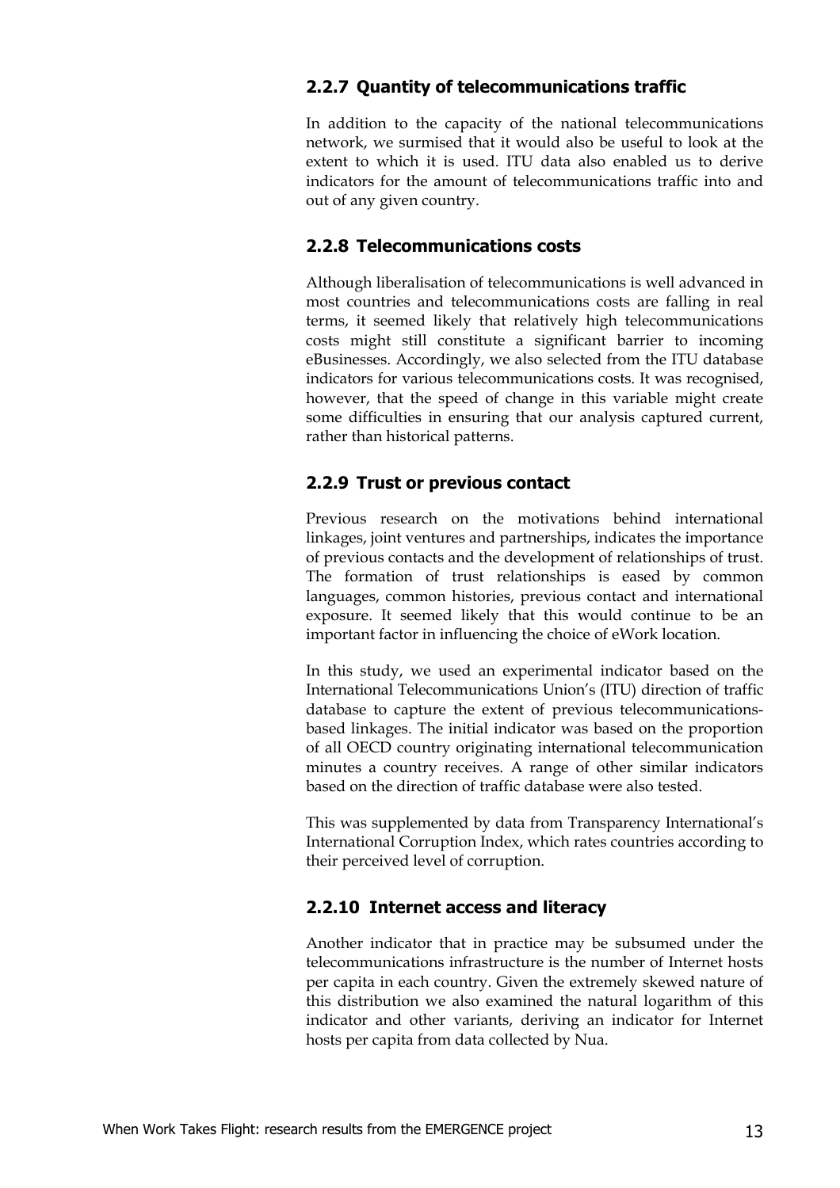#### **2.2.7 Quantity of telecommunications traffic**

In addition to the capacity of the national telecommunications network, we surmised that it would also be useful to look at the extent to which it is used. ITU data also enabled us to derive indicators for the amount of telecommunications traffic into and out of any given country.

#### **2.2.8 Telecommunications costs**

Although liberalisation of telecommunications is well advanced in most countries and telecommunications costs are falling in real terms, it seemed likely that relatively high telecommunications costs might still constitute a significant barrier to incoming eBusinesses. Accordingly, we also selected from the ITU database indicators for various telecommunications costs. It was recognised, however, that the speed of change in this variable might create some difficulties in ensuring that our analysis captured current, rather than historical patterns.

#### **2.2.9 Trust or previous contact**

Previous research on the motivations behind international linkages, joint ventures and partnerships, indicates the importance of previous contacts and the development of relationships of trust. The formation of trust relationships is eased by common languages, common histories, previous contact and international exposure. It seemed likely that this would continue to be an important factor in influencing the choice of eWork location.

In this study, we used an experimental indicator based on the International Telecommunications Union's (ITU) direction of traffic database to capture the extent of previous telecommunicationsbased linkages. The initial indicator was based on the proportion of all OECD country originating international telecommunication minutes a country receives. A range of other similar indicators based on the direction of traffic database were also tested.

This was supplemented by data from Transparency International's International Corruption Index, which rates countries according to their perceived level of corruption.

#### **2.2.10 Internet access and literacy**

Another indicator that in practice may be subsumed under the telecommunications infrastructure is the number of Internet hosts per capita in each country. Given the extremely skewed nature of this distribution we also examined the natural logarithm of this indicator and other variants, deriving an indicator for Internet hosts per capita from data collected by Nua.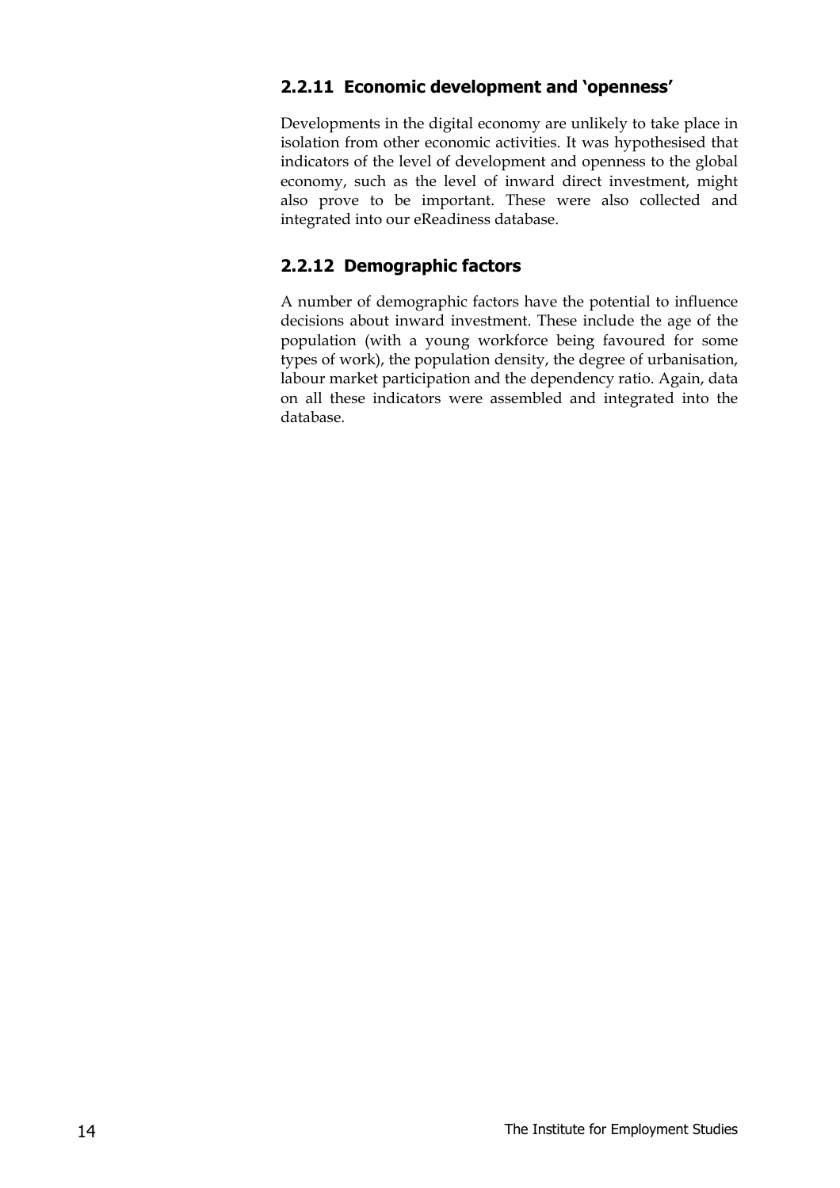#### **2.2.11 Economic development and 'openness'**

Developments in the digital economy are unlikely to take place in isolation from other economic activities. It was hypothesised that indicators of the level of development and openness to the global economy, such as the level of inward direct investment, might also prove to be important. These were also collected and integrated into our eReadiness database.

#### **2.2.12 Demographic factors**

A number of demographic factors have the potential to influence decisions about inward investment. These include the age of the population (with a young workforce being favoured for some types of work), the population density, the degree of urbanisation, labour market participation and the dependency ratio. Again, data on all these indicators were assembled and integrated into the database.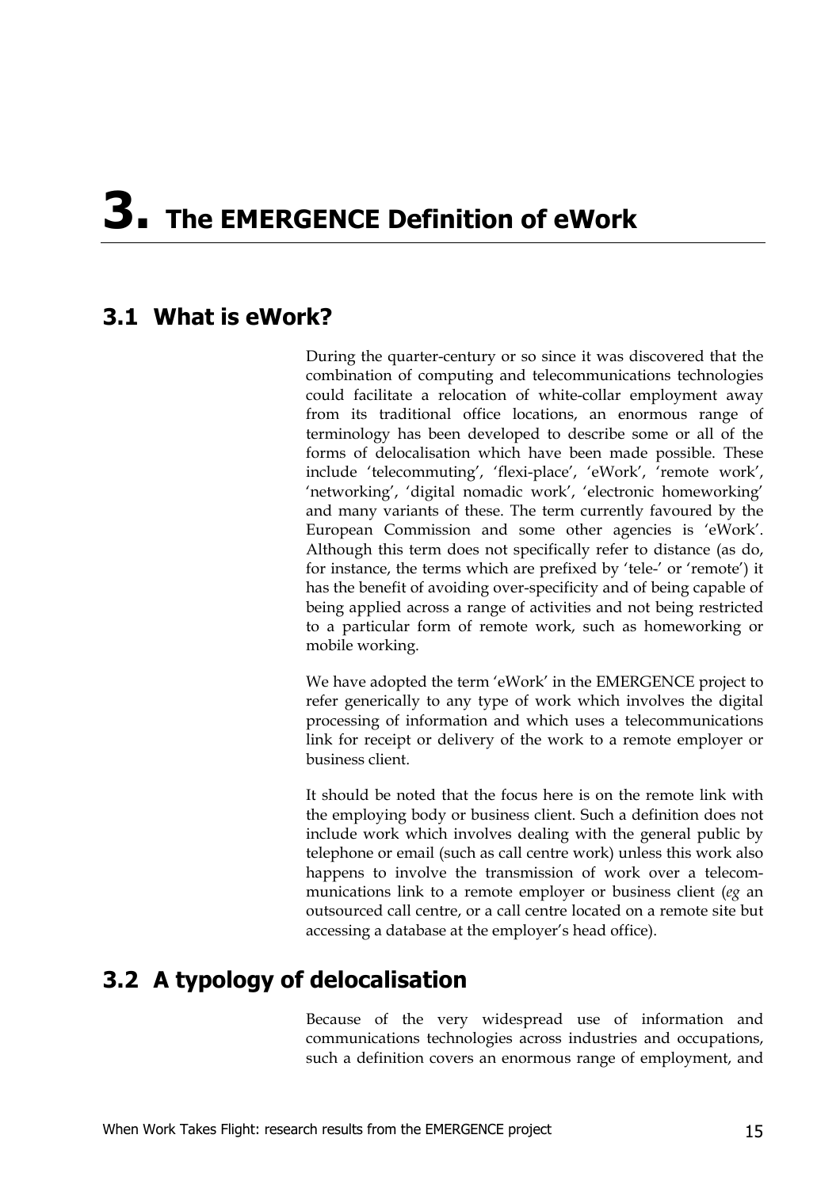# **3. The EMERGENCE Definition of eWork**

# **3.1 What is eWork?**

During the quarter-century or so since it was discovered that the combination of computing and telecommunications technologies could facilitate a relocation of white-collar employment away from its traditional office locations, an enormous range of terminology has been developed to describe some or all of the forms of delocalisation which have been made possible. These include 'telecommuting', 'flexi-place', 'eWork', 'remote work', 'networking', 'digital nomadic work', 'electronic homeworking' and many variants of these. The term currently favoured by the European Commission and some other agencies is 'eWork'. Although this term does not specifically refer to distance (as do, for instance, the terms which are prefixed by 'tele-' or 'remote') it has the benefit of avoiding over-specificity and of being capable of being applied across a range of activities and not being restricted to a particular form of remote work, such as homeworking or mobile working.

We have adopted the term 'eWork' in the EMERGENCE project to refer generically to any type of work which involves the digital processing of information and which uses a telecommunications link for receipt or delivery of the work to a remote employer or business client.

It should be noted that the focus here is on the remote link with the employing body or business client. Such a definition does not include work which involves dealing with the general public by telephone or email (such as call centre work) unless this work also happens to involve the transmission of work over a telecommunications link to a remote employer or business client (*eg* an outsourced call centre, or a call centre located on a remote site but accessing a database at the employer's head office).

# **3.2 A typology of delocalisation**

Because of the very widespread use of information and communications technologies across industries and occupations, such a definition covers an enormous range of employment, and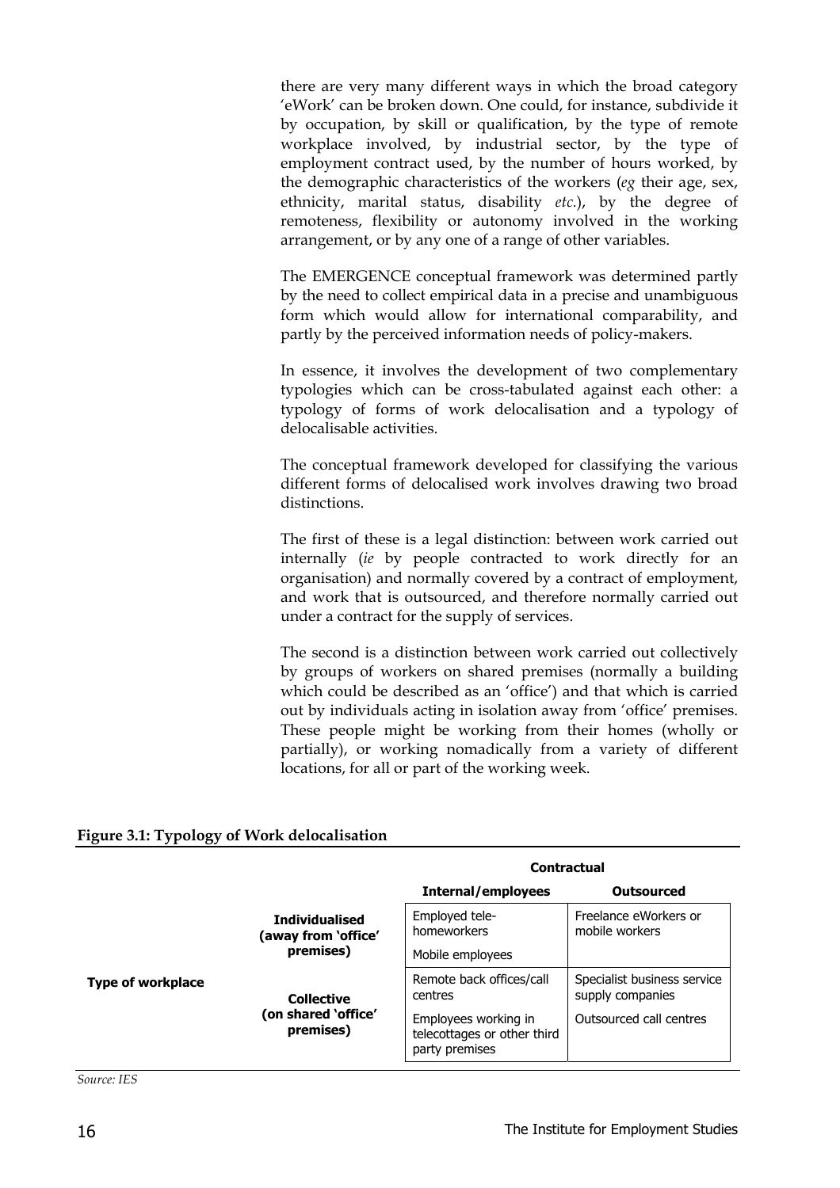there are very many different ways in which the broad category 'eWork' can be broken down. One could, for instance, subdivide it by occupation, by skill or qualification, by the type of remote workplace involved, by industrial sector, by the type of employment contract used, by the number of hours worked, by the demographic characteristics of the workers (*eg* their age, sex, ethnicity, marital status, disability *etc.*), by the degree of remoteness, flexibility or autonomy involved in the working arrangement, or by any one of a range of other variables.

The EMERGENCE conceptual framework was determined partly by the need to collect empirical data in a precise and unambiguous form which would allow for international comparability, and partly by the perceived information needs of policy-makers.

In essence, it involves the development of two complementary typologies which can be cross-tabulated against each other: a typology of forms of work delocalisation and a typology of delocalisable activities.

The conceptual framework developed for classifying the various different forms of delocalised work involves drawing two broad distinctions.

The first of these is a legal distinction: between work carried out internally (*ie* by people contracted to work directly for an organisation) and normally covered by a contract of employment, and work that is outsourced, and therefore normally carried out under a contract for the supply of services.

The second is a distinction between work carried out collectively by groups of workers on shared premises (normally a building which could be described as an 'office') and that which is carried out by individuals acting in isolation away from 'office' premises. These people might be working from their homes (wholly or partially), or working nomadically from a variety of different locations, for all or part of the working week.

|                          |                                                           | <b>Contractual</b>                                                    |                                                 |
|--------------------------|-----------------------------------------------------------|-----------------------------------------------------------------------|-------------------------------------------------|
|                          |                                                           | Internal/employees                                                    | <b>Outsourced</b>                               |
|                          | <b>Individualised</b><br>(away from `office'<br>premises) | Employed tele-<br>homeworkers                                         | Freelance eWorkers or<br>mobile workers         |
|                          |                                                           | Mobile employees                                                      |                                                 |
| <b>Type of workplace</b> | <b>Collective</b><br>on shared 'office')<br>premises)     | Remote back offices/call<br>centres                                   | Specialist business service<br>supply companies |
|                          |                                                           | Employees working in<br>telecottages or other third<br>party premises | Outsourced call centres                         |

#### **Figure 3.1: Typology of Work delocalisation**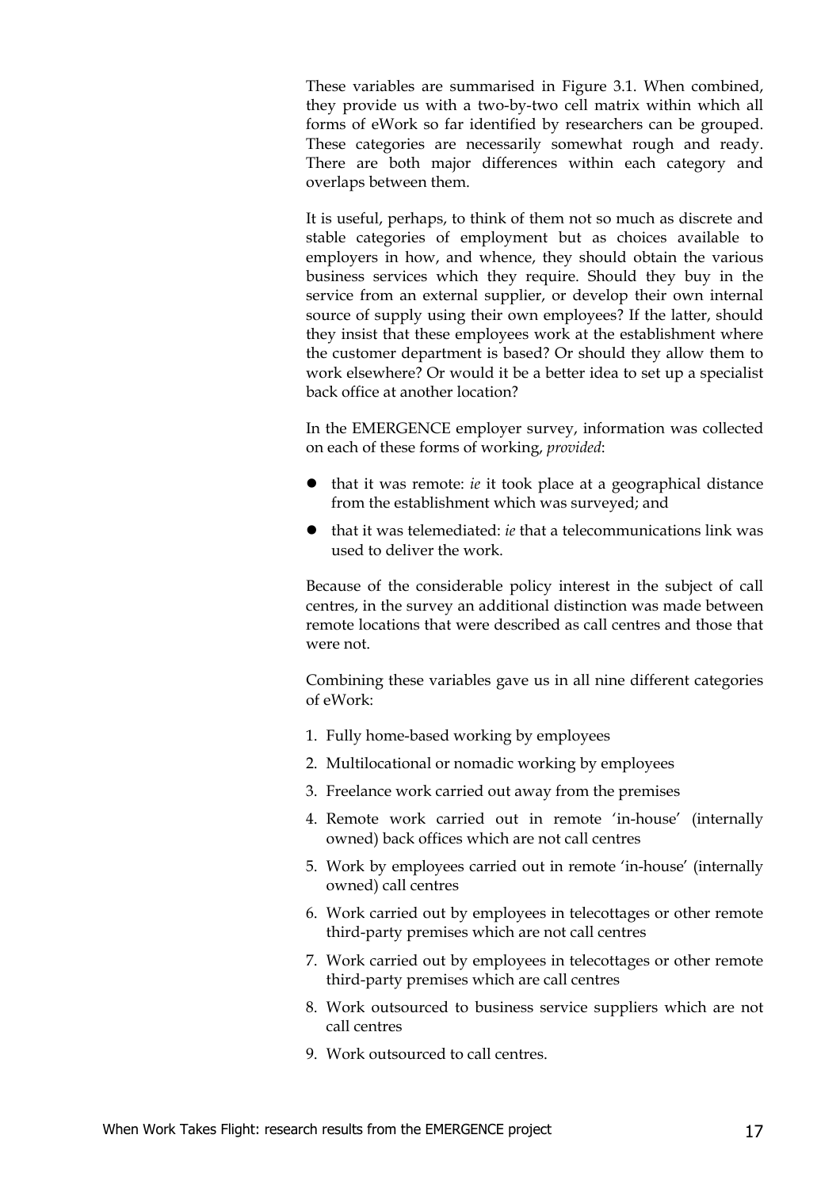These variables are summarised in Figure 3.1. When combined, they provide us with a two-by-two cell matrix within which all forms of eWork so far identified by researchers can be grouped. These categories are necessarily somewhat rough and ready. There are both major differences within each category and overlaps between them.

It is useful, perhaps, to think of them not so much as discrete and stable categories of employment but as choices available to employers in how, and whence, they should obtain the various business services which they require. Should they buy in the service from an external supplier, or develop their own internal source of supply using their own employees? If the latter, should they insist that these employees work at the establishment where the customer department is based? Or should they allow them to work elsewhere? Or would it be a better idea to set up a specialist back office at another location?

In the EMERGENCE employer survey, information was collected on each of these forms of working, *provided*:

- that it was remote: *ie* it took place at a geographical distance from the establishment which was surveyed; and
- that it was telemediated: *ie* that a telecommunications link was used to deliver the work.

Because of the considerable policy interest in the subject of call centres, in the survey an additional distinction was made between remote locations that were described as call centres and those that were not.

Combining these variables gave us in all nine different categories of eWork:

- 1. Fully home-based working by employees
- 2. Multilocational or nomadic working by employees
- 3. Freelance work carried out away from the premises
- 4. Remote work carried out in remote 'in-house' (internally owned) back offices which are not call centres
- 5. Work by employees carried out in remote 'in-house' (internally owned) call centres
- 6. Work carried out by employees in telecottages or other remote third-party premises which are not call centres
- 7. Work carried out by employees in telecottages or other remote third-party premises which are call centres
- 8. Work outsourced to business service suppliers which are not call centres
- 9. Work outsourced to call centres.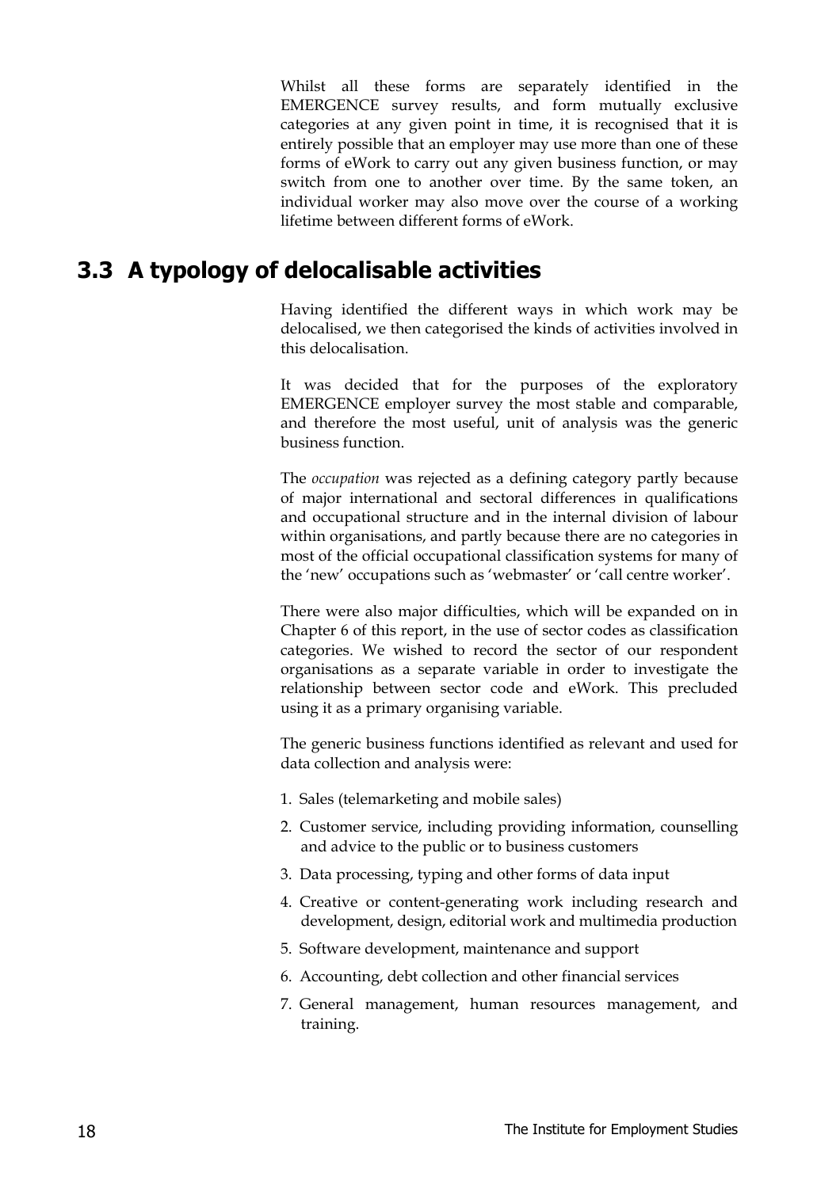Whilst all these forms are separately identified in the EMERGENCE survey results, and form mutually exclusive categories at any given point in time, it is recognised that it is entirely possible that an employer may use more than one of these forms of eWork to carry out any given business function, or may switch from one to another over time. By the same token, an individual worker may also move over the course of a working lifetime between different forms of eWork.

# **3.3 A typology of delocalisable activities**

Having identified the different ways in which work may be delocalised, we then categorised the kinds of activities involved in this delocalisation.

It was decided that for the purposes of the exploratory EMERGENCE employer survey the most stable and comparable, and therefore the most useful, unit of analysis was the generic business function.

The *occupation* was rejected as a defining category partly because of major international and sectoral differences in qualifications and occupational structure and in the internal division of labour within organisations, and partly because there are no categories in most of the official occupational classification systems for many of the 'new' occupations such as 'webmaster' or 'call centre worker'.

There were also major difficulties, which will be expanded on in Chapter 6 of this report, in the use of sector codes as classification categories. We wished to record the sector of our respondent organisations as a separate variable in order to investigate the relationship between sector code and eWork. This precluded using it as a primary organising variable.

The generic business functions identified as relevant and used for data collection and analysis were:

- 1. Sales (telemarketing and mobile sales)
- 2. Customer service, including providing information, counselling and advice to the public or to business customers
- 3. Data processing, typing and other forms of data input
- 4. Creative or content-generating work including research and development, design, editorial work and multimedia production
- 5. Software development, maintenance and support
- 6. Accounting, debt collection and other financial services
- 7. General management, human resources management, and training.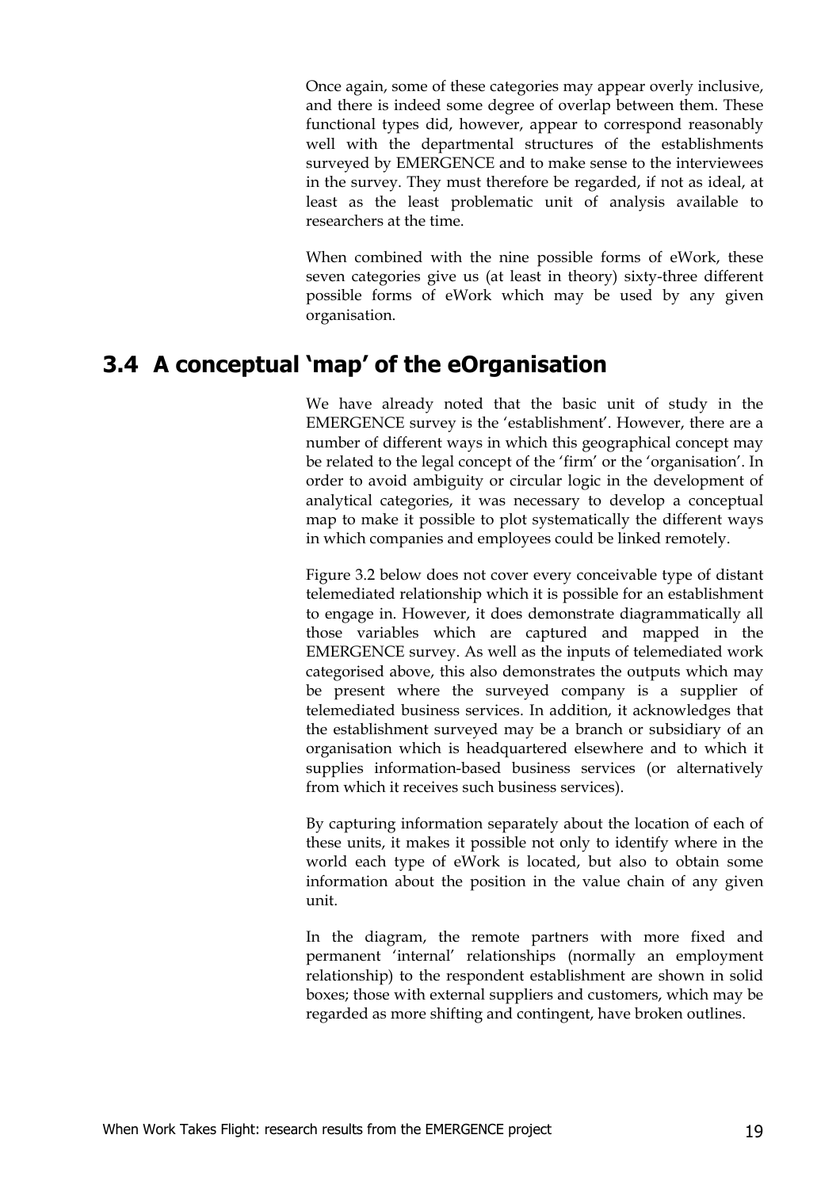Once again, some of these categories may appear overly inclusive, and there is indeed some degree of overlap between them. These functional types did, however, appear to correspond reasonably well with the departmental structures of the establishments surveyed by EMERGENCE and to make sense to the interviewees in the survey. They must therefore be regarded, if not as ideal, at least as the least problematic unit of analysis available to researchers at the time.

When combined with the nine possible forms of eWork, these seven categories give us (at least in theory) sixty-three different possible forms of eWork which may be used by any given organisation.

# **3.4 A conceptual 'map' of the eOrganisation**

We have already noted that the basic unit of study in the EMERGENCE survey is the 'establishment'. However, there are a number of different ways in which this geographical concept may be related to the legal concept of the 'firm' or the 'organisation'. In order to avoid ambiguity or circular logic in the development of analytical categories, it was necessary to develop a conceptual map to make it possible to plot systematically the different ways in which companies and employees could be linked remotely.

Figure 3.2 below does not cover every conceivable type of distant telemediated relationship which it is possible for an establishment to engage in. However, it does demonstrate diagrammatically all those variables which are captured and mapped in the EMERGENCE survey. As well as the inputs of telemediated work categorised above, this also demonstrates the outputs which may be present where the surveyed company is a supplier of telemediated business services. In addition, it acknowledges that the establishment surveyed may be a branch or subsidiary of an organisation which is headquartered elsewhere and to which it supplies information-based business services (or alternatively from which it receives such business services).

By capturing information separately about the location of each of these units, it makes it possible not only to identify where in the world each type of eWork is located, but also to obtain some information about the position in the value chain of any given unit.

In the diagram, the remote partners with more fixed and permanent 'internal' relationships (normally an employment relationship) to the respondent establishment are shown in solid boxes; those with external suppliers and customers, which may be regarded as more shifting and contingent, have broken outlines.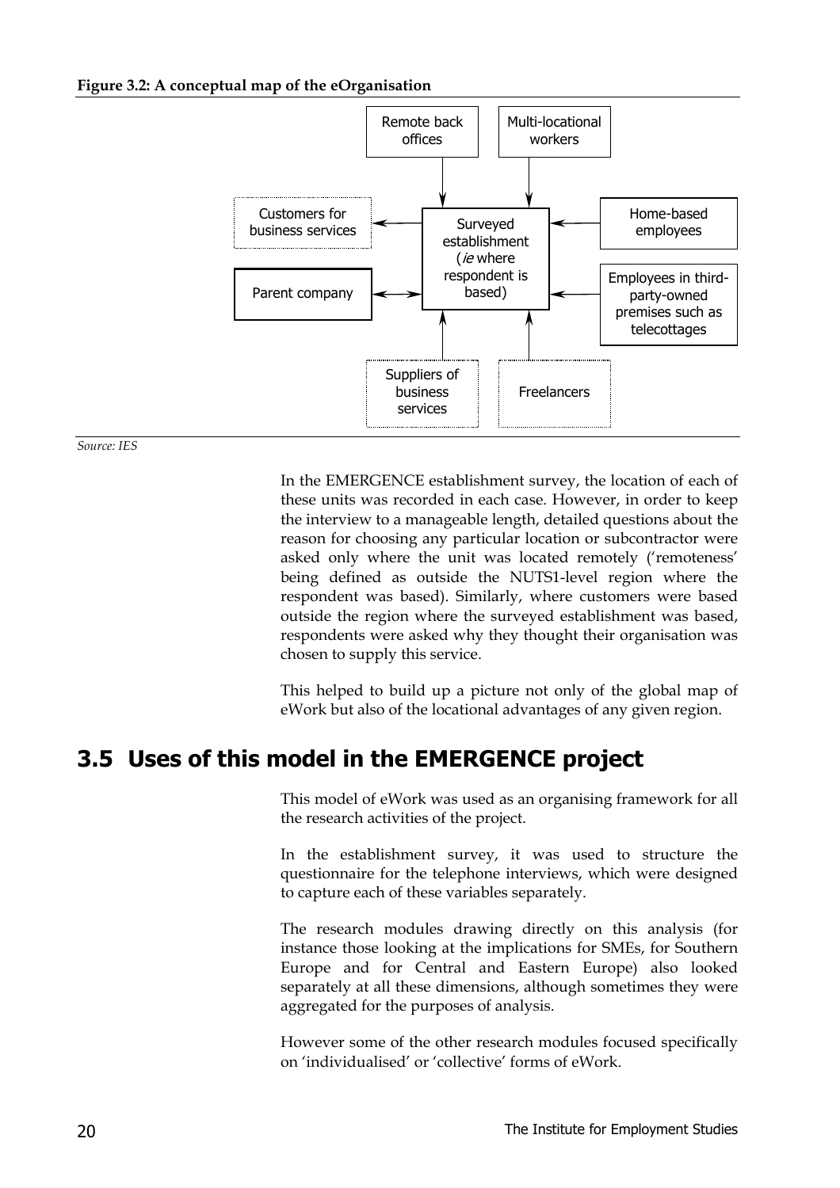#### **Figure 3.2: A conceptual map of the eOrganisation**



*Source: IES*

In the EMERGENCE establishment survey, the location of each of these units was recorded in each case. However, in order to keep the interview to a manageable length, detailed questions about the reason for choosing any particular location or subcontractor were asked only where the unit was located remotely ('remoteness' being defined as outside the NUTS1-level region where the respondent was based). Similarly, where customers were based outside the region where the surveyed establishment was based, respondents were asked why they thought their organisation was chosen to supply this service.

This helped to build up a picture not only of the global map of eWork but also of the locational advantages of any given region.

# **3.5 Uses of this model in the EMERGENCE project**

This model of eWork was used as an organising framework for all the research activities of the project.

In the establishment survey, it was used to structure the questionnaire for the telephone interviews, which were designed to capture each of these variables separately.

The research modules drawing directly on this analysis (for instance those looking at the implications for SMEs, for Southern Europe and for Central and Eastern Europe) also looked separately at all these dimensions, although sometimes they were aggregated for the purposes of analysis.

However some of the other research modules focused specifically on 'individualised' or 'collective' forms of eWork.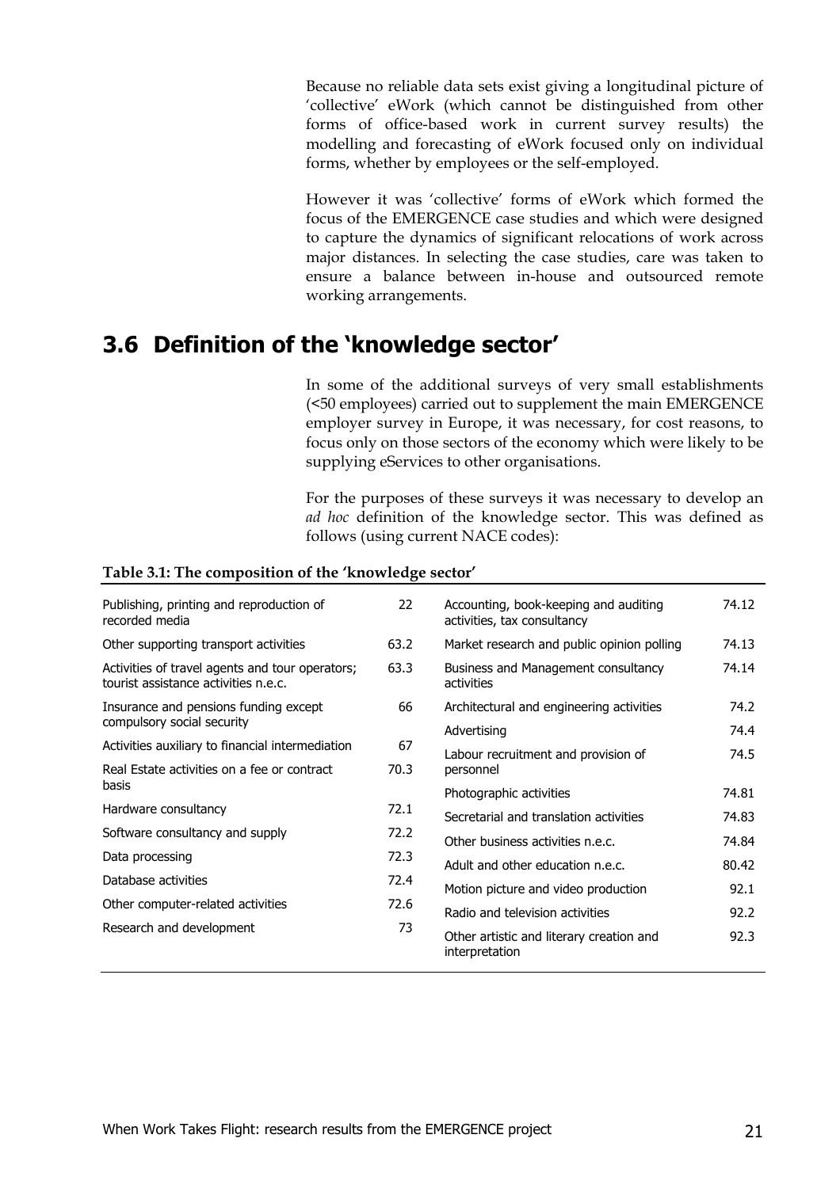Because no reliable data sets exist giving a longitudinal picture of 'collective' eWork (which cannot be distinguished from other forms of office-based work in current survey results) the modelling and forecasting of eWork focused only on individual forms, whether by employees or the self-employed.

However it was 'collective' forms of eWork which formed the focus of the EMERGENCE case studies and which were designed to capture the dynamics of significant relocations of work across major distances. In selecting the case studies, care was taken to ensure a balance between in-house and outsourced remote working arrangements.

## **3.6 Definition of the 'knowledge sector'**

In some of the additional surveys of very small establishments (<50 employees) carried out to supplement the main EMERGENCE employer survey in Europe, it was necessary, for cost reasons, to focus only on those sectors of the economy which were likely to be supplying eServices to other organisations.

For the purposes of these surveys it was necessary to develop an *ad hoc* definition of the knowledge sector. This was defined as follows (using current NACE codes):

| Publishing, printing and reproduction of<br>recorded media                              | 22   | Accounting, book-keeping and auditing<br>activities, tax consultancy | 74.12 |
|-----------------------------------------------------------------------------------------|------|----------------------------------------------------------------------|-------|
| Other supporting transport activities                                                   | 63.2 | Market research and public opinion polling                           | 74.13 |
| Activities of travel agents and tour operators;<br>tourist assistance activities n.e.c. | 63.3 | Business and Management consultancy<br>activities                    | 74.14 |
| Insurance and pensions funding except                                                   | 66   | Architectural and engineering activities                             | 74.2  |
| compulsory social security                                                              |      | Advertising                                                          | 74.4  |
| Activities auxiliary to financial intermediation                                        | 67   | Labour recruitment and provision of                                  | 74.5  |
| Real Estate activities on a fee or contract                                             | 70.3 | personnel                                                            |       |
| basis                                                                                   |      | Photographic activities                                              | 74.81 |
| Hardware consultancy                                                                    | 72.1 | Secretarial and translation activities                               | 74.83 |
| Software consultancy and supply                                                         | 72.2 | Other business activities n.e.c.                                     | 74.84 |
| Data processing                                                                         | 72.3 |                                                                      |       |
| Database activities                                                                     | 72.4 | Adult and other education n.e.c.                                     | 80.42 |
|                                                                                         |      | Motion picture and video production                                  | 92.1  |
| Other computer-related activities                                                       | 72.6 | Radio and television activities                                      | 92.2  |
| Research and development                                                                | 73   | Other artistic and literary creation and<br>interpretation           | 92.3  |

#### **Table 3.1: The composition of the 'knowledge sector'**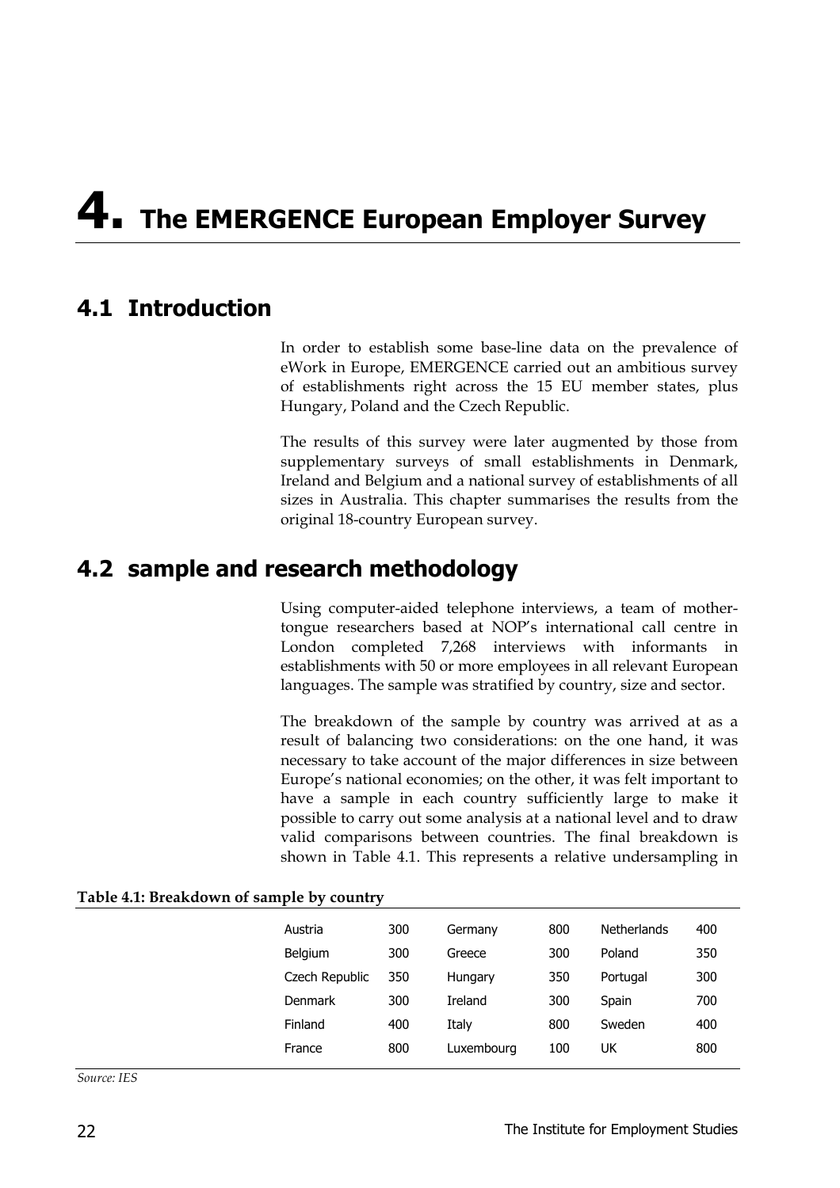# **4. The EMERGENCE European Employer Survey**

## **4.1 Introduction**

In order to establish some base-line data on the prevalence of eWork in Europe, EMERGENCE carried out an ambitious survey of establishments right across the 15 EU member states, plus Hungary, Poland and the Czech Republic.

The results of this survey were later augmented by those from supplementary surveys of small establishments in Denmark, Ireland and Belgium and a national survey of establishments of all sizes in Australia. This chapter summarises the results from the original 18-country European survey.

## **4.2 sample and research methodology**

Using computer-aided telephone interviews, a team of mothertongue researchers based at NOP's international call centre in London completed 7,268 interviews with informants in establishments with 50 or more employees in all relevant European languages. The sample was stratified by country, size and sector.

The breakdown of the sample by country was arrived at as a result of balancing two considerations: on the one hand, it was necessary to take account of the major differences in size between Europe's national economies; on the other, it was felt important to have a sample in each country sufficiently large to make it possible to carry out some analysis at a national level and to draw valid comparisons between countries. The final breakdown is shown in Table 4.1. This represents a relative undersampling in

| Austria        | 300 | Germany    | 800 | <b>Netherlands</b> | 400 |
|----------------|-----|------------|-----|--------------------|-----|
| Belgium        | 300 | Greece     | 300 | Poland             | 350 |
| Czech Republic | 350 | Hungary    | 350 | Portugal           | 300 |
| <b>Denmark</b> | 300 | Ireland    | 300 | Spain              | 700 |
| Finland        | 400 | Italy      | 800 | Sweden             | 400 |
| France         | 800 | Luxembourg | 100 | UK                 | 800 |
|                |     |            |     |                    |     |

**Table 4.1: Breakdown of sample by country**

*Source: IES*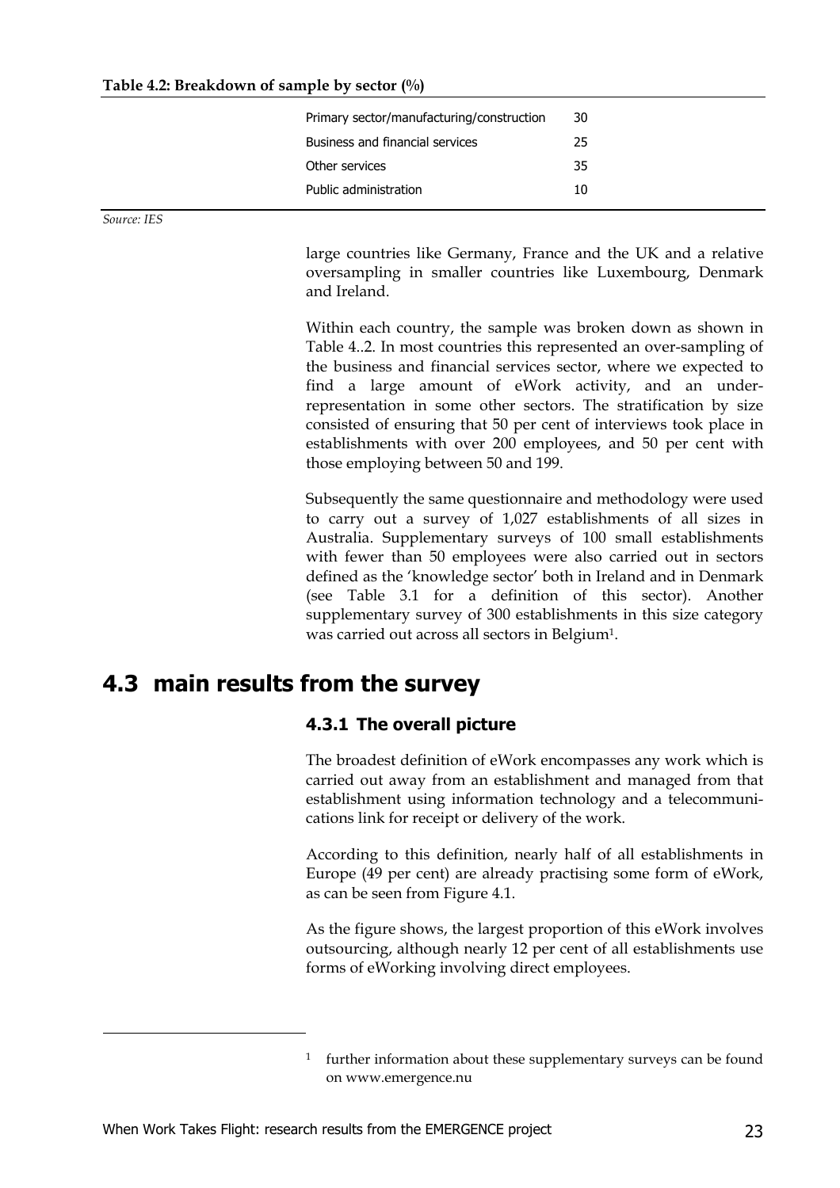| Primary sector/manufacturing/construction | 30 |  |
|-------------------------------------------|----|--|
| <b>Business and financial services</b>    | 25 |  |
| Other services                            | 35 |  |
| Public administration                     | 10 |  |
|                                           |    |  |

*Source: IES*

-

large countries like Germany, France and the UK and a relative oversampling in smaller countries like Luxembourg, Denmark and Ireland.

Within each country, the sample was broken down as shown in Table 4..2. In most countries this represented an over-sampling of the business and financial services sector, where we expected to find a large amount of eWork activity, and an underrepresentation in some other sectors. The stratification by size consisted of ensuring that 50 per cent of interviews took place in establishments with over 200 employees, and 50 per cent with those employing between 50 and 199.

Subsequently the same questionnaire and methodology were used to carry out a survey of 1,027 establishments of all sizes in Australia. Supplementary surveys of 100 small establishments with fewer than 50 employees were also carried out in sectors defined as the 'knowledge sector' both in Ireland and in Denmark (see Table 3.1 for a definition of this sector). Another supplementary survey of 300 establishments in this size category was carried out across all sectors in Belgium1.

## **4.3 main results from the survey**

#### **4.3.1 The overall picture**

The broadest definition of eWork encompasses any work which is carried out away from an establishment and managed from that establishment using information technology and a telecommunications link for receipt or delivery of the work.

According to this definition, nearly half of all establishments in Europe (49 per cent) are already practising some form of eWork, as can be seen from Figure 4.1.

As the figure shows, the largest proportion of this eWork involves outsourcing, although nearly 12 per cent of all establishments use forms of eWorking involving direct employees.

<sup>&</sup>lt;sup>1</sup> further information about these supplementary surveys can be found on www.emergence.nu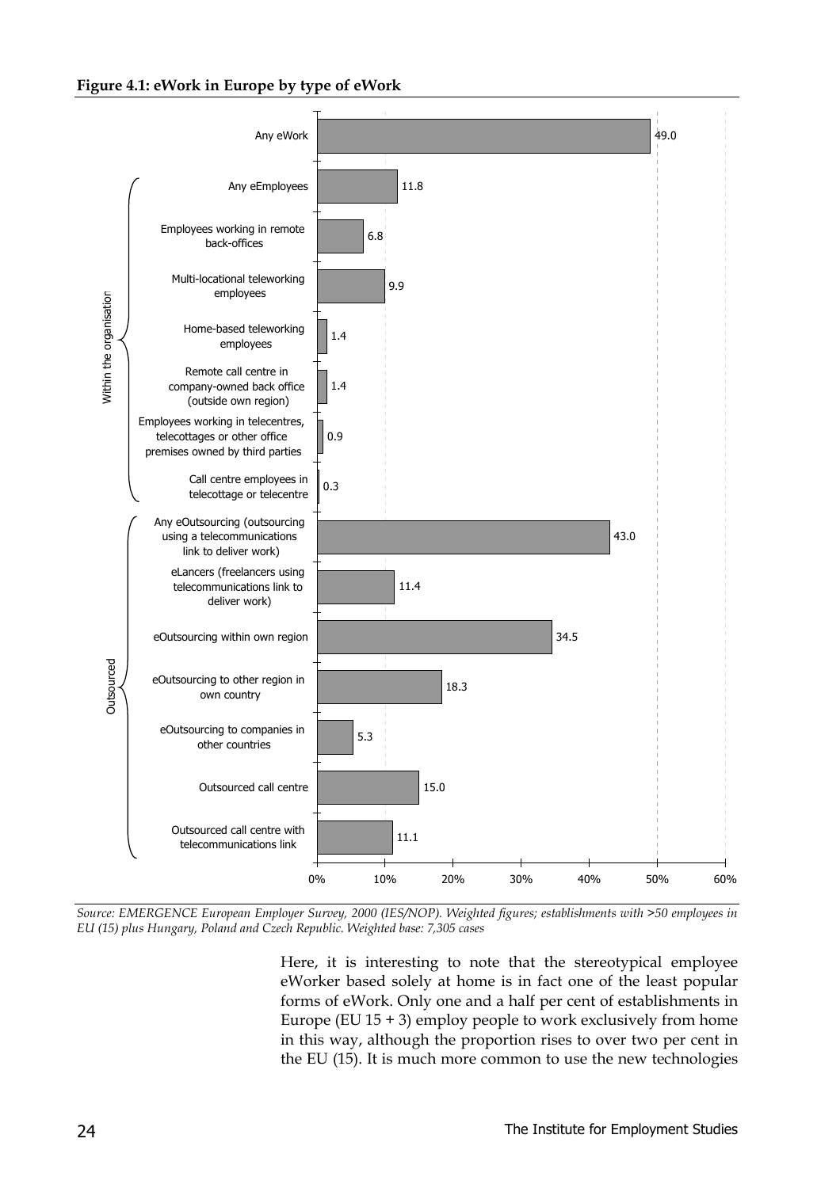#### **Figure 4.1: eWork in Europe by type of eWork**



*Source: EMERGENCE European Employer Survey, 2000 (IES/NOP). Weighted figures; establishments with >50 employees in EU (15) plus Hungary, Poland and Czech Republic. Weighted base: 7,305 cases*

Here, it is interesting to note that the stereotypical employee eWorker based solely at home is in fact one of the least popular forms of eWork. Only one and a half per cent of establishments in Europe (EU  $15 + 3$ ) employ people to work exclusively from home in this way, although the proportion rises to over two per cent in the EU (15). It is much more common to use the new technologies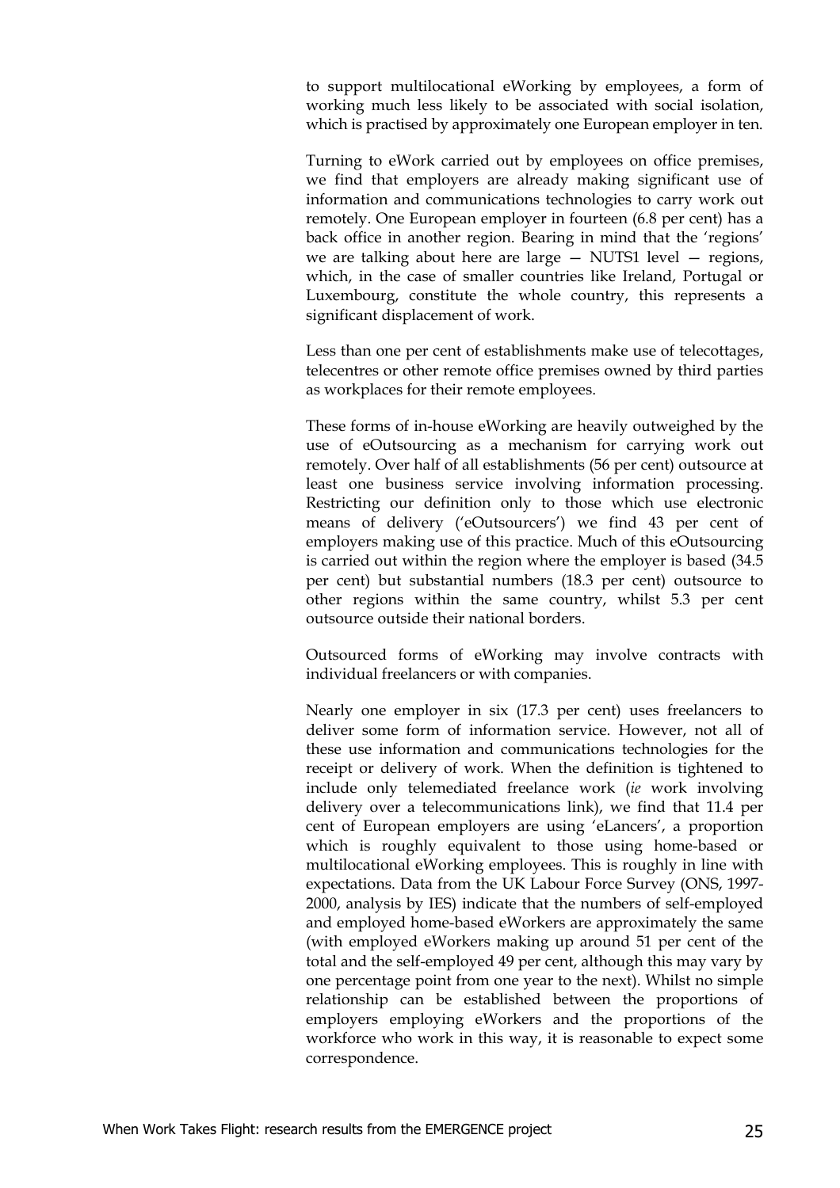to support multilocational eWorking by employees, a form of working much less likely to be associated with social isolation, which is practised by approximately one European employer in ten.

Turning to eWork carried out by employees on office premises, we find that employers are already making significant use of information and communications technologies to carry work out remotely. One European employer in fourteen (6.8 per cent) has a back office in another region. Bearing in mind that the 'regions' we are talking about here are large — NUTS1 level — regions, which, in the case of smaller countries like Ireland, Portugal or Luxembourg, constitute the whole country, this represents a significant displacement of work.

Less than one per cent of establishments make use of telecottages, telecentres or other remote office premises owned by third parties as workplaces for their remote employees.

These forms of in-house eWorking are heavily outweighed by the use of eOutsourcing as a mechanism for carrying work out remotely. Over half of all establishments (56 per cent) outsource at least one business service involving information processing. Restricting our definition only to those which use electronic means of delivery ('eOutsourcers') we find 43 per cent of employers making use of this practice. Much of this eOutsourcing is carried out within the region where the employer is based (34.5 per cent) but substantial numbers (18.3 per cent) outsource to other regions within the same country, whilst 5.3 per cent outsource outside their national borders.

Outsourced forms of eWorking may involve contracts with individual freelancers or with companies.

Nearly one employer in six (17.3 per cent) uses freelancers to deliver some form of information service. However, not all of these use information and communications technologies for the receipt or delivery of work. When the definition is tightened to include only telemediated freelance work (*ie* work involving delivery over a telecommunications link), we find that 11.4 per cent of European employers are using 'eLancers', a proportion which is roughly equivalent to those using home-based or multilocational eWorking employees. This is roughly in line with expectations. Data from the UK Labour Force Survey (ONS, 1997- 2000, analysis by IES) indicate that the numbers of self-employed and employed home-based eWorkers are approximately the same (with employed eWorkers making up around 51 per cent of the total and the self-employed 49 per cent, although this may vary by one percentage point from one year to the next). Whilst no simple relationship can be established between the proportions of employers employing eWorkers and the proportions of the workforce who work in this way, it is reasonable to expect some correspondence.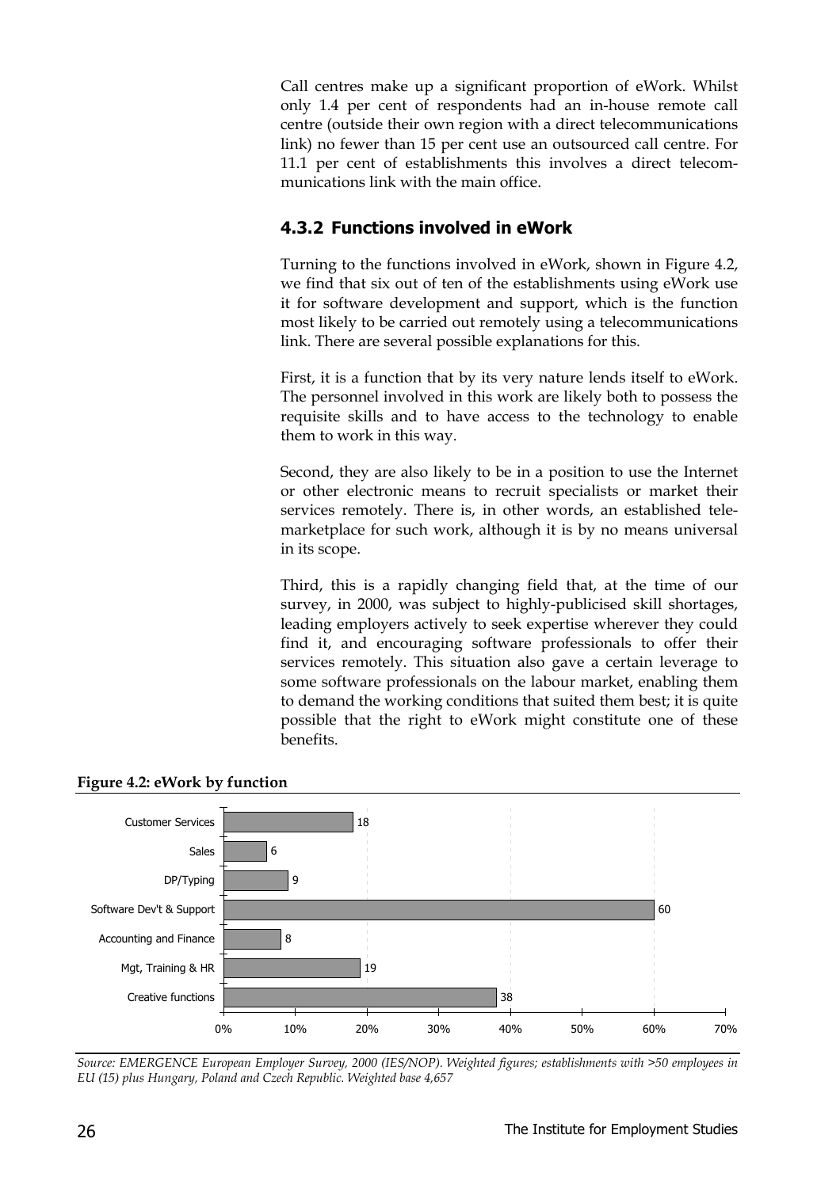Call centres make up a significant proportion of eWork. Whilst only 1.4 per cent of respondents had an in-house remote call centre (outside their own region with a direct telecommunications link) no fewer than 15 per cent use an outsourced call centre. For 11.1 per cent of establishments this involves a direct telecommunications link with the main office.

#### **4.3.2 Functions involved in eWork**

Turning to the functions involved in eWork, shown in Figure 4.2, we find that six out of ten of the establishments using eWork use it for software development and support, which is the function most likely to be carried out remotely using a telecommunications link. There are several possible explanations for this.

First, it is a function that by its very nature lends itself to eWork. The personnel involved in this work are likely both to possess the requisite skills and to have access to the technology to enable them to work in this way.

Second, they are also likely to be in a position to use the Internet or other electronic means to recruit specialists or market their services remotely. There is, in other words, an established telemarketplace for such work, although it is by no means universal in its scope.

Third, this is a rapidly changing field that, at the time of our survey, in 2000, was subject to highly-publicised skill shortages, leading employers actively to seek expertise wherever they could find it, and encouraging software professionals to offer their services remotely. This situation also gave a certain leverage to some software professionals on the labour market, enabling them to demand the working conditions that suited them best; it is quite possible that the right to eWork might constitute one of these benefits.



**Figure 4.2: eWork by function**

*Source: EMERGENCE European Employer Survey, 2000 (IES/NOP). Weighted figures; establishments with >50 employees in EU (15) plus Hungary, Poland and Czech Republic. Weighted base 4,657*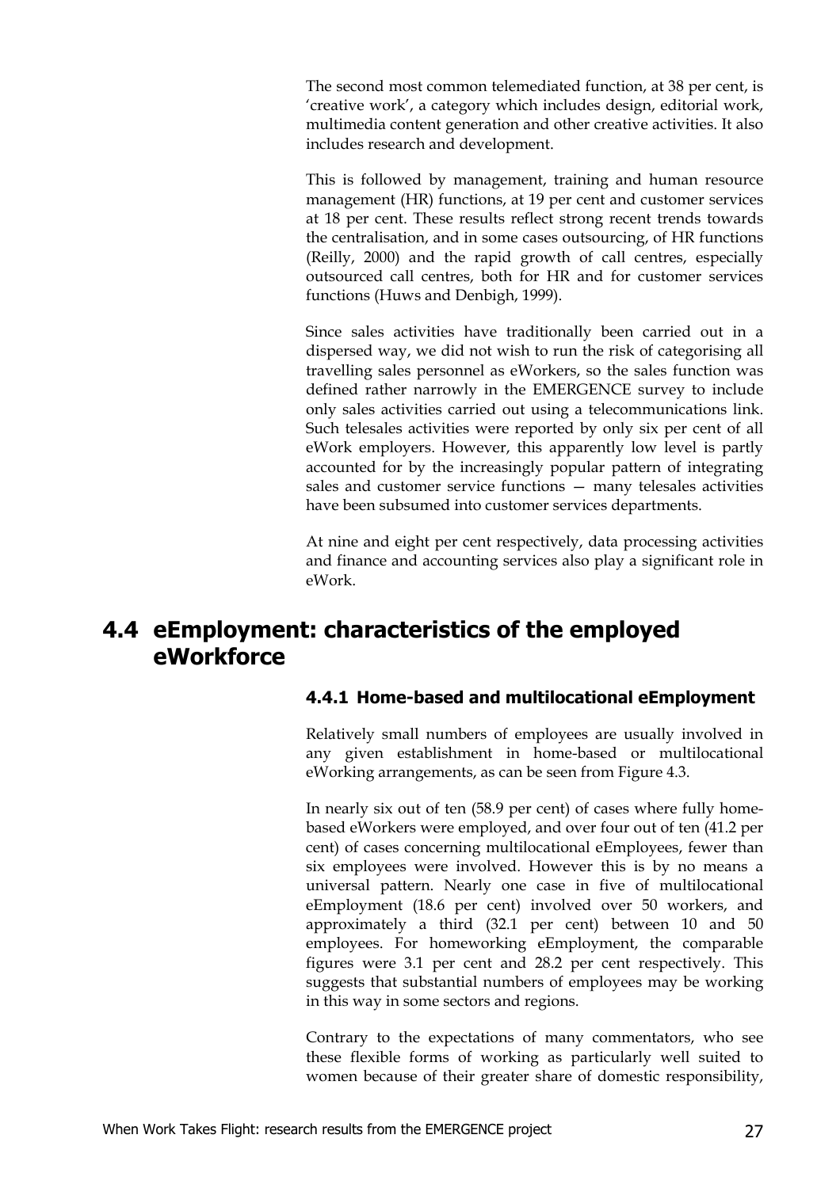The second most common telemediated function, at 38 per cent, is 'creative work', a category which includes design, editorial work, multimedia content generation and other creative activities. It also includes research and development.

This is followed by management, training and human resource management (HR) functions, at 19 per cent and customer services at 18 per cent. These results reflect strong recent trends towards the centralisation, and in some cases outsourcing, of HR functions (Reilly, 2000) and the rapid growth of call centres, especially outsourced call centres, both for HR and for customer services functions (Huws and Denbigh, 1999).

Since sales activities have traditionally been carried out in a dispersed way, we did not wish to run the risk of categorising all travelling sales personnel as eWorkers, so the sales function was defined rather narrowly in the EMERGENCE survey to include only sales activities carried out using a telecommunications link. Such telesales activities were reported by only six per cent of all eWork employers. However, this apparently low level is partly accounted for by the increasingly popular pattern of integrating sales and customer service functions — many telesales activities have been subsumed into customer services departments.

At nine and eight per cent respectively, data processing activities and finance and accounting services also play a significant role in eWork.

## **4.4 eEmployment: characteristics of the employed eWorkforce**

#### **4.4.1 Home-based and multilocational eEmployment**

Relatively small numbers of employees are usually involved in any given establishment in home-based or multilocational eWorking arrangements, as can be seen from Figure 4.3.

In nearly six out of ten (58.9 per cent) of cases where fully homebased eWorkers were employed, and over four out of ten (41.2 per cent) of cases concerning multilocational eEmployees, fewer than six employees were involved. However this is by no means a universal pattern. Nearly one case in five of multilocational eEmployment (18.6 per cent) involved over 50 workers, and approximately a third (32.1 per cent) between 10 and 50 employees. For homeworking eEmployment, the comparable figures were 3.1 per cent and 28.2 per cent respectively. This suggests that substantial numbers of employees may be working in this way in some sectors and regions.

Contrary to the expectations of many commentators, who see these flexible forms of working as particularly well suited to women because of their greater share of domestic responsibility,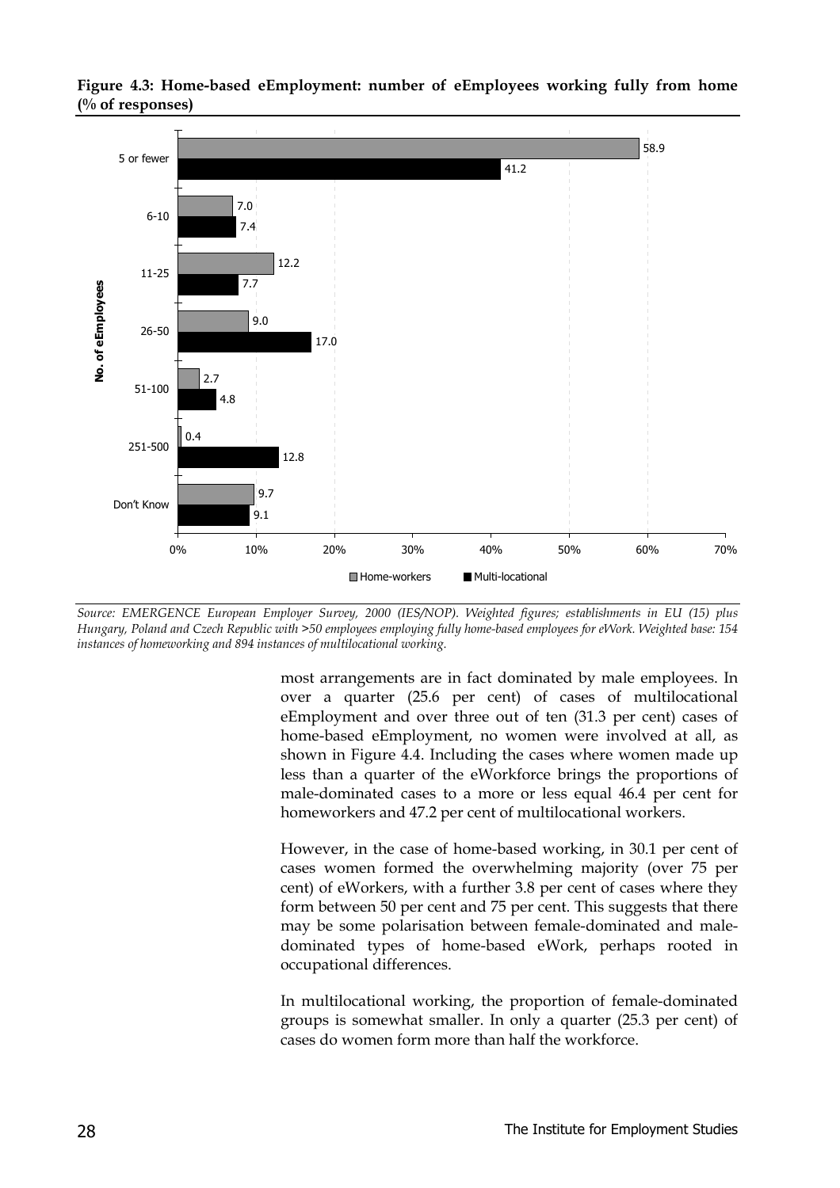

**Figure 4.3: Home-based eEmployment: number of eEmployees working fully from home (% of responses)**

*Source: EMERGENCE European Employer Survey, 2000 (IES/NOP). Weighted figures; establishments in EU (15) plus Hungary, Poland and Czech Republic with >50 employees employing fully home-based employees for eWork. Weighted base: 154 instances of homeworking and 894 instances of multilocational working.*

most arrangements are in fact dominated by male employees. In over a quarter (25.6 per cent) of cases of multilocational eEmployment and over three out of ten (31.3 per cent) cases of home-based eEmployment, no women were involved at all, as shown in Figure 4.4. Including the cases where women made up less than a quarter of the eWorkforce brings the proportions of male-dominated cases to a more or less equal 46.4 per cent for homeworkers and 47.2 per cent of multilocational workers.

However, in the case of home-based working, in 30.1 per cent of cases women formed the overwhelming majority (over 75 per cent) of eWorkers, with a further 3.8 per cent of cases where they form between 50 per cent and 75 per cent. This suggests that there may be some polarisation between female-dominated and maledominated types of home-based eWork, perhaps rooted in occupational differences.

In multilocational working, the proportion of female-dominated groups is somewhat smaller. In only a quarter (25.3 per cent) of cases do women form more than half the workforce.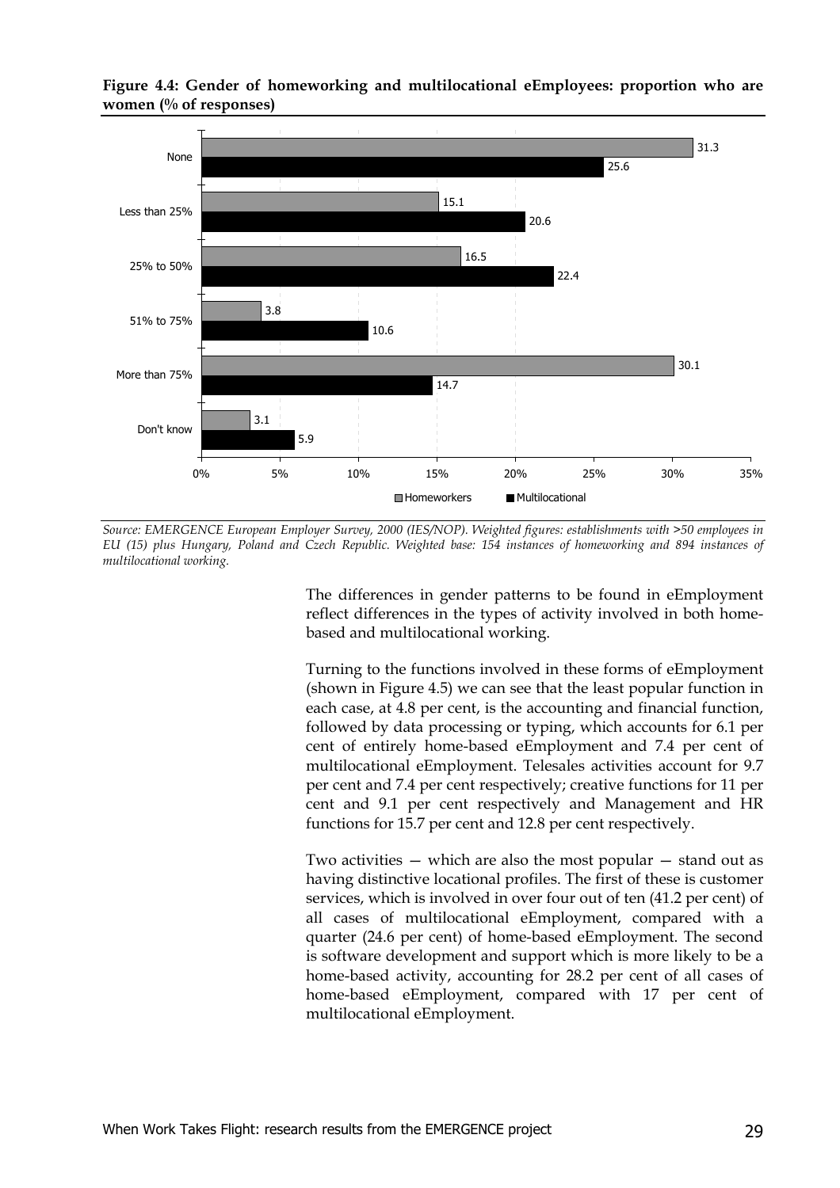

**Figure 4.4: Gender of homeworking and multilocational eEmployees: proportion who are women (% of responses)**

*Source: EMERGENCE European Employer Survey, 2000 (IES/NOP). Weighted figures: establishments with >50 employees in EU (15) plus Hungary, Poland and Czech Republic. Weighted base: 154 instances of homeworking and 894 instances of multilocational working.*

The differences in gender patterns to be found in eEmployment reflect differences in the types of activity involved in both homebased and multilocational working.

Turning to the functions involved in these forms of eEmployment (shown in Figure 4.5) we can see that the least popular function in each case, at 4.8 per cent, is the accounting and financial function, followed by data processing or typing, which accounts for 6.1 per cent of entirely home-based eEmployment and 7.4 per cent of multilocational eEmployment. Telesales activities account for 9.7 per cent and 7.4 per cent respectively; creative functions for 11 per cent and 9.1 per cent respectively and Management and HR functions for 15.7 per cent and 12.8 per cent respectively.

Two activities — which are also the most popular — stand out as having distinctive locational profiles. The first of these is customer services, which is involved in over four out of ten (41.2 per cent) of all cases of multilocational eEmployment, compared with a quarter (24.6 per cent) of home-based eEmployment. The second is software development and support which is more likely to be a home-based activity, accounting for 28.2 per cent of all cases of home-based eEmployment, compared with 17 per cent of multilocational eEmployment.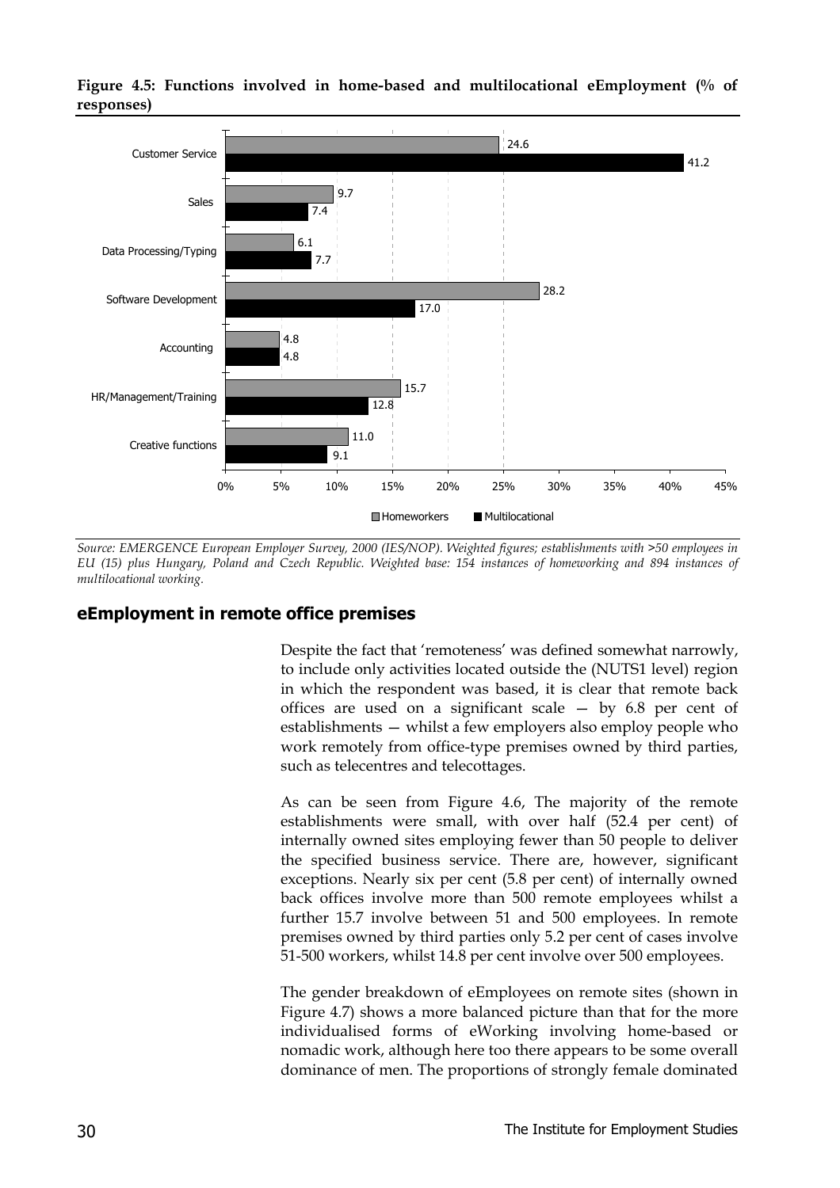

**Figure 4.5: Functions involved in home-based and multilocational eEmployment (% of responses)**

*Source: EMERGENCE European Employer Survey, 2000 (IES/NOP). Weighted figures; establishments with >50 employees in EU (15) plus Hungary, Poland and Czech Republic. Weighted base: 154 instances of homeworking and 894 instances of multilocational working.*

#### **eEmployment in remote office premises**

Despite the fact that 'remoteness' was defined somewhat narrowly, to include only activities located outside the (NUTS1 level) region in which the respondent was based, it is clear that remote back offices are used on a significant scale — by 6.8 per cent of establishments — whilst a few employers also employ people who work remotely from office-type premises owned by third parties, such as telecentres and telecottages.

As can be seen from Figure 4.6, The majority of the remote establishments were small, with over half (52.4 per cent) of internally owned sites employing fewer than 50 people to deliver the specified business service. There are, however, significant exceptions. Nearly six per cent (5.8 per cent) of internally owned back offices involve more than 500 remote employees whilst a further 15.7 involve between 51 and 500 employees. In remote premises owned by third parties only 5.2 per cent of cases involve 51-500 workers, whilst 14.8 per cent involve over 500 employees.

The gender breakdown of eEmployees on remote sites (shown in Figure 4.7) shows a more balanced picture than that for the more individualised forms of eWorking involving home-based or nomadic work, although here too there appears to be some overall dominance of men. The proportions of strongly female dominated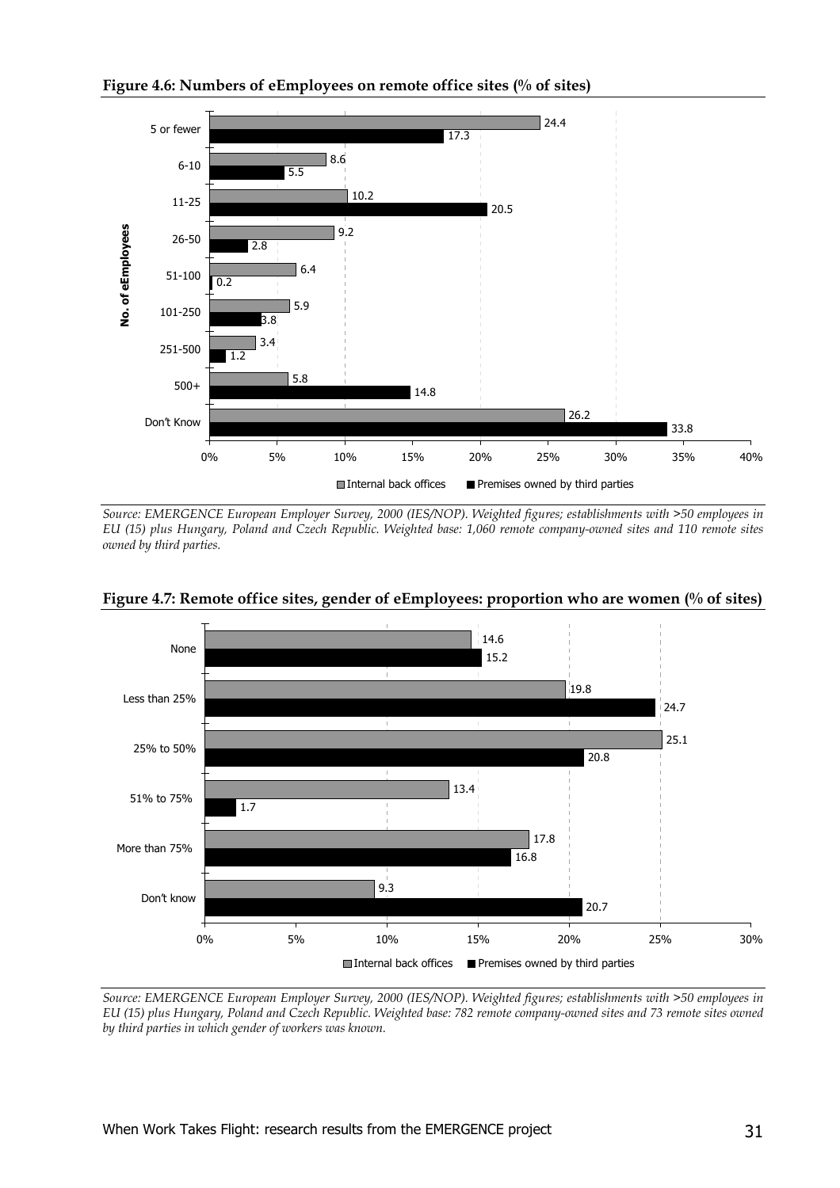

**Figure 4.6: Numbers of eEmployees on remote office sites (% of sites)**

*Source: EMERGENCE European Employer Survey, 2000 (IES/NOP). Weighted figures; establishments with >50 employees in EU (15) plus Hungary, Poland and Czech Republic. Weighted base: 1,060 remote company-owned sites and 110 remote sites owned by third parties.*



**Figure 4.7: Remote office sites, gender of eEmployees: proportion who are women (% of sites)**

*Source: EMERGENCE European Employer Survey, 2000 (IES/NOP). Weighted figures; establishments with >50 employees in EU (15) plus Hungary, Poland and Czech Republic. Weighted base: 782 remote company-owned sites and 73 remote sites owned by third parties in which gender of workers was known.*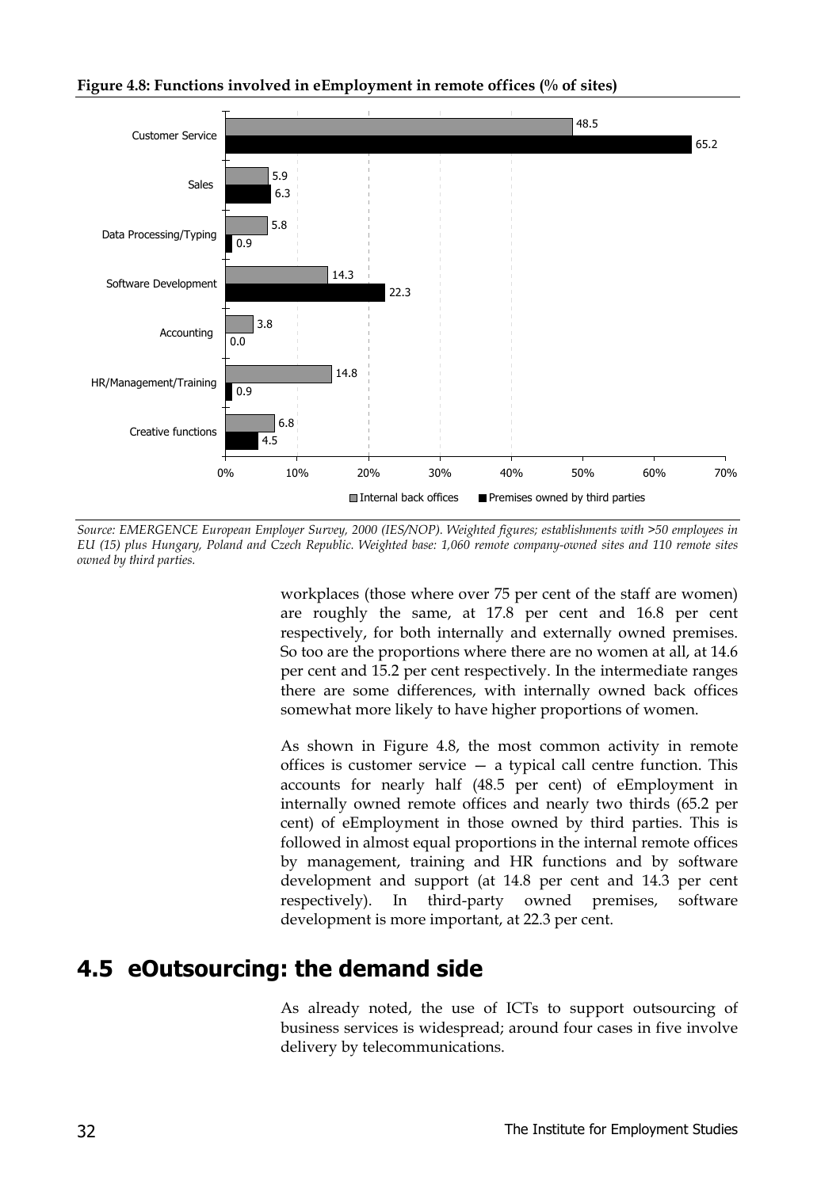



*Source: EMERGENCE European Employer Survey, 2000 (IES/NOP). Weighted figures; establishments with >50 employees in EU (15) plus Hungary, Poland and Czech Republic. Weighted base: 1,060 remote company-owned sites and 110 remote sites owned by third parties.*

workplaces (those where over 75 per cent of the staff are women) are roughly the same, at 17.8 per cent and 16.8 per cent respectively, for both internally and externally owned premises. So too are the proportions where there are no women at all, at 14.6 per cent and 15.2 per cent respectively. In the intermediate ranges there are some differences, with internally owned back offices somewhat more likely to have higher proportions of women.

As shown in Figure 4.8, the most common activity in remote offices is customer service — a typical call centre function. This accounts for nearly half (48.5 per cent) of eEmployment in internally owned remote offices and nearly two thirds (65.2 per cent) of eEmployment in those owned by third parties. This is followed in almost equal proportions in the internal remote offices by management, training and HR functions and by software development and support (at 14.8 per cent and 14.3 per cent respectively). In third-party owned premises, software development is more important, at 22.3 per cent.

## **4.5 eOutsourcing: the demand side**

As already noted, the use of ICTs to support outsourcing of business services is widespread; around four cases in five involve delivery by telecommunications.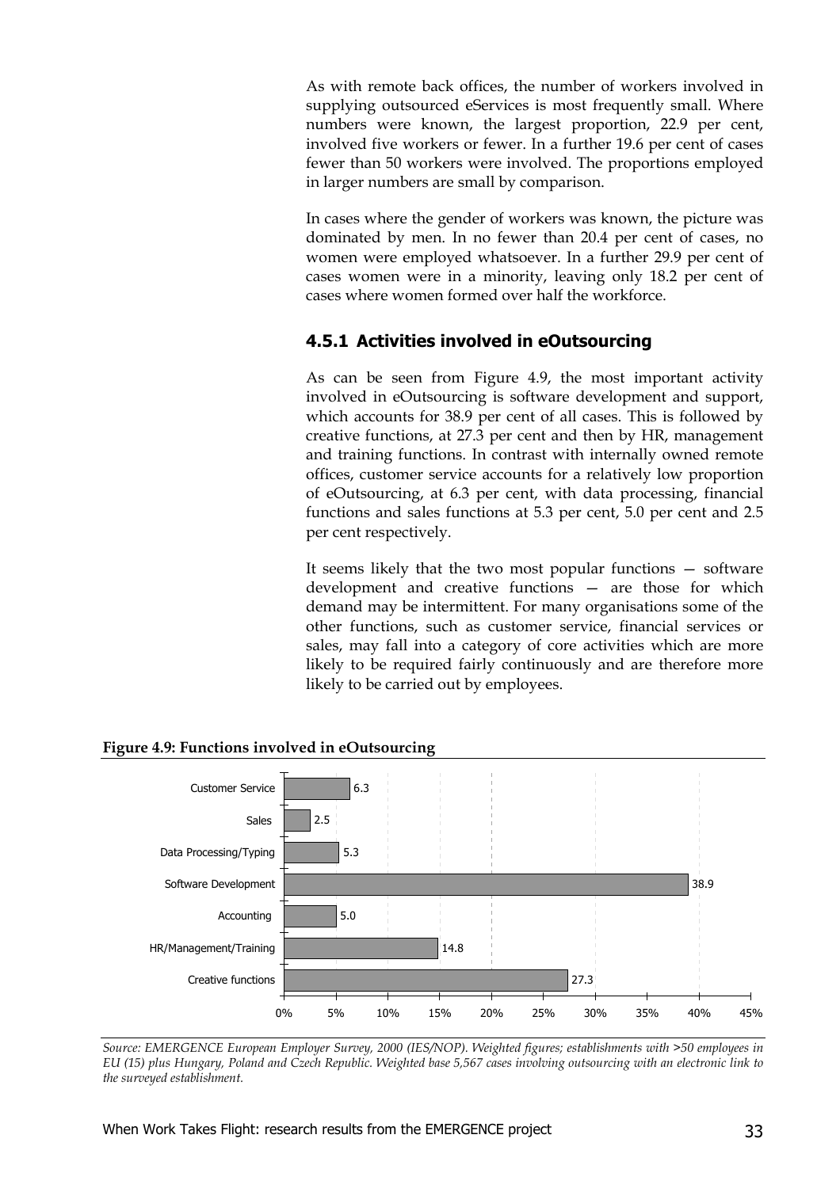As with remote back offices, the number of workers involved in supplying outsourced eServices is most frequently small. Where numbers were known, the largest proportion, 22.9 per cent, involved five workers or fewer. In a further 19.6 per cent of cases fewer than 50 workers were involved. The proportions employed in larger numbers are small by comparison.

In cases where the gender of workers was known, the picture was dominated by men. In no fewer than 20.4 per cent of cases, no women were employed whatsoever. In a further 29.9 per cent of cases women were in a minority, leaving only 18.2 per cent of cases where women formed over half the workforce.

#### **4.5.1 Activities involved in eOutsourcing**

As can be seen from Figure 4.9, the most important activity involved in eOutsourcing is software development and support, which accounts for 38.9 per cent of all cases. This is followed by creative functions, at 27.3 per cent and then by HR, management and training functions. In contrast with internally owned remote offices, customer service accounts for a relatively low proportion of eOutsourcing, at 6.3 per cent, with data processing, financial functions and sales functions at 5.3 per cent, 5.0 per cent and 2.5 per cent respectively.

It seems likely that the two most popular functions — software development and creative functions — are those for which demand may be intermittent. For many organisations some of the other functions, such as customer service, financial services or sales, may fall into a category of core activities which are more likely to be required fairly continuously and are therefore more likely to be carried out by employees.



**Figure 4.9: Functions involved in eOutsourcing**

*Source: EMERGENCE European Employer Survey, 2000 (IES/NOP). Weighted figures; establishments with >50 employees in EU (15) plus Hungary, Poland and Czech Republic. Weighted base 5,567 cases involving outsourcing with an electronic link to the surveyed establishment.*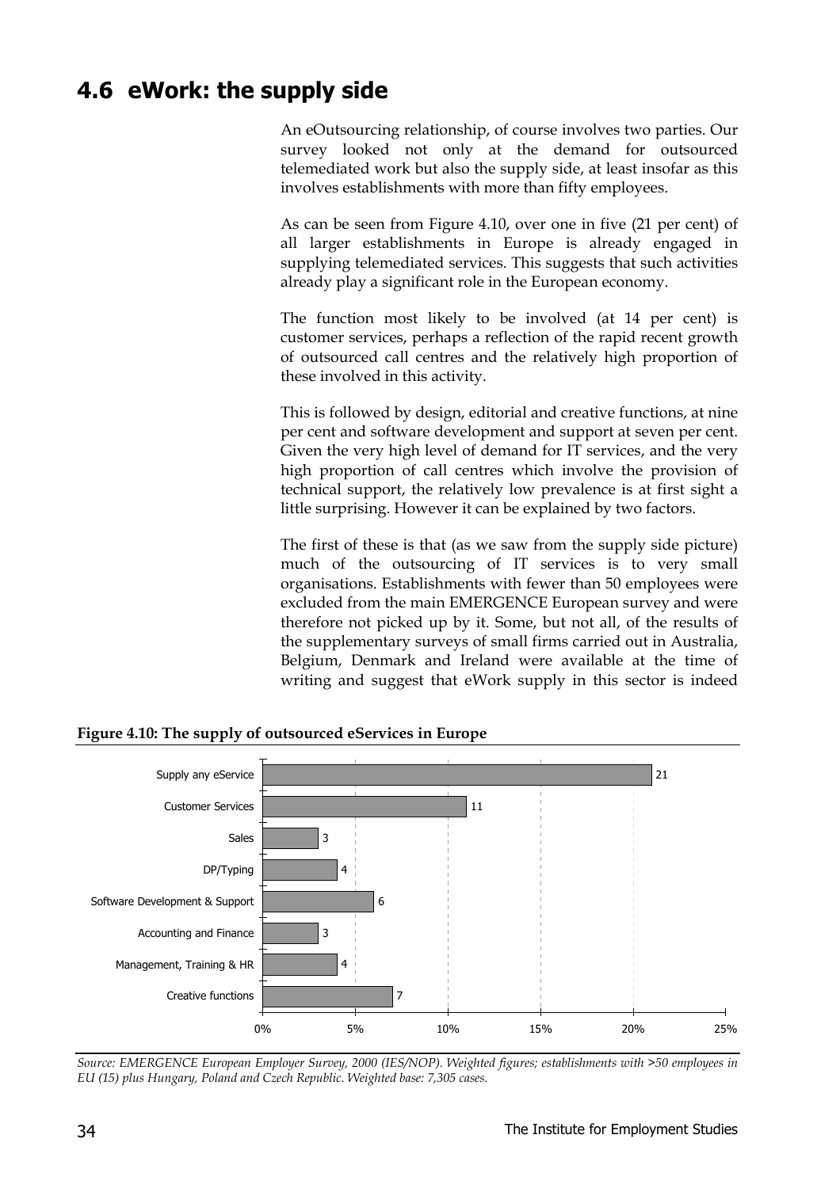## **4.6 eWork: the supply side**

An eOutsourcing relationship, of course involves two parties. Our survey looked not only at the demand for outsourced telemediated work but also the supply side, at least insofar as this involves establishments with more than fifty employees.

As can be seen from Figure 4.10, over one in five (21 per cent) of all larger establishments in Europe is already engaged in supplying telemediated services. This suggests that such activities already play a significant role in the European economy.

The function most likely to be involved (at 14 per cent) is customer services, perhaps a reflection of the rapid recent growth of outsourced call centres and the relatively high proportion of these involved in this activity.

This is followed by design, editorial and creative functions, at nine per cent and software development and support at seven per cent. Given the very high level of demand for IT services, and the very high proportion of call centres which involve the provision of technical support, the relatively low prevalence is at first sight a little surprising. However it can be explained by two factors.

The first of these is that (as we saw from the supply side picture) much of the outsourcing of IT services is to very small organisations. Establishments with fewer than 50 employees were excluded from the main EMERGENCE European survey and were therefore not picked up by it. Some, but not all, of the results of the supplementary surveys of small firms carried out in Australia, Belgium, Denmark and Ireland were available at the time of writing and suggest that eWork supply in this sector is indeed



**Figure 4.10: The supply of outsourced eServices in Europe**

*Source: EMERGENCE European Employer Survey, 2000 (IES/NOP). Weighted figures; establishments with >50 employees in EU (15) plus Hungary, Poland and Czech Republic. Weighted base: 7,305 cases.*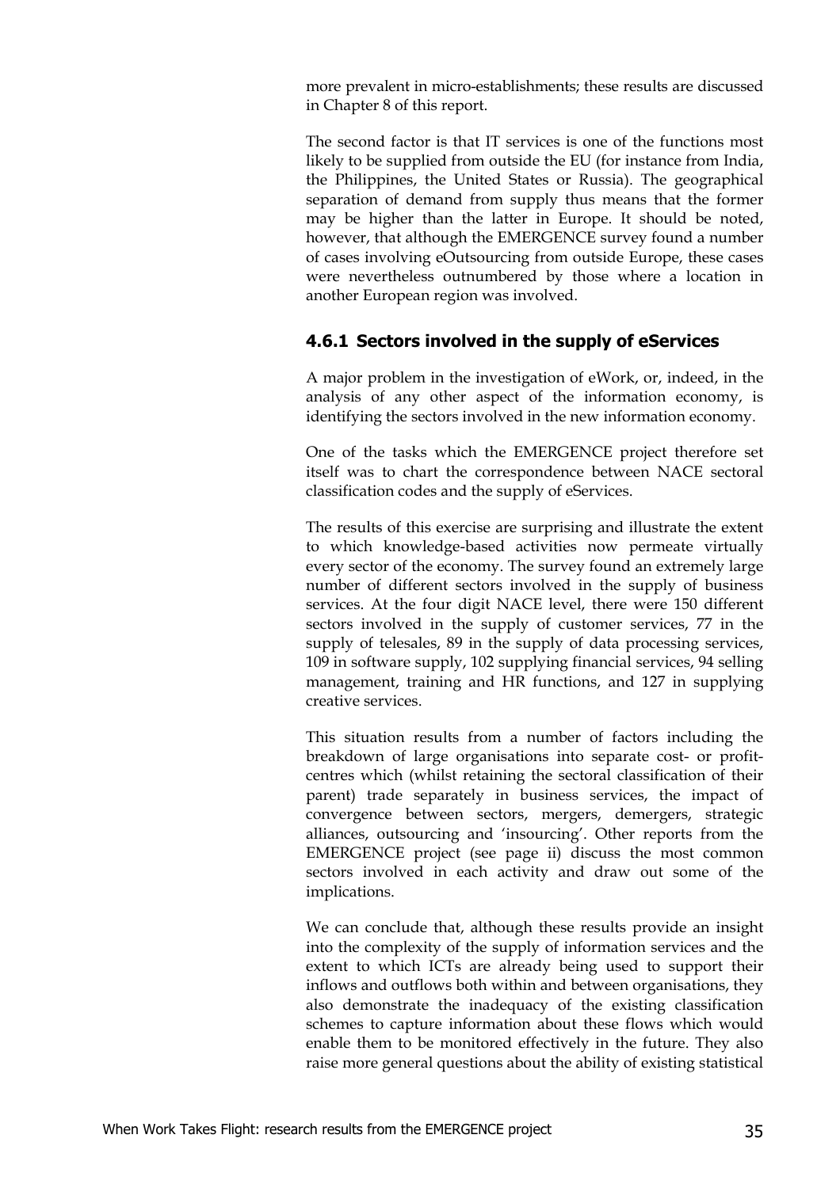more prevalent in micro-establishments; these results are discussed in Chapter 8 of this report.

The second factor is that IT services is one of the functions most likely to be supplied from outside the EU (for instance from India, the Philippines, the United States or Russia). The geographical separation of demand from supply thus means that the former may be higher than the latter in Europe. It should be noted, however, that although the EMERGENCE survey found a number of cases involving eOutsourcing from outside Europe, these cases were nevertheless outnumbered by those where a location in another European region was involved.

#### **4.6.1 Sectors involved in the supply of eServices**

A major problem in the investigation of eWork, or, indeed, in the analysis of any other aspect of the information economy, is identifying the sectors involved in the new information economy.

One of the tasks which the EMERGENCE project therefore set itself was to chart the correspondence between NACE sectoral classification codes and the supply of eServices.

The results of this exercise are surprising and illustrate the extent to which knowledge-based activities now permeate virtually every sector of the economy. The survey found an extremely large number of different sectors involved in the supply of business services. At the four digit NACE level, there were 150 different sectors involved in the supply of customer services, 77 in the supply of telesales, 89 in the supply of data processing services, 109 in software supply, 102 supplying financial services, 94 selling management, training and HR functions, and 127 in supplying creative services.

This situation results from a number of factors including the breakdown of large organisations into separate cost- or profitcentres which (whilst retaining the sectoral classification of their parent) trade separately in business services, the impact of convergence between sectors, mergers, demergers, strategic alliances, outsourcing and 'insourcing'. Other reports from the EMERGENCE project (see page ii) discuss the most common sectors involved in each activity and draw out some of the implications.

We can conclude that, although these results provide an insight into the complexity of the supply of information services and the extent to which ICTs are already being used to support their inflows and outflows both within and between organisations, they also demonstrate the inadequacy of the existing classification schemes to capture information about these flows which would enable them to be monitored effectively in the future. They also raise more general questions about the ability of existing statistical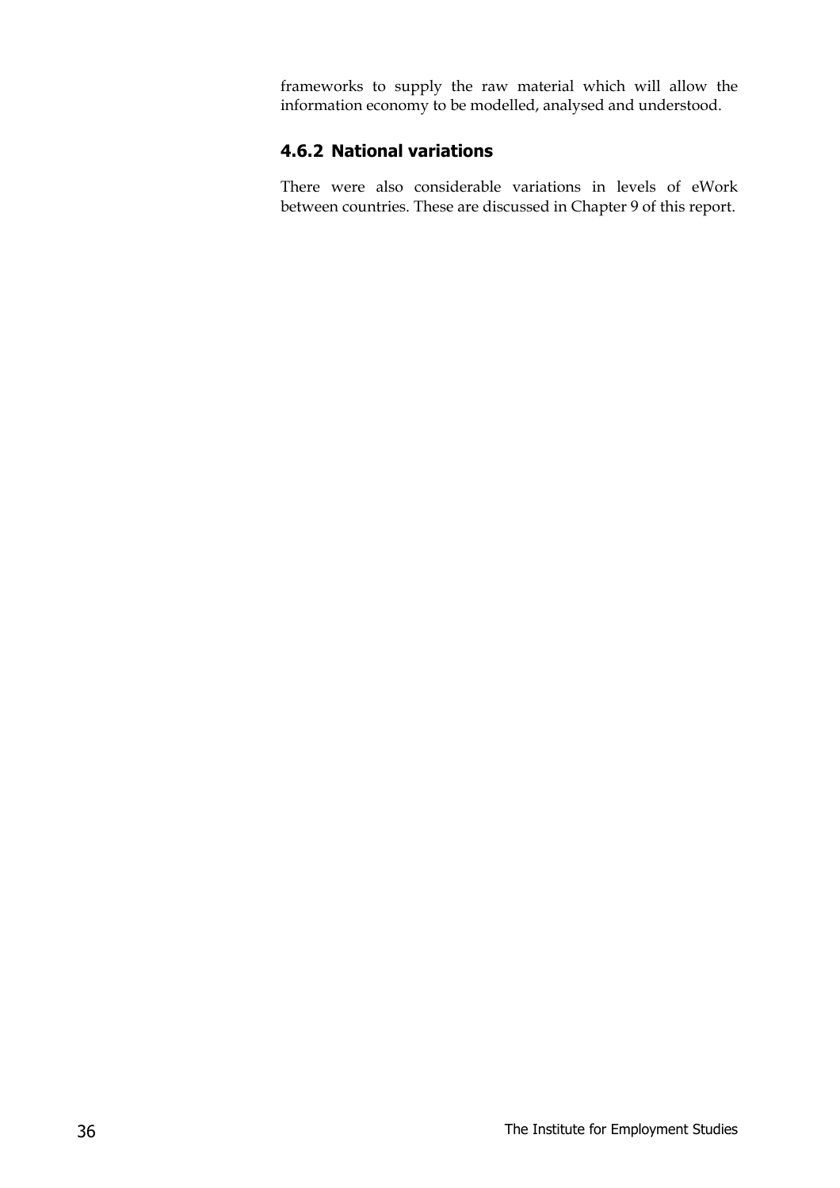frameworks to supply the raw material which will allow the information economy to be modelled, analysed and understood.

#### **4.6.2 National variations**

There were also considerable variations in levels of eWork between countries. These are discussed in Chapter 9 of this report.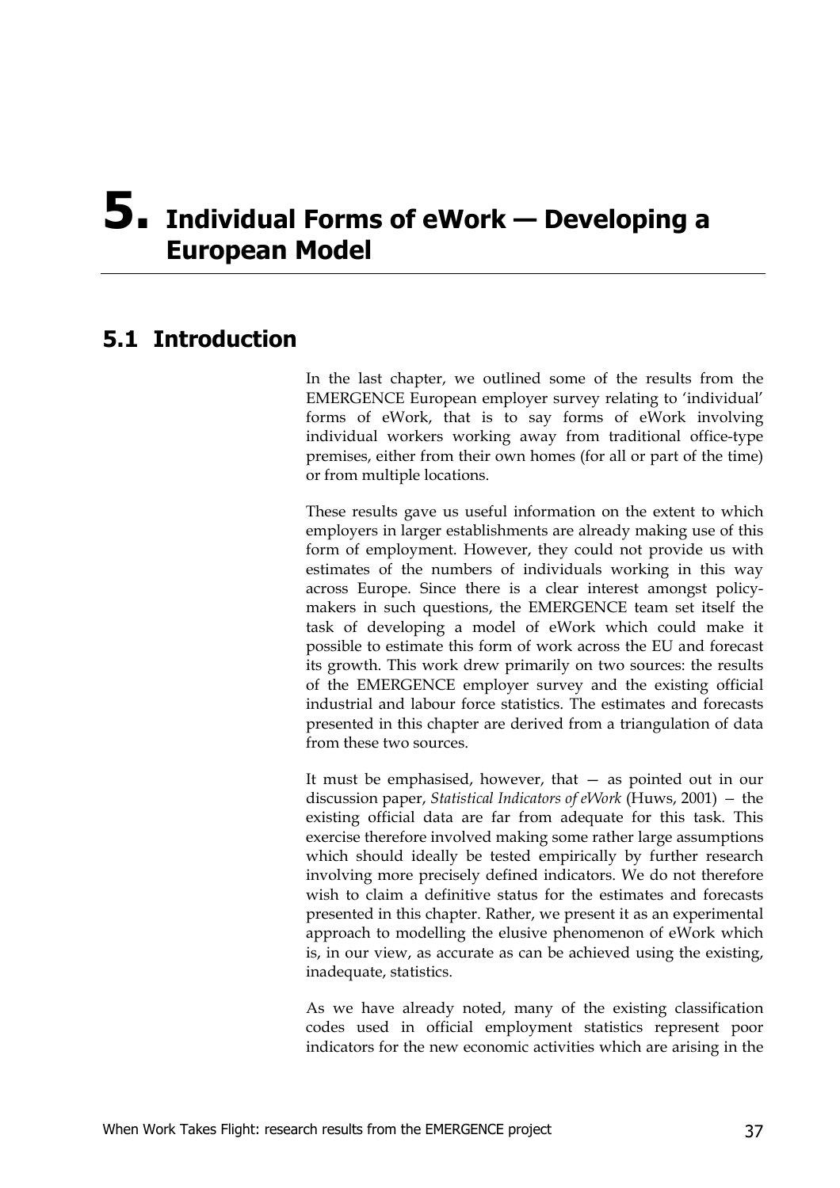## **5. Individual Forms of eWork — Developing a European Model**

## **5.1 Introduction**

In the last chapter, we outlined some of the results from the EMERGENCE European employer survey relating to 'individual' forms of eWork, that is to say forms of eWork involving individual workers working away from traditional office-type premises, either from their own homes (for all or part of the time) or from multiple locations.

These results gave us useful information on the extent to which employers in larger establishments are already making use of this form of employment. However, they could not provide us with estimates of the numbers of individuals working in this way across Europe. Since there is a clear interest amongst policymakers in such questions, the EMERGENCE team set itself the task of developing a model of eWork which could make it possible to estimate this form of work across the EU and forecast its growth. This work drew primarily on two sources: the results of the EMERGENCE employer survey and the existing official industrial and labour force statistics. The estimates and forecasts presented in this chapter are derived from a triangulation of data from these two sources.

It must be emphasised, however, that — as pointed out in our discussion paper, *Statistical Indicators of eWork* (Huws, 2001) *—* the existing official data are far from adequate for this task. This exercise therefore involved making some rather large assumptions which should ideally be tested empirically by further research involving more precisely defined indicators. We do not therefore wish to claim a definitive status for the estimates and forecasts presented in this chapter. Rather, we present it as an experimental approach to modelling the elusive phenomenon of eWork which is, in our view, as accurate as can be achieved using the existing, inadequate, statistics.

As we have already noted, many of the existing classification codes used in official employment statistics represent poor indicators for the new economic activities which are arising in the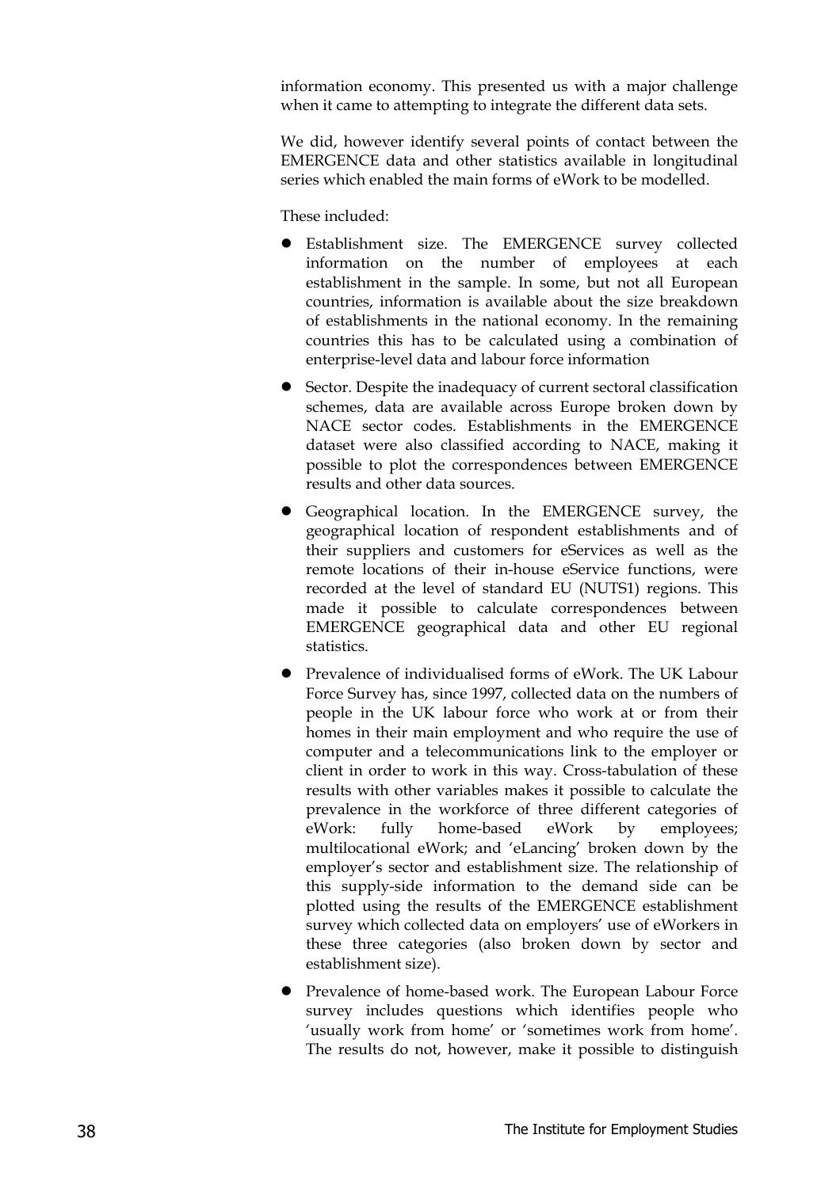information economy. This presented us with a major challenge when it came to attempting to integrate the different data sets.

We did, however identify several points of contact between the EMERGENCE data and other statistics available in longitudinal series which enabled the main forms of eWork to be modelled.

These included:

- **•** Establishment size. The EMERGENCE survey collected information on the number of employees at each establishment in the sample. In some, but not all European countries, information is available about the size breakdown of establishments in the national economy. In the remaining countries this has to be calculated using a combination of enterprise-level data and labour force information
- $\bullet$  Sector. Despite the inadequacy of current sectoral classification schemes, data are available across Europe broken down by NACE sector codes. Establishments in the EMERGENCE dataset were also classified according to NACE, making it possible to plot the correspondences between EMERGENCE results and other data sources.
- Geographical location. In the EMERGENCE survey, the geographical location of respondent establishments and of their suppliers and customers for eServices as well as the remote locations of their in-house eService functions, were recorded at the level of standard EU (NUTS1) regions. This made it possible to calculate correspondences between EMERGENCE geographical data and other EU regional statistics.
- z Prevalence of individualised forms of eWork. The UK Labour Force Survey has, since 1997, collected data on the numbers of people in the UK labour force who work at or from their homes in their main employment and who require the use of computer and a telecommunications link to the employer or client in order to work in this way. Cross-tabulation of these results with other variables makes it possible to calculate the prevalence in the workforce of three different categories of eWork: fully home-based eWork by employees; multilocational eWork; and 'eLancing' broken down by the employer's sector and establishment size. The relationship of this supply-side information to the demand side can be plotted using the results of the EMERGENCE establishment survey which collected data on employers' use of eWorkers in these three categories (also broken down by sector and establishment size).
- Prevalence of home-based work. The European Labour Force survey includes questions which identifies people who 'usually work from home' or 'sometimes work from home'. The results do not, however, make it possible to distinguish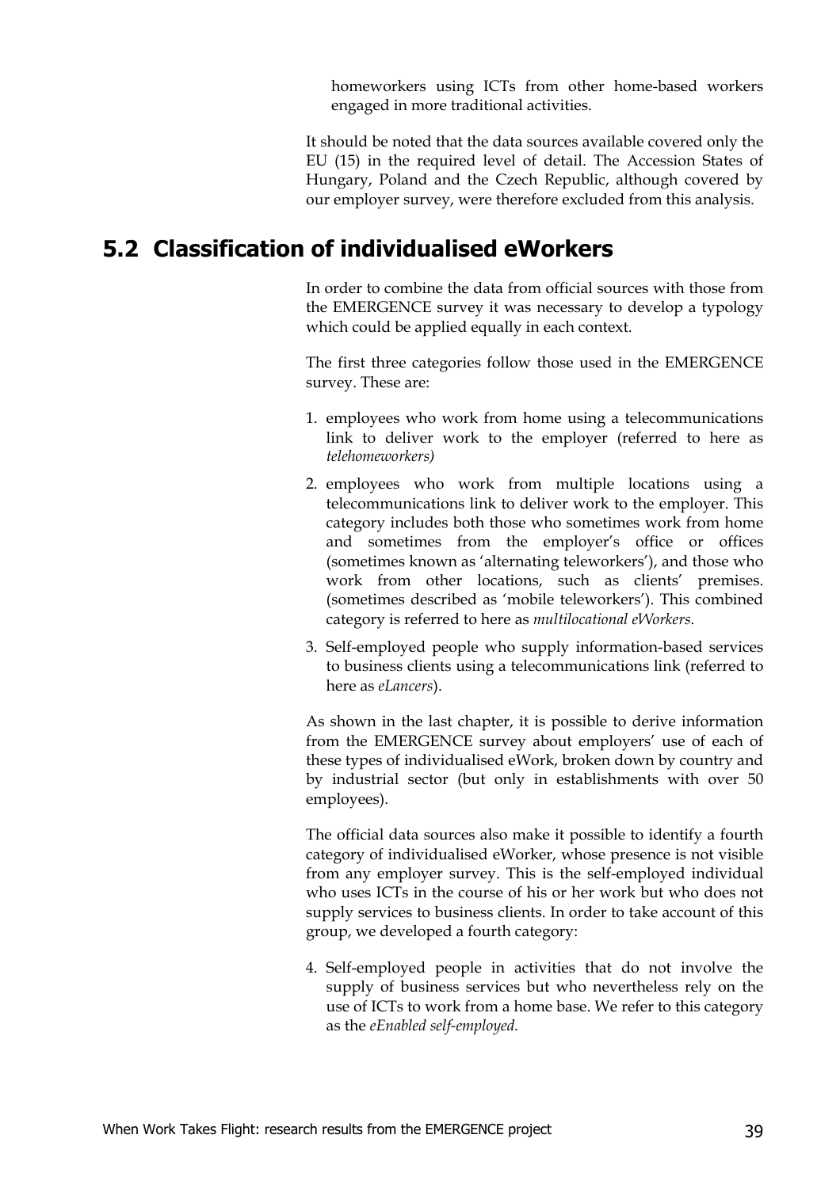homeworkers using ICTs from other home-based workers engaged in more traditional activities.

It should be noted that the data sources available covered only the EU (15) in the required level of detail. The Accession States of Hungary, Poland and the Czech Republic, although covered by our employer survey, were therefore excluded from this analysis.

## **5.2 Classification of individualised eWorkers**

In order to combine the data from official sources with those from the EMERGENCE survey it was necessary to develop a typology which could be applied equally in each context.

The first three categories follow those used in the EMERGENCE survey. These are:

- 1. employees who work from home using a telecommunications link to deliver work to the employer (referred to here as *telehomeworkers)*
- 2. employees who work from multiple locations using a telecommunications link to deliver work to the employer. This category includes both those who sometimes work from home and sometimes from the employer's office or offices (sometimes known as 'alternating teleworkers'), and those who work from other locations, such as clients' premises. (sometimes described as 'mobile teleworkers'). This combined category is referred to here as *multilocational eWorkers*.
- 3. Self-employed people who supply information-based services to business clients using a telecommunications link (referred to here as *eLancers*).

As shown in the last chapter, it is possible to derive information from the EMERGENCE survey about employers' use of each of these types of individualised eWork, broken down by country and by industrial sector (but only in establishments with over 50 employees).

The official data sources also make it possible to identify a fourth category of individualised eWorker, whose presence is not visible from any employer survey. This is the self-employed individual who uses ICTs in the course of his or her work but who does not supply services to business clients. In order to take account of this group, we developed a fourth category:

4. Self-employed people in activities that do not involve the supply of business services but who nevertheless rely on the use of ICTs to work from a home base. We refer to this category as the *eEnabled self-employed.*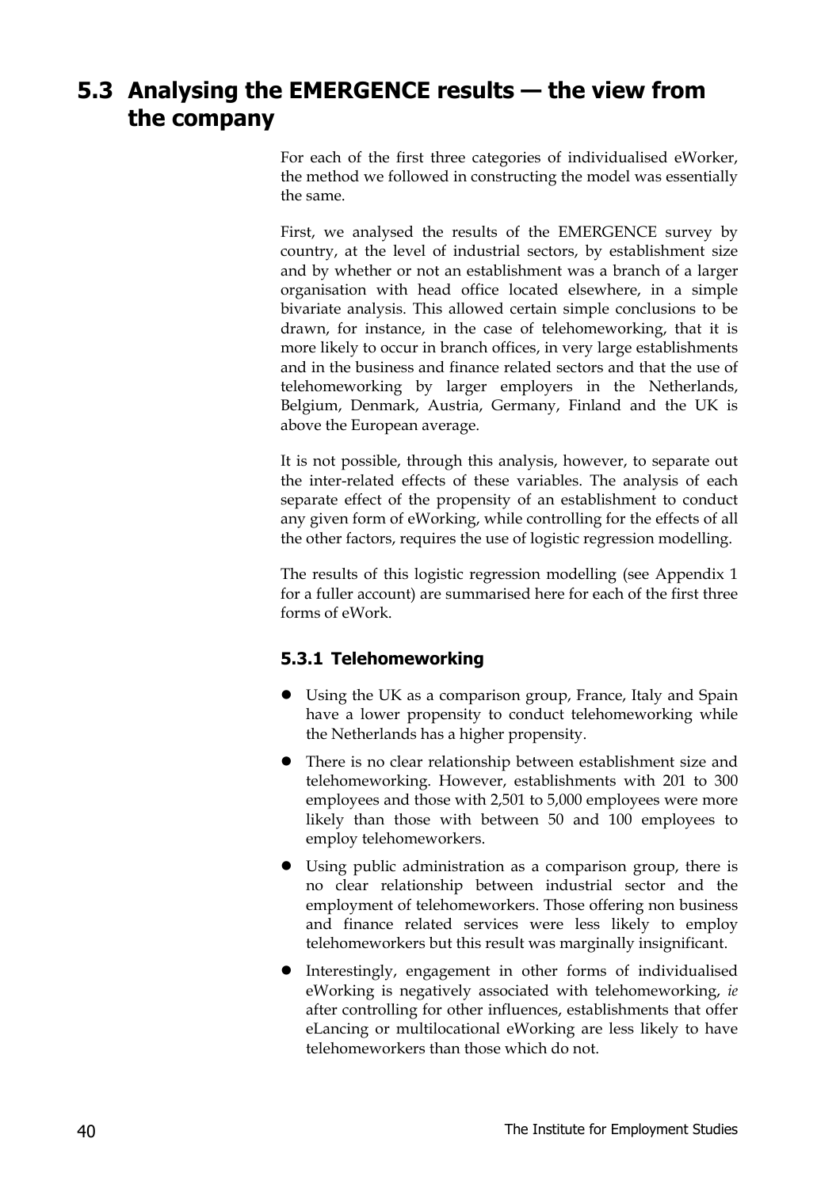## **5.3 Analysing the EMERGENCE results — the view from the company**

For each of the first three categories of individualised eWorker, the method we followed in constructing the model was essentially the same.

First, we analysed the results of the EMERGENCE survey by country, at the level of industrial sectors, by establishment size and by whether or not an establishment was a branch of a larger organisation with head office located elsewhere, in a simple bivariate analysis. This allowed certain simple conclusions to be drawn, for instance, in the case of telehomeworking, that it is more likely to occur in branch offices, in very large establishments and in the business and finance related sectors and that the use of telehomeworking by larger employers in the Netherlands, Belgium, Denmark, Austria, Germany, Finland and the UK is above the European average.

It is not possible, through this analysis, however, to separate out the inter-related effects of these variables. The analysis of each separate effect of the propensity of an establishment to conduct any given form of eWorking, while controlling for the effects of all the other factors, requires the use of logistic regression modelling.

The results of this logistic regression modelling (see Appendix 1 for a fuller account) are summarised here for each of the first three forms of eWork.

#### **5.3.1 Telehomeworking**

- Using the UK as a comparison group, France, Italy and Spain have a lower propensity to conduct telehomeworking while the Netherlands has a higher propensity.
- There is no clear relationship between establishment size and telehomeworking. However, establishments with 201 to 300 employees and those with 2,501 to 5,000 employees were more likely than those with between 50 and 100 employees to employ telehomeworkers.
- Using public administration as a comparison group, there is no clear relationship between industrial sector and the employment of telehomeworkers. Those offering non business and finance related services were less likely to employ telehomeworkers but this result was marginally insignificant.
- Interestingly, engagement in other forms of individualised eWorking is negatively associated with telehomeworking, *ie* after controlling for other influences, establishments that offer eLancing or multilocational eWorking are less likely to have telehomeworkers than those which do not.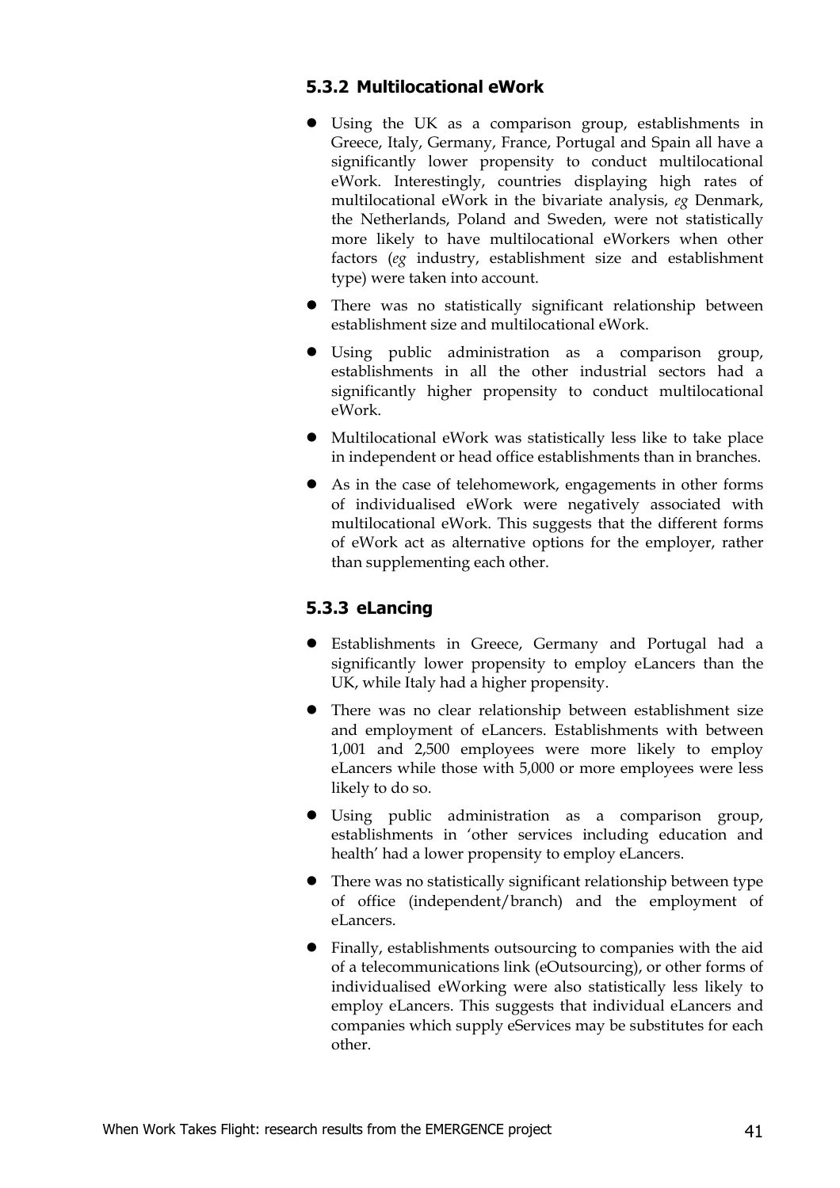#### **5.3.2 Multilocational eWork**

- Using the UK as a comparison group, establishments in Greece, Italy, Germany, France, Portugal and Spain all have a significantly lower propensity to conduct multilocational eWork. Interestingly, countries displaying high rates of multilocational eWork in the bivariate analysis, *eg* Denmark, the Netherlands, Poland and Sweden, were not statistically more likely to have multilocational eWorkers when other factors (*eg* industry, establishment size and establishment type) were taken into account.
- There was no statistically significant relationship between establishment size and multilocational eWork.
- Using public administration as a comparison group, establishments in all the other industrial sectors had a significantly higher propensity to conduct multilocational eWork.
- $\bullet$  Multilocational eWork was statistically less like to take place in independent or head office establishments than in branches.
- As in the case of telehomework, engagements in other forms of individualised eWork were negatively associated with multilocational eWork. This suggests that the different forms of eWork act as alternative options for the employer, rather than supplementing each other.

#### **5.3.3 eLancing**

- z Establishments in Greece, Germany and Portugal had a significantly lower propensity to employ eLancers than the UK, while Italy had a higher propensity.
- There was no clear relationship between establishment size and employment of eLancers. Establishments with between 1,001 and 2,500 employees were more likely to employ eLancers while those with 5,000 or more employees were less likely to do so.
- Using public administration as a comparison group, establishments in 'other services including education and health' had a lower propensity to employ eLancers.
- $\bullet$  There was no statistically significant relationship between type of office (independent/branch) and the employment of eLancers.
- Finally, establishments outsourcing to companies with the aid of a telecommunications link (eOutsourcing), or other forms of individualised eWorking were also statistically less likely to employ eLancers. This suggests that individual eLancers and companies which supply eServices may be substitutes for each other.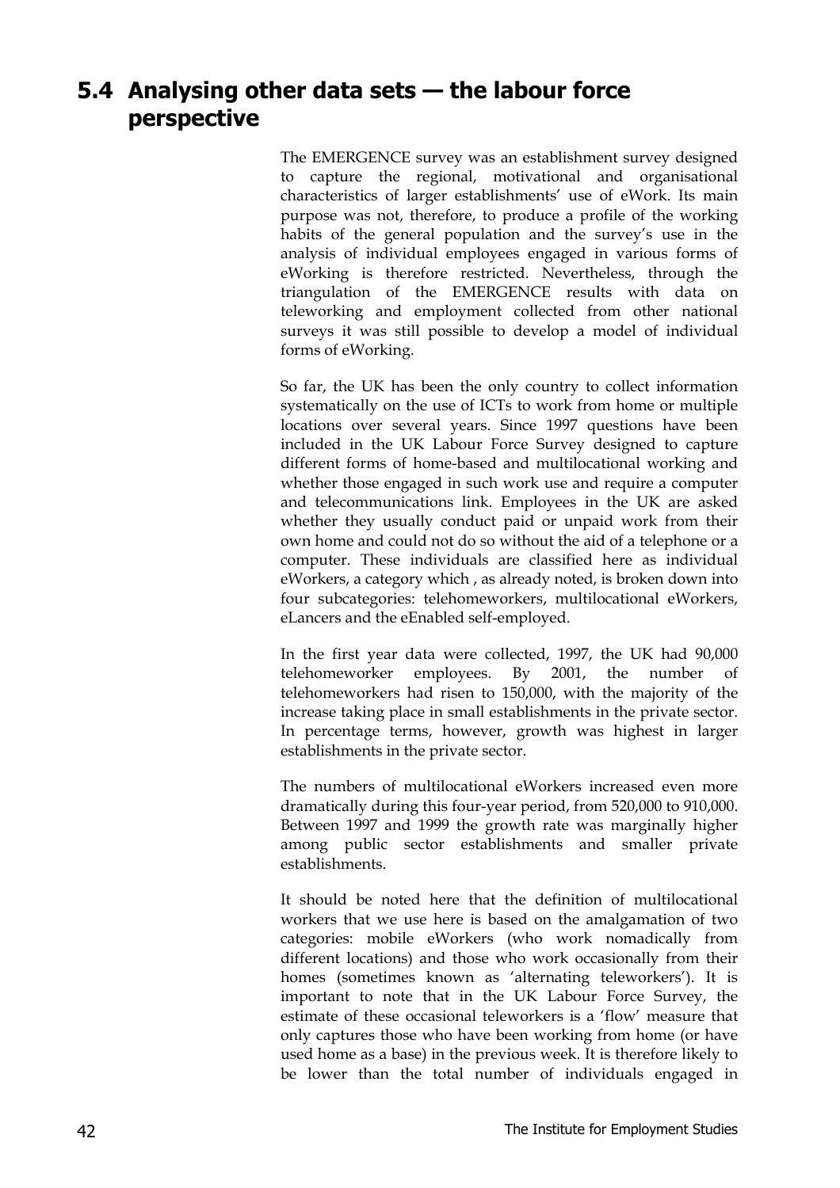## **5.4 Analysing other data sets — the labour force perspective**

The EMERGENCE survey was an establishment survey designed to capture the regional, motivational and organisational characteristics of larger establishments' use of eWork. Its main purpose was not, therefore, to produce a profile of the working habits of the general population and the survey's use in the analysis of individual employees engaged in various forms of eWorking is therefore restricted. Nevertheless, through the triangulation of the EMERGENCE results with data on teleworking and employment collected from other national surveys it was still possible to develop a model of individual forms of eWorking.

So far, the UK has been the only country to collect information systematically on the use of ICTs to work from home or multiple locations over several years. Since 1997 questions have been included in the UK Labour Force Survey designed to capture different forms of home-based and multilocational working and whether those engaged in such work use and require a computer and telecommunications link. Employees in the UK are asked whether they usually conduct paid or unpaid work from their own home and could not do so without the aid of a telephone or a computer. These individuals are classified here as individual eWorkers, a category which , as already noted, is broken down into four subcategories: telehomeworkers, multilocational eWorkers, eLancers and the eEnabled self-employed.

In the first year data were collected, 1997, the UK had 90,000 telehomeworker employees. By 2001, the number of telehomeworkers had risen to 150,000, with the majority of the increase taking place in small establishments in the private sector. In percentage terms, however, growth was highest in larger establishments in the private sector.

The numbers of multilocational eWorkers increased even more dramatically during this four-year period, from 520,000 to 910,000. Between 1997 and 1999 the growth rate was marginally higher among public sector establishments and smaller private establishments.

It should be noted here that the definition of multilocational workers that we use here is based on the amalgamation of two categories: mobile eWorkers (who work nomadically from different locations) and those who work occasionally from their homes (sometimes known as 'alternating teleworkers'). It is important to note that in the UK Labour Force Survey, the estimate of these occasional teleworkers is a 'flow' measure that only captures those who have been working from home (or have used home as a base) in the previous week. It is therefore likely to be lower than the total number of individuals engaged in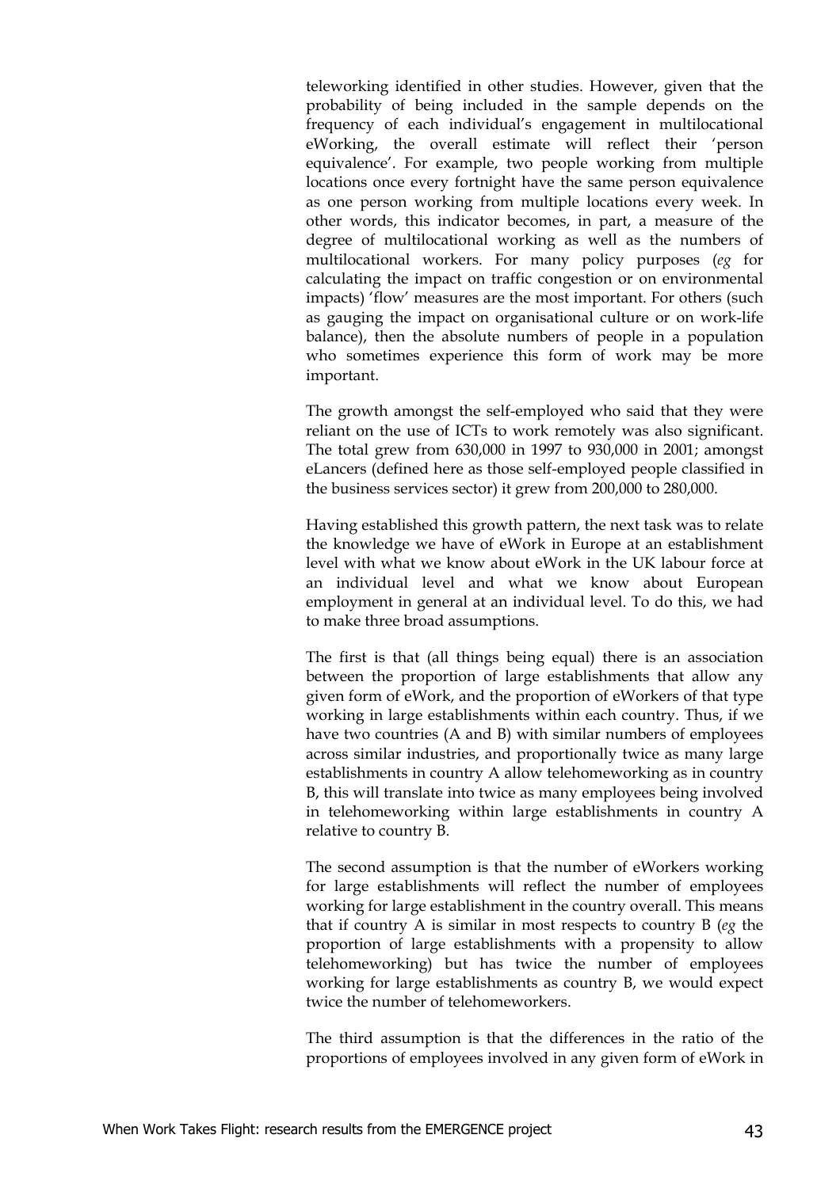teleworking identified in other studies. However, given that the probability of being included in the sample depends on the frequency of each individual's engagement in multilocational eWorking, the overall estimate will reflect their 'person equivalence'. For example, two people working from multiple locations once every fortnight have the same person equivalence as one person working from multiple locations every week. In other words, this indicator becomes, in part, a measure of the degree of multilocational working as well as the numbers of multilocational workers. For many policy purposes (*eg* for calculating the impact on traffic congestion or on environmental impacts) 'flow' measures are the most important. For others (such as gauging the impact on organisational culture or on work-life balance), then the absolute numbers of people in a population who sometimes experience this form of work may be more important.

The growth amongst the self-employed who said that they were reliant on the use of ICTs to work remotely was also significant. The total grew from 630,000 in 1997 to 930,000 in 2001; amongst eLancers (defined here as those self-employed people classified in the business services sector) it grew from 200,000 to 280,000.

Having established this growth pattern, the next task was to relate the knowledge we have of eWork in Europe at an establishment level with what we know about eWork in the UK labour force at an individual level and what we know about European employment in general at an individual level. To do this, we had to make three broad assumptions.

The first is that (all things being equal) there is an association between the proportion of large establishments that allow any given form of eWork, and the proportion of eWorkers of that type working in large establishments within each country. Thus, if we have two countries (A and B) with similar numbers of employees across similar industries, and proportionally twice as many large establishments in country A allow telehomeworking as in country B, this will translate into twice as many employees being involved in telehomeworking within large establishments in country A relative to country B.

The second assumption is that the number of eWorkers working for large establishments will reflect the number of employees working for large establishment in the country overall. This means that if country A is similar in most respects to country B (*eg* the proportion of large establishments with a propensity to allow telehomeworking) but has twice the number of employees working for large establishments as country B, we would expect twice the number of telehomeworkers.

The third assumption is that the differences in the ratio of the proportions of employees involved in any given form of eWork in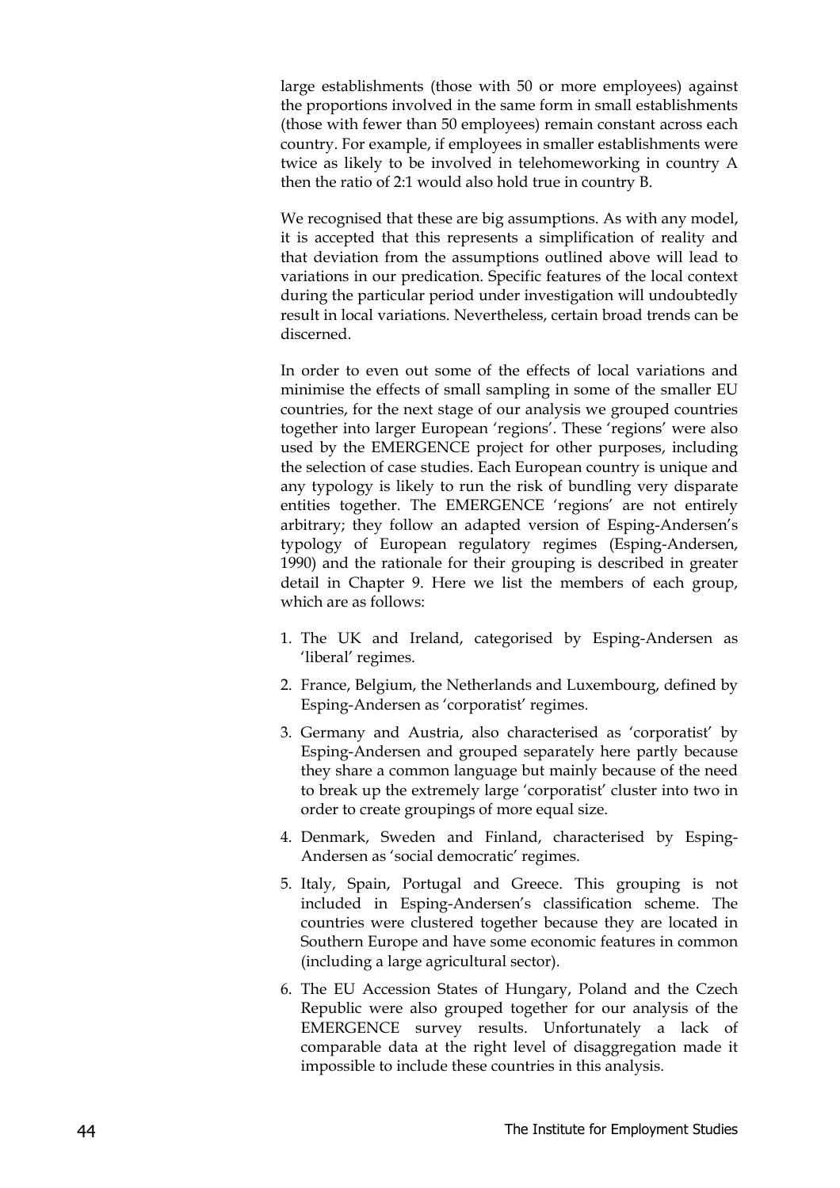large establishments (those with 50 or more employees) against the proportions involved in the same form in small establishments (those with fewer than 50 employees) remain constant across each country. For example, if employees in smaller establishments were twice as likely to be involved in telehomeworking in country A then the ratio of 2:1 would also hold true in country B.

We recognised that these are big assumptions. As with any model, it is accepted that this represents a simplification of reality and that deviation from the assumptions outlined above will lead to variations in our predication. Specific features of the local context during the particular period under investigation will undoubtedly result in local variations. Nevertheless, certain broad trends can be discerned.

In order to even out some of the effects of local variations and minimise the effects of small sampling in some of the smaller EU countries, for the next stage of our analysis we grouped countries together into larger European 'regions'. These 'regions' were also used by the EMERGENCE project for other purposes, including the selection of case studies. Each European country is unique and any typology is likely to run the risk of bundling very disparate entities together. The EMERGENCE 'regions' are not entirely arbitrary; they follow an adapted version of Esping-Andersen's typology of European regulatory regimes (Esping-Andersen, 1990) and the rationale for their grouping is described in greater detail in Chapter 9. Here we list the members of each group, which are as follows:

- 1. The UK and Ireland, categorised by Esping-Andersen as 'liberal' regimes.
- 2. France, Belgium, the Netherlands and Luxembourg, defined by Esping-Andersen as 'corporatist' regimes.
- 3. Germany and Austria, also characterised as 'corporatist' by Esping-Andersen and grouped separately here partly because they share a common language but mainly because of the need to break up the extremely large 'corporatist' cluster into two in order to create groupings of more equal size.
- 4. Denmark, Sweden and Finland, characterised by Esping-Andersen as 'social democratic' regimes.
- 5. Italy, Spain, Portugal and Greece. This grouping is not included in Esping-Andersen's classification scheme. The countries were clustered together because they are located in Southern Europe and have some economic features in common (including a large agricultural sector).
- 6. The EU Accession States of Hungary, Poland and the Czech Republic were also grouped together for our analysis of the EMERGENCE survey results. Unfortunately a lack of comparable data at the right level of disaggregation made it impossible to include these countries in this analysis.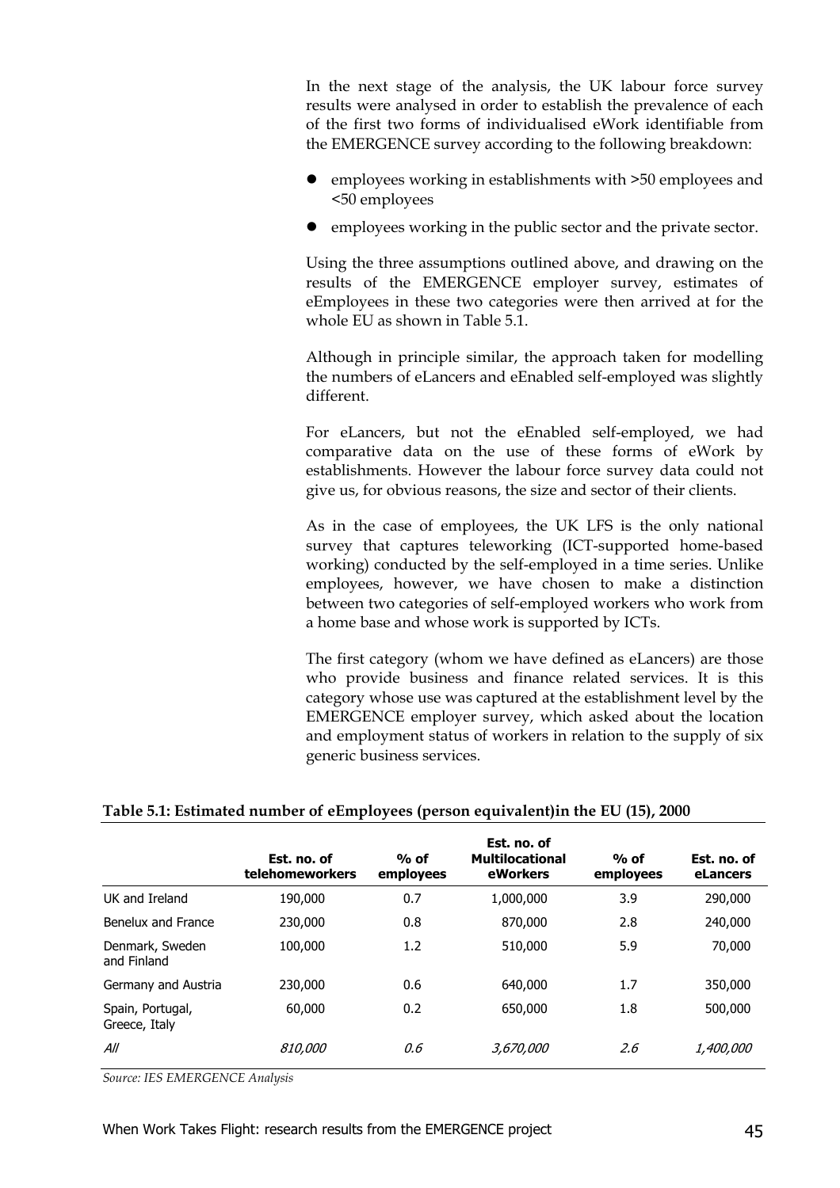In the next stage of the analysis, the UK labour force survey results were analysed in order to establish the prevalence of each of the first two forms of individualised eWork identifiable from the EMERGENCE survey according to the following breakdown:

- $\bullet$  employees working in establishments with  $>50$  employees and <50 employees
- employees working in the public sector and the private sector.

Using the three assumptions outlined above, and drawing on the results of the EMERGENCE employer survey, estimates of eEmployees in these two categories were then arrived at for the whole EU as shown in Table 5.1.

Although in principle similar, the approach taken for modelling the numbers of eLancers and eEnabled self-employed was slightly different.

For eLancers, but not the eEnabled self-employed, we had comparative data on the use of these forms of eWork by establishments. However the labour force survey data could not give us, for obvious reasons, the size and sector of their clients.

As in the case of employees, the UK LFS is the only national survey that captures teleworking (ICT-supported home-based working) conducted by the self-employed in a time series. Unlike employees, however, we have chosen to make a distinction between two categories of self-employed workers who work from a home base and whose work is supported by ICTs.

The first category (whom we have defined as eLancers) are those who provide business and finance related services. It is this category whose use was captured at the establishment level by the EMERGENCE employer survey, which asked about the location and employment status of workers in relation to the supply of six generic business services.

|                                   | Est. no. of<br>telehomeworkers | $%$ of<br>employees | Est. no. of<br><b>Multilocational</b><br>eWorkers | $%$ of<br>employees | Est. no. of<br>eLancers |
|-----------------------------------|--------------------------------|---------------------|---------------------------------------------------|---------------------|-------------------------|
| UK and Ireland                    | 190,000                        | 0.7                 | 1,000,000                                         | 3.9                 | 290,000                 |
| Benelux and France                | 230,000                        | 0.8                 | 870,000                                           | 2.8                 | 240,000                 |
| Denmark, Sweden<br>and Finland    | 100,000                        | 1.2                 | 510,000                                           | 5.9                 | 70,000                  |
| Germany and Austria               | 230,000                        | 0.6                 | 640,000                                           | 1.7                 | 350,000                 |
| Spain, Portugal,<br>Greece, Italy | 60,000                         | 0.2                 | 650,000                                           | 1.8                 | 500,000                 |
| All                               | <i>810,000</i>                 | 0.6                 | <i>3,670,000</i>                                  | 2.6                 | <i>1,400,000</i>        |

#### **Table 5.1: Estimated number of eEmployees (person equivalent)in the EU (15), 2000**

*Source: IES EMERGENCE Analysis*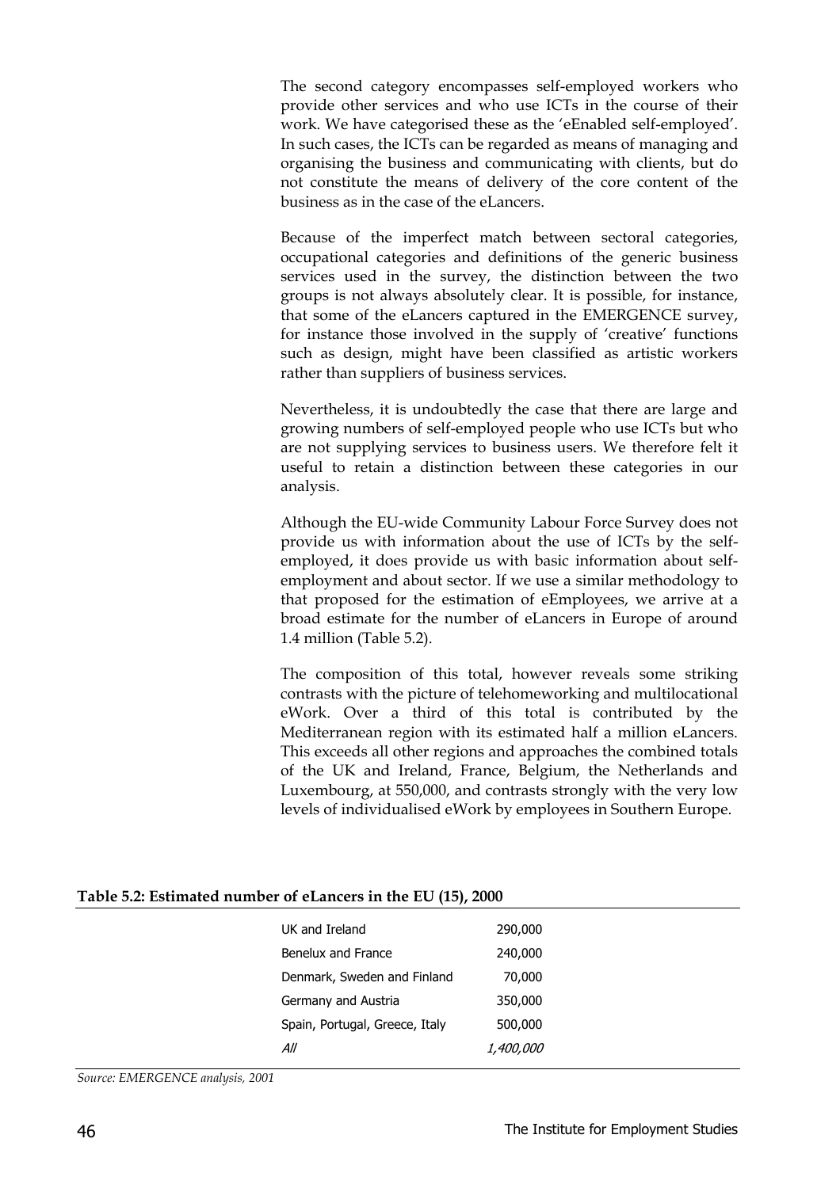The second category encompasses self-employed workers who provide other services and who use ICTs in the course of their work. We have categorised these as the 'eEnabled self-employed'. In such cases, the ICTs can be regarded as means of managing and organising the business and communicating with clients, but do not constitute the means of delivery of the core content of the business as in the case of the eLancers.

Because of the imperfect match between sectoral categories, occupational categories and definitions of the generic business services used in the survey, the distinction between the two groups is not always absolutely clear. It is possible, for instance, that some of the eLancers captured in the EMERGENCE survey, for instance those involved in the supply of 'creative' functions such as design, might have been classified as artistic workers rather than suppliers of business services.

Nevertheless, it is undoubtedly the case that there are large and growing numbers of self-employed people who use ICTs but who are not supplying services to business users. We therefore felt it useful to retain a distinction between these categories in our analysis.

Although the EU-wide Community Labour Force Survey does not provide us with information about the use of ICTs by the selfemployed, it does provide us with basic information about selfemployment and about sector. If we use a similar methodology to that proposed for the estimation of eEmployees, we arrive at a broad estimate for the number of eLancers in Europe of around 1.4 million (Table 5.2).

The composition of this total, however reveals some striking contrasts with the picture of telehomeworking and multilocational eWork. Over a third of this total is contributed by the Mediterranean region with its estimated half a million eLancers. This exceeds all other regions and approaches the combined totals of the UK and Ireland, France, Belgium, the Netherlands and Luxembourg, at 550,000, and contrasts strongly with the very low levels of individualised eWork by employees in Southern Europe.

|  | Table 5.2: Estimated number of eLancers in the EU (15), 2000 |  |  |  |
|--|--------------------------------------------------------------|--|--|--|
|--|--------------------------------------------------------------|--|--|--|

| UK and Ireland                 | 290,000          |
|--------------------------------|------------------|
| Benelux and France             | 240,000          |
| Denmark, Sweden and Finland    | 70,000           |
| Germany and Austria            | 350,000          |
| Spain, Portugal, Greece, Italy | 500,000          |
| All                            | <i>1,400,000</i> |
|                                |                  |

*Source: EMERGENCE analysis, 2001*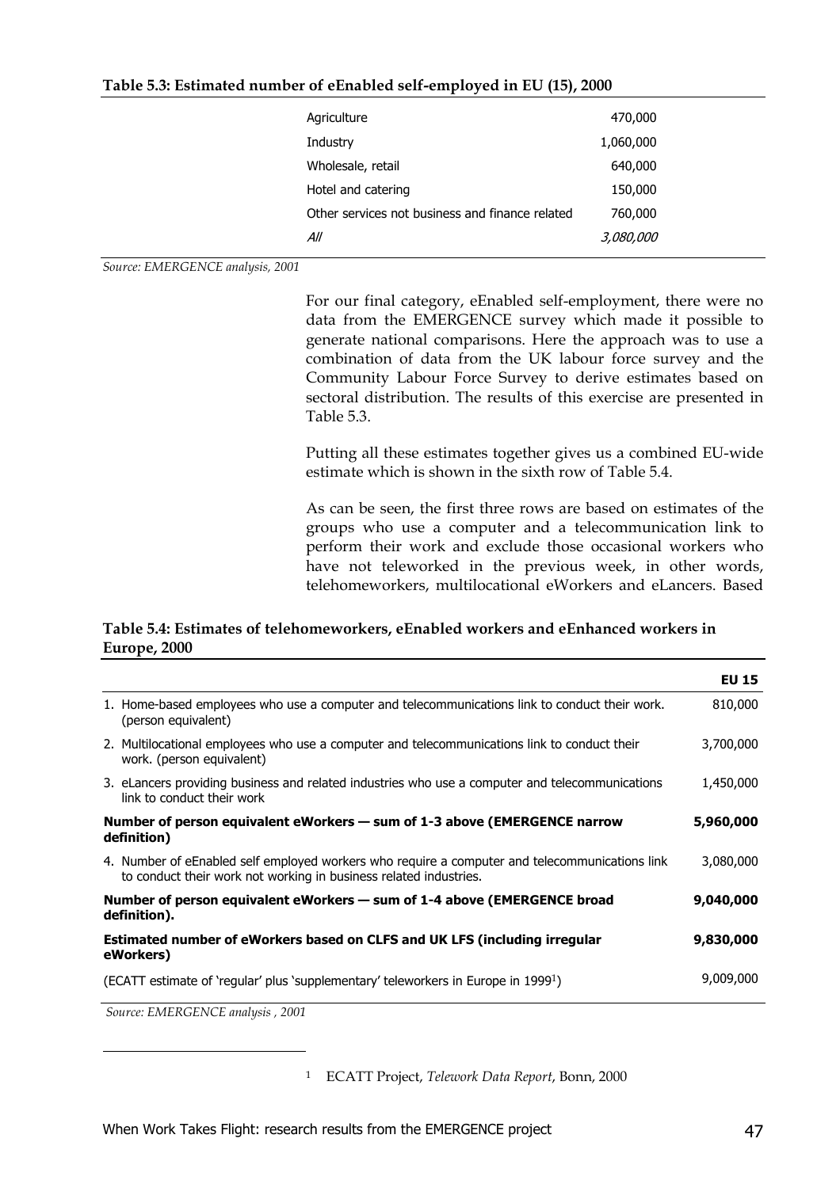| Table 5.3: Estimated number of eEnabled self-employed in EU (15), 2000 |  |  |
|------------------------------------------------------------------------|--|--|
|------------------------------------------------------------------------|--|--|

| Agriculture                                     | 470,000          |  |
|-------------------------------------------------|------------------|--|
| Industry                                        | 1,060,000        |  |
| Wholesale, retail                               | 640,000          |  |
| Hotel and catering                              | 150,000          |  |
| Other services not business and finance related | 760,000          |  |
| All                                             | <i>3,080,000</i> |  |
|                                                 |                  |  |

*Source: EMERGENCE analysis, 2001*

For our final category, eEnabled self-employment, there were no data from the EMERGENCE survey which made it possible to generate national comparisons. Here the approach was to use a combination of data from the UK labour force survey and the Community Labour Force Survey to derive estimates based on sectoral distribution. The results of this exercise are presented in Table 5.3.

Putting all these estimates together gives us a combined EU-wide estimate which is shown in the sixth row of Table 5.4.

As can be seen, the first three rows are based on estimates of the groups who use a computer and a telecommunication link to perform their work and exclude those occasional workers who have not teleworked in the previous week, in other words, telehomeworkers, multilocational eWorkers and eLancers. Based

#### **Table 5.4: Estimates of telehomeworkers, eEnabled workers and eEnhanced workers in Europe, 2000**

|                                                                                                                                                                     | <b>EU 15</b> |
|---------------------------------------------------------------------------------------------------------------------------------------------------------------------|--------------|
| 1. Home-based employees who use a computer and telecommunications link to conduct their work.<br>(person equivalent)                                                | 810,000      |
| 2. Multilocational employees who use a computer and telecommunications link to conduct their<br>work. (person equivalent)                                           | 3,700,000    |
| 3. eLancers providing business and related industries who use a computer and telecommunications<br>link to conduct their work                                       | 1,450,000    |
| Number of person equivalent eWorkers – sum of 1-3 above (EMERGENCE narrow<br>definition)                                                                            | 5,960,000    |
| 4. Number of eEnabled self employed workers who require a computer and telecommunications link<br>to conduct their work not working in business related industries. | 3,080,000    |
| Number of person equivalent eWorkers – sum of 1-4 above (EMERGENCE broad<br>definition).                                                                            | 9,040,000    |
| Estimated number of eWorkers based on CLFS and UK LFS (including irregular<br>eWorkers)                                                                             | 9,830,000    |
| (ECATT estimate of 'regular' plus 'supplementary' teleworkers in Europe in 1999 <sup>1</sup> )                                                                      | 9,009,000    |

 *Source: EMERGENCE analysis , 2001*

-

<sup>1</sup> ECATT Project, *Telework Data Report*, Bonn, 2000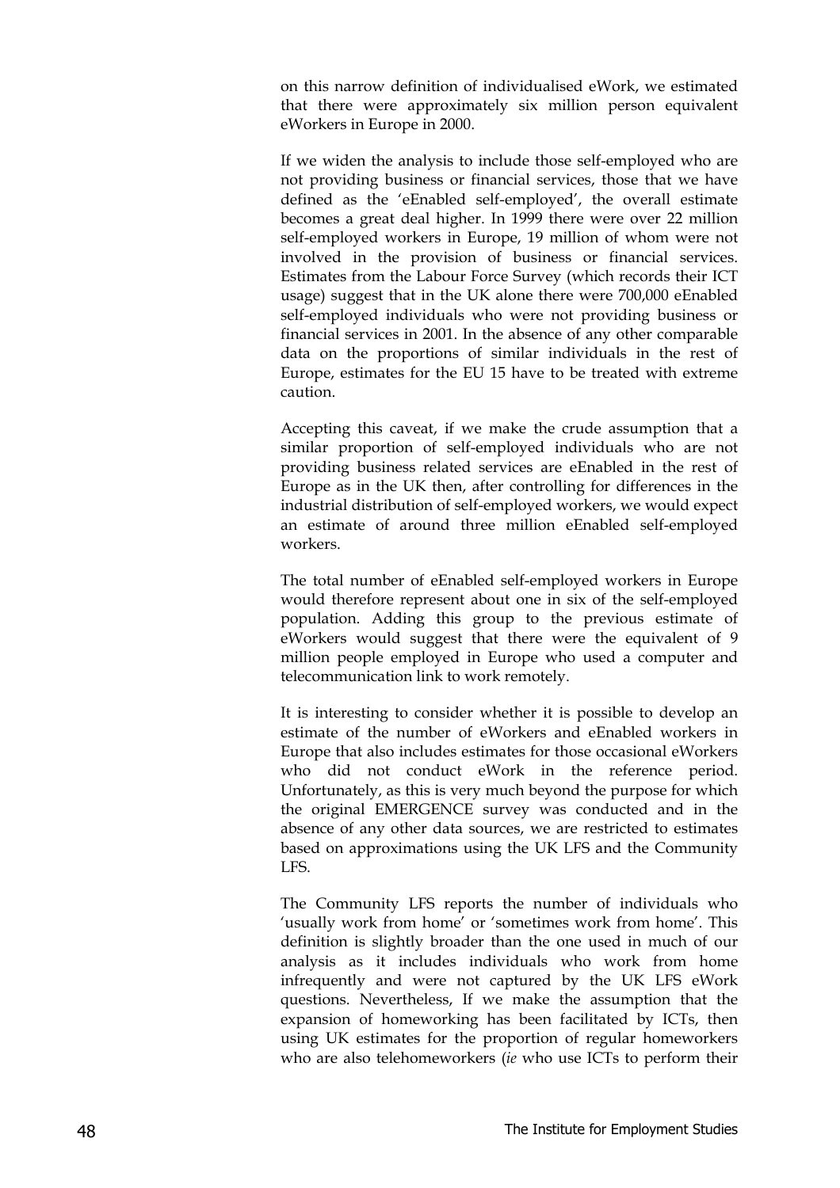on this narrow definition of individualised eWork, we estimated that there were approximately six million person equivalent eWorkers in Europe in 2000.

If we widen the analysis to include those self-employed who are not providing business or financial services, those that we have defined as the 'eEnabled self-employed', the overall estimate becomes a great deal higher. In 1999 there were over 22 million self-employed workers in Europe, 19 million of whom were not involved in the provision of business or financial services. Estimates from the Labour Force Survey (which records their ICT usage) suggest that in the UK alone there were 700,000 eEnabled self-employed individuals who were not providing business or financial services in 2001. In the absence of any other comparable data on the proportions of similar individuals in the rest of Europe, estimates for the EU 15 have to be treated with extreme caution.

Accepting this caveat, if we make the crude assumption that a similar proportion of self-employed individuals who are not providing business related services are eEnabled in the rest of Europe as in the UK then, after controlling for differences in the industrial distribution of self-employed workers, we would expect an estimate of around three million eEnabled self-employed workers.

The total number of eEnabled self-employed workers in Europe would therefore represent about one in six of the self-employed population. Adding this group to the previous estimate of eWorkers would suggest that there were the equivalent of 9 million people employed in Europe who used a computer and telecommunication link to work remotely.

It is interesting to consider whether it is possible to develop an estimate of the number of eWorkers and eEnabled workers in Europe that also includes estimates for those occasional eWorkers who did not conduct eWork in the reference period. Unfortunately, as this is very much beyond the purpose for which the original EMERGENCE survey was conducted and in the absence of any other data sources, we are restricted to estimates based on approximations using the UK LFS and the Community LFS.

The Community LFS reports the number of individuals who 'usually work from home' or 'sometimes work from home'. This definition is slightly broader than the one used in much of our analysis as it includes individuals who work from home infrequently and were not captured by the UK LFS eWork questions. Nevertheless, If we make the assumption that the expansion of homeworking has been facilitated by ICTs, then using UK estimates for the proportion of regular homeworkers who are also telehomeworkers (*ie* who use ICTs to perform their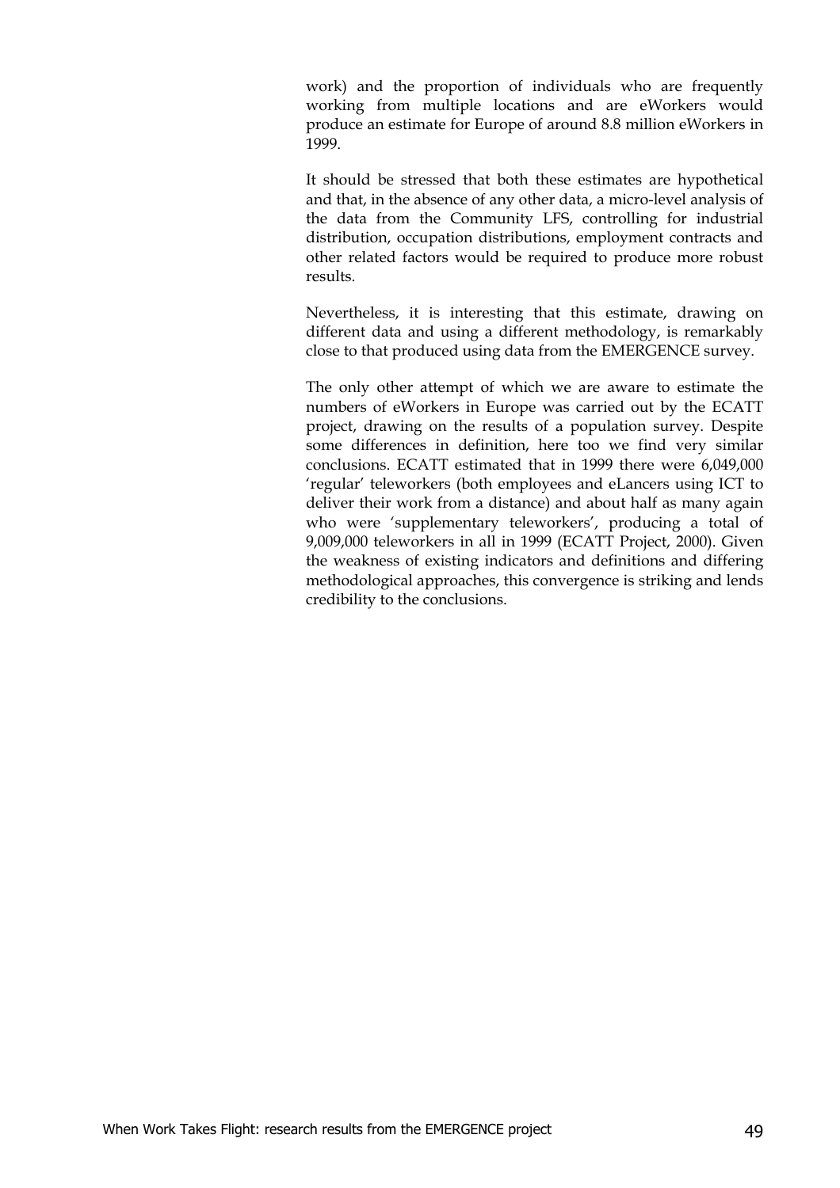work) and the proportion of individuals who are frequently working from multiple locations and are eWorkers would produce an estimate for Europe of around 8.8 million eWorkers in 1999.

It should be stressed that both these estimates are hypothetical and that, in the absence of any other data, a micro-level analysis of the data from the Community LFS, controlling for industrial distribution, occupation distributions, employment contracts and other related factors would be required to produce more robust results.

Nevertheless, it is interesting that this estimate, drawing on different data and using a different methodology, is remarkably close to that produced using data from the EMERGENCE survey.

The only other attempt of which we are aware to estimate the numbers of eWorkers in Europe was carried out by the ECATT project, drawing on the results of a population survey. Despite some differences in definition, here too we find very similar conclusions. ECATT estimated that in 1999 there were 6,049,000 'regular' teleworkers (both employees and eLancers using ICT to deliver their work from a distance) and about half as many again who were 'supplementary teleworkers', producing a total of 9,009,000 teleworkers in all in 1999 (ECATT Project, 2000). Given the weakness of existing indicators and definitions and differing methodological approaches, this convergence is striking and lends credibility to the conclusions.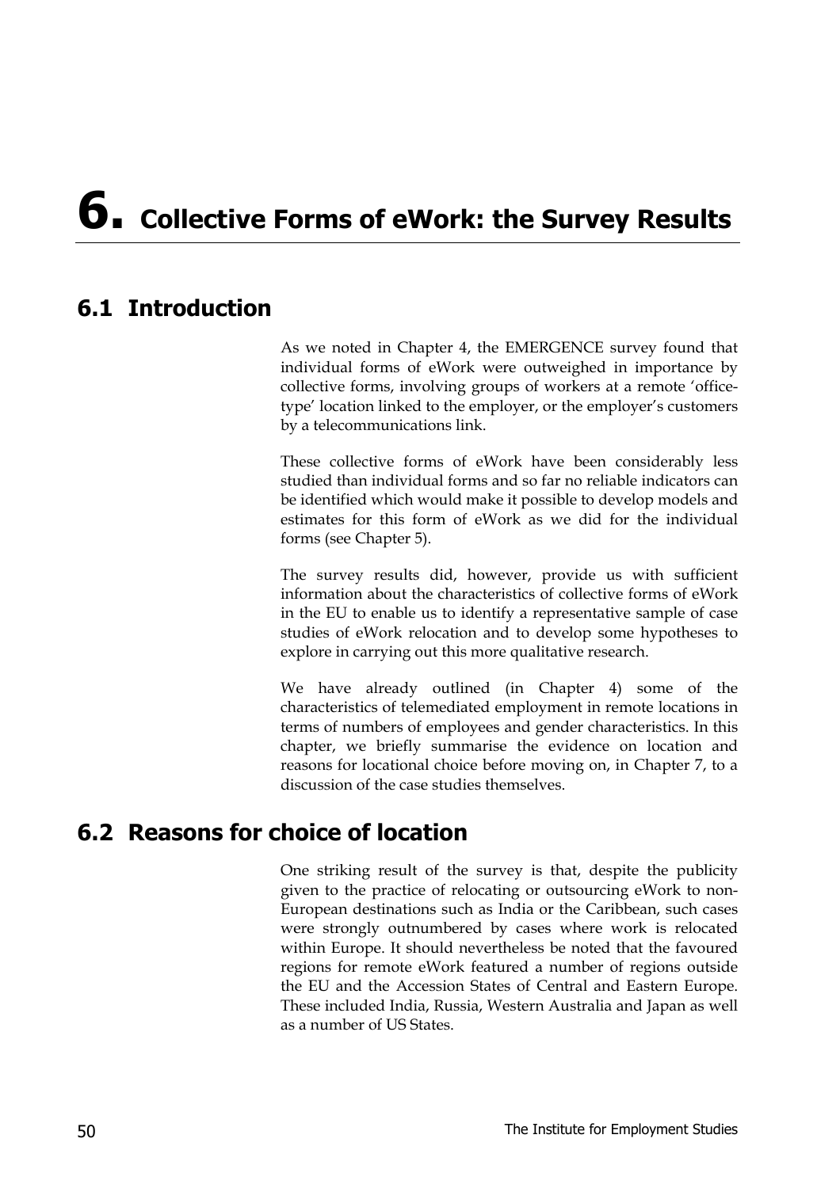# **6. Collective Forms of eWork: the Survey Results**

## **6.1 Introduction**

As we noted in Chapter 4, the EMERGENCE survey found that individual forms of eWork were outweighed in importance by collective forms, involving groups of workers at a remote 'officetype' location linked to the employer, or the employer's customers by a telecommunications link.

These collective forms of eWork have been considerably less studied than individual forms and so far no reliable indicators can be identified which would make it possible to develop models and estimates for this form of eWork as we did for the individual forms (see Chapter 5).

The survey results did, however, provide us with sufficient information about the characteristics of collective forms of eWork in the EU to enable us to identify a representative sample of case studies of eWork relocation and to develop some hypotheses to explore in carrying out this more qualitative research.

We have already outlined (in Chapter 4) some of the characteristics of telemediated employment in remote locations in terms of numbers of employees and gender characteristics. In this chapter, we briefly summarise the evidence on location and reasons for locational choice before moving on, in Chapter 7, to a discussion of the case studies themselves.

## **6.2 Reasons for choice of location**

One striking result of the survey is that, despite the publicity given to the practice of relocating or outsourcing eWork to non-European destinations such as India or the Caribbean, such cases were strongly outnumbered by cases where work is relocated within Europe. It should nevertheless be noted that the favoured regions for remote eWork featured a number of regions outside the EU and the Accession States of Central and Eastern Europe. These included India, Russia, Western Australia and Japan as well as a number of US States.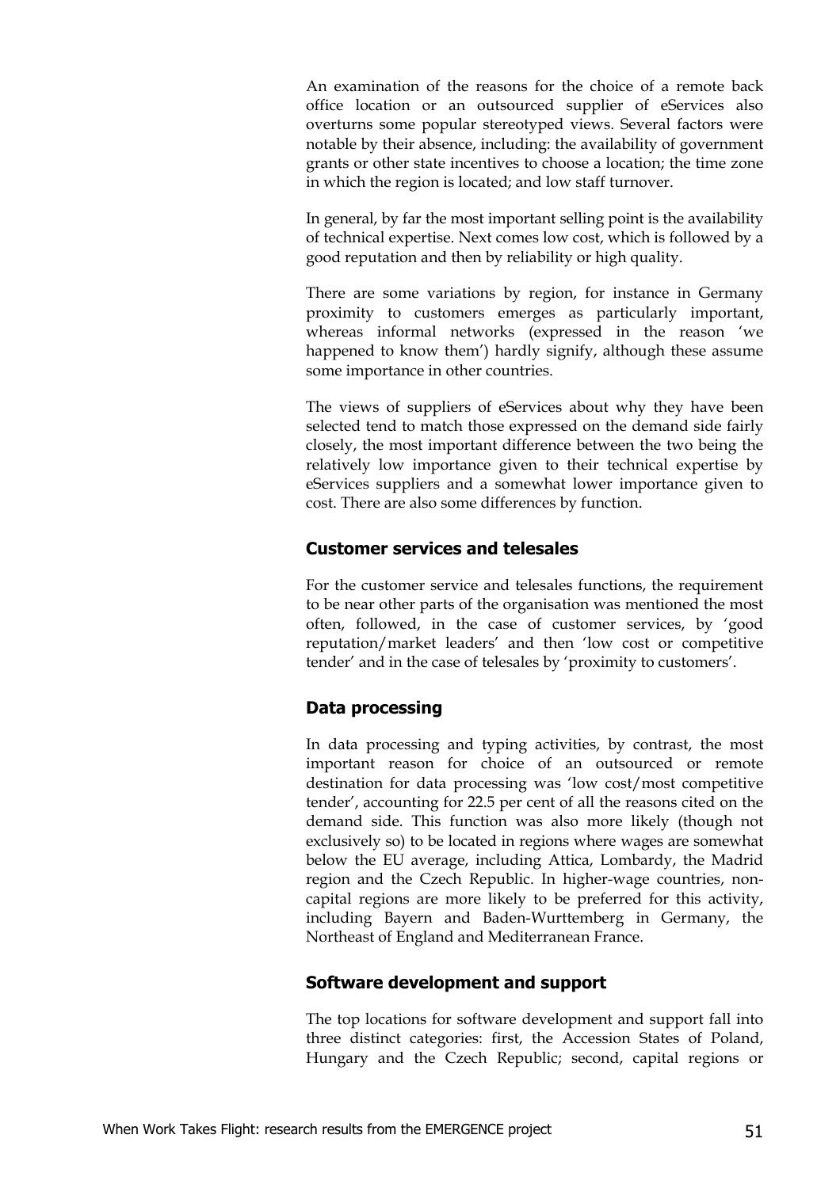An examination of the reasons for the choice of a remote back office location or an outsourced supplier of eServices also overturns some popular stereotyped views. Several factors were notable by their absence, including: the availability of government grants or other state incentives to choose a location; the time zone in which the region is located; and low staff turnover.

In general, by far the most important selling point is the availability of technical expertise. Next comes low cost, which is followed by a good reputation and then by reliability or high quality.

There are some variations by region, for instance in Germany proximity to customers emerges as particularly important, whereas informal networks (expressed in the reason 'we happened to know them') hardly signify, although these assume some importance in other countries.

The views of suppliers of eServices about why they have been selected tend to match those expressed on the demand side fairly closely, the most important difference between the two being the relatively low importance given to their technical expertise by eServices suppliers and a somewhat lower importance given to cost. There are also some differences by function.

#### **Customer services and telesales**

For the customer service and telesales functions, the requirement to be near other parts of the organisation was mentioned the most often, followed, in the case of customer services, by 'good reputation/market leaders' and then 'low cost or competitive tender' and in the case of telesales by 'proximity to customers'.

#### **Data processing**

In data processing and typing activities, by contrast, the most important reason for choice of an outsourced or remote destination for data processing was 'low cost/most competitive tender', accounting for 22.5 per cent of all the reasons cited on the demand side. This function was also more likely (though not exclusively so) to be located in regions where wages are somewhat below the EU average, including Attica, Lombardy, the Madrid region and the Czech Republic. In higher-wage countries, noncapital regions are more likely to be preferred for this activity, including Bayern and Baden-Wurttemberg in Germany, the Northeast of England and Mediterranean France.

#### **Software development and support**

The top locations for software development and support fall into three distinct categories: first, the Accession States of Poland, Hungary and the Czech Republic; second, capital regions or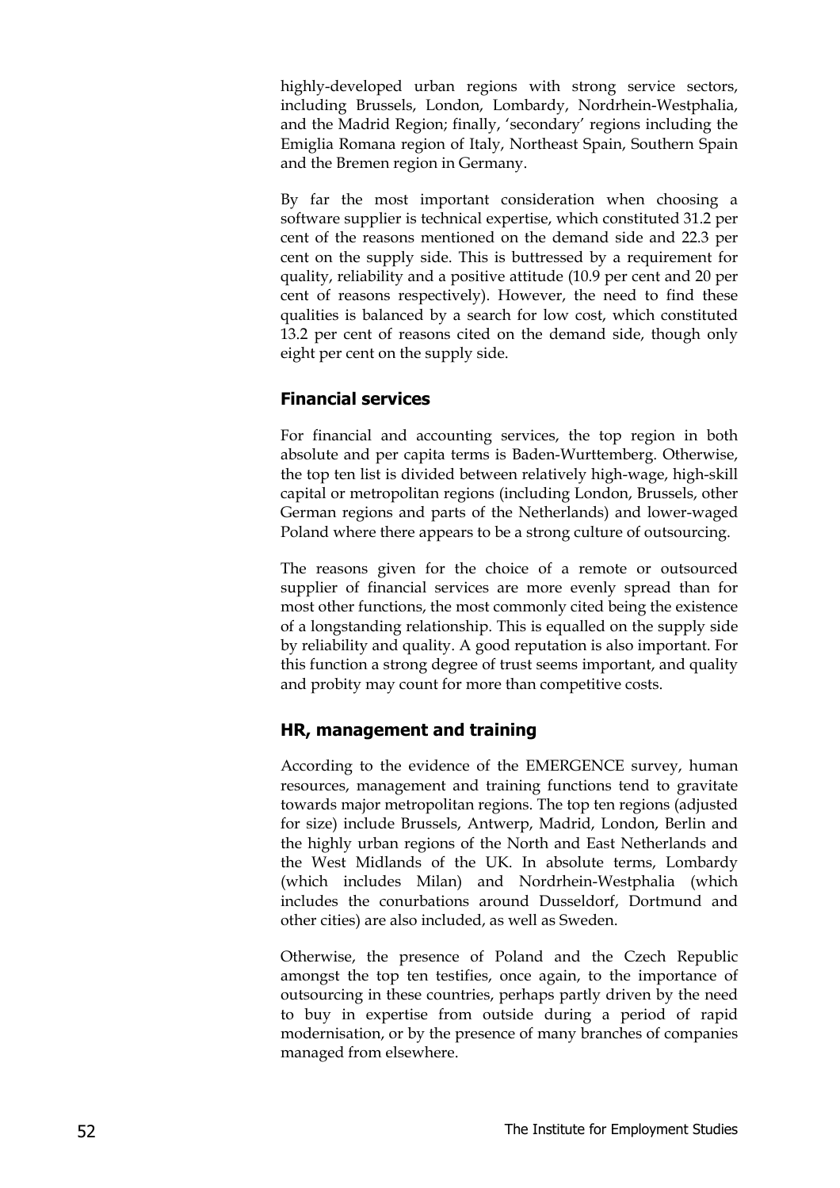highly-developed urban regions with strong service sectors, including Brussels, London, Lombardy, Nordrhein-Westphalia, and the Madrid Region; finally, 'secondary' regions including the Emiglia Romana region of Italy, Northeast Spain, Southern Spain and the Bremen region in Germany.

By far the most important consideration when choosing a software supplier is technical expertise, which constituted 31.2 per cent of the reasons mentioned on the demand side and 22.3 per cent on the supply side. This is buttressed by a requirement for quality, reliability and a positive attitude (10.9 per cent and 20 per cent of reasons respectively). However, the need to find these qualities is balanced by a search for low cost, which constituted 13.2 per cent of reasons cited on the demand side, though only eight per cent on the supply side.

#### **Financial services**

For financial and accounting services, the top region in both absolute and per capita terms is Baden-Wurttemberg. Otherwise, the top ten list is divided between relatively high-wage, high-skill capital or metropolitan regions (including London, Brussels, other German regions and parts of the Netherlands) and lower-waged Poland where there appears to be a strong culture of outsourcing.

The reasons given for the choice of a remote or outsourced supplier of financial services are more evenly spread than for most other functions, the most commonly cited being the existence of a longstanding relationship. This is equalled on the supply side by reliability and quality. A good reputation is also important. For this function a strong degree of trust seems important, and quality and probity may count for more than competitive costs.

#### **HR, management and training**

According to the evidence of the EMERGENCE survey, human resources, management and training functions tend to gravitate towards major metropolitan regions. The top ten regions (adjusted for size) include Brussels, Antwerp, Madrid, London, Berlin and the highly urban regions of the North and East Netherlands and the West Midlands of the UK. In absolute terms, Lombardy (which includes Milan) and Nordrhein-Westphalia (which includes the conurbations around Dusseldorf, Dortmund and other cities) are also included, as well as Sweden.

Otherwise, the presence of Poland and the Czech Republic amongst the top ten testifies, once again, to the importance of outsourcing in these countries, perhaps partly driven by the need to buy in expertise from outside during a period of rapid modernisation, or by the presence of many branches of companies managed from elsewhere.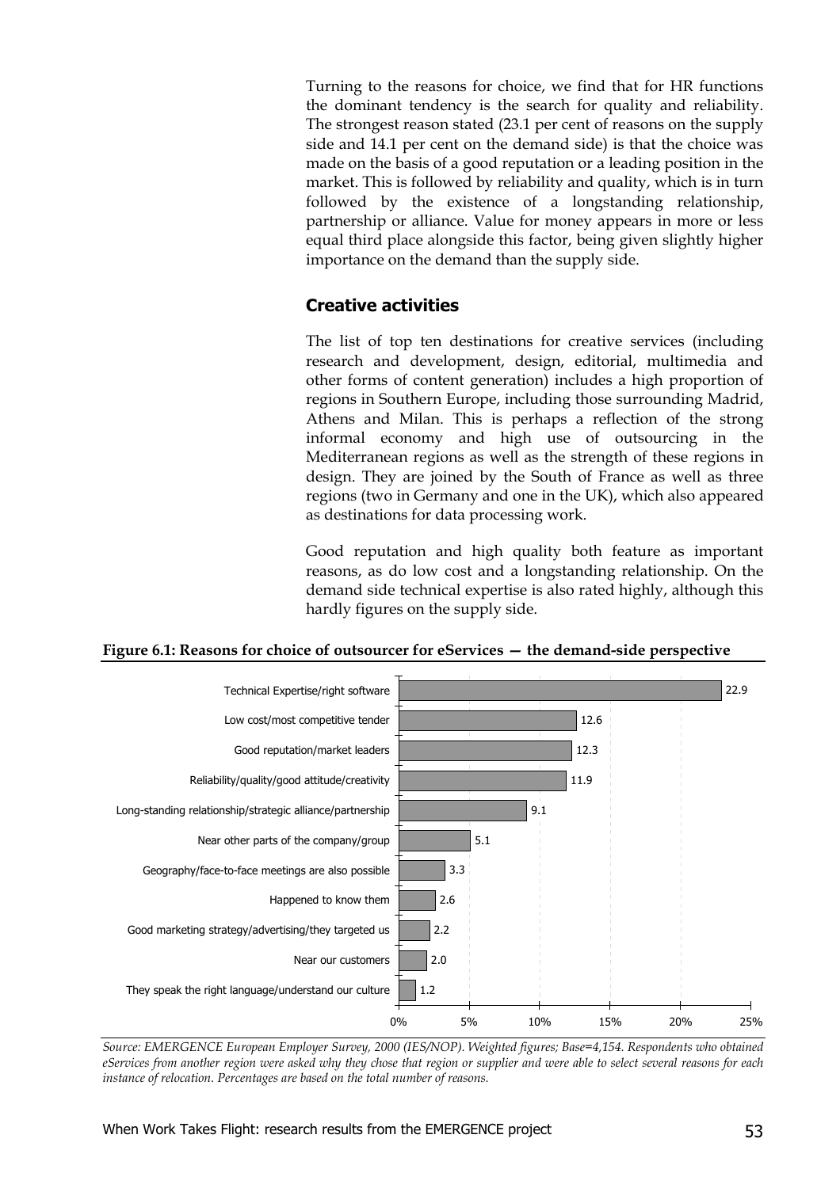Turning to the reasons for choice, we find that for HR functions the dominant tendency is the search for quality and reliability. The strongest reason stated (23.1 per cent of reasons on the supply side and 14.1 per cent on the demand side) is that the choice was made on the basis of a good reputation or a leading position in the market. This is followed by reliability and quality, which is in turn followed by the existence of a longstanding relationship, partnership or alliance. Value for money appears in more or less equal third place alongside this factor, being given slightly higher importance on the demand than the supply side.

#### **Creative activities**

The list of top ten destinations for creative services (including research and development, design, editorial, multimedia and other forms of content generation) includes a high proportion of regions in Southern Europe, including those surrounding Madrid, Athens and Milan. This is perhaps a reflection of the strong informal economy and high use of outsourcing in the Mediterranean regions as well as the strength of these regions in design. They are joined by the South of France as well as three regions (two in Germany and one in the UK), which also appeared as destinations for data processing work.

Good reputation and high quality both feature as important reasons, as do low cost and a longstanding relationship. On the demand side technical expertise is also rated highly, although this hardly figures on the supply side.





*Source: EMERGENCE European Employer Survey, 2000 (IES/NOP). Weighted figures; Base=4,154. Respondents who obtained eServices from another region were asked why they chose that region or supplier and were able to select several reasons for each instance of relocation. Percentages are based on the total number of reasons.*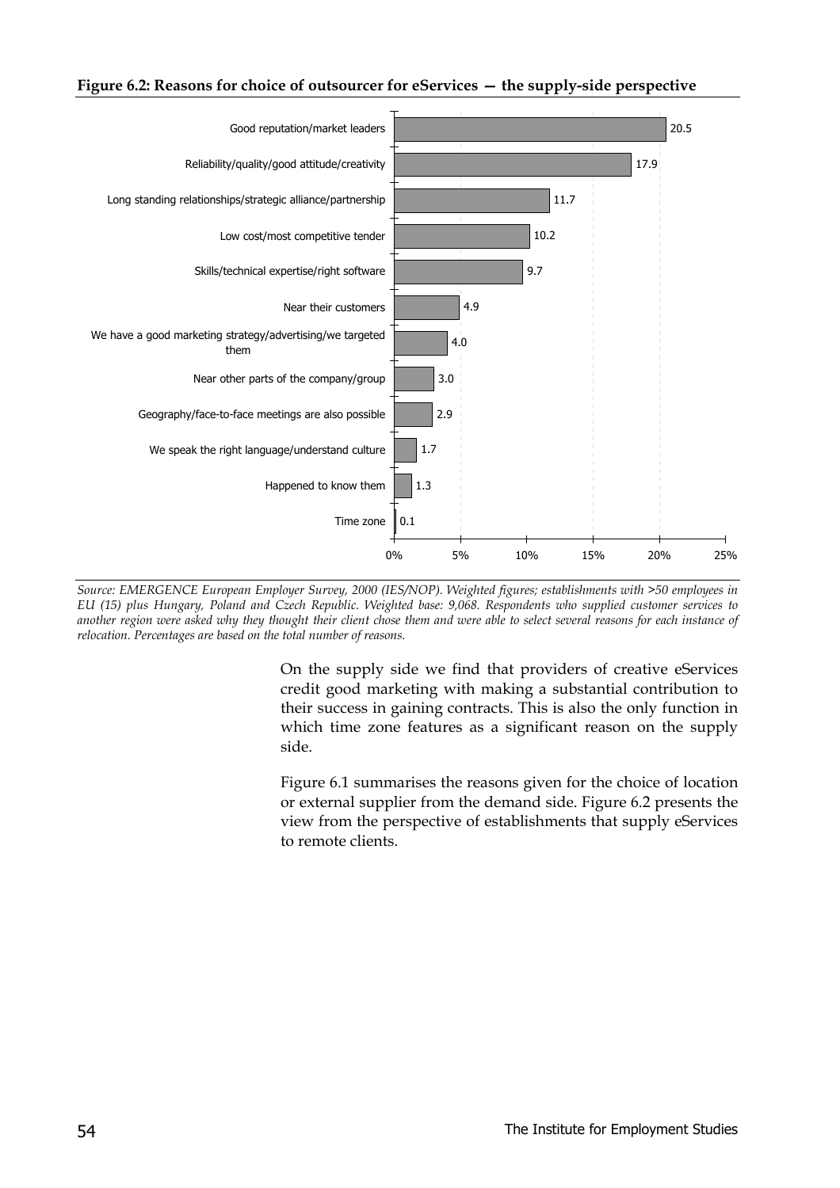#### **Figure 6.2: Reasons for choice of outsourcer for eServices — the supply-side perspective**



*Source: EMERGENCE European Employer Survey, 2000 (IES/NOP). Weighted figures; establishments with >50 employees in EU (15) plus Hungary, Poland and Czech Republic. Weighted base: 9,068. Respondents who supplied customer services to another region were asked why they thought their client chose them and were able to select several reasons for each instance of relocation. Percentages are based on the total number of reasons.*

On the supply side we find that providers of creative eServices credit good marketing with making a substantial contribution to their success in gaining contracts. This is also the only function in which time zone features as a significant reason on the supply side.

Figure 6.1 summarises the reasons given for the choice of location or external supplier from the demand side. Figure 6.2 presents the view from the perspective of establishments that supply eServices to remote clients.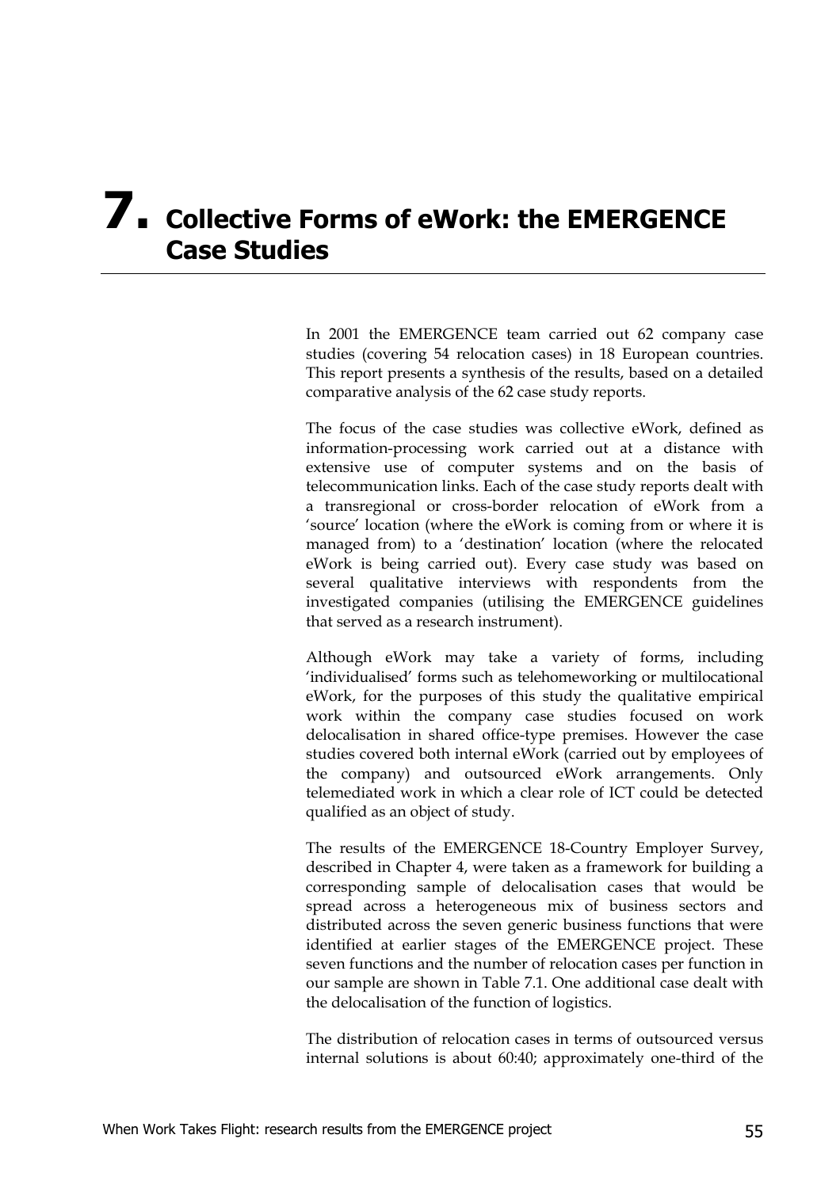## **7. Collective Forms of eWork: the EMERGENCE Case Studies**

In 2001 the EMERGENCE team carried out 62 company case studies (covering 54 relocation cases) in 18 European countries. This report presents a synthesis of the results, based on a detailed comparative analysis of the 62 case study reports.

The focus of the case studies was collective eWork, defined as information-processing work carried out at a distance with extensive use of computer systems and on the basis of telecommunication links. Each of the case study reports dealt with a transregional or cross-border relocation of eWork from a 'source' location (where the eWork is coming from or where it is managed from) to a 'destination' location (where the relocated eWork is being carried out). Every case study was based on several qualitative interviews with respondents from the investigated companies (utilising the EMERGENCE guidelines that served as a research instrument).

Although eWork may take a variety of forms, including 'individualised' forms such as telehomeworking or multilocational eWork, for the purposes of this study the qualitative empirical work within the company case studies focused on work delocalisation in shared office-type premises. However the case studies covered both internal eWork (carried out by employees of the company) and outsourced eWork arrangements. Only telemediated work in which a clear role of ICT could be detected qualified as an object of study.

The results of the EMERGENCE 18-Country Employer Survey, described in Chapter 4, were taken as a framework for building a corresponding sample of delocalisation cases that would be spread across a heterogeneous mix of business sectors and distributed across the seven generic business functions that were identified at earlier stages of the EMERGENCE project. These seven functions and the number of relocation cases per function in our sample are shown in Table 7.1. One additional case dealt with the delocalisation of the function of logistics.

The distribution of relocation cases in terms of outsourced versus internal solutions is about 60:40; approximately one-third of the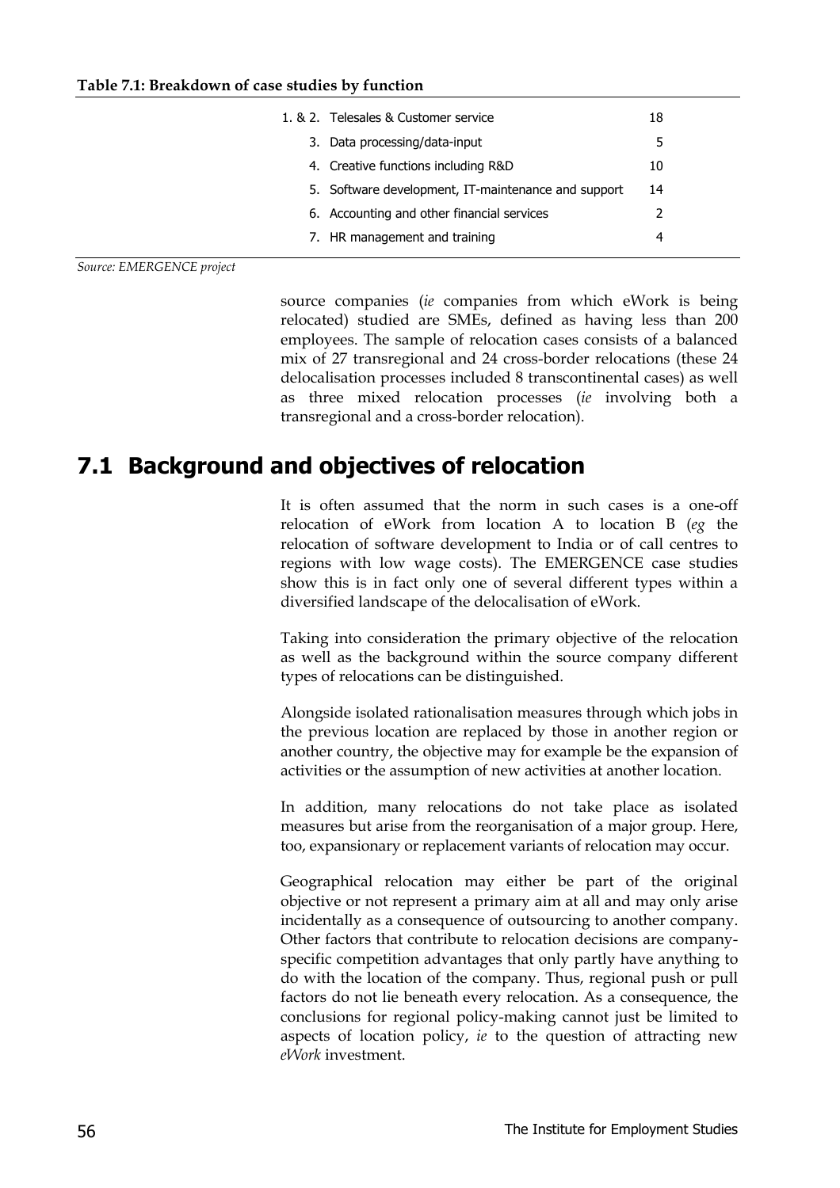| 1, & 2. Telesales & Customer service                | 18 |
|-----------------------------------------------------|----|
| 3. Data processing/data-input                       | 5  |
| 4. Creative functions including R&D                 | 10 |
| 5. Software development, IT-maintenance and support | 14 |
| 6. Accounting and other financial services          |    |
| 7. HR management and training                       | 4  |
|                                                     |    |

*Source: EMERGENCE project*

source companies (*ie* companies from which eWork is being relocated) studied are SMEs, defined as having less than 200 employees. The sample of relocation cases consists of a balanced mix of 27 transregional and 24 cross-border relocations (these 24 delocalisation processes included 8 transcontinental cases) as well as three mixed relocation processes (*ie* involving both a transregional and a cross-border relocation).

## **7.1 Background and objectives of relocation**

It is often assumed that the norm in such cases is a one-off relocation of eWork from location A to location B (*eg* the relocation of software development to India or of call centres to regions with low wage costs). The EMERGENCE case studies show this is in fact only one of several different types within a diversified landscape of the delocalisation of eWork.

Taking into consideration the primary objective of the relocation as well as the background within the source company different types of relocations can be distinguished.

Alongside isolated rationalisation measures through which jobs in the previous location are replaced by those in another region or another country, the objective may for example be the expansion of activities or the assumption of new activities at another location.

In addition, many relocations do not take place as isolated measures but arise from the reorganisation of a major group. Here, too, expansionary or replacement variants of relocation may occur.

Geographical relocation may either be part of the original objective or not represent a primary aim at all and may only arise incidentally as a consequence of outsourcing to another company. Other factors that contribute to relocation decisions are companyspecific competition advantages that only partly have anything to do with the location of the company. Thus, regional push or pull factors do not lie beneath every relocation. As a consequence, the conclusions for regional policy-making cannot just be limited to aspects of location policy, *ie* to the question of attracting new *eWork* investment.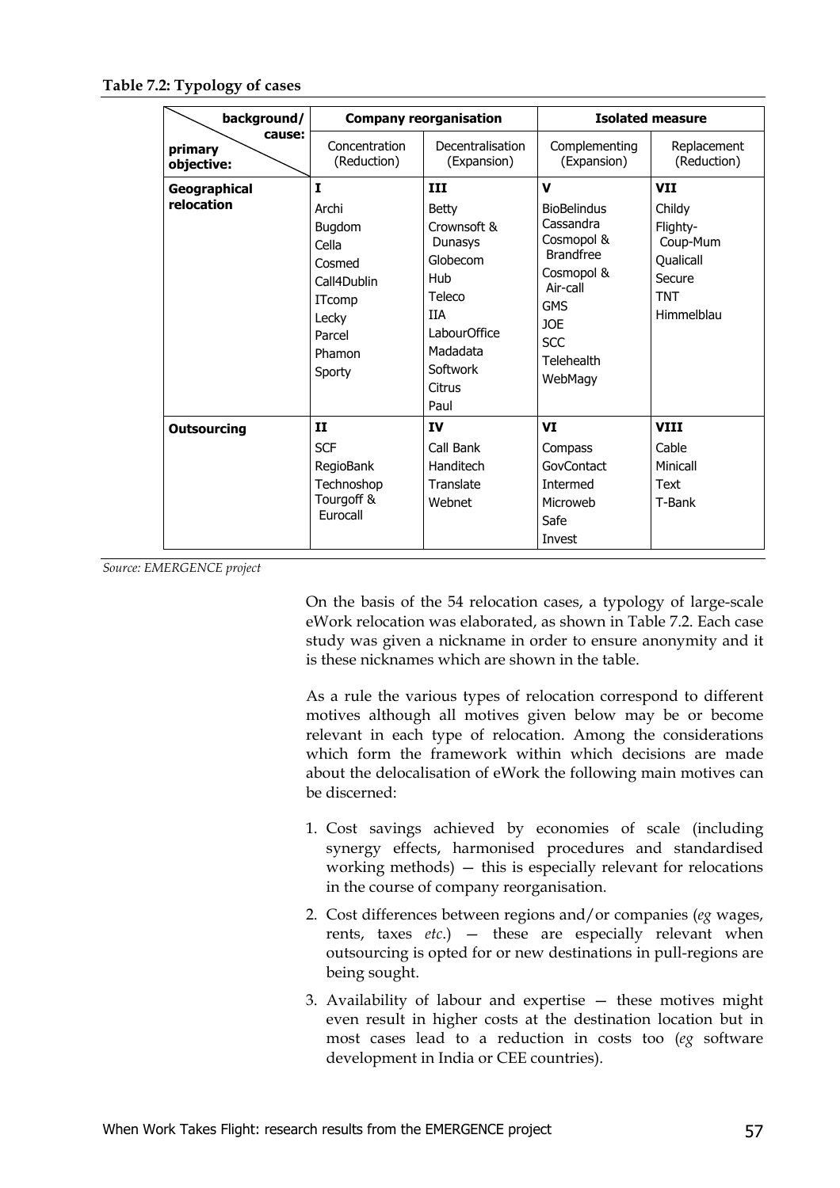#### **Table 7.2: Typology of cases**

| background/                     |                                                                                                                | <b>Company reorganisation</b>                                                                                                                           |                                                                                                                                                                               | <b>Isolated measure</b>                                                                         |
|---------------------------------|----------------------------------------------------------------------------------------------------------------|---------------------------------------------------------------------------------------------------------------------------------------------------------|-------------------------------------------------------------------------------------------------------------------------------------------------------------------------------|-------------------------------------------------------------------------------------------------|
| cause:<br>primary<br>objective: | Concentration<br>(Reduction)                                                                                   | Decentralisation<br>(Expansion)                                                                                                                         | Complementing<br>(Expansion)                                                                                                                                                  | Replacement<br>(Reduction)                                                                      |
| Geographical<br>relocation      | I<br>Archi<br>Bugdom<br>Cella<br>Cosmed<br>Call4Dublin<br><b>ITcomp</b><br>Lecky<br>Parcel<br>Phamon<br>Sporty | ш<br><b>Betty</b><br>Crownsoft &<br><b>Dunasys</b><br>Globecom<br><b>Hub</b><br>Teleco<br>IIA<br>LabourOffice<br>Madadata<br>Softwork<br>Citrus<br>Paul | $\mathbf v$<br><b>BioBelindus</b><br>Cassandra<br>Cosmopol &<br><b>Brandfree</b><br>Cosmopol &<br>Air-call<br><b>GMS</b><br><b>JOE</b><br><b>SCC</b><br>Telehealth<br>WebMagy | <b>VII</b><br>Childy<br>Flighty-<br>Coup-Mum<br>Qualicall<br>Secure<br><b>TNT</b><br>Himmelblau |
| <b>Outsourcing</b>              | $\mathbf{I}$<br><b>SCF</b><br>RegioBank<br>Technoshop<br>Tourgoff &<br>Furocall                                | IV<br>Call Bank<br>Handitech<br>Translate<br>Webnet                                                                                                     | <b>VI</b><br>Compass<br>GovContact<br>Intermed<br>Microweb<br>Safe<br>Invest                                                                                                  | <b>VIII</b><br>Cable<br>Minicall<br>Text<br>T-Bank                                              |

*Source: EMERGENCE project*

On the basis of the 54 relocation cases, a typology of large-scale eWork relocation was elaborated, as shown in Table 7.2. Each case study was given a nickname in order to ensure anonymity and it is these nicknames which are shown in the table.

As a rule the various types of relocation correspond to different motives although all motives given below may be or become relevant in each type of relocation. Among the considerations which form the framework within which decisions are made about the delocalisation of eWork the following main motives can be discerned:

- 1. Cost savings achieved by economies of scale (including synergy effects, harmonised procedures and standardised working methods) — this is especially relevant for relocations in the course of company reorganisation.
- 2. Cost differences between regions and/or companies (*eg* wages, rents, taxes *etc*.) — these are especially relevant when outsourcing is opted for or new destinations in pull-regions are being sought.
- 3. Availability of labour and expertise these motives might even result in higher costs at the destination location but in most cases lead to a reduction in costs too (*eg* software development in India or CEE countries).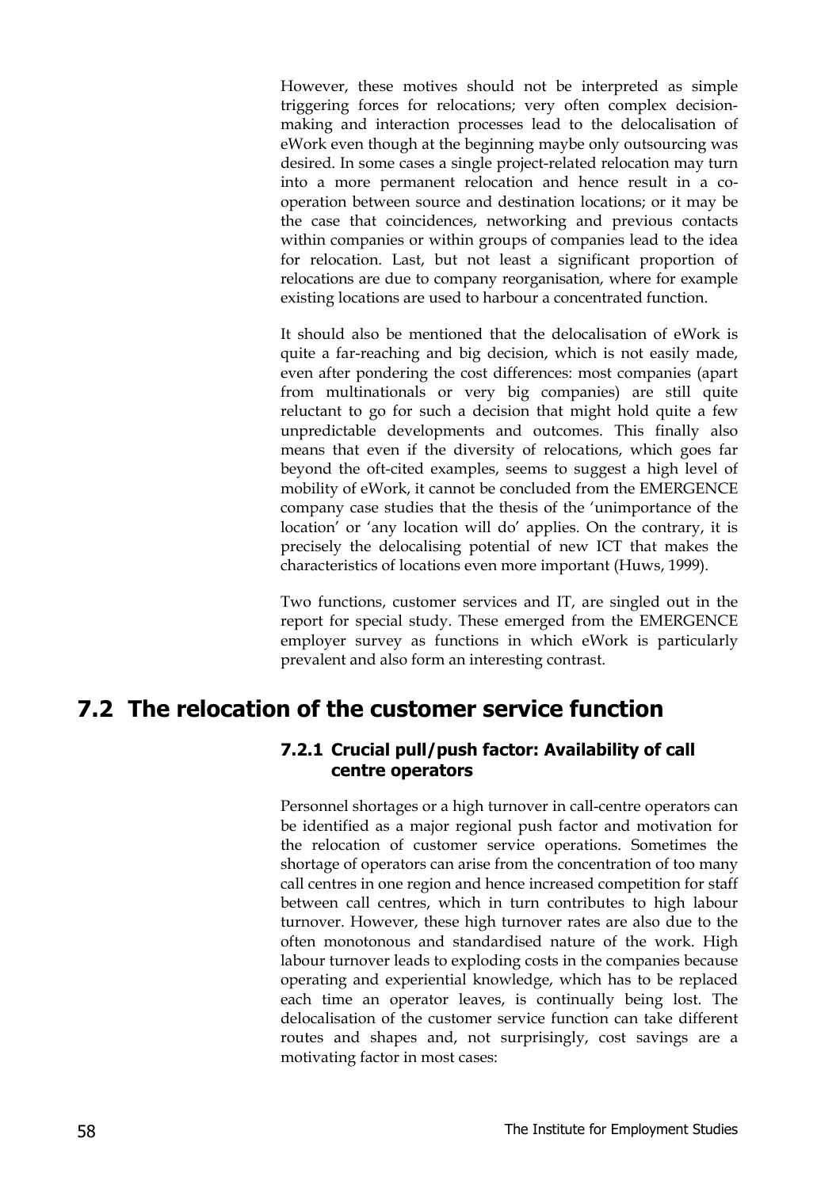However, these motives should not be interpreted as simple triggering forces for relocations; very often complex decisionmaking and interaction processes lead to the delocalisation of eWork even though at the beginning maybe only outsourcing was desired. In some cases a single project-related relocation may turn into a more permanent relocation and hence result in a cooperation between source and destination locations; or it may be the case that coincidences, networking and previous contacts within companies or within groups of companies lead to the idea for relocation. Last, but not least a significant proportion of relocations are due to company reorganisation, where for example existing locations are used to harbour a concentrated function.

It should also be mentioned that the delocalisation of eWork is quite a far-reaching and big decision, which is not easily made, even after pondering the cost differences: most companies (apart from multinationals or very big companies) are still quite reluctant to go for such a decision that might hold quite a few unpredictable developments and outcomes. This finally also means that even if the diversity of relocations, which goes far beyond the oft-cited examples, seems to suggest a high level of mobility of eWork, it cannot be concluded from the EMERGENCE company case studies that the thesis of the 'unimportance of the location' or 'any location will do' applies. On the contrary, it is precisely the delocalising potential of new ICT that makes the characteristics of locations even more important (Huws, 1999).

Two functions, customer services and IT, are singled out in the report for special study. These emerged from the EMERGENCE employer survey as functions in which eWork is particularly prevalent and also form an interesting contrast.

### **7.2 The relocation of the customer service function**

#### **7.2.1 Crucial pull/push factor: Availability of call centre operators**

Personnel shortages or a high turnover in call-centre operators can be identified as a major regional push factor and motivation for the relocation of customer service operations. Sometimes the shortage of operators can arise from the concentration of too many call centres in one region and hence increased competition for staff between call centres, which in turn contributes to high labour turnover. However, these high turnover rates are also due to the often monotonous and standardised nature of the work. High labour turnover leads to exploding costs in the companies because operating and experiential knowledge, which has to be replaced each time an operator leaves, is continually being lost. The delocalisation of the customer service function can take different routes and shapes and, not surprisingly, cost savings are a motivating factor in most cases: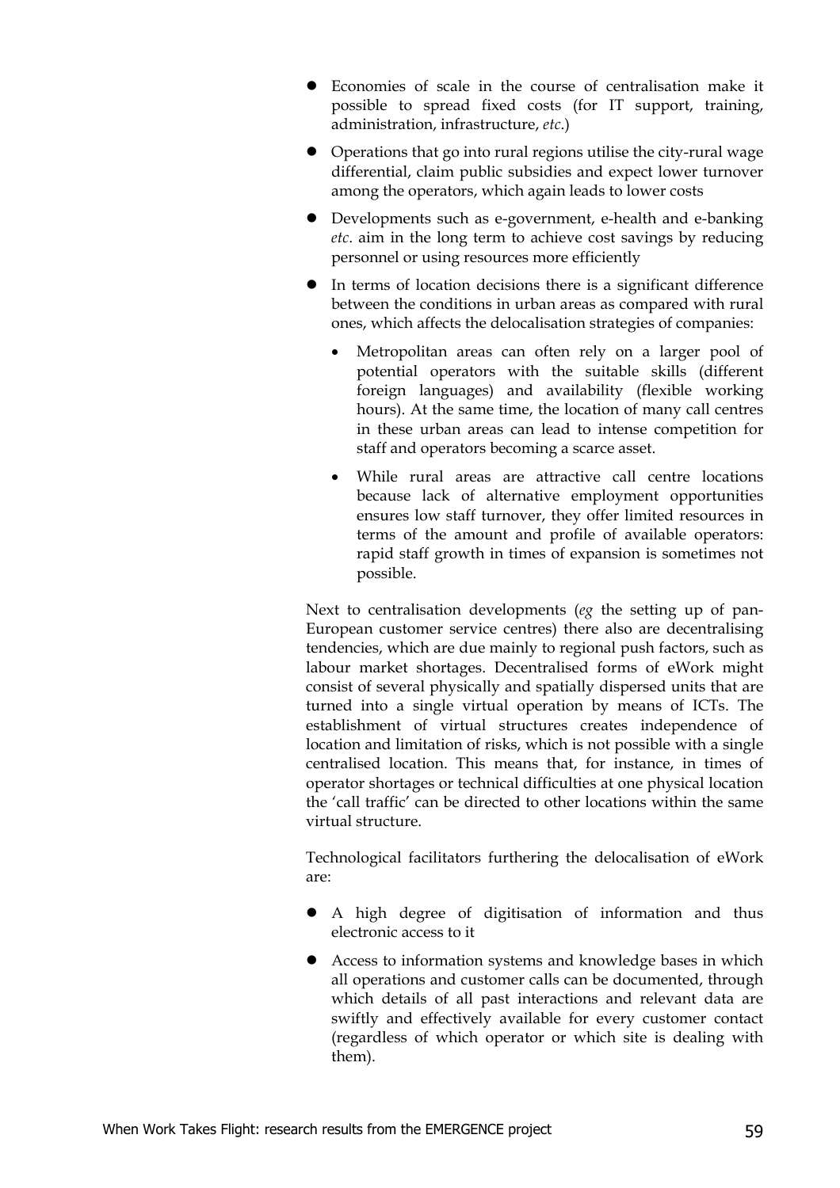- z Economies of scale in the course of centralisation make it possible to spread fixed costs (for IT support, training, administration, infrastructure, *etc*.)
- $\bullet$  Operations that go into rural regions utilise the city-rural wage differential, claim public subsidies and expect lower turnover among the operators, which again leads to lower costs
- Developments such as e-government, e-health and e-banking *etc*. aim in the long term to achieve cost savings by reducing personnel or using resources more efficiently
- In terms of location decisions there is a significant difference between the conditions in urban areas as compared with rural ones, which affects the delocalisation strategies of companies:
	- Metropolitan areas can often rely on a larger pool of potential operators with the suitable skills (different foreign languages) and availability (flexible working hours). At the same time, the location of many call centres in these urban areas can lead to intense competition for staff and operators becoming a scarce asset.
	- While rural areas are attractive call centre locations because lack of alternative employment opportunities ensures low staff turnover, they offer limited resources in terms of the amount and profile of available operators: rapid staff growth in times of expansion is sometimes not possible.

Next to centralisation developments (*eg* the setting up of pan-European customer service centres) there also are decentralising tendencies, which are due mainly to regional push factors, such as labour market shortages. Decentralised forms of eWork might consist of several physically and spatially dispersed units that are turned into a single virtual operation by means of ICTs. The establishment of virtual structures creates independence of location and limitation of risks, which is not possible with a single centralised location. This means that, for instance, in times of operator shortages or technical difficulties at one physical location the 'call traffic' can be directed to other locations within the same virtual structure.

Technological facilitators furthering the delocalisation of eWork are:

- A high degree of digitisation of information and thus electronic access to it
- Access to information systems and knowledge bases in which all operations and customer calls can be documented, through which details of all past interactions and relevant data are swiftly and effectively available for every customer contact (regardless of which operator or which site is dealing with them).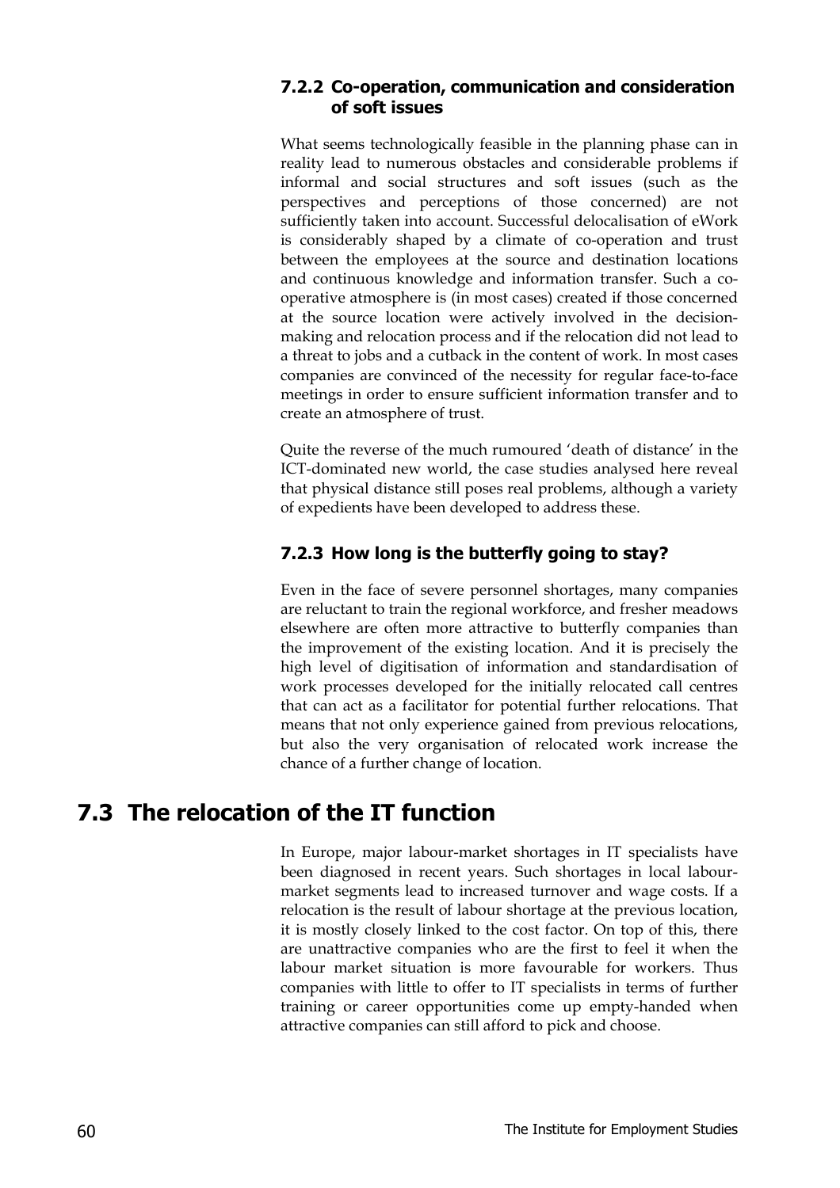#### **7.2.2 Co-operation, communication and consideration of soft issues**

What seems technologically feasible in the planning phase can in reality lead to numerous obstacles and considerable problems if informal and social structures and soft issues (such as the perspectives and perceptions of those concerned) are not sufficiently taken into account. Successful delocalisation of eWork is considerably shaped by a climate of co-operation and trust between the employees at the source and destination locations and continuous knowledge and information transfer. Such a cooperative atmosphere is (in most cases) created if those concerned at the source location were actively involved in the decisionmaking and relocation process and if the relocation did not lead to a threat to jobs and a cutback in the content of work. In most cases companies are convinced of the necessity for regular face-to-face meetings in order to ensure sufficient information transfer and to create an atmosphere of trust.

Quite the reverse of the much rumoured 'death of distance' in the ICT-dominated new world, the case studies analysed here reveal that physical distance still poses real problems, although a variety of expedients have been developed to address these.

#### **7.2.3 How long is the butterfly going to stay?**

Even in the face of severe personnel shortages, many companies are reluctant to train the regional workforce, and fresher meadows elsewhere are often more attractive to butterfly companies than the improvement of the existing location. And it is precisely the high level of digitisation of information and standardisation of work processes developed for the initially relocated call centres that can act as a facilitator for potential further relocations. That means that not only experience gained from previous relocations, but also the very organisation of relocated work increase the chance of a further change of location.

### **7.3 The relocation of the IT function**

In Europe, major labour-market shortages in IT specialists have been diagnosed in recent years. Such shortages in local labourmarket segments lead to increased turnover and wage costs. If a relocation is the result of labour shortage at the previous location, it is mostly closely linked to the cost factor. On top of this, there are unattractive companies who are the first to feel it when the labour market situation is more favourable for workers. Thus companies with little to offer to IT specialists in terms of further training or career opportunities come up empty-handed when attractive companies can still afford to pick and choose.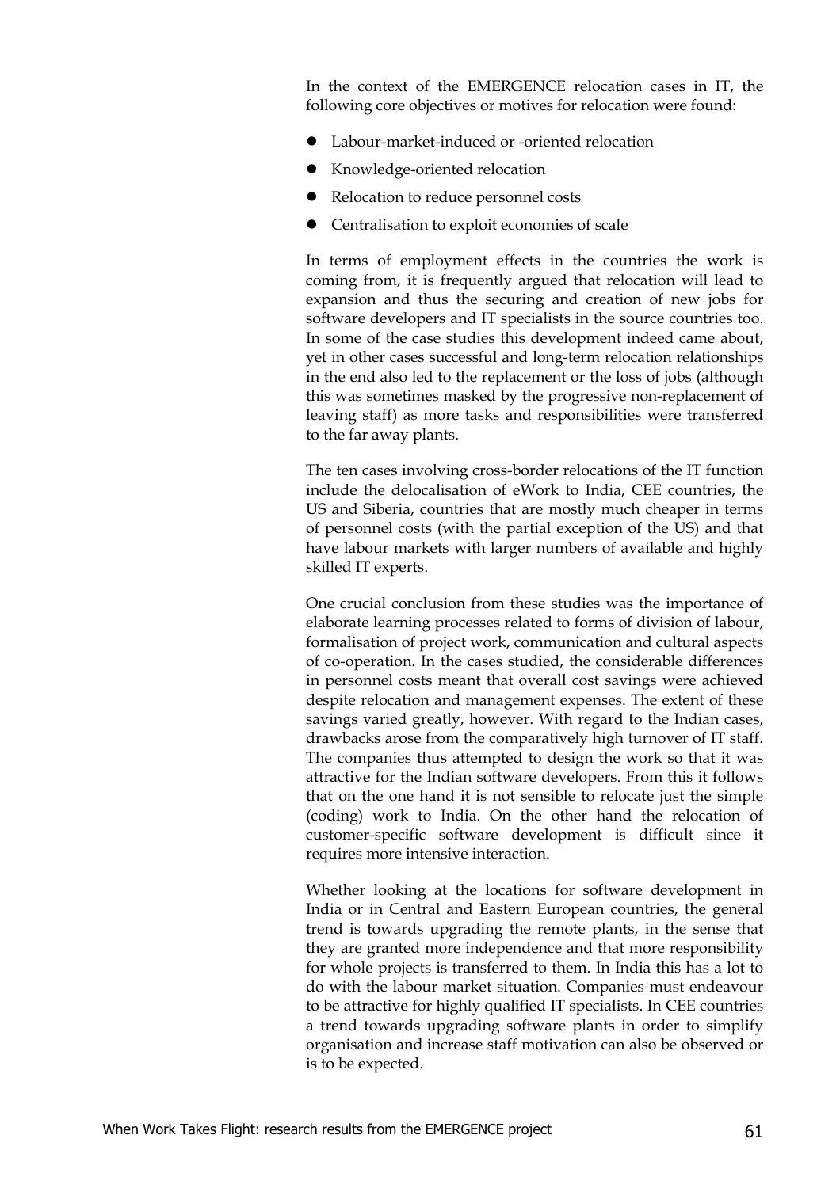In the context of the EMERGENCE relocation cases in IT, the following core objectives or motives for relocation were found:

- Labour-market-induced or -oriented relocation
- Knowledge-oriented relocation
- Relocation to reduce personnel costs
- Centralisation to exploit economies of scale

In terms of employment effects in the countries the work is coming from, it is frequently argued that relocation will lead to expansion and thus the securing and creation of new jobs for software developers and IT specialists in the source countries too. In some of the case studies this development indeed came about, yet in other cases successful and long-term relocation relationships in the end also led to the replacement or the loss of jobs (although this was sometimes masked by the progressive non-replacement of leaving staff) as more tasks and responsibilities were transferred to the far away plants.

The ten cases involving cross-border relocations of the IT function include the delocalisation of eWork to India, CEE countries, the US and Siberia, countries that are mostly much cheaper in terms of personnel costs (with the partial exception of the US) and that have labour markets with larger numbers of available and highly skilled IT experts.

One crucial conclusion from these studies was the importance of elaborate learning processes related to forms of division of labour, formalisation of project work, communication and cultural aspects of co-operation. In the cases studied, the considerable differences in personnel costs meant that overall cost savings were achieved despite relocation and management expenses. The extent of these savings varied greatly, however. With regard to the Indian cases, drawbacks arose from the comparatively high turnover of IT staff. The companies thus attempted to design the work so that it was attractive for the Indian software developers. From this it follows that on the one hand it is not sensible to relocate just the simple (coding) work to India. On the other hand the relocation of customer-specific software development is difficult since it requires more intensive interaction.

Whether looking at the locations for software development in India or in Central and Eastern European countries, the general trend is towards upgrading the remote plants, in the sense that they are granted more independence and that more responsibility for whole projects is transferred to them. In India this has a lot to do with the labour market situation. Companies must endeavour to be attractive for highly qualified IT specialists. In CEE countries a trend towards upgrading software plants in order to simplify organisation and increase staff motivation can also be observed or is to be expected.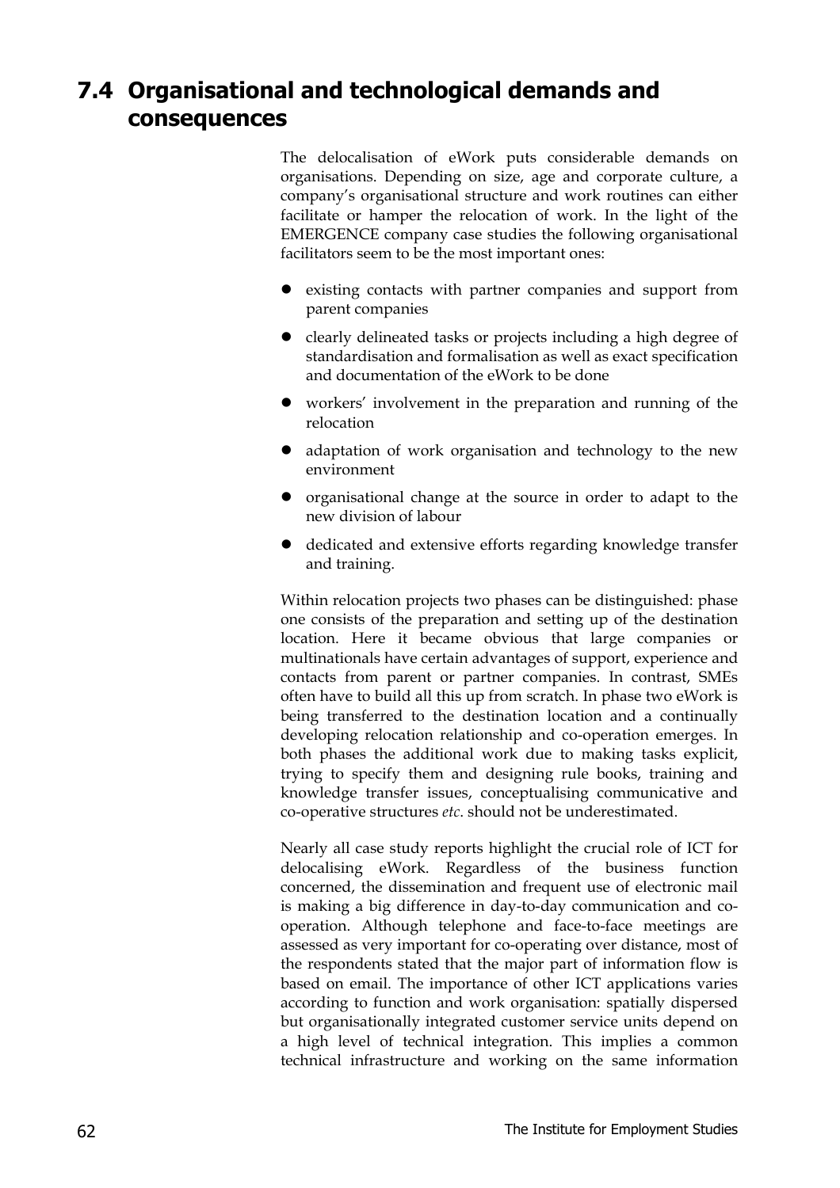### **7.4 Organisational and technological demands and consequences**

The delocalisation of eWork puts considerable demands on organisations. Depending on size, age and corporate culture, a company's organisational structure and work routines can either facilitate or hamper the relocation of work. In the light of the EMERGENCE company case studies the following organisational facilitators seem to be the most important ones:

- existing contacts with partner companies and support from parent companies
- $\bullet$  clearly delineated tasks or projects including a high degree of standardisation and formalisation as well as exact specification and documentation of the eWork to be done
- workers' involvement in the preparation and running of the relocation
- adaptation of work organisation and technology to the new environment
- organisational change at the source in order to adapt to the new division of labour
- dedicated and extensive efforts regarding knowledge transfer and training.

Within relocation projects two phases can be distinguished: phase one consists of the preparation and setting up of the destination location. Here it became obvious that large companies or multinationals have certain advantages of support, experience and contacts from parent or partner companies. In contrast, SMEs often have to build all this up from scratch. In phase two eWork is being transferred to the destination location and a continually developing relocation relationship and co-operation emerges. In both phases the additional work due to making tasks explicit, trying to specify them and designing rule books, training and knowledge transfer issues, conceptualising communicative and co-operative structures *etc*. should not be underestimated.

Nearly all case study reports highlight the crucial role of ICT for delocalising eWork. Regardless of the business function concerned, the dissemination and frequent use of electronic mail is making a big difference in day-to-day communication and cooperation. Although telephone and face-to-face meetings are assessed as very important for co-operating over distance, most of the respondents stated that the major part of information flow is based on email. The importance of other ICT applications varies according to function and work organisation: spatially dispersed but organisationally integrated customer service units depend on a high level of technical integration. This implies a common technical infrastructure and working on the same information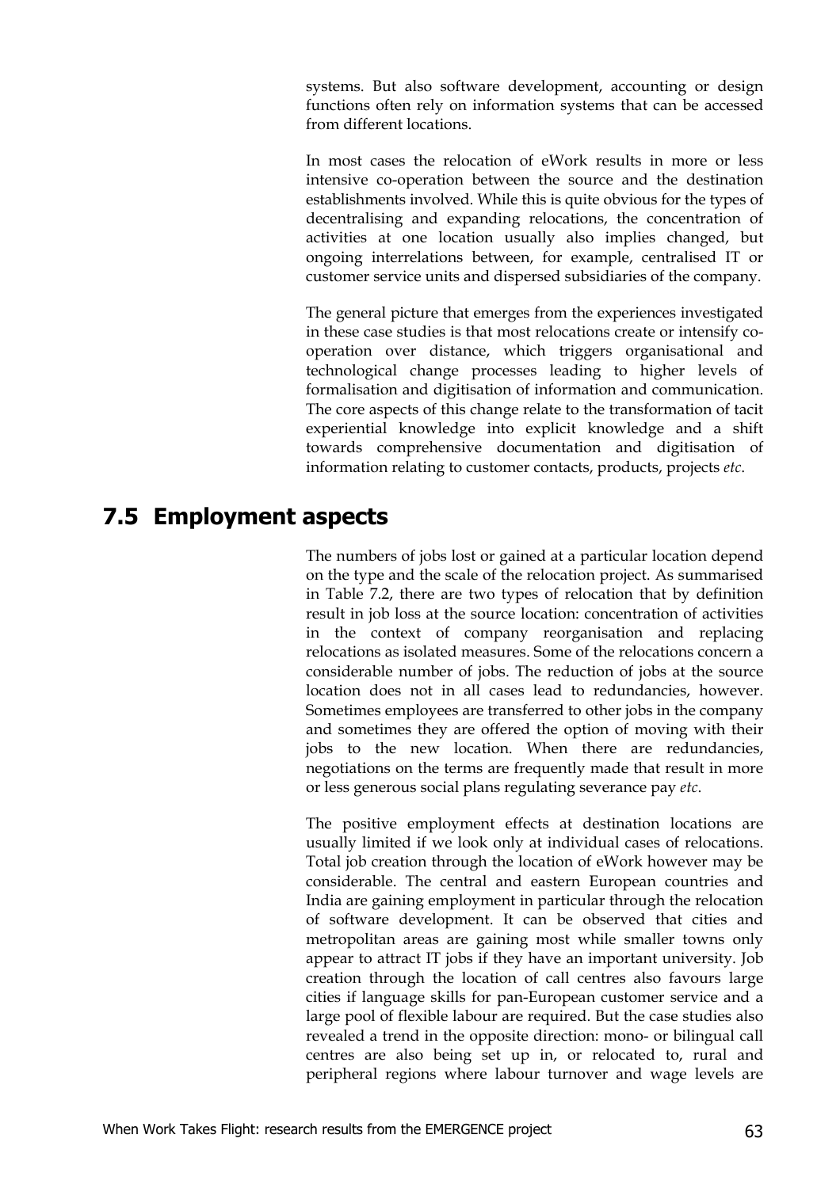systems. But also software development, accounting or design functions often rely on information systems that can be accessed from different locations.

In most cases the relocation of eWork results in more or less intensive co-operation between the source and the destination establishments involved. While this is quite obvious for the types of decentralising and expanding relocations, the concentration of activities at one location usually also implies changed, but ongoing interrelations between, for example, centralised IT or customer service units and dispersed subsidiaries of the company.

The general picture that emerges from the experiences investigated in these case studies is that most relocations create or intensify cooperation over distance, which triggers organisational and technological change processes leading to higher levels of formalisation and digitisation of information and communication. The core aspects of this change relate to the transformation of tacit experiential knowledge into explicit knowledge and a shift towards comprehensive documentation and digitisation of information relating to customer contacts, products, projects *etc*.

### **7.5 Employment aspects**

The numbers of jobs lost or gained at a particular location depend on the type and the scale of the relocation project. As summarised in Table 7.2, there are two types of relocation that by definition result in job loss at the source location: concentration of activities in the context of company reorganisation and replacing relocations as isolated measures. Some of the relocations concern a considerable number of jobs. The reduction of jobs at the source location does not in all cases lead to redundancies, however. Sometimes employees are transferred to other jobs in the company and sometimes they are offered the option of moving with their jobs to the new location. When there are redundancies, negotiations on the terms are frequently made that result in more or less generous social plans regulating severance pay *etc*.

The positive employment effects at destination locations are usually limited if we look only at individual cases of relocations. Total job creation through the location of eWork however may be considerable. The central and eastern European countries and India are gaining employment in particular through the relocation of software development. It can be observed that cities and metropolitan areas are gaining most while smaller towns only appear to attract IT jobs if they have an important university. Job creation through the location of call centres also favours large cities if language skills for pan-European customer service and a large pool of flexible labour are required. But the case studies also revealed a trend in the opposite direction: mono- or bilingual call centres are also being set up in, or relocated to, rural and peripheral regions where labour turnover and wage levels are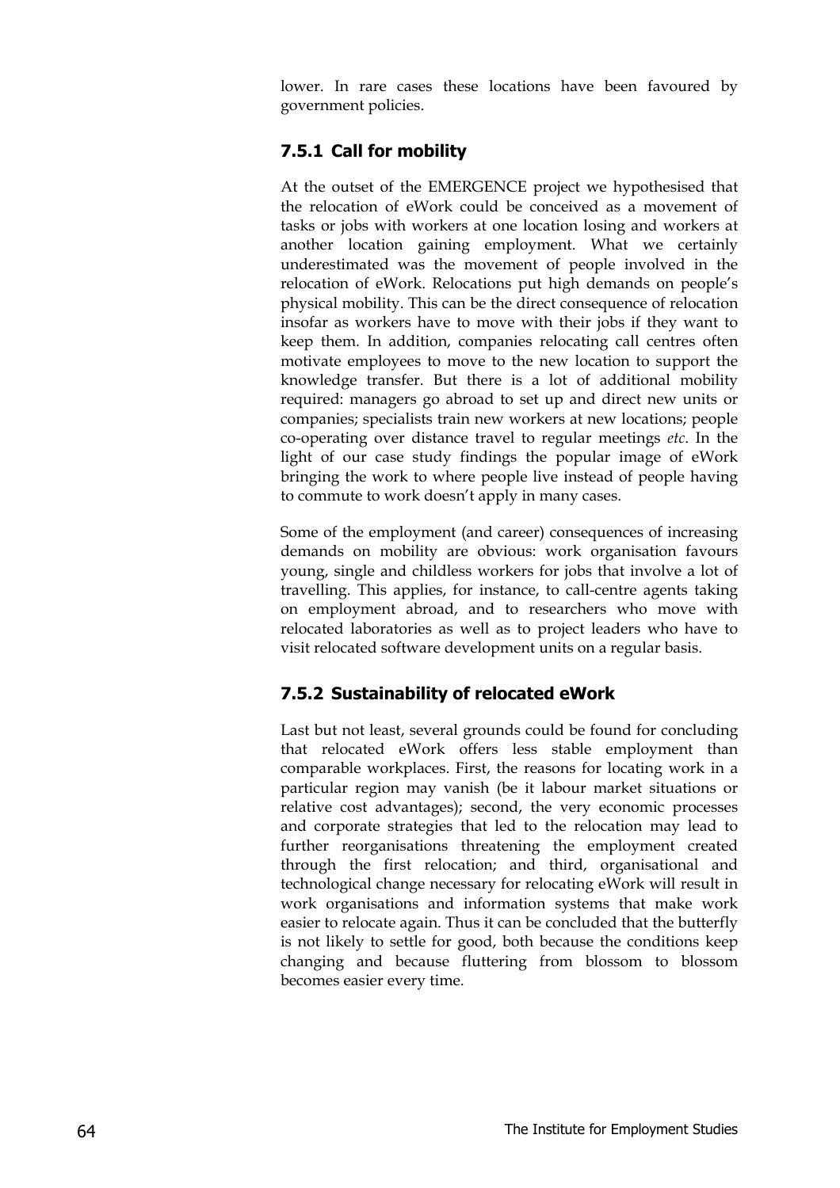lower. In rare cases these locations have been favoured by government policies.

#### **7.5.1 Call for mobility**

At the outset of the EMERGENCE project we hypothesised that the relocation of eWork could be conceived as a movement of tasks or jobs with workers at one location losing and workers at another location gaining employment. What we certainly underestimated was the movement of people involved in the relocation of eWork. Relocations put high demands on people's physical mobility. This can be the direct consequence of relocation insofar as workers have to move with their jobs if they want to keep them. In addition, companies relocating call centres often motivate employees to move to the new location to support the knowledge transfer. But there is a lot of additional mobility required: managers go abroad to set up and direct new units or companies; specialists train new workers at new locations; people co-operating over distance travel to regular meetings *etc*. In the light of our case study findings the popular image of eWork bringing the work to where people live instead of people having to commute to work doesn't apply in many cases.

Some of the employment (and career) consequences of increasing demands on mobility are obvious: work organisation favours young, single and childless workers for jobs that involve a lot of travelling. This applies, for instance, to call-centre agents taking on employment abroad, and to researchers who move with relocated laboratories as well as to project leaders who have to visit relocated software development units on a regular basis.

#### **7.5.2 Sustainability of relocated eWork**

Last but not least, several grounds could be found for concluding that relocated eWork offers less stable employment than comparable workplaces. First, the reasons for locating work in a particular region may vanish (be it labour market situations or relative cost advantages); second, the very economic processes and corporate strategies that led to the relocation may lead to further reorganisations threatening the employment created through the first relocation; and third, organisational and technological change necessary for relocating eWork will result in work organisations and information systems that make work easier to relocate again. Thus it can be concluded that the butterfly is not likely to settle for good, both because the conditions keep changing and because fluttering from blossom to blossom becomes easier every time.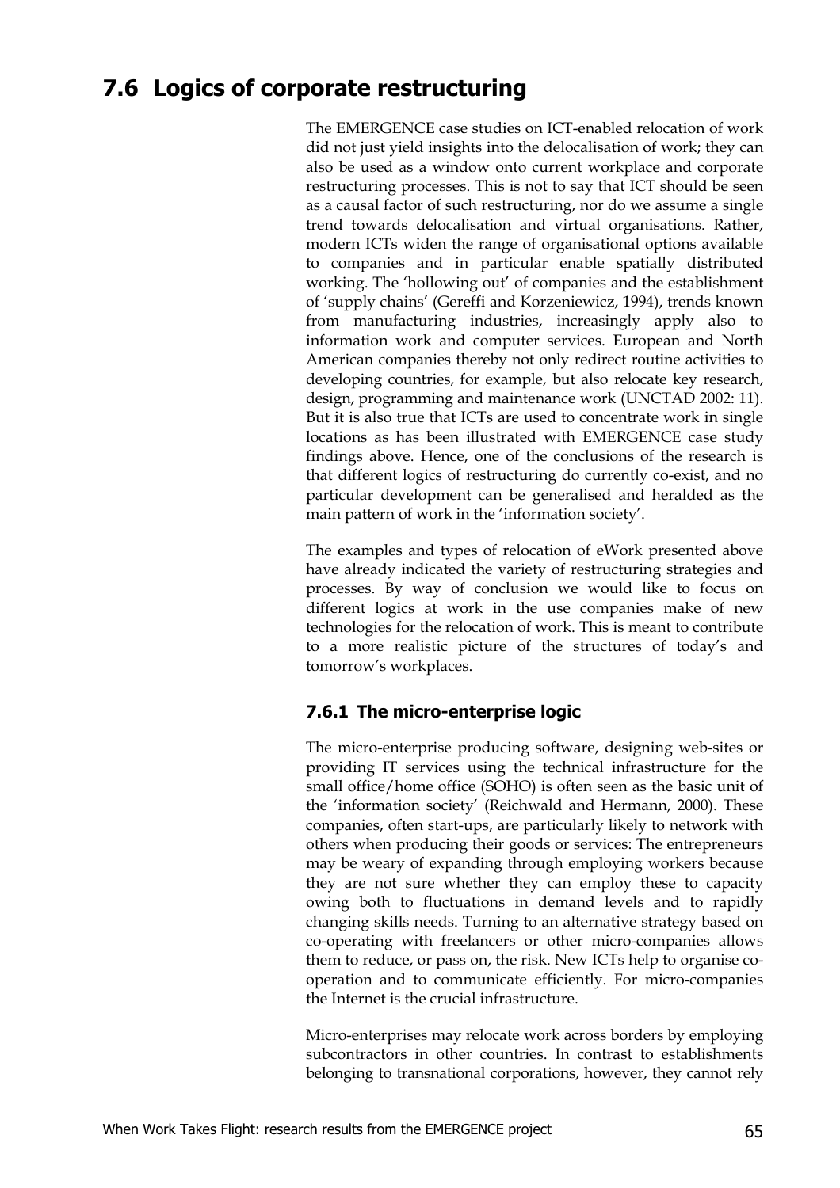### **7.6 Logics of corporate restructuring**

The EMERGENCE case studies on ICT-enabled relocation of work did not just yield insights into the delocalisation of work; they can also be used as a window onto current workplace and corporate restructuring processes. This is not to say that ICT should be seen as a causal factor of such restructuring, nor do we assume a single trend towards delocalisation and virtual organisations. Rather, modern ICTs widen the range of organisational options available to companies and in particular enable spatially distributed working. The 'hollowing out' of companies and the establishment of 'supply chains' (Gereffi and Korzeniewicz, 1994), trends known from manufacturing industries, increasingly apply also to information work and computer services. European and North American companies thereby not only redirect routine activities to developing countries, for example, but also relocate key research, design, programming and maintenance work (UNCTAD 2002: 11). But it is also true that ICTs are used to concentrate work in single locations as has been illustrated with EMERGENCE case study findings above. Hence, one of the conclusions of the research is that different logics of restructuring do currently co-exist, and no particular development can be generalised and heralded as the main pattern of work in the 'information society'.

The examples and types of relocation of eWork presented above have already indicated the variety of restructuring strategies and processes. By way of conclusion we would like to focus on different logics at work in the use companies make of new technologies for the relocation of work. This is meant to contribute to a more realistic picture of the structures of today's and tomorrow's workplaces.

#### **7.6.1 The micro-enterprise logic**

The micro-enterprise producing software, designing web-sites or providing IT services using the technical infrastructure for the small office/home office (SOHO) is often seen as the basic unit of the 'information society' (Reichwald and Hermann, 2000). These companies, often start-ups, are particularly likely to network with others when producing their goods or services: The entrepreneurs may be weary of expanding through employing workers because they are not sure whether they can employ these to capacity owing both to fluctuations in demand levels and to rapidly changing skills needs. Turning to an alternative strategy based on co-operating with freelancers or other micro-companies allows them to reduce, or pass on, the risk. New ICTs help to organise cooperation and to communicate efficiently. For micro-companies the Internet is the crucial infrastructure.

Micro-enterprises may relocate work across borders by employing subcontractors in other countries. In contrast to establishments belonging to transnational corporations, however, they cannot rely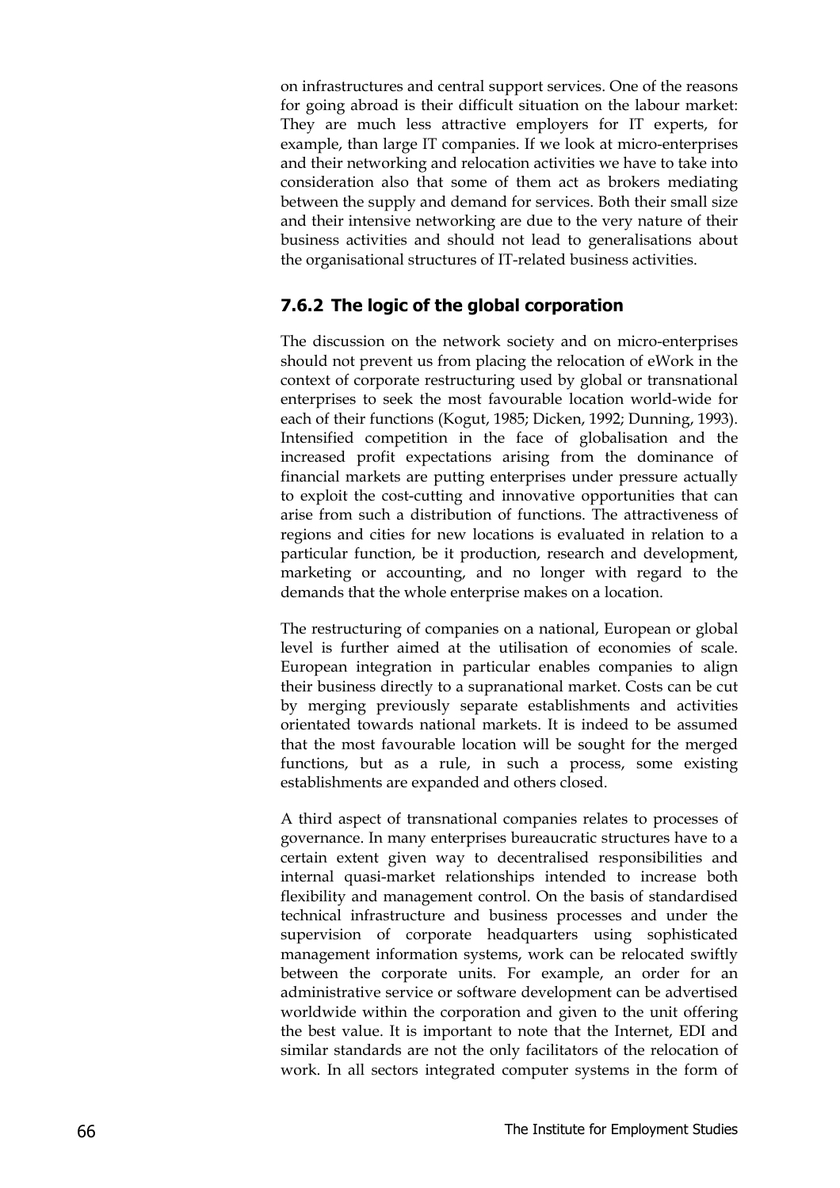on infrastructures and central support services. One of the reasons for going abroad is their difficult situation on the labour market: They are much less attractive employers for IT experts, for example, than large IT companies. If we look at micro-enterprises and their networking and relocation activities we have to take into consideration also that some of them act as brokers mediating between the supply and demand for services. Both their small size and their intensive networking are due to the very nature of their business activities and should not lead to generalisations about the organisational structures of IT-related business activities.

#### **7.6.2 The logic of the global corporation**

The discussion on the network society and on micro-enterprises should not prevent us from placing the relocation of eWork in the context of corporate restructuring used by global or transnational enterprises to seek the most favourable location world-wide for each of their functions (Kogut, 1985; Dicken, 1992; Dunning, 1993). Intensified competition in the face of globalisation and the increased profit expectations arising from the dominance of financial markets are putting enterprises under pressure actually to exploit the cost-cutting and innovative opportunities that can arise from such a distribution of functions. The attractiveness of regions and cities for new locations is evaluated in relation to a particular function, be it production, research and development, marketing or accounting, and no longer with regard to the demands that the whole enterprise makes on a location.

The restructuring of companies on a national, European or global level is further aimed at the utilisation of economies of scale. European integration in particular enables companies to align their business directly to a supranational market. Costs can be cut by merging previously separate establishments and activities orientated towards national markets. It is indeed to be assumed that the most favourable location will be sought for the merged functions, but as a rule, in such a process, some existing establishments are expanded and others closed.

A third aspect of transnational companies relates to processes of governance. In many enterprises bureaucratic structures have to a certain extent given way to decentralised responsibilities and internal quasi-market relationships intended to increase both flexibility and management control. On the basis of standardised technical infrastructure and business processes and under the supervision of corporate headquarters using sophisticated management information systems, work can be relocated swiftly between the corporate units. For example, an order for an administrative service or software development can be advertised worldwide within the corporation and given to the unit offering the best value. It is important to note that the Internet, EDI and similar standards are not the only facilitators of the relocation of work. In all sectors integrated computer systems in the form of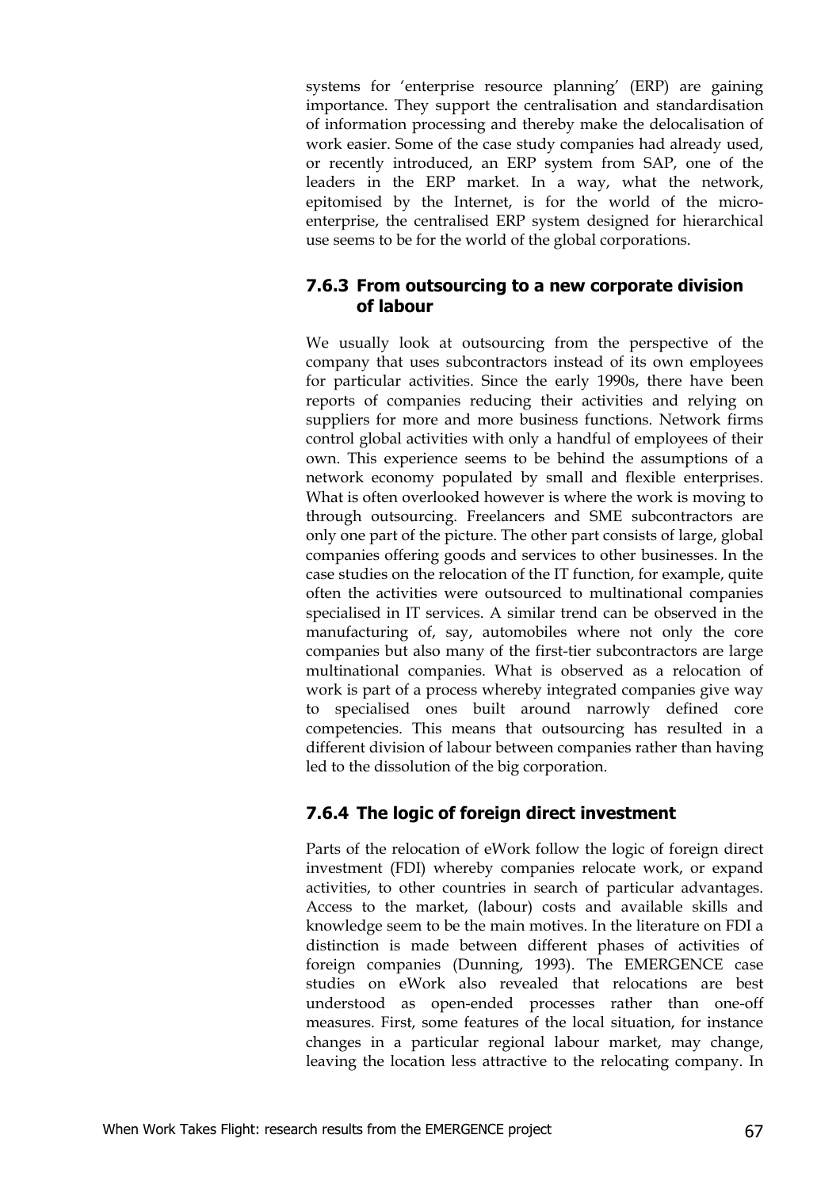systems for 'enterprise resource planning' (ERP) are gaining importance. They support the centralisation and standardisation of information processing and thereby make the delocalisation of work easier. Some of the case study companies had already used, or recently introduced, an ERP system from SAP, one of the leaders in the ERP market. In a way, what the network, epitomised by the Internet, is for the world of the microenterprise, the centralised ERP system designed for hierarchical use seems to be for the world of the global corporations.

#### **7.6.3 From outsourcing to a new corporate division of labour**

We usually look at outsourcing from the perspective of the company that uses subcontractors instead of its own employees for particular activities. Since the early 1990s, there have been reports of companies reducing their activities and relying on suppliers for more and more business functions. Network firms control global activities with only a handful of employees of their own. This experience seems to be behind the assumptions of a network economy populated by small and flexible enterprises. What is often overlooked however is where the work is moving to through outsourcing. Freelancers and SME subcontractors are only one part of the picture. The other part consists of large, global companies offering goods and services to other businesses. In the case studies on the relocation of the IT function, for example, quite often the activities were outsourced to multinational companies specialised in IT services. A similar trend can be observed in the manufacturing of, say, automobiles where not only the core companies but also many of the first-tier subcontractors are large multinational companies. What is observed as a relocation of work is part of a process whereby integrated companies give way to specialised ones built around narrowly defined core competencies. This means that outsourcing has resulted in a different division of labour between companies rather than having led to the dissolution of the big corporation.

#### **7.6.4 The logic of foreign direct investment**

Parts of the relocation of eWork follow the logic of foreign direct investment (FDI) whereby companies relocate work, or expand activities, to other countries in search of particular advantages. Access to the market, (labour) costs and available skills and knowledge seem to be the main motives. In the literature on FDI a distinction is made between different phases of activities of foreign companies (Dunning, 1993). The EMERGENCE case studies on eWork also revealed that relocations are best understood as open-ended processes rather than one-off measures. First, some features of the local situation, for instance changes in a particular regional labour market, may change, leaving the location less attractive to the relocating company. In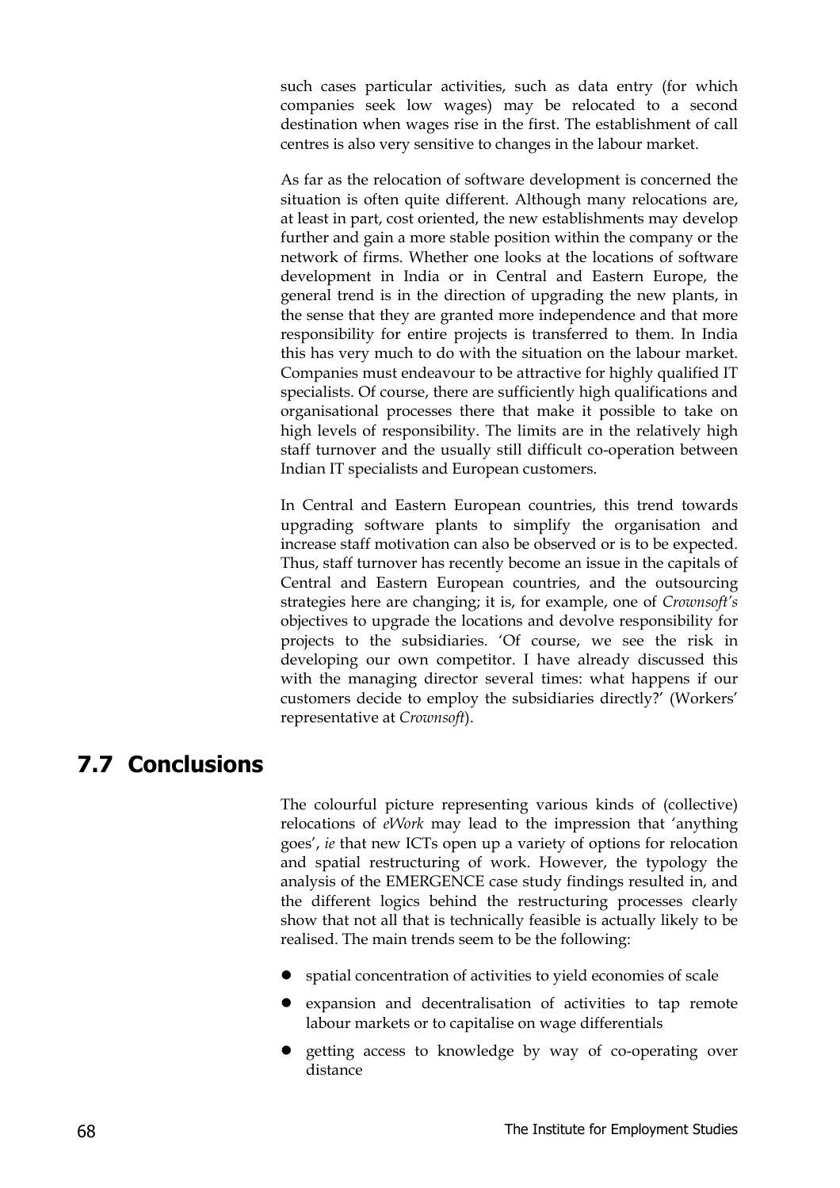such cases particular activities, such as data entry (for which companies seek low wages) may be relocated to a second destination when wages rise in the first. The establishment of call centres is also very sensitive to changes in the labour market.

As far as the relocation of software development is concerned the situation is often quite different. Although many relocations are, at least in part, cost oriented, the new establishments may develop further and gain a more stable position within the company or the network of firms. Whether one looks at the locations of software development in India or in Central and Eastern Europe, the general trend is in the direction of upgrading the new plants, in the sense that they are granted more independence and that more responsibility for entire projects is transferred to them. In India this has very much to do with the situation on the labour market. Companies must endeavour to be attractive for highly qualified IT specialists. Of course, there are sufficiently high qualifications and organisational processes there that make it possible to take on high levels of responsibility. The limits are in the relatively high staff turnover and the usually still difficult co-operation between Indian IT specialists and European customers.

In Central and Eastern European countries, this trend towards upgrading software plants to simplify the organisation and increase staff motivation can also be observed or is to be expected. Thus, staff turnover has recently become an issue in the capitals of Central and Eastern European countries, and the outsourcing strategies here are changing; it is, for example, one of *Crownsoft's* objectives to upgrade the locations and devolve responsibility for projects to the subsidiaries. 'Of course, we see the risk in developing our own competitor. I have already discussed this with the managing director several times: what happens if our customers decide to employ the subsidiaries directly?' (Workers' representative at *Crownsoft*).

### **7.7 Conclusions**

The colourful picture representing various kinds of (collective) relocations of *eWork* may lead to the impression that 'anything goes', *ie* that new ICTs open up a variety of options for relocation and spatial restructuring of work. However, the typology the analysis of the EMERGENCE case study findings resulted in, and the different logics behind the restructuring processes clearly show that not all that is technically feasible is actually likely to be realised. The main trends seem to be the following:

- spatial concentration of activities to yield economies of scale
- expansion and decentralisation of activities to tap remote labour markets or to capitalise on wage differentials
- getting access to knowledge by way of co-operating over distance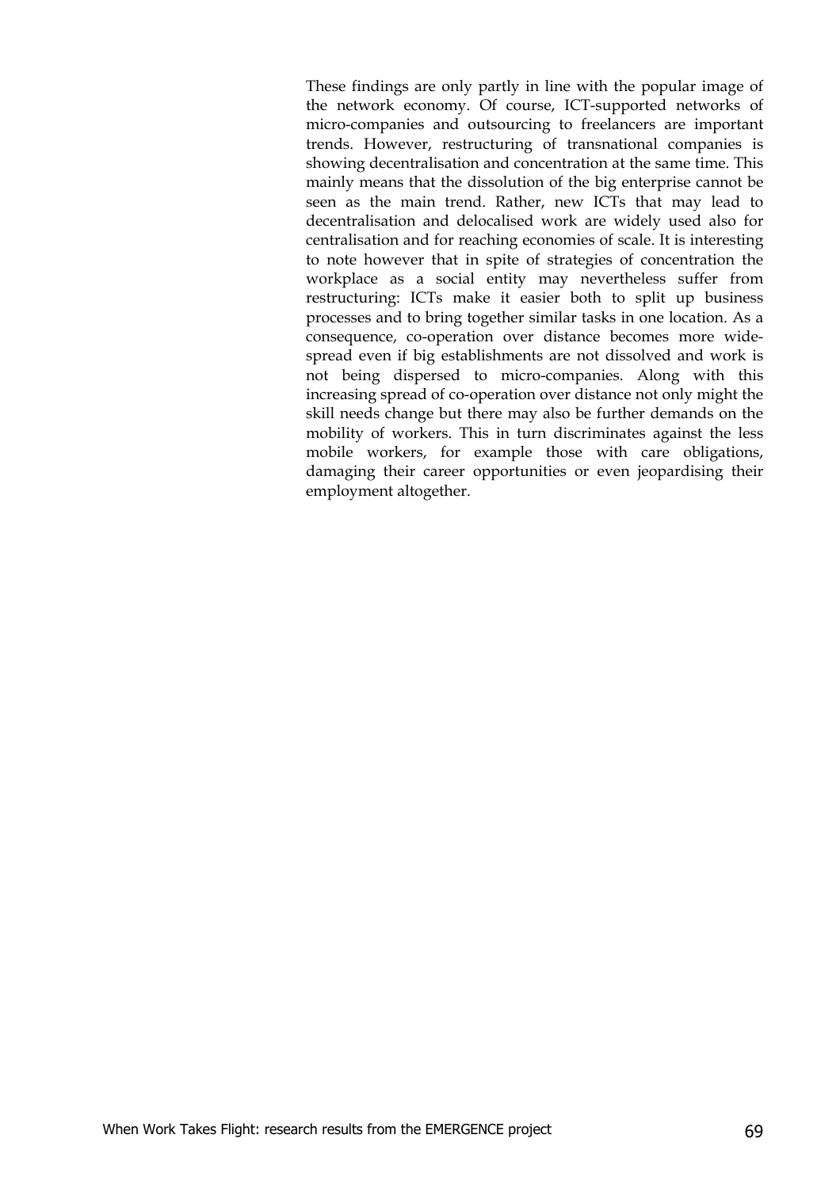These findings are only partly in line with the popular image of the network economy. Of course, ICT-supported networks of micro-companies and outsourcing to freelancers are important trends. However, restructuring of transnational companies is showing decentralisation and concentration at the same time. This mainly means that the dissolution of the big enterprise cannot be seen as the main trend. Rather, new ICTs that may lead to decentralisation and delocalised work are widely used also for centralisation and for reaching economies of scale. It is interesting to note however that in spite of strategies of concentration the workplace as a social entity may nevertheless suffer from restructuring: ICTs make it easier both to split up business processes and to bring together similar tasks in one location. As a consequence, co-operation over distance becomes more widespread even if big establishments are not dissolved and work is not being dispersed to micro-companies. Along with this increasing spread of co-operation over distance not only might the skill needs change but there may also be further demands on the mobility of workers. This in turn discriminates against the less mobile workers, for example those with care obligations, damaging their career opportunities or even jeopardising their employment altogether.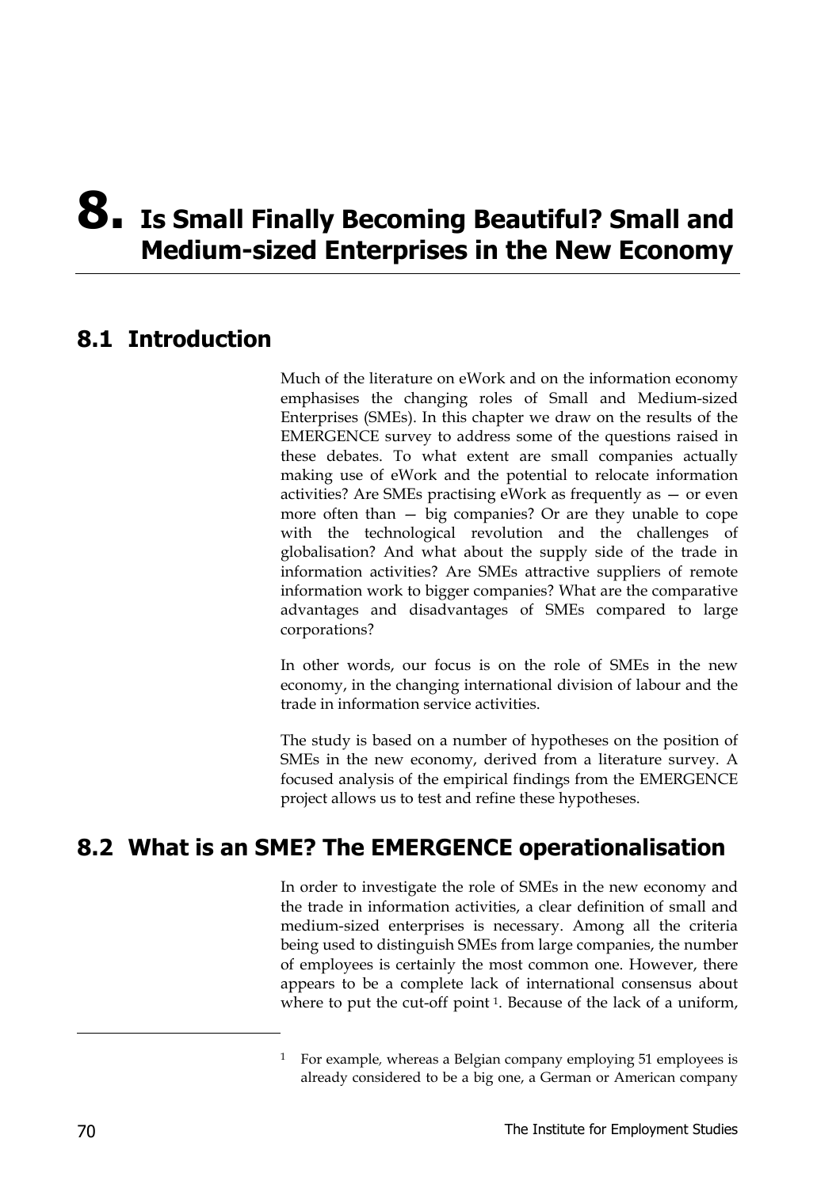## **8. Is Small Finally Becoming Beautiful? Small and Medium-sized Enterprises in the New Economy**

### **8.1 Introduction**

Much of the literature on eWork and on the information economy emphasises the changing roles of Small and Medium-sized Enterprises (SMEs). In this chapter we draw on the results of the EMERGENCE survey to address some of the questions raised in these debates. To what extent are small companies actually making use of eWork and the potential to relocate information activities? Are SMEs practising eWork as frequently as — or even more often than — big companies? Or are they unable to cope with the technological revolution and the challenges of globalisation? And what about the supply side of the trade in information activities? Are SMEs attractive suppliers of remote information work to bigger companies? What are the comparative advantages and disadvantages of SMEs compared to large corporations?

In other words, our focus is on the role of SMEs in the new economy, in the changing international division of labour and the trade in information service activities.

The study is based on a number of hypotheses on the position of SMEs in the new economy, derived from a literature survey. A focused analysis of the empirical findings from the EMERGENCE project allows us to test and refine these hypotheses.

### **8.2 What is an SME? The EMERGENCE operationalisation**

In order to investigate the role of SMEs in the new economy and the trade in information activities, a clear definition of small and medium-sized enterprises is necessary. Among all the criteria being used to distinguish SMEs from large companies, the number of employees is certainly the most common one. However, there appears to be a complete lack of international consensus about where to put the cut-off point<sup>1</sup>. Because of the lack of a uniform,

-

<sup>1</sup> For example*,* whereas a Belgian company employing 51 employees is already considered to be a big one, a German or American company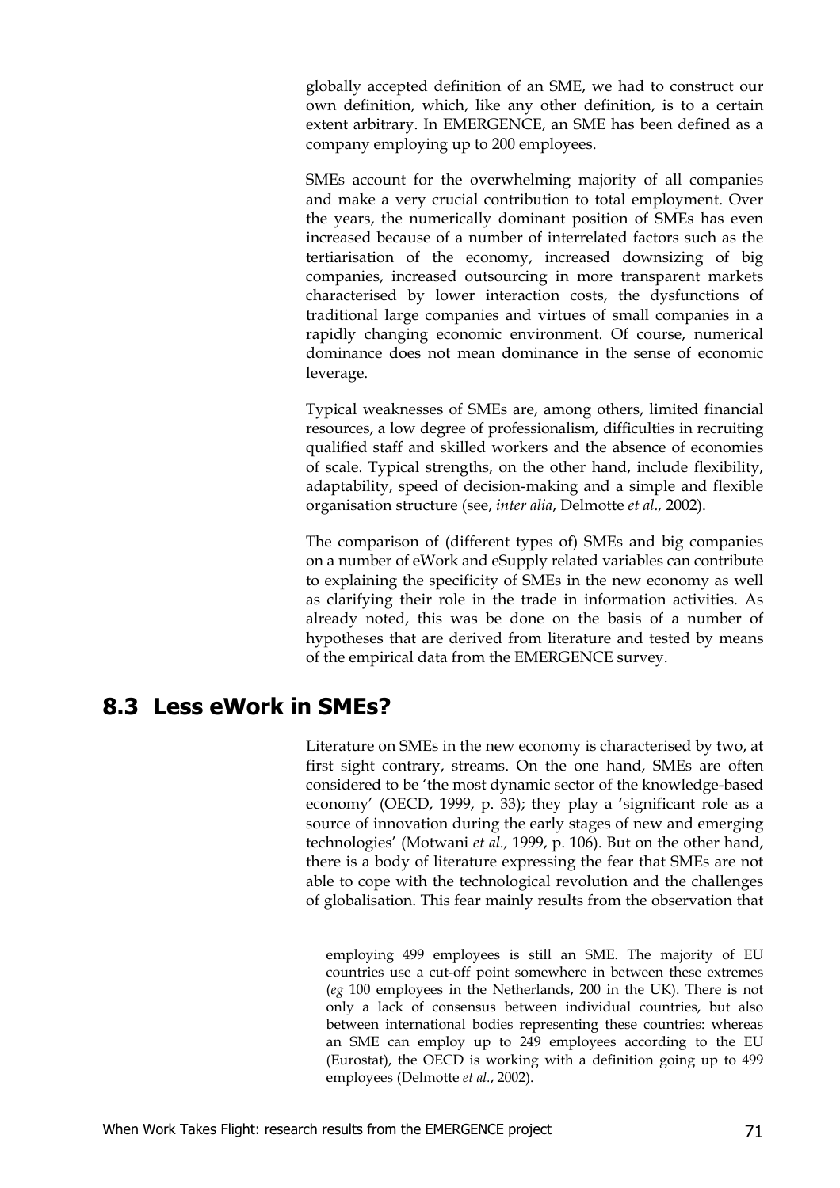globally accepted definition of an SME, we had to construct our own definition, which, like any other definition, is to a certain extent arbitrary. In EMERGENCE, an SME has been defined as a company employing up to 200 employees.

SMEs account for the overwhelming majority of all companies and make a very crucial contribution to total employment. Over the years, the numerically dominant position of SMEs has even increased because of a number of interrelated factors such as the tertiarisation of the economy, increased downsizing of big companies, increased outsourcing in more transparent markets characterised by lower interaction costs, the dysfunctions of traditional large companies and virtues of small companies in a rapidly changing economic environment. Of course, numerical dominance does not mean dominance in the sense of economic leverage.

Typical weaknesses of SMEs are, among others, limited financial resources, a low degree of professionalism, difficulties in recruiting qualified staff and skilled workers and the absence of economies of scale. Typical strengths, on the other hand, include flexibility, adaptability, speed of decision-making and a simple and flexible organisation structure (see, *inter alia*, Delmotte *et al.,* 2002).

The comparison of (different types of) SMEs and big companies on a number of eWork and eSupply related variables can contribute to explaining the specificity of SMEs in the new economy as well as clarifying their role in the trade in information activities. As already noted, this was be done on the basis of a number of hypotheses that are derived from literature and tested by means of the empirical data from the EMERGENCE survey.

### **8.3 Less eWork in SMEs?**

Literature on SMEs in the new economy is characterised by two, at first sight contrary, streams. On the one hand, SMEs are often considered to be 'the most dynamic sector of the knowledge-based economy' (OECD, 1999, p. 33); they play a 'significant role as a source of innovation during the early stages of new and emerging technologies' (Motwani *et al.,* 1999, p. 106). But on the other hand, there is a body of literature expressing the fear that SMEs are not able to cope with the technological revolution and the challenges of globalisation. This fear mainly results from the observation that

l

employing 499 employees is still an SME. The majority of EU countries use a cut-off point somewhere in between these extremes (*eg* 100 employees in the Netherlands, 200 in the UK). There is not only a lack of consensus between individual countries, but also between international bodies representing these countries: whereas an SME can employ up to 249 employees according to the EU (Eurostat), the OECD is working with a definition going up to 499 employees (Delmotte *et al.*, 2002).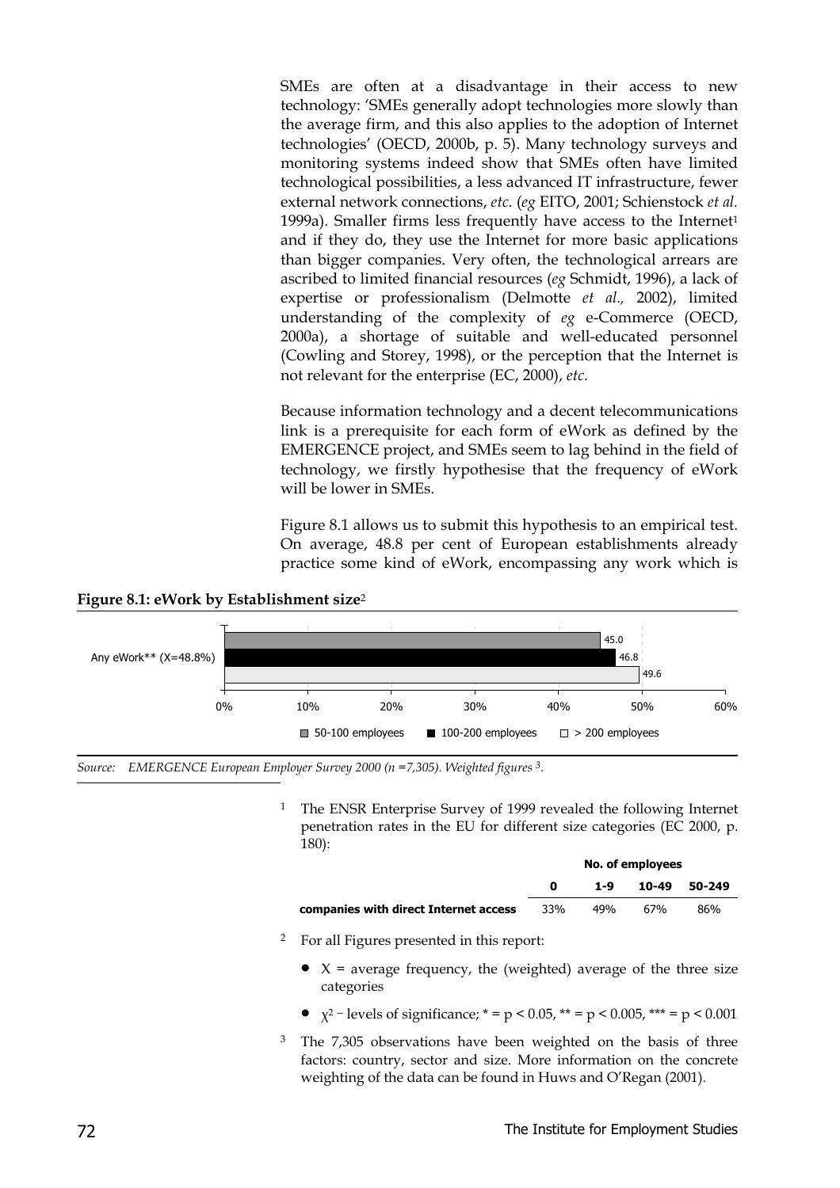SMEs are often at a disadvantage in their access to new technology: 'SMEs generally adopt technologies more slowly than the average firm, and this also applies to the adoption of Internet technologies' (OECD, 2000b, p. 5). Many technology surveys and monitoring systems indeed show that SMEs often have limited technological possibilities, a less advanced IT infrastructure, fewer external network connections, *etc*. (*eg* EITO, 2001; Schienstock *et al.* 1999a). Smaller firms less frequently have access to the Internet<sup>1</sup> and if they do, they use the Internet for more basic applications than bigger companies. Very often, the technological arrears are ascribed to limited financial resources (*eg* Schmidt, 1996), a lack of expertise or professionalism (Delmotte *et al.,* 2002), limited understanding of the complexity of *eg* e-Commerce (OECD, 2000a), a shortage of suitable and well-educated personnel (Cowling and Storey, 1998), or the perception that the Internet is not relevant for the enterprise (EC, 2000), *etc*.

Because information technology and a decent telecommunications link is a prerequisite for each form of eWork as defined by the EMERGENCE project, and SMEs seem to lag behind in the field of technology, we firstly hypothesise that the frequency of eWork will be lower in SMEs.

Figure 8.1 allows us to submit this hypothesis to an empirical test. On average, 48.8 per cent of European establishments already practice some kind of eWork, encompassing any work which is

#### **Figure 8.1: eWork by Establishment size**<sup>2</sup>



-*Source: EMERGENCE European Employer Survey 2000 (n =7,305). Weighted figures 3.*

<sup>1</sup> The ENSR Enterprise Survey of 1999 revealed the following Internet penetration rates in the EU for different size categories (EC 2000, p. 180):

|                                       |     | No. of employees |       |        |
|---------------------------------------|-----|------------------|-------|--------|
|                                       |     | 1-9              | 10-49 | 50-249 |
| companies with direct Internet access | 33% | 49%              | 67%   | 86%    |

- 2 For all Figures presented in this report:
	- $X =$  average frequency, the (weighted) average of the three size categories
	- $\chi^2$  levels of significance; \* = p < 0.05, \*\* = p < 0.005, \*\*\* = p < 0.001
- <sup>3</sup> The 7,305 observations have been weighted on the basis of three factors: country, sector and size. More information on the concrete weighting of the data can be found in Huws and O'Regan (2001).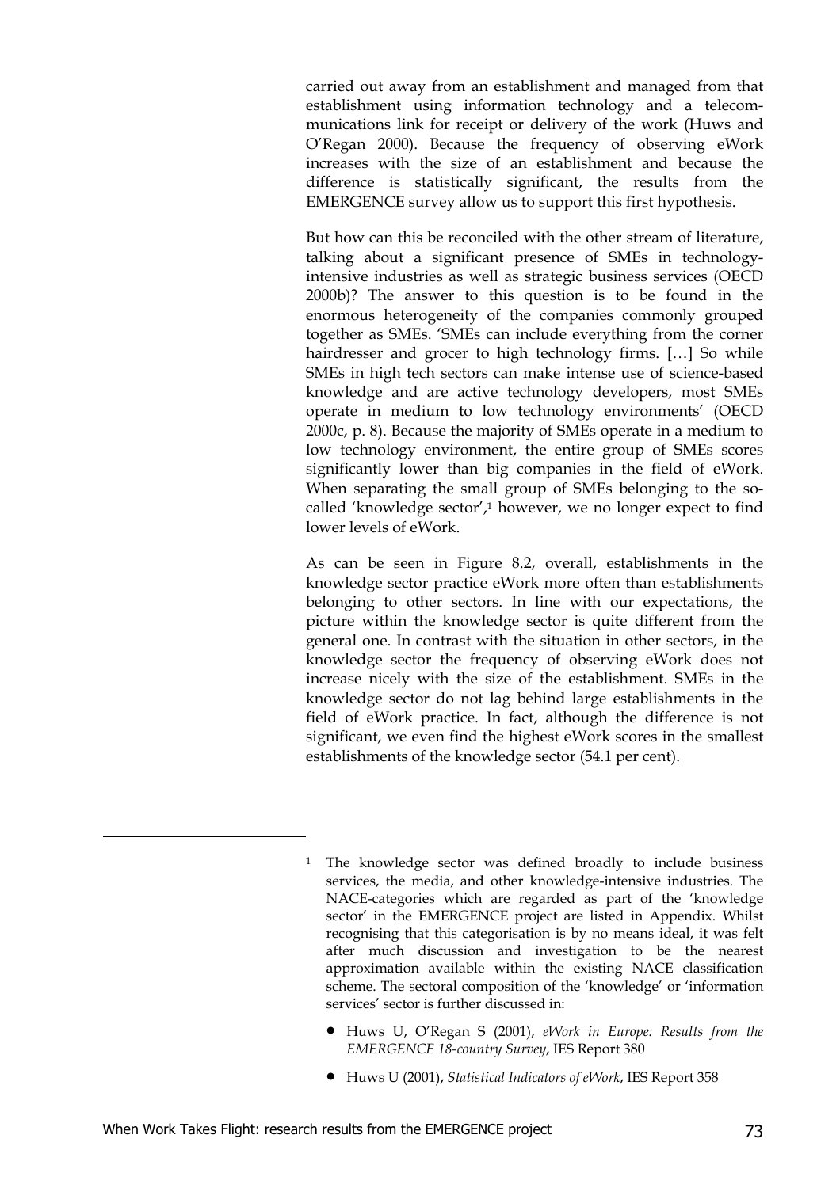carried out away from an establishment and managed from that establishment using information technology and a telecommunications link for receipt or delivery of the work (Huws and O'Regan 2000). Because the frequency of observing eWork increases with the size of an establishment and because the difference is statistically significant, the results from the EMERGENCE survey allow us to support this first hypothesis.

But how can this be reconciled with the other stream of literature, talking about a significant presence of SMEs in technologyintensive industries as well as strategic business services (OECD 2000b)? The answer to this question is to be found in the enormous heterogeneity of the companies commonly grouped together as SMEs. 'SMEs can include everything from the corner hairdresser and grocer to high technology firms. […] So while SMEs in high tech sectors can make intense use of science-based knowledge and are active technology developers, most SMEs operate in medium to low technology environments' (OECD 2000c, p. 8). Because the majority of SMEs operate in a medium to low technology environment, the entire group of SMEs scores significantly lower than big companies in the field of eWork. When separating the small group of SMEs belonging to the socalled 'knowledge sector', $1$  however, we no longer expect to find lower levels of eWork.

As can be seen in Figure 8.2, overall, establishments in the knowledge sector practice eWork more often than establishments belonging to other sectors. In line with our expectations, the picture within the knowledge sector is quite different from the general one. In contrast with the situation in other sectors, in the knowledge sector the frequency of observing eWork does not increase nicely with the size of the establishment. SMEs in the knowledge sector do not lag behind large establishments in the field of eWork practice. In fact, although the difference is not significant, we even find the highest eWork scores in the smallest establishments of the knowledge sector (54.1 per cent).

- Huws U, O'Regan S (2001), *eWork in Europe: Results from the EMERGENCE 18-country Survey*, IES Report 380
- Huws U (2001), *Statistical Indicators of eWork*, IES Report 358

-

<sup>&</sup>lt;sup>1</sup> The knowledge sector was defined broadly to include business services, the media, and other knowledge-intensive industries. The NACE-categories which are regarded as part of the 'knowledge sector' in the EMERGENCE project are listed in Appendix. Whilst recognising that this categorisation is by no means ideal, it was felt after much discussion and investigation to be the nearest approximation available within the existing NACE classification scheme. The sectoral composition of the 'knowledge' or 'information services' sector is further discussed in: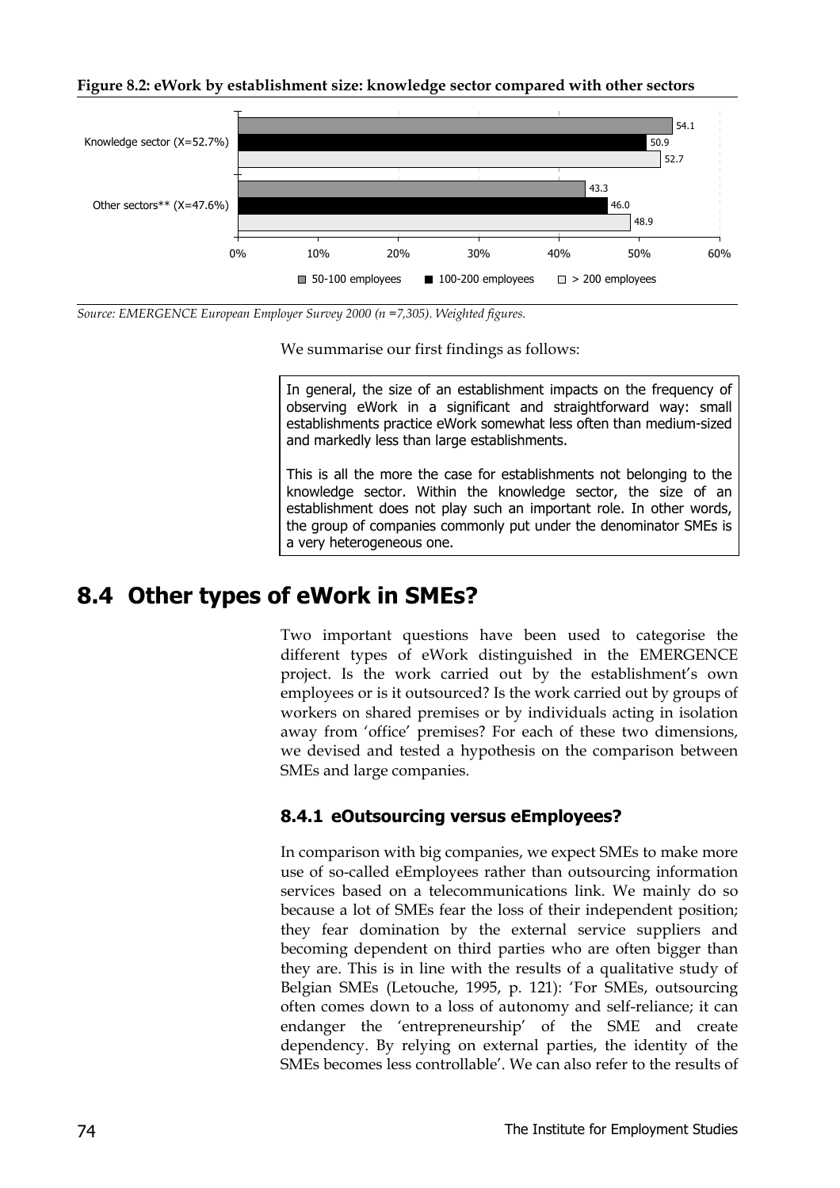#### **Figure 8.2: eWork by establishment size: knowledge sector compared with other sectors**



*Source: EMERGENCE European Employer Survey 2000 (n =7,305). Weighted figures.*

We summarise our first findings as follows:

In general, the size of an establishment impacts on the frequency of observing eWork in a significant and straightforward way: small establishments practice eWork somewhat less often than medium-sized and markedly less than large establishments.

This is all the more the case for establishments not belonging to the knowledge sector. Within the knowledge sector, the size of an establishment does not play such an important role. In other words, the group of companies commonly put under the denominator SMEs is a very heterogeneous one.

### **8.4 Other types of eWork in SMEs?**

Two important questions have been used to categorise the different types of eWork distinguished in the EMERGENCE project. Is the work carried out by the establishment's own employees or is it outsourced? Is the work carried out by groups of workers on shared premises or by individuals acting in isolation away from 'office' premises? For each of these two dimensions, we devised and tested a hypothesis on the comparison between SMEs and large companies.

#### **8.4.1 eOutsourcing versus eEmployees?**

In comparison with big companies, we expect SMEs to make more use of so-called eEmployees rather than outsourcing information services based on a telecommunications link. We mainly do so because a lot of SMEs fear the loss of their independent position; they fear domination by the external service suppliers and becoming dependent on third parties who are often bigger than they are. This is in line with the results of a qualitative study of Belgian SMEs (Letouche, 1995, p. 121): 'For SMEs, outsourcing often comes down to a loss of autonomy and self-reliance; it can endanger the 'entrepreneurship' of the SME and create dependency. By relying on external parties, the identity of the SMEs becomes less controllable'. We can also refer to the results of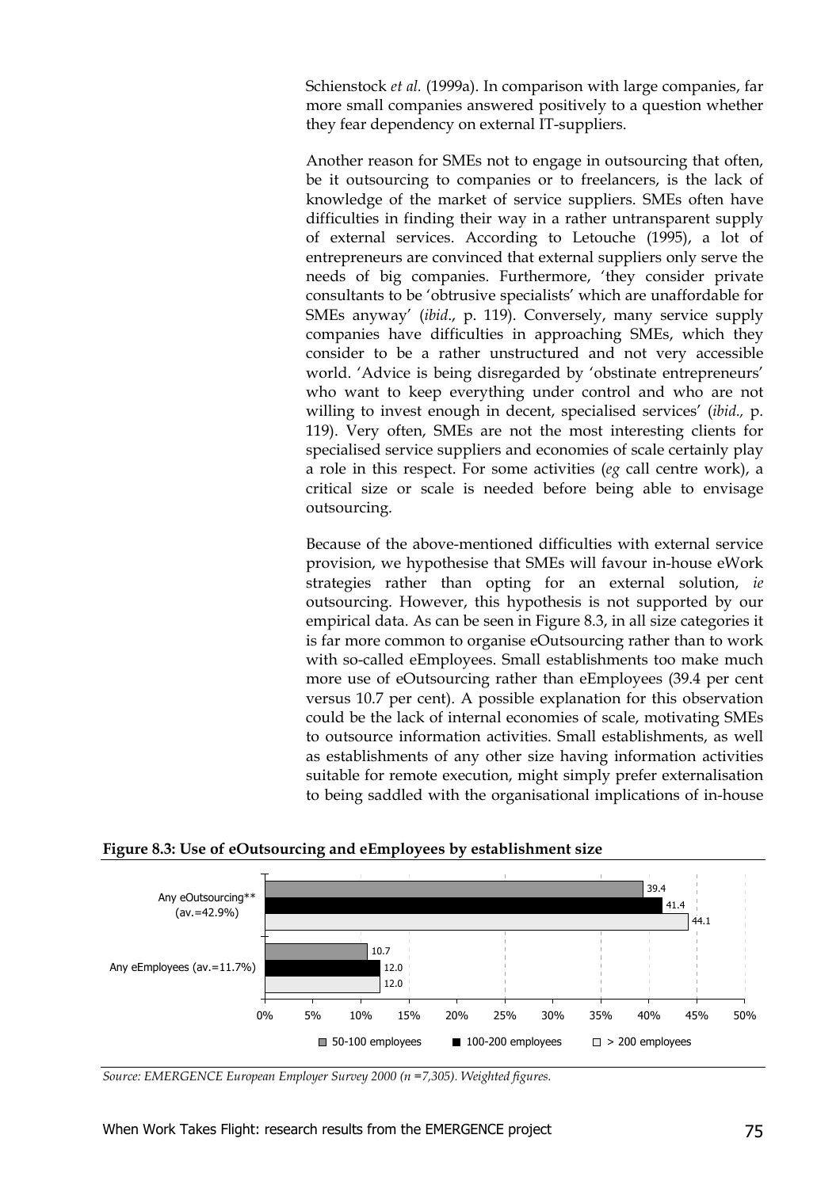Schienstock *et al.* (1999a). In comparison with large companies, far more small companies answered positively to a question whether they fear dependency on external IT-suppliers.

Another reason for SMEs not to engage in outsourcing that often, be it outsourcing to companies or to freelancers, is the lack of knowledge of the market of service suppliers. SMEs often have difficulties in finding their way in a rather untransparent supply of external services. According to Letouche (1995), a lot of entrepreneurs are convinced that external suppliers only serve the needs of big companies. Furthermore, 'they consider private consultants to be 'obtrusive specialists' which are unaffordable for SMEs anyway' (*ibid*., p. 119). Conversely, many service supply companies have difficulties in approaching SMEs, which they consider to be a rather unstructured and not very accessible world. 'Advice is being disregarded by 'obstinate entrepreneurs' who want to keep everything under control and who are not willing to invest enough in decent, specialised services' (*ibid.,* p. 119). Very often, SMEs are not the most interesting clients for specialised service suppliers and economies of scale certainly play a role in this respect. For some activities (*eg* call centre work), a critical size or scale is needed before being able to envisage outsourcing.

Because of the above-mentioned difficulties with external service provision, we hypothesise that SMEs will favour in-house eWork strategies rather than opting for an external solution, *ie* outsourcing. However, this hypothesis is not supported by our empirical data. As can be seen in Figure 8.3, in all size categories it is far more common to organise eOutsourcing rather than to work with so-called eEmployees. Small establishments too make much more use of eOutsourcing rather than eEmployees (39.4 per cent versus 10.7 per cent). A possible explanation for this observation could be the lack of internal economies of scale, motivating SMEs to outsource information activities. Small establishments, as well as establishments of any other size having information activities suitable for remote execution, might simply prefer externalisation to being saddled with the organisational implications of in-house

**Figure 8.3: Use of eOutsourcing and eEmployees by establishment size**



*Source: EMERGENCE European Employer Survey 2000 (n =7,305). Weighted figures.*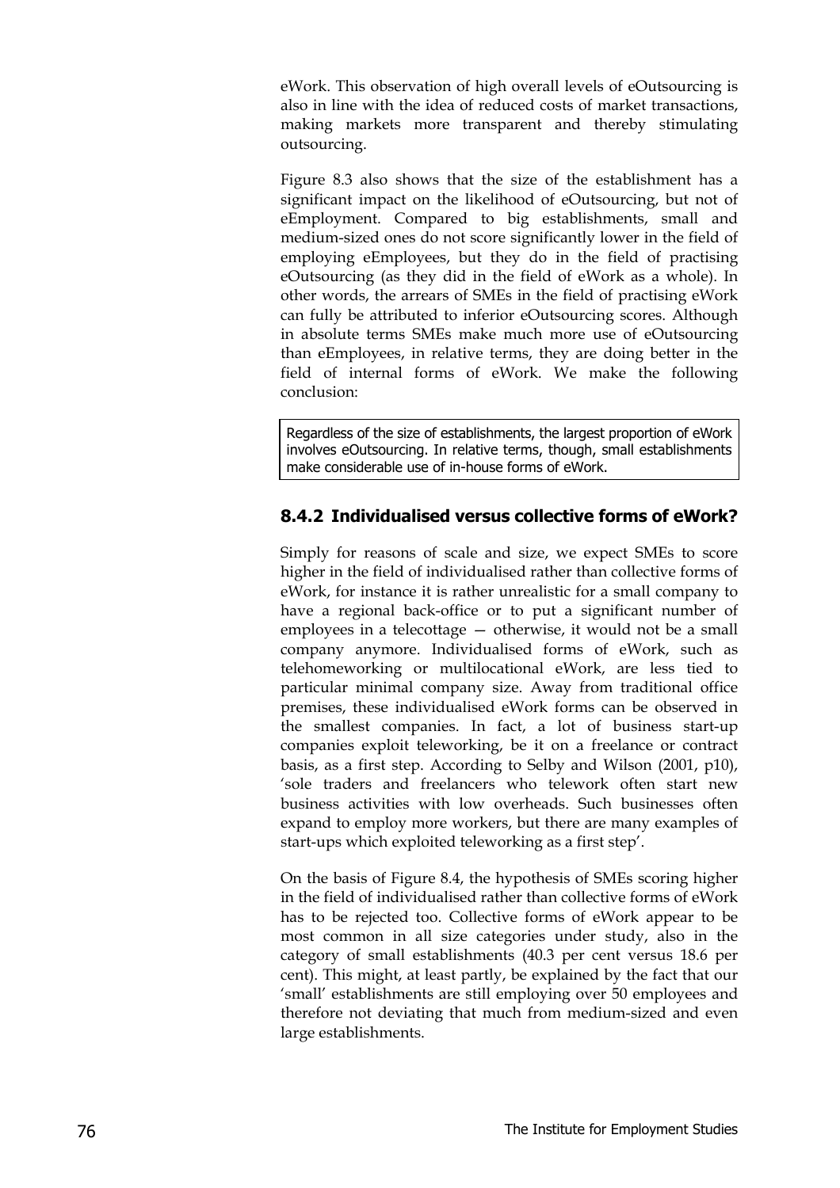eWork. This observation of high overall levels of eOutsourcing is also in line with the idea of reduced costs of market transactions, making markets more transparent and thereby stimulating outsourcing.

Figure 8.3 also shows that the size of the establishment has a significant impact on the likelihood of eOutsourcing, but not of eEmployment. Compared to big establishments, small and medium-sized ones do not score significantly lower in the field of employing eEmployees, but they do in the field of practising eOutsourcing (as they did in the field of eWork as a whole). In other words, the arrears of SMEs in the field of practising eWork can fully be attributed to inferior eOutsourcing scores. Although in absolute terms SMEs make much more use of eOutsourcing than eEmployees, in relative terms, they are doing better in the field of internal forms of eWork. We make the following conclusion:

Regardless of the size of establishments, the largest proportion of eWork involves eOutsourcing. In relative terms, though, small establishments make considerable use of in-house forms of eWork.

#### **8.4.2 Individualised versus collective forms of eWork?**

Simply for reasons of scale and size, we expect SMEs to score higher in the field of individualised rather than collective forms of eWork, for instance it is rather unrealistic for a small company to have a regional back-office or to put a significant number of employees in a telecottage — otherwise, it would not be a small company anymore. Individualised forms of eWork, such as telehomeworking or multilocational eWork, are less tied to particular minimal company size. Away from traditional office premises, these individualised eWork forms can be observed in the smallest companies. In fact, a lot of business start-up companies exploit teleworking, be it on a freelance or contract basis, as a first step. According to Selby and Wilson (2001, p10), 'sole traders and freelancers who telework often start new business activities with low overheads. Such businesses often expand to employ more workers, but there are many examples of start-ups which exploited teleworking as a first step'.

On the basis of Figure 8.4, the hypothesis of SMEs scoring higher in the field of individualised rather than collective forms of eWork has to be rejected too. Collective forms of eWork appear to be most common in all size categories under study, also in the category of small establishments (40.3 per cent versus 18.6 per cent). This might, at least partly, be explained by the fact that our 'small' establishments are still employing over 50 employees and therefore not deviating that much from medium-sized and even large establishments.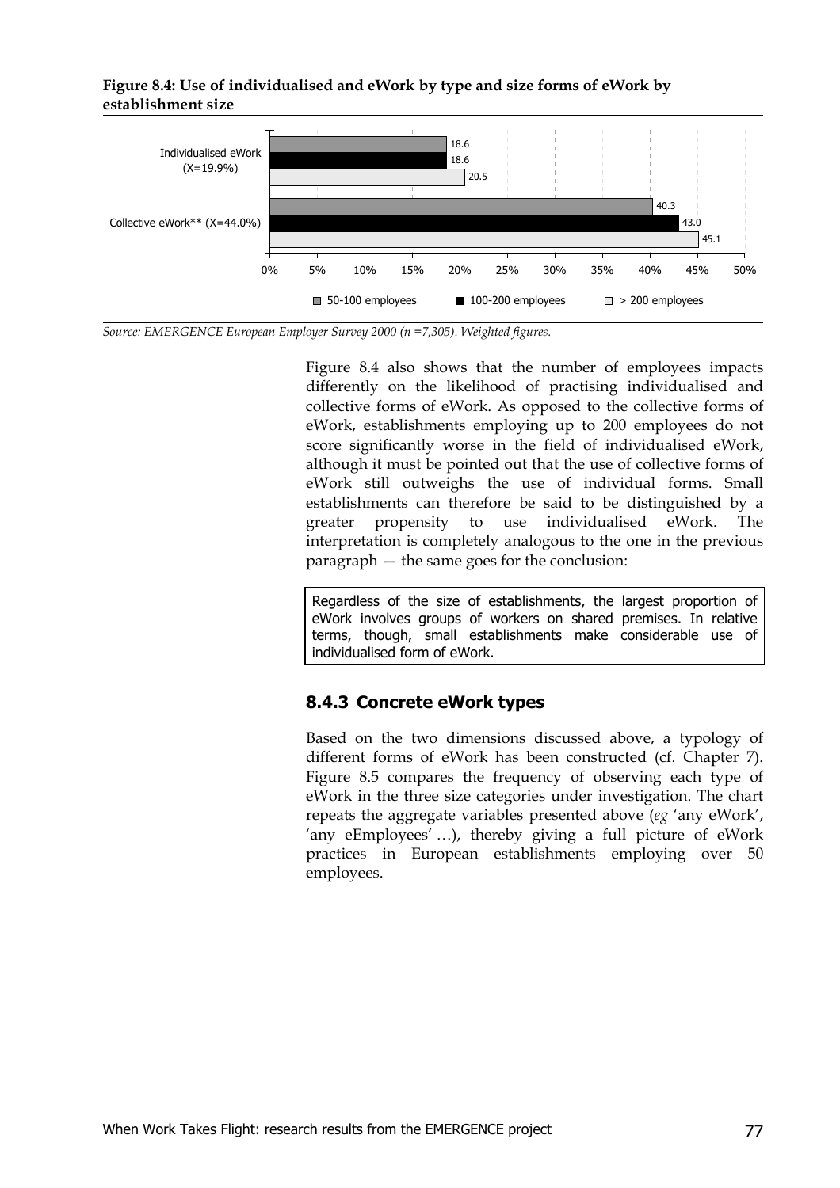#### **Figure 8.4: Use of individualised and eWork by type and size forms of eWork by establishment size**



*Source: EMERGENCE European Employer Survey 2000 (n =7,305). Weighted figures.*

Figure 8.4 also shows that the number of employees impacts differently on the likelihood of practising individualised and collective forms of eWork. As opposed to the collective forms of eWork, establishments employing up to 200 employees do not score significantly worse in the field of individualised eWork, although it must be pointed out that the use of collective forms of eWork still outweighs the use of individual forms. Small establishments can therefore be said to be distinguished by a greater propensity to use individualised eWork. The interpretation is completely analogous to the one in the previous paragraph — the same goes for the conclusion:

Regardless of the size of establishments, the largest proportion of eWork involves groups of workers on shared premises. In relative terms, though, small establishments make considerable use of individualised form of eWork.

#### **8.4.3 Concrete eWork types**

Based on the two dimensions discussed above, a typology of different forms of eWork has been constructed (cf. Chapter 7). Figure 8.5 compares the frequency of observing each type of eWork in the three size categories under investigation. The chart repeats the aggregate variables presented above (*eg* 'any eWork', 'any eEmployees' …), thereby giving a full picture of eWork practices in European establishments employing over 50 employees.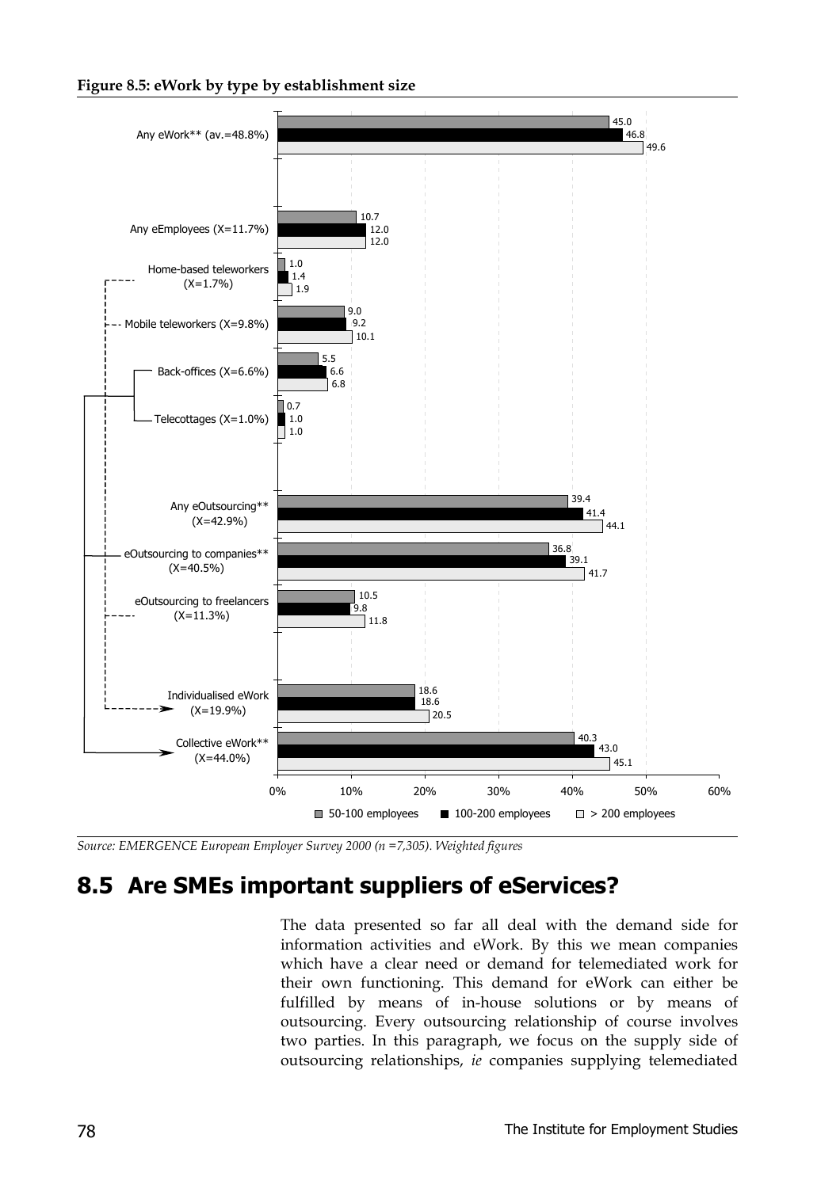#### **Figure 8.5: eWork by type by establishment size**



*Source: EMERGENCE European Employer Survey 2000 (n =7,305). Weighted figures*

### **8.5 Are SMEs important suppliers of eServices?**

The data presented so far all deal with the demand side for information activities and eWork. By this we mean companies which have a clear need or demand for telemediated work for their own functioning. This demand for eWork can either be fulfilled by means of in-house solutions or by means of outsourcing. Every outsourcing relationship of course involves two parties. In this paragraph, we focus on the supply side of outsourcing relationships, *ie* companies supplying telemediated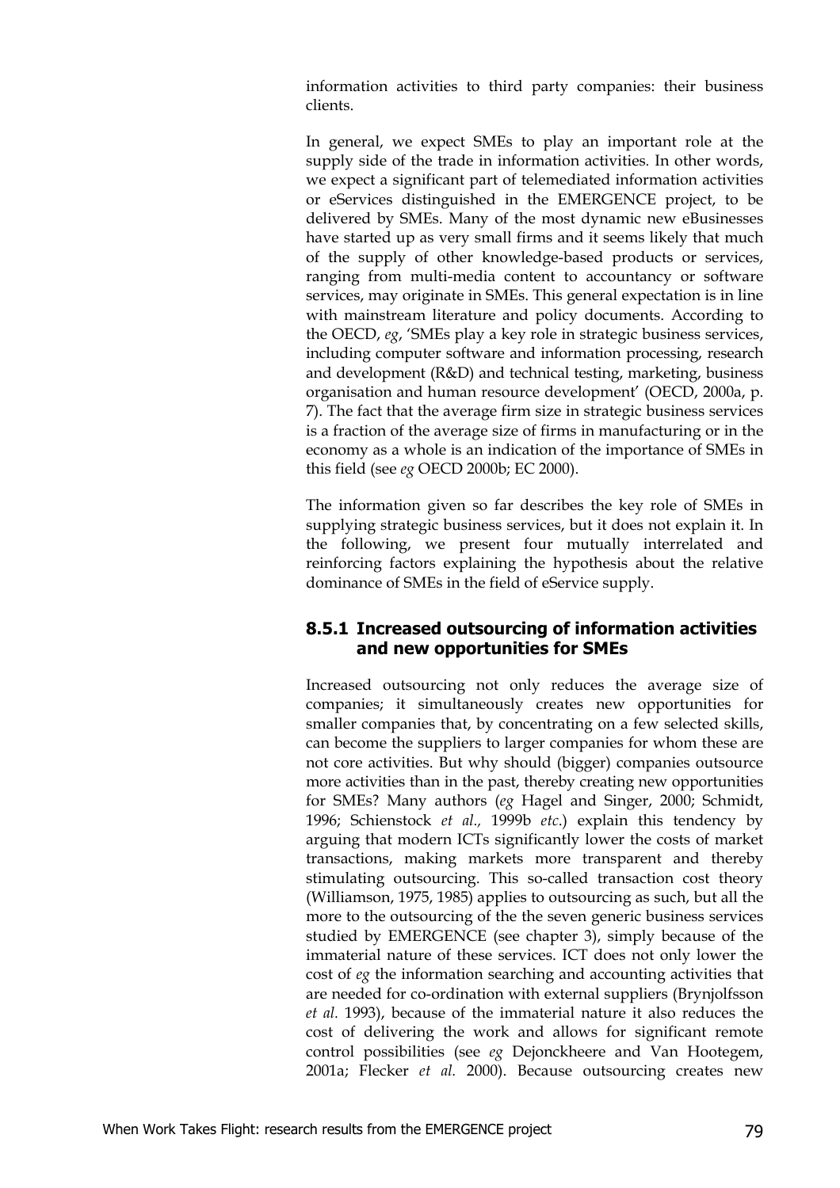information activities to third party companies: their business clients.

In general, we expect SMEs to play an important role at the supply side of the trade in information activities*.* In other words, we expect a significant part of telemediated information activities or eServices distinguished in the EMERGENCE project, to be delivered by SMEs. Many of the most dynamic new eBusinesses have started up as very small firms and it seems likely that much of the supply of other knowledge-based products or services, ranging from multi-media content to accountancy or software services, may originate in SMEs. This general expectation is in line with mainstream literature and policy documents. According to the OECD, *eg*, 'SMEs play a key role in strategic business services, including computer software and information processing, research and development (R&D) and technical testing, marketing, business organisation and human resource development' (OECD, 2000a, p. 7). The fact that the average firm size in strategic business services is a fraction of the average size of firms in manufacturing or in the economy as a whole is an indication of the importance of SMEs in this field (see *eg* OECD 2000b; EC 2000).

The information given so far describes the key role of SMEs in supplying strategic business services, but it does not explain it. In the following, we present four mutually interrelated and reinforcing factors explaining the hypothesis about the relative dominance of SMEs in the field of eService supply.

#### **8.5.1 Increased outsourcing of information activities and new opportunities for SMEs**

Increased outsourcing not only reduces the average size of companies; it simultaneously creates new opportunities for smaller companies that, by concentrating on a few selected skills, can become the suppliers to larger companies for whom these are not core activities. But why should (bigger) companies outsource more activities than in the past, thereby creating new opportunities for SMEs? Many authors (*eg* Hagel and Singer, 2000; Schmidt, 1996; Schienstock *et al.,* 1999b *etc*.) explain this tendency by arguing that modern ICTs significantly lower the costs of market transactions, making markets more transparent and thereby stimulating outsourcing. This so-called transaction cost theory (Williamson, 1975, 1985) applies to outsourcing as such, but all the more to the outsourcing of the the seven generic business services studied by EMERGENCE (see chapter 3), simply because of the immaterial nature of these services. ICT does not only lower the cost of *eg* the information searching and accounting activities that are needed for co-ordination with external suppliers (Brynjolfsson *et al.* 1993), because of the immaterial nature it also reduces the cost of delivering the work and allows for significant remote control possibilities (see *eg* Dejonckheere and Van Hootegem, 2001a; Flecker *et al.* 2000). Because outsourcing creates new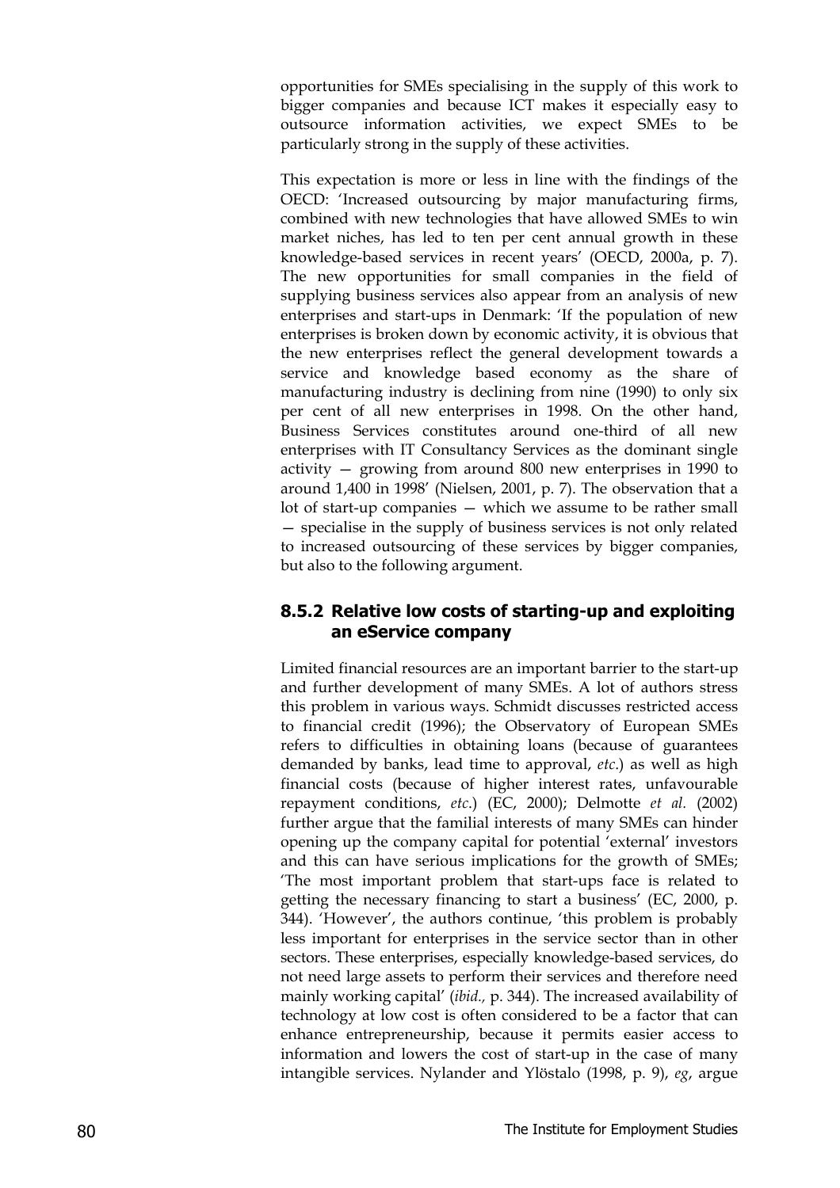opportunities for SMEs specialising in the supply of this work to bigger companies and because ICT makes it especially easy to outsource information activities, we expect SMEs to be particularly strong in the supply of these activities.

This expectation is more or less in line with the findings of the OECD: 'Increased outsourcing by major manufacturing firms, combined with new technologies that have allowed SMEs to win market niches, has led to ten per cent annual growth in these knowledge-based services in recent years' (OECD, 2000a, p. 7). The new opportunities for small companies in the field of supplying business services also appear from an analysis of new enterprises and start-ups in Denmark: 'If the population of new enterprises is broken down by economic activity, it is obvious that the new enterprises reflect the general development towards a service and knowledge based economy as the share of manufacturing industry is declining from nine (1990) to only six per cent of all new enterprises in 1998. On the other hand, Business Services constitutes around one-third of all new enterprises with IT Consultancy Services as the dominant single activity — growing from around 800 new enterprises in 1990 to around 1,400 in 1998' (Nielsen, 2001, p. 7). The observation that a lot of start-up companies — which we assume to be rather small — specialise in the supply of business services is not only related to increased outsourcing of these services by bigger companies, but also to the following argument.

#### **8.5.2 Relative low costs of starting-up and exploiting an eService company**

Limited financial resources are an important barrier to the start-up and further development of many SMEs. A lot of authors stress this problem in various ways. Schmidt discusses restricted access to financial credit (1996); the Observatory of European SMEs refers to difficulties in obtaining loans (because of guarantees demanded by banks, lead time to approval, *etc*.) as well as high financial costs (because of higher interest rates, unfavourable repayment conditions, *etc*.) (EC, 2000); Delmotte *et al.* (2002) further argue that the familial interests of many SMEs can hinder opening up the company capital for potential 'external' investors and this can have serious implications for the growth of SMEs; 'The most important problem that start-ups face is related to getting the necessary financing to start a business' (EC, 2000, p. 344). 'However', the authors continue, 'this problem is probably less important for enterprises in the service sector than in other sectors. These enterprises, especially knowledge-based services, do not need large assets to perform their services and therefore need mainly working capital' (*ibid.,* p. 344). The increased availability of technology at low cost is often considered to be a factor that can enhance entrepreneurship, because it permits easier access to information and lowers the cost of start-up in the case of many intangible services. Nylander and Ylöstalo (1998, p. 9), *eg*, argue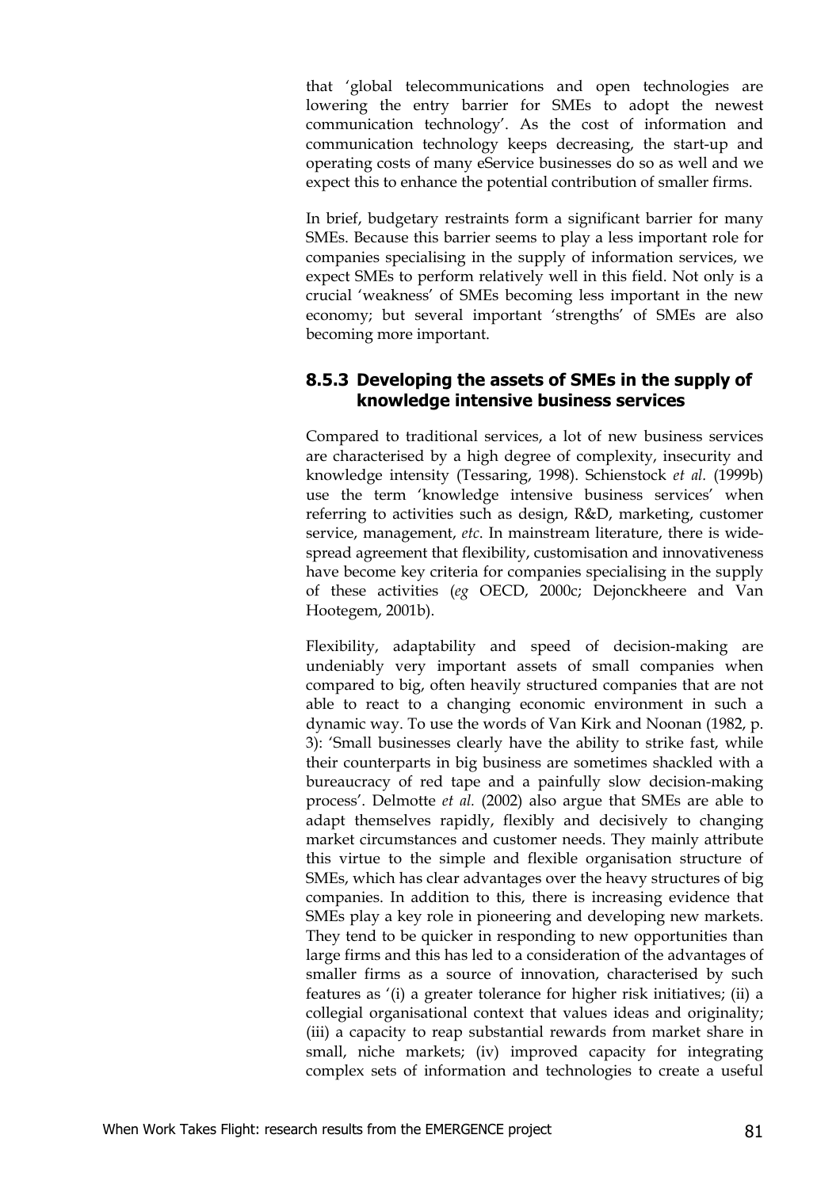that 'global telecommunications and open technologies are lowering the entry barrier for SMEs to adopt the newest communication technology'. As the cost of information and communication technology keeps decreasing, the start-up and operating costs of many eService businesses do so as well and we expect this to enhance the potential contribution of smaller firms.

In brief, budgetary restraints form a significant barrier for many SMEs. Because this barrier seems to play a less important role for companies specialising in the supply of information services, we expect SMEs to perform relatively well in this field. Not only is a crucial 'weakness' of SMEs becoming less important in the new economy; but several important 'strengths' of SMEs are also becoming more important.

#### **8.5.3 Developing the assets of SMEs in the supply of knowledge intensive business services**

Compared to traditional services, a lot of new business services are characterised by a high degree of complexity, insecurity and knowledge intensity (Tessaring, 1998). Schienstock *et al.* (1999b) use the term 'knowledge intensive business services' when referring to activities such as design, R&D, marketing, customer service, management, *etc*. In mainstream literature, there is widespread agreement that flexibility, customisation and innovativeness have become key criteria for companies specialising in the supply of these activities (*eg* OECD, 2000c; Dejonckheere and Van Hootegem, 2001b).

Flexibility, adaptability and speed of decision-making are undeniably very important assets of small companies when compared to big, often heavily structured companies that are not able to react to a changing economic environment in such a dynamic way. To use the words of Van Kirk and Noonan (1982, p. 3): 'Small businesses clearly have the ability to strike fast, while their counterparts in big business are sometimes shackled with a bureaucracy of red tape and a painfully slow decision-making process'. Delmotte *et al.* (2002) also argue that SMEs are able to adapt themselves rapidly, flexibly and decisively to changing market circumstances and customer needs. They mainly attribute this virtue to the simple and flexible organisation structure of SMEs, which has clear advantages over the heavy structures of big companies. In addition to this, there is increasing evidence that SMEs play a key role in pioneering and developing new markets. They tend to be quicker in responding to new opportunities than large firms and this has led to a consideration of the advantages of smaller firms as a source of innovation, characterised by such features as '(i) a greater tolerance for higher risk initiatives; (ii) a collegial organisational context that values ideas and originality; (iii) a capacity to reap substantial rewards from market share in small, niche markets; (iv) improved capacity for integrating complex sets of information and technologies to create a useful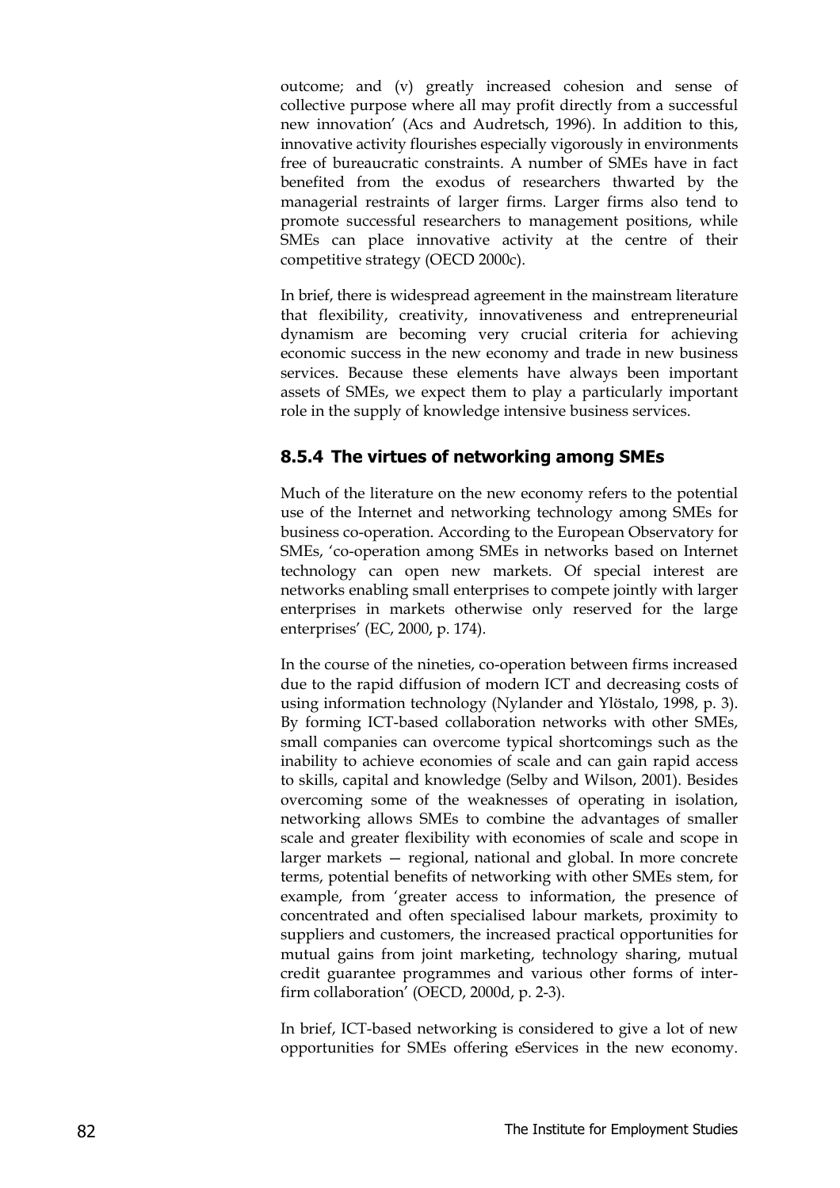outcome; and (v) greatly increased cohesion and sense of collective purpose where all may profit directly from a successful new innovation' (Acs and Audretsch, 1996). In addition to this, innovative activity flourishes especially vigorously in environments free of bureaucratic constraints. A number of SMEs have in fact benefited from the exodus of researchers thwarted by the managerial restraints of larger firms. Larger firms also tend to promote successful researchers to management positions, while SMEs can place innovative activity at the centre of their competitive strategy (OECD 2000c).

In brief, there is widespread agreement in the mainstream literature that flexibility, creativity, innovativeness and entrepreneurial dynamism are becoming very crucial criteria for achieving economic success in the new economy and trade in new business services. Because these elements have always been important assets of SMEs, we expect them to play a particularly important role in the supply of knowledge intensive business services.

#### **8.5.4 The virtues of networking among SMEs**

Much of the literature on the new economy refers to the potential use of the Internet and networking technology among SMEs for business co-operation. According to the European Observatory for SMEs, 'co-operation among SMEs in networks based on Internet technology can open new markets. Of special interest are networks enabling small enterprises to compete jointly with larger enterprises in markets otherwise only reserved for the large enterprises' (EC, 2000, p. 174).

In the course of the nineties, co-operation between firms increased due to the rapid diffusion of modern ICT and decreasing costs of using information technology (Nylander and Ylöstalo, 1998, p. 3). By forming ICT-based collaboration networks with other SMEs, small companies can overcome typical shortcomings such as the inability to achieve economies of scale and can gain rapid access to skills, capital and knowledge (Selby and Wilson, 2001). Besides overcoming some of the weaknesses of operating in isolation, networking allows SMEs to combine the advantages of smaller scale and greater flexibility with economies of scale and scope in larger markets — regional, national and global. In more concrete terms, potential benefits of networking with other SMEs stem, for example, from 'greater access to information, the presence of concentrated and often specialised labour markets, proximity to suppliers and customers, the increased practical opportunities for mutual gains from joint marketing, technology sharing, mutual credit guarantee programmes and various other forms of interfirm collaboration' (OECD, 2000d, p. 2-3).

In brief, ICT-based networking is considered to give a lot of new opportunities for SMEs offering eServices in the new economy.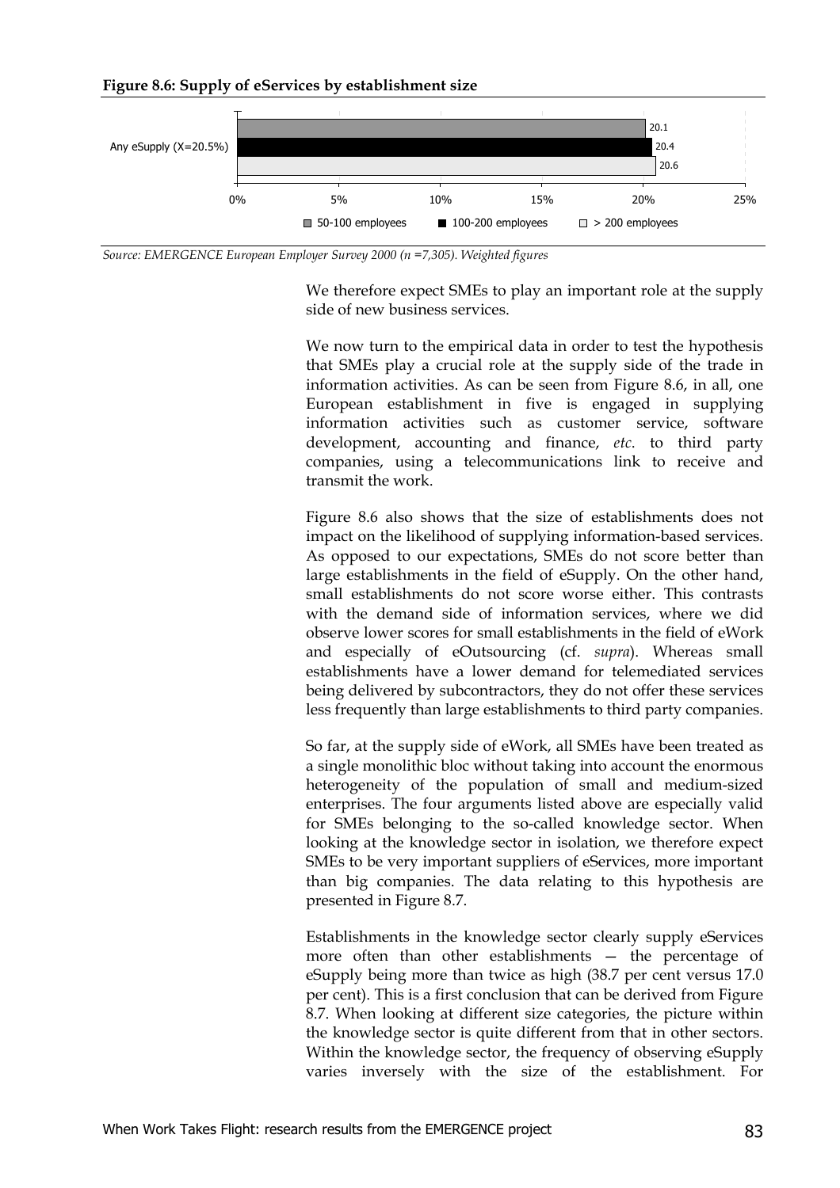**Figure 8.6: Supply of eServices by establishment size**



*Source: EMERGENCE European Employer Survey 2000 (n =7,305). Weighted figures*

We therefore expect SMEs to play an important role at the supply side of new business services.

We now turn to the empirical data in order to test the hypothesis that SMEs play a crucial role at the supply side of the trade in information activities. As can be seen from Figure 8.6, in all, one European establishment in five is engaged in supplying information activities such as customer service, software development, accounting and finance, *etc*. to third party companies, using a telecommunications link to receive and transmit the work.

Figure 8.6 also shows that the size of establishments does not impact on the likelihood of supplying information-based services. As opposed to our expectations, SMEs do not score better than large establishments in the field of eSupply. On the other hand, small establishments do not score worse either. This contrasts with the demand side of information services, where we did observe lower scores for small establishments in the field of eWork and especially of eOutsourcing (cf. *supra*). Whereas small establishments have a lower demand for telemediated services being delivered by subcontractors, they do not offer these services less frequently than large establishments to third party companies.

So far, at the supply side of eWork, all SMEs have been treated as a single monolithic bloc without taking into account the enormous heterogeneity of the population of small and medium-sized enterprises. The four arguments listed above are especially valid for SMEs belonging to the so-called knowledge sector. When looking at the knowledge sector in isolation, we therefore expect SMEs to be very important suppliers of eServices, more important than big companies. The data relating to this hypothesis are presented in Figure 8.7.

Establishments in the knowledge sector clearly supply eServices more often than other establishments — the percentage of eSupply being more than twice as high (38.7 per cent versus 17.0 per cent). This is a first conclusion that can be derived from Figure 8.7. When looking at different size categories, the picture within the knowledge sector is quite different from that in other sectors. Within the knowledge sector, the frequency of observing eSupply varies inversely with the size of the establishment. For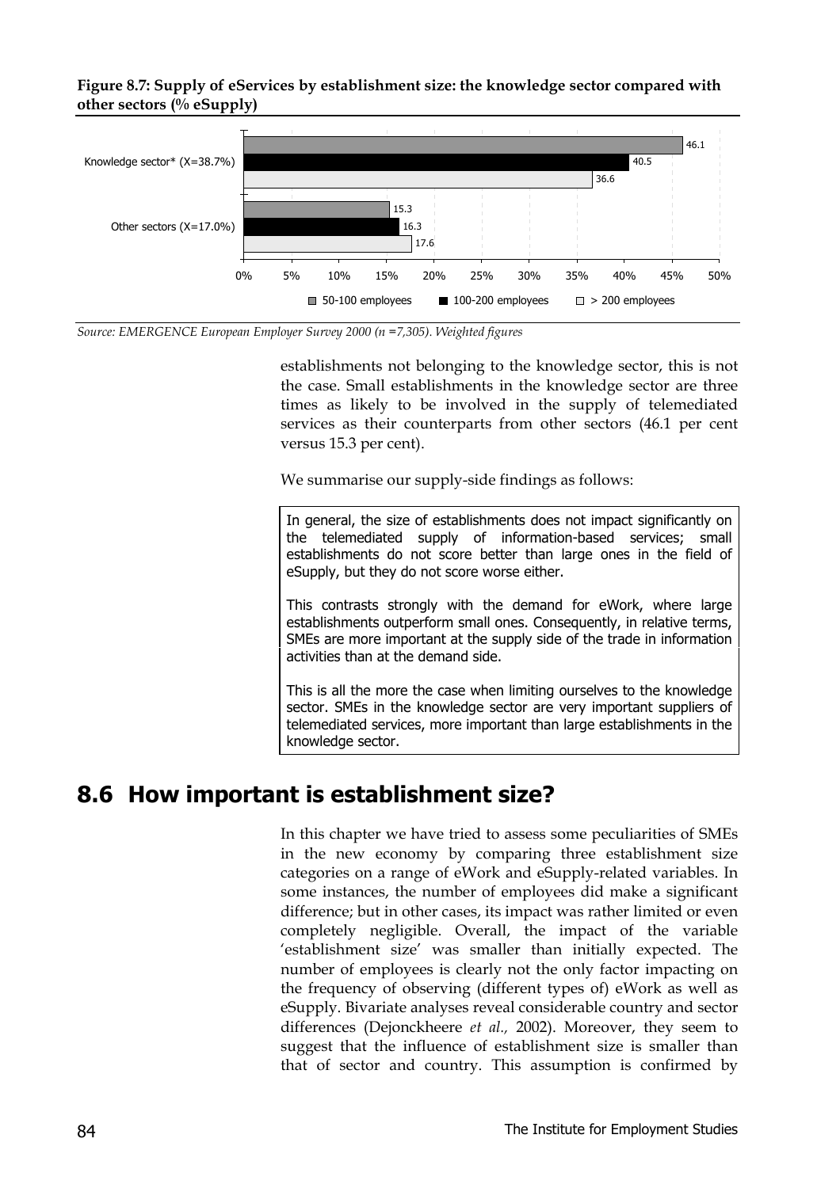**Figure 8.7: Supply of eServices by establishment size: the knowledge sector compared with other sectors (% eSupply)**



*Source: EMERGENCE European Employer Survey 2000 (n =7,305). Weighted figures*

establishments not belonging to the knowledge sector, this is not the case. Small establishments in the knowledge sector are three times as likely to be involved in the supply of telemediated services as their counterparts from other sectors (46.1 per cent versus 15.3 per cent).

We summarise our supply-side findings as follows:

In general, the size of establishments does not impact significantly on the telemediated supply of information-based services; small establishments do not score better than large ones in the field of eSupply, but they do not score worse either.

This contrasts strongly with the demand for eWork, where large establishments outperform small ones. Consequently, in relative terms, SMEs are more important at the supply side of the trade in information activities than at the demand side.

This is all the more the case when limiting ourselves to the knowledge sector. SMEs in the knowledge sector are very important suppliers of telemediated services, more important than large establishments in the knowledge sector.

### **8.6 How important is establishment size?**

In this chapter we have tried to assess some peculiarities of SMEs in the new economy by comparing three establishment size categories on a range of eWork and eSupply-related variables. In some instances, the number of employees did make a significant difference; but in other cases, its impact was rather limited or even completely negligible. Overall, the impact of the variable 'establishment size' was smaller than initially expected. The number of employees is clearly not the only factor impacting on the frequency of observing (different types of) eWork as well as eSupply. Bivariate analyses reveal considerable country and sector differences (Dejonckheere *et al.,* 2002). Moreover, they seem to suggest that the influence of establishment size is smaller than that of sector and country. This assumption is confirmed by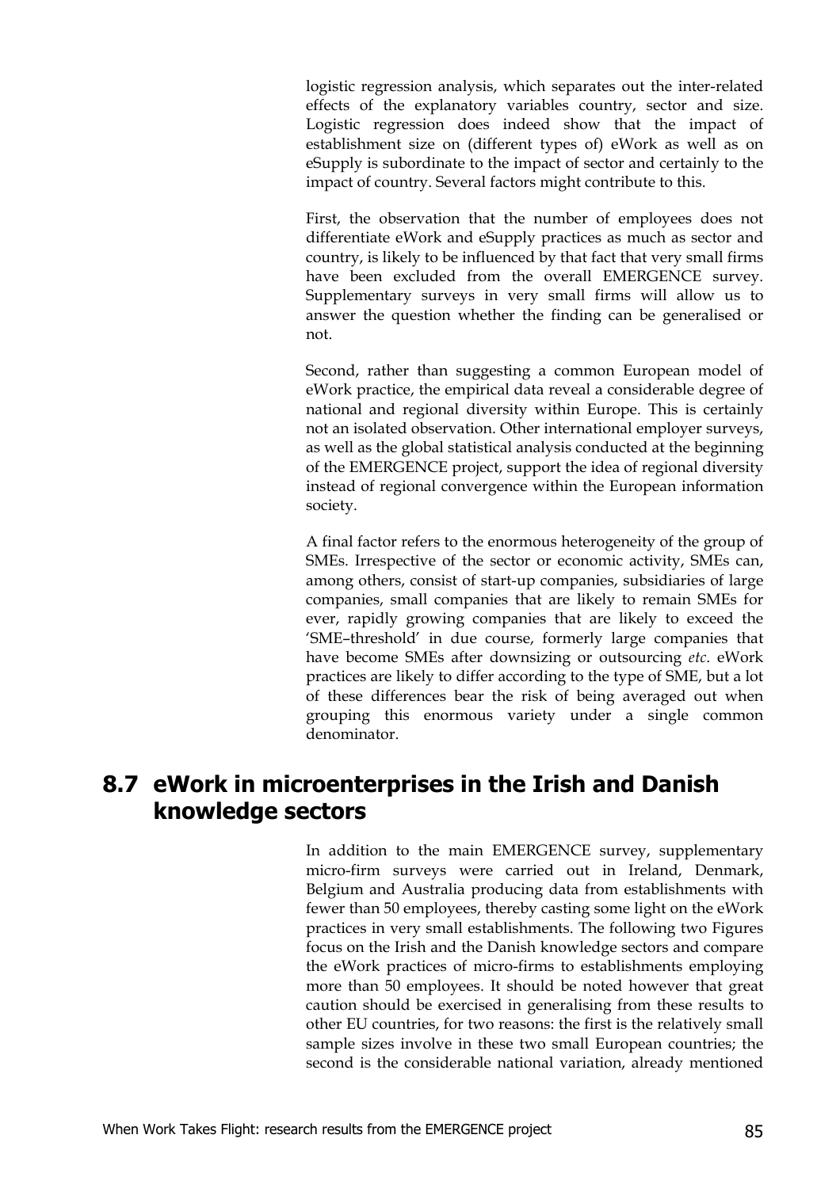logistic regression analysis, which separates out the inter-related effects of the explanatory variables country, sector and size. Logistic regression does indeed show that the impact of establishment size on (different types of) eWork as well as on eSupply is subordinate to the impact of sector and certainly to the impact of country. Several factors might contribute to this.

First, the observation that the number of employees does not differentiate eWork and eSupply practices as much as sector and country, is likely to be influenced by that fact that very small firms have been excluded from the overall EMERGENCE survey. Supplementary surveys in very small firms will allow us to answer the question whether the finding can be generalised or not.

Second, rather than suggesting a common European model of eWork practice, the empirical data reveal a considerable degree of national and regional diversity within Europe. This is certainly not an isolated observation. Other international employer surveys, as well as the global statistical analysis conducted at the beginning of the EMERGENCE project, support the idea of regional diversity instead of regional convergence within the European information society.

A final factor refers to the enormous heterogeneity of the group of SMEs. Irrespective of the sector or economic activity, SMEs can, among others, consist of start-up companies, subsidiaries of large companies, small companies that are likely to remain SMEs for ever, rapidly growing companies that are likely to exceed the 'SME–threshold' in due course, formerly large companies that have become SMEs after downsizing or outsourcing *etc*. eWork practices are likely to differ according to the type of SME, but a lot of these differences bear the risk of being averaged out when grouping this enormous variety under a single common denominator.

### **8.7 eWork in microenterprises in the Irish and Danish knowledge sectors**

In addition to the main EMERGENCE survey, supplementary micro-firm surveys were carried out in Ireland, Denmark, Belgium and Australia producing data from establishments with fewer than 50 employees, thereby casting some light on the eWork practices in very small establishments. The following two Figures focus on the Irish and the Danish knowledge sectors and compare the eWork practices of micro-firms to establishments employing more than 50 employees. It should be noted however that great caution should be exercised in generalising from these results to other EU countries, for two reasons: the first is the relatively small sample sizes involve in these two small European countries; the second is the considerable national variation, already mentioned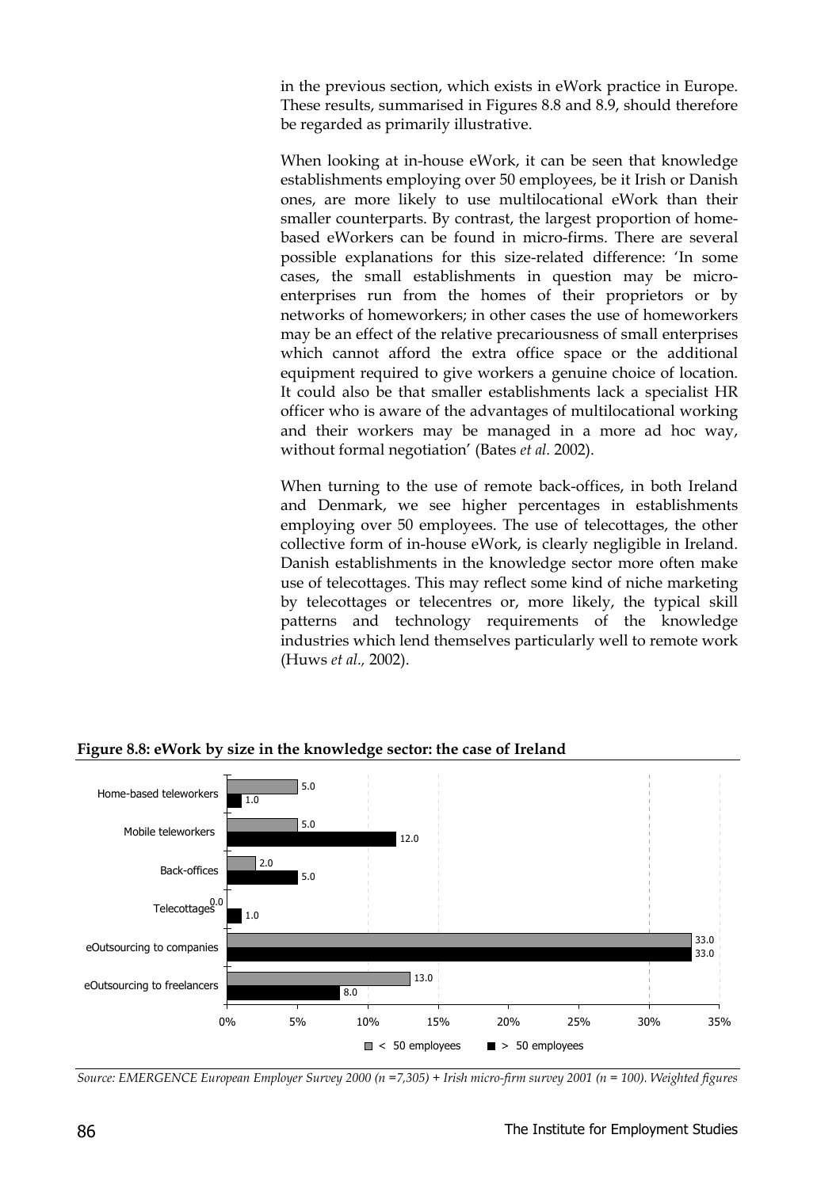in the previous section, which exists in eWork practice in Europe. These results, summarised in Figures 8.8 and 8.9, should therefore be regarded as primarily illustrative.

When looking at in-house eWork, it can be seen that knowledge establishments employing over 50 employees, be it Irish or Danish ones, are more likely to use multilocational eWork than their smaller counterparts. By contrast, the largest proportion of homebased eWorkers can be found in micro-firms. There are several possible explanations for this size-related difference: 'In some cases, the small establishments in question may be microenterprises run from the homes of their proprietors or by networks of homeworkers; in other cases the use of homeworkers may be an effect of the relative precariousness of small enterprises which cannot afford the extra office space or the additional equipment required to give workers a genuine choice of location. It could also be that smaller establishments lack a specialist HR officer who is aware of the advantages of multilocational working and their workers may be managed in a more ad hoc way, without formal negotiation' (Bates *et al.* 2002).

When turning to the use of remote back-offices, in both Ireland and Denmark, we see higher percentages in establishments employing over 50 employees. The use of telecottages, the other collective form of in-house eWork, is clearly negligible in Ireland. Danish establishments in the knowledge sector more often make use of telecottages. This may reflect some kind of niche marketing by telecottages or telecentres or, more likely, the typical skill patterns and technology requirements of the knowledge industries which lend themselves particularly well to remote work (Huws *et al.,* 2002).



**Figure 8.8: eWork by size in the knowledge sector: the case of Ireland**

*Source: EMERGENCE European Employer Survey 2000 (n =7,305) + Irish micro-firm survey 2001 (n = 100). Weighted figures*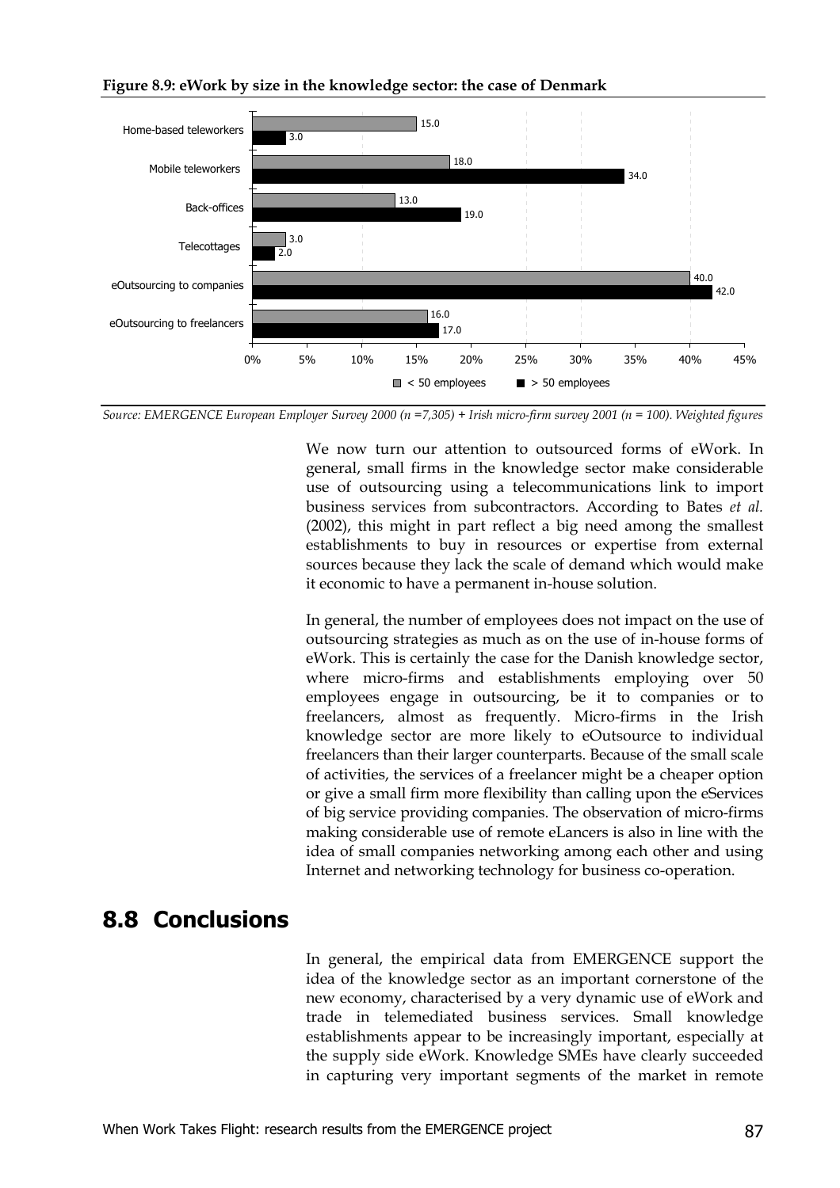

**Figure 8.9: eWork by size in the knowledge sector: the case of Denmark**

*Source: EMERGENCE European Employer Survey 2000 (n =7,305) + Irish micro-firm survey 2001 (n = 100). Weighted figures*

We now turn our attention to outsourced forms of eWork. In general, small firms in the knowledge sector make considerable use of outsourcing using a telecommunications link to import business services from subcontractors. According to Bates *et al.* (2002), this might in part reflect a big need among the smallest establishments to buy in resources or expertise from external sources because they lack the scale of demand which would make it economic to have a permanent in-house solution.

In general, the number of employees does not impact on the use of outsourcing strategies as much as on the use of in-house forms of eWork. This is certainly the case for the Danish knowledge sector, where micro-firms and establishments employing over 50 employees engage in outsourcing, be it to companies or to freelancers, almost as frequently. Micro-firms in the Irish knowledge sector are more likely to eOutsource to individual freelancers than their larger counterparts. Because of the small scale of activities, the services of a freelancer might be a cheaper option or give a small firm more flexibility than calling upon the eServices of big service providing companies. The observation of micro-firms making considerable use of remote eLancers is also in line with the idea of small companies networking among each other and using Internet and networking technology for business co-operation.

### **8.8 Conclusions**

In general, the empirical data from EMERGENCE support the idea of the knowledge sector as an important cornerstone of the new economy, characterised by a very dynamic use of eWork and trade in telemediated business services. Small knowledge establishments appear to be increasingly important, especially at the supply side eWork. Knowledge SMEs have clearly succeeded in capturing very important segments of the market in remote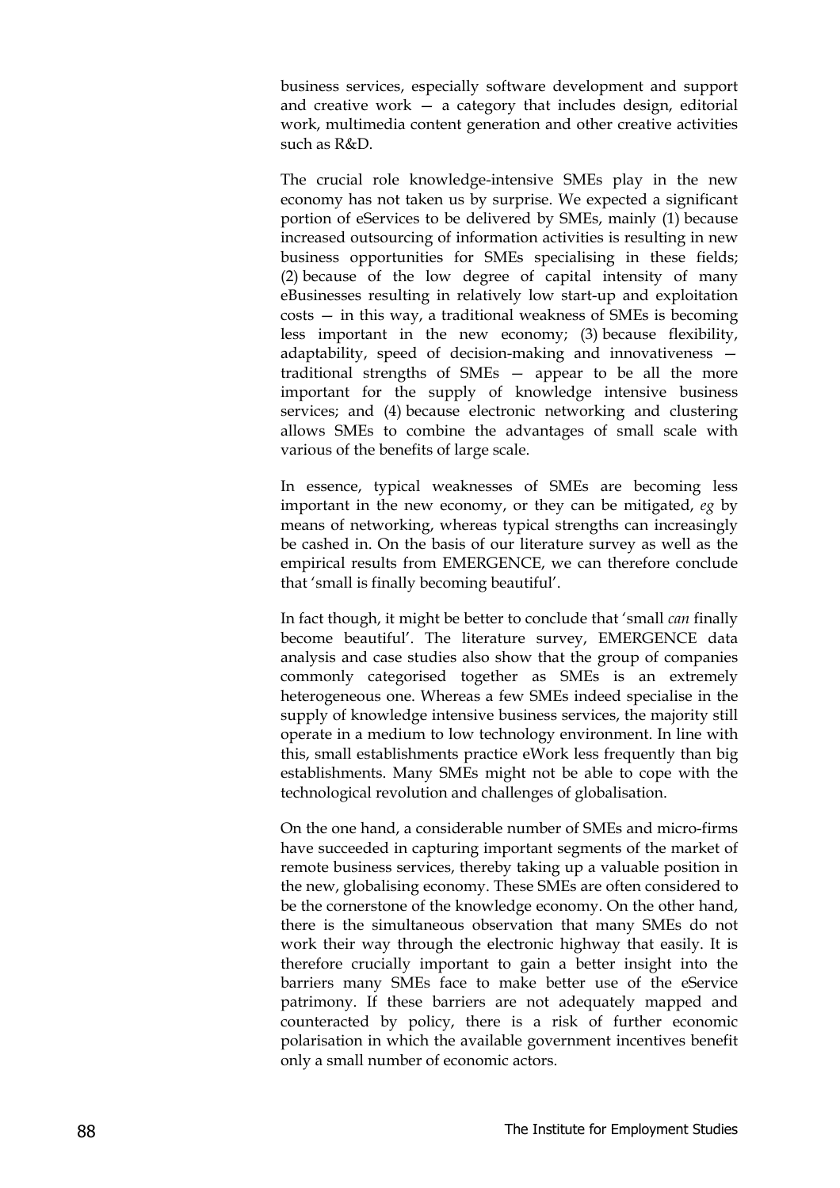business services, especially software development and support and creative work  $-$  a category that includes design, editorial work, multimedia content generation and other creative activities such as R&D.

The crucial role knowledge-intensive SMEs play in the new economy has not taken us by surprise. We expected a significant portion of eServices to be delivered by SMEs, mainly (1) because increased outsourcing of information activities is resulting in new business opportunities for SMEs specialising in these fields; (2) because of the low degree of capital intensity of many eBusinesses resulting in relatively low start-up and exploitation costs — in this way, a traditional weakness of SMEs is becoming less important in the new economy; (3) because flexibility, adaptability, speed of decision-making and innovativeness traditional strengths of SMEs — appear to be all the more important for the supply of knowledge intensive business services; and (4) because electronic networking and clustering allows SMEs to combine the advantages of small scale with various of the benefits of large scale.

In essence, typical weaknesses of SMEs are becoming less important in the new economy, or they can be mitigated, *eg* by means of networking, whereas typical strengths can increasingly be cashed in. On the basis of our literature survey as well as the empirical results from EMERGENCE, we can therefore conclude that 'small is finally becoming beautiful'.

In fact though, it might be better to conclude that 'small *can* finally become beautiful'. The literature survey, EMERGENCE data analysis and case studies also show that the group of companies commonly categorised together as SMEs is an extremely heterogeneous one. Whereas a few SMEs indeed specialise in the supply of knowledge intensive business services, the majority still operate in a medium to low technology environment. In line with this, small establishments practice eWork less frequently than big establishments. Many SMEs might not be able to cope with the technological revolution and challenges of globalisation.

On the one hand, a considerable number of SMEs and micro-firms have succeeded in capturing important segments of the market of remote business services, thereby taking up a valuable position in the new, globalising economy. These SMEs are often considered to be the cornerstone of the knowledge economy. On the other hand, there is the simultaneous observation that many SMEs do not work their way through the electronic highway that easily. It is therefore crucially important to gain a better insight into the barriers many SMEs face to make better use of the eService patrimony. If these barriers are not adequately mapped and counteracted by policy, there is a risk of further economic polarisation in which the available government incentives benefit only a small number of economic actors.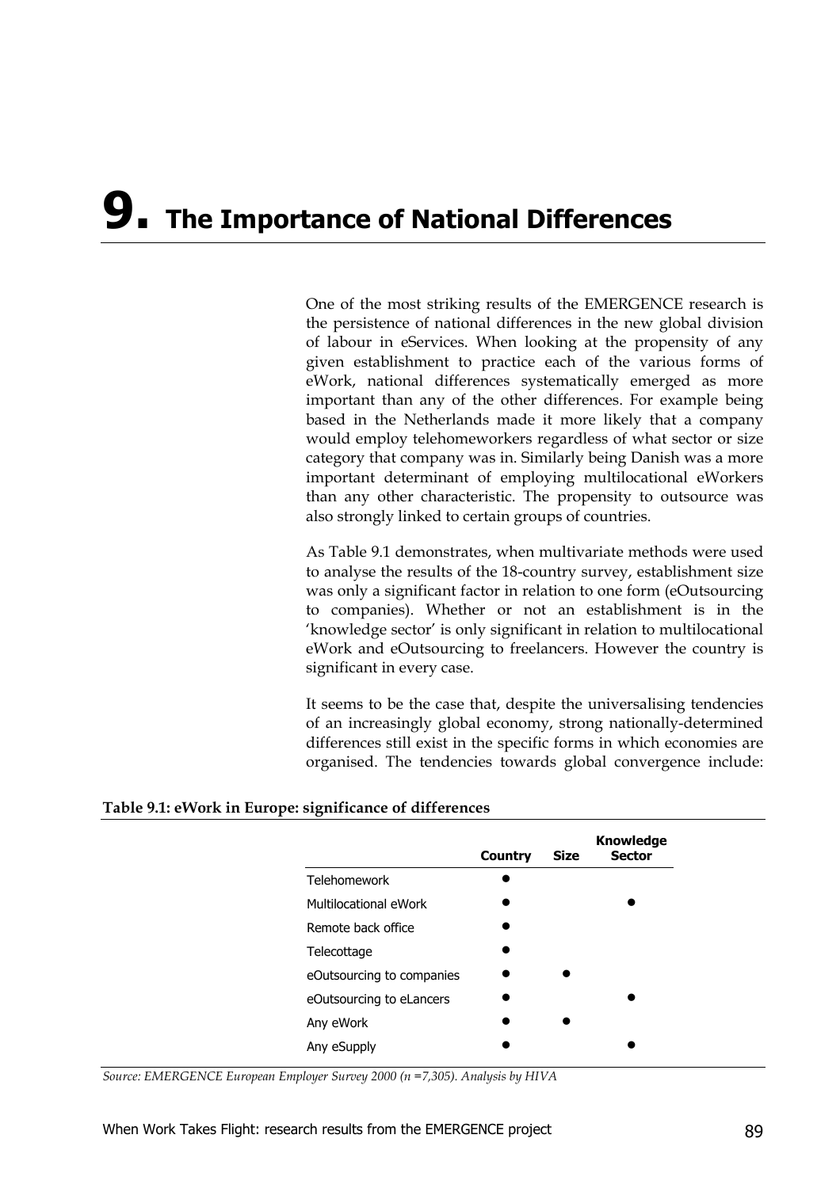# **9. The Importance of National Differences**

One of the most striking results of the EMERGENCE research is the persistence of national differences in the new global division of labour in eServices. When looking at the propensity of any given establishment to practice each of the various forms of eWork, national differences systematically emerged as more important than any of the other differences. For example being based in the Netherlands made it more likely that a company would employ telehomeworkers regardless of what sector or size category that company was in. Similarly being Danish was a more important determinant of employing multilocational eWorkers than any other characteristic. The propensity to outsource was also strongly linked to certain groups of countries.

As Table 9.1 demonstrates, when multivariate methods were used to analyse the results of the 18-country survey, establishment size was only a significant factor in relation to one form (eOutsourcing to companies). Whether or not an establishment is in the 'knowledge sector' is only significant in relation to multilocational eWork and eOutsourcing to freelancers. However the country is significant in every case.

It seems to be the case that, despite the universalising tendencies of an increasingly global economy, strong nationally-determined differences still exist in the specific forms in which economies are organised. The tendencies towards global convergence include:

#### **Table 9.1: eWork in Europe: significance of differences**

|                           | <b>Country</b> | <b>Size</b> | <b>Knowledge</b><br><b>Sector</b> |
|---------------------------|----------------|-------------|-----------------------------------|
| Telehomework              |                |             |                                   |
| Multilocational eWork     |                |             |                                   |
| Remote back office        |                |             |                                   |
| Telecottage               |                |             |                                   |
| eOutsourcing to companies |                |             |                                   |
| eOutsourcing to eLancers  |                |             |                                   |
| Any eWork                 |                |             |                                   |
| Any eSupply               |                |             |                                   |
|                           |                |             |                                   |

*Source: EMERGENCE European Employer Survey 2000 (n =7,305). Analysis by HIVA*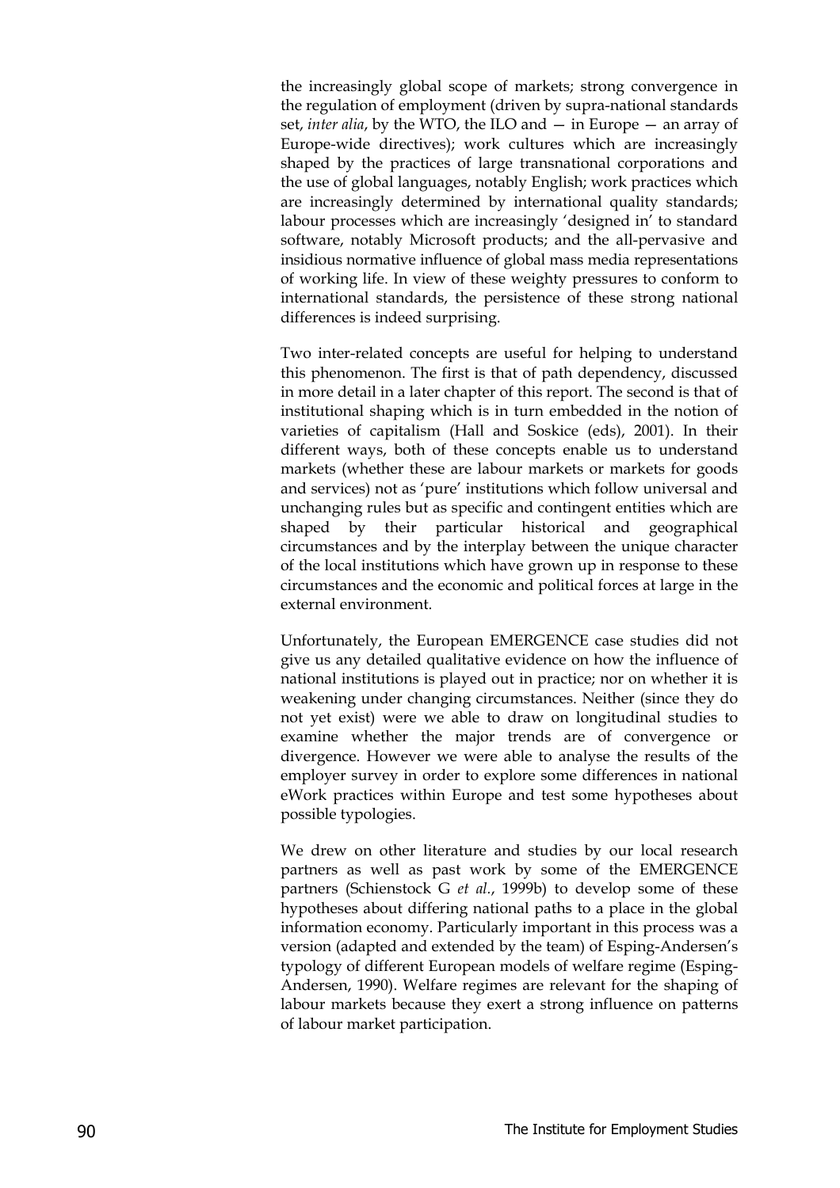the increasingly global scope of markets; strong convergence in the regulation of employment (driven by supra-national standards set, *inter alia*, by the WTO, the ILO and — in Europe — an array of Europe-wide directives); work cultures which are increasingly shaped by the practices of large transnational corporations and the use of global languages, notably English; work practices which are increasingly determined by international quality standards; labour processes which are increasingly 'designed in' to standard software, notably Microsoft products; and the all-pervasive and insidious normative influence of global mass media representations of working life. In view of these weighty pressures to conform to international standards, the persistence of these strong national differences is indeed surprising.

Two inter-related concepts are useful for helping to understand this phenomenon. The first is that of path dependency, discussed in more detail in a later chapter of this report. The second is that of institutional shaping which is in turn embedded in the notion of varieties of capitalism (Hall and Soskice (eds), 2001). In their different ways, both of these concepts enable us to understand markets (whether these are labour markets or markets for goods and services) not as 'pure' institutions which follow universal and unchanging rules but as specific and contingent entities which are shaped by their particular historical and geographical circumstances and by the interplay between the unique character of the local institutions which have grown up in response to these circumstances and the economic and political forces at large in the external environment.

Unfortunately, the European EMERGENCE case studies did not give us any detailed qualitative evidence on how the influence of national institutions is played out in practice; nor on whether it is weakening under changing circumstances. Neither (since they do not yet exist) were we able to draw on longitudinal studies to examine whether the major trends are of convergence or divergence. However we were able to analyse the results of the employer survey in order to explore some differences in national eWork practices within Europe and test some hypotheses about possible typologies.

We drew on other literature and studies by our local research partners as well as past work by some of the EMERGENCE partners (Schienstock G *et al.*, 1999b) to develop some of these hypotheses about differing national paths to a place in the global information economy. Particularly important in this process was a version (adapted and extended by the team) of Esping-Andersen's typology of different European models of welfare regime (Esping-Andersen, 1990). Welfare regimes are relevant for the shaping of labour markets because they exert a strong influence on patterns of labour market participation.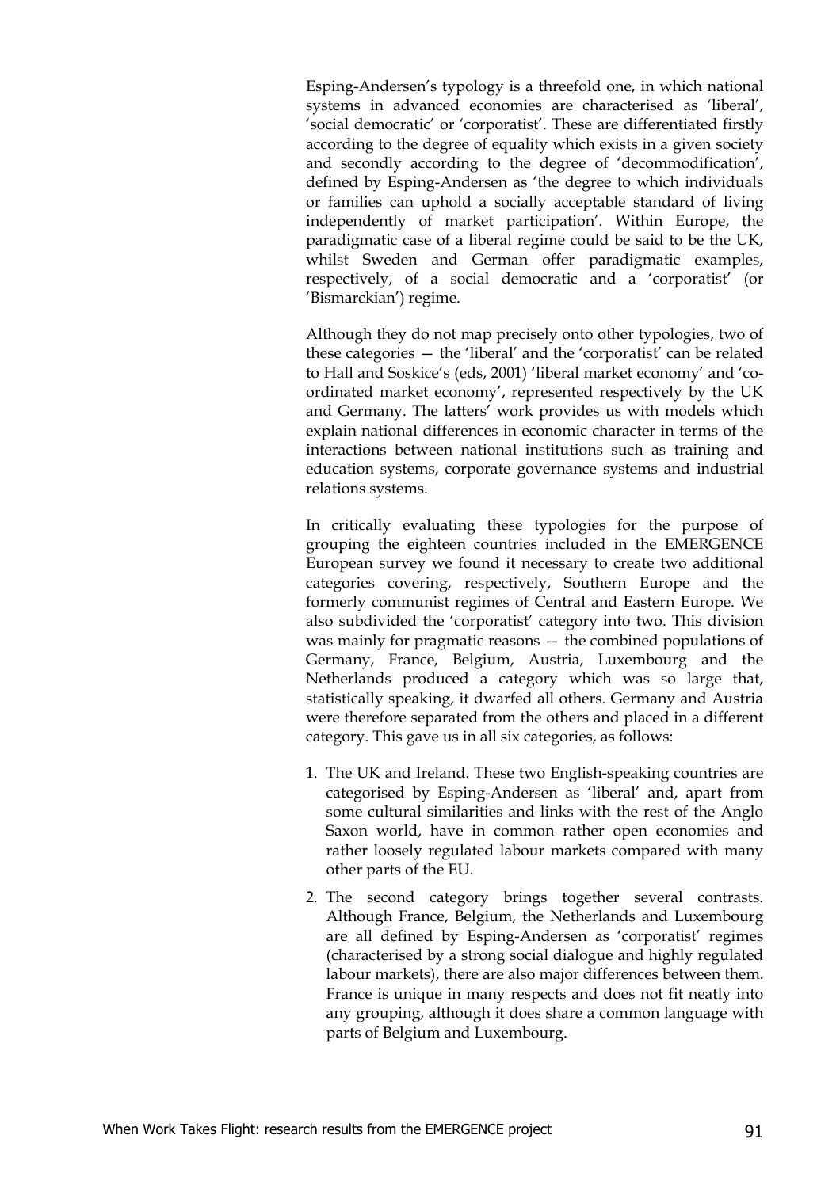Esping-Andersen's typology is a threefold one, in which national systems in advanced economies are characterised as 'liberal', 'social democratic' or 'corporatist'. These are differentiated firstly according to the degree of equality which exists in a given society and secondly according to the degree of 'decommodification', defined by Esping-Andersen as 'the degree to which individuals or families can uphold a socially acceptable standard of living independently of market participation'. Within Europe, the paradigmatic case of a liberal regime could be said to be the UK, whilst Sweden and German offer paradigmatic examples, respectively, of a social democratic and a 'corporatist' (or 'Bismarckian') regime.

Although they do not map precisely onto other typologies, two of these categories — the 'liberal' and the 'corporatist' can be related to Hall and Soskice's (eds, 2001) 'liberal market economy' and 'coordinated market economy', represented respectively by the UK and Germany. The latters' work provides us with models which explain national differences in economic character in terms of the interactions between national institutions such as training and education systems, corporate governance systems and industrial relations systems.

In critically evaluating these typologies for the purpose of grouping the eighteen countries included in the EMERGENCE European survey we found it necessary to create two additional categories covering, respectively, Southern Europe and the formerly communist regimes of Central and Eastern Europe. We also subdivided the 'corporatist' category into two. This division was mainly for pragmatic reasons — the combined populations of Germany, France, Belgium, Austria, Luxembourg and the Netherlands produced a category which was so large that, statistically speaking, it dwarfed all others. Germany and Austria were therefore separated from the others and placed in a different category. This gave us in all six categories, as follows:

- 1. The UK and Ireland. These two English-speaking countries are categorised by Esping-Andersen as 'liberal' and, apart from some cultural similarities and links with the rest of the Anglo Saxon world, have in common rather open economies and rather loosely regulated labour markets compared with many other parts of the EU.
- 2. The second category brings together several contrasts. Although France, Belgium, the Netherlands and Luxembourg are all defined by Esping-Andersen as 'corporatist' regimes (characterised by a strong social dialogue and highly regulated labour markets), there are also major differences between them. France is unique in many respects and does not fit neatly into any grouping, although it does share a common language with parts of Belgium and Luxembourg.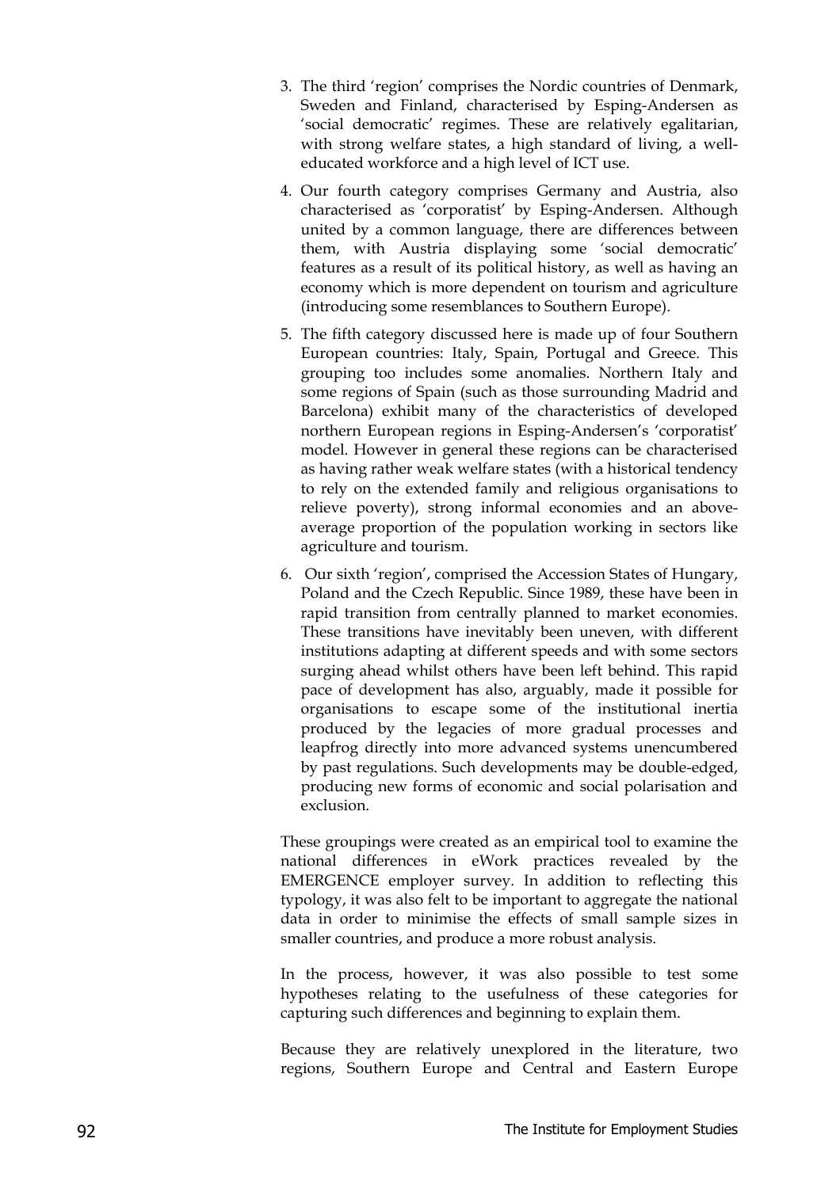- 3. The third 'region' comprises the Nordic countries of Denmark, Sweden and Finland, characterised by Esping-Andersen as 'social democratic' regimes. These are relatively egalitarian, with strong welfare states, a high standard of living, a welleducated workforce and a high level of ICT use.
- 4. Our fourth category comprises Germany and Austria, also characterised as 'corporatist' by Esping-Andersen. Although united by a common language, there are differences between them, with Austria displaying some 'social democratic' features as a result of its political history, as well as having an economy which is more dependent on tourism and agriculture (introducing some resemblances to Southern Europe).
- 5. The fifth category discussed here is made up of four Southern European countries: Italy, Spain, Portugal and Greece. This grouping too includes some anomalies. Northern Italy and some regions of Spain (such as those surrounding Madrid and Barcelona) exhibit many of the characteristics of developed northern European regions in Esping-Andersen's 'corporatist' model. However in general these regions can be characterised as having rather weak welfare states (with a historical tendency to rely on the extended family and religious organisations to relieve poverty), strong informal economies and an aboveaverage proportion of the population working in sectors like agriculture and tourism.
- 6. Our sixth 'region', comprised the Accession States of Hungary, Poland and the Czech Republic. Since 1989, these have been in rapid transition from centrally planned to market economies. These transitions have inevitably been uneven, with different institutions adapting at different speeds and with some sectors surging ahead whilst others have been left behind. This rapid pace of development has also, arguably, made it possible for organisations to escape some of the institutional inertia produced by the legacies of more gradual processes and leapfrog directly into more advanced systems unencumbered by past regulations. Such developments may be double-edged, producing new forms of economic and social polarisation and exclusion.

These groupings were created as an empirical tool to examine the national differences in eWork practices revealed by the EMERGENCE employer survey. In addition to reflecting this typology, it was also felt to be important to aggregate the national data in order to minimise the effects of small sample sizes in smaller countries, and produce a more robust analysis.

In the process, however, it was also possible to test some hypotheses relating to the usefulness of these categories for capturing such differences and beginning to explain them.

Because they are relatively unexplored in the literature, two regions, Southern Europe and Central and Eastern Europe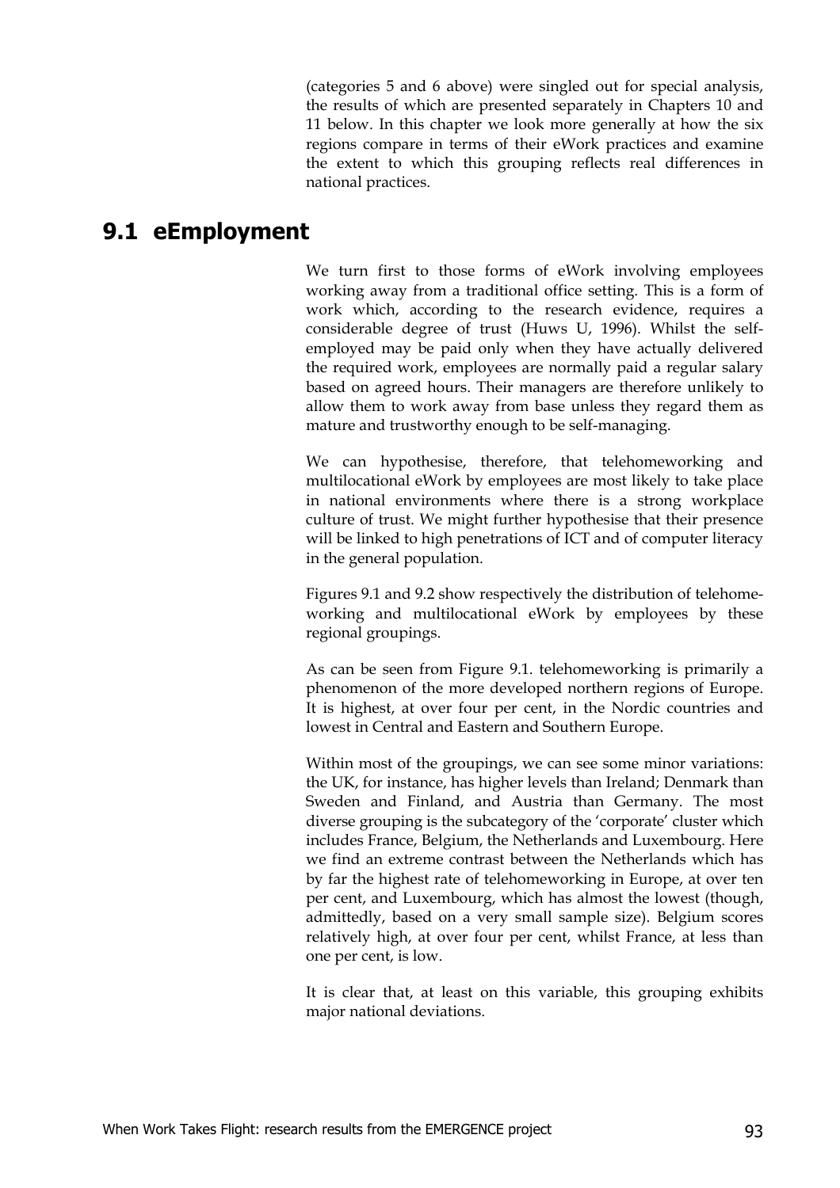(categories 5 and 6 above) were singled out for special analysis, the results of which are presented separately in Chapters 10 and 11 below. In this chapter we look more generally at how the six regions compare in terms of their eWork practices and examine the extent to which this grouping reflects real differences in national practices.

#### **9.1 eEmployment**

We turn first to those forms of eWork involving employees working away from a traditional office setting. This is a form of work which, according to the research evidence, requires a considerable degree of trust (Huws U, 1996). Whilst the selfemployed may be paid only when they have actually delivered the required work, employees are normally paid a regular salary based on agreed hours. Their managers are therefore unlikely to allow them to work away from base unless they regard them as mature and trustworthy enough to be self-managing.

We can hypothesise, therefore, that telehomeworking and multilocational eWork by employees are most likely to take place in national environments where there is a strong workplace culture of trust. We might further hypothesise that their presence will be linked to high penetrations of ICT and of computer literacy in the general population.

Figures 9.1 and 9.2 show respectively the distribution of telehomeworking and multilocational eWork by employees by these regional groupings.

As can be seen from Figure 9.1. telehomeworking is primarily a phenomenon of the more developed northern regions of Europe. It is highest, at over four per cent, in the Nordic countries and lowest in Central and Eastern and Southern Europe.

Within most of the groupings, we can see some minor variations: the UK, for instance, has higher levels than Ireland; Denmark than Sweden and Finland, and Austria than Germany. The most diverse grouping is the subcategory of the 'corporate' cluster which includes France, Belgium, the Netherlands and Luxembourg. Here we find an extreme contrast between the Netherlands which has by far the highest rate of telehomeworking in Europe, at over ten per cent, and Luxembourg, which has almost the lowest (though, admittedly, based on a very small sample size). Belgium scores relatively high, at over four per cent, whilst France, at less than one per cent, is low.

It is clear that, at least on this variable, this grouping exhibits major national deviations.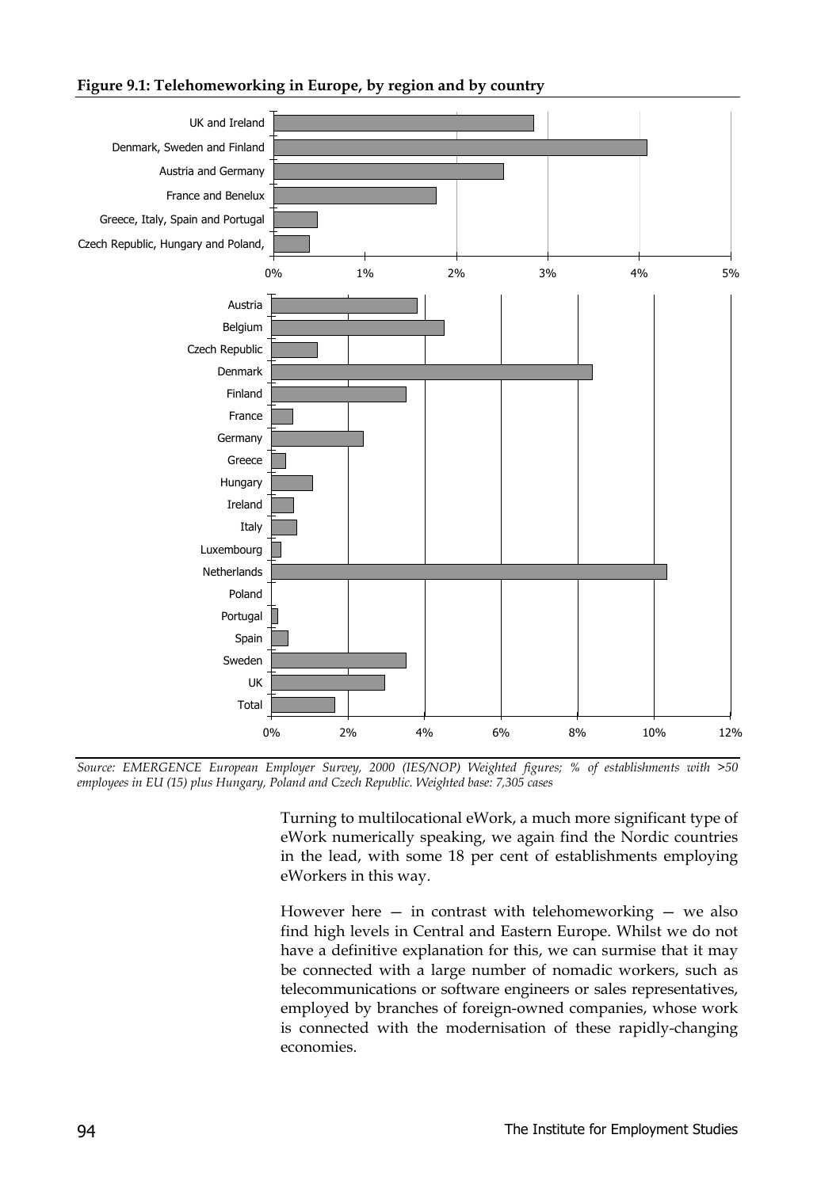#### **Figure 9.1: Telehomeworking in Europe, by region and by country**



*Source: EMERGENCE European Employer Survey, 2000 (IES/NOP) Weighted figures; % of establishments with >50 employees in EU (15) plus Hungary, Poland and Czech Republic. Weighted base: 7,305 cases*

Turning to multilocational eWork, a much more significant type of eWork numerically speaking, we again find the Nordic countries in the lead, with some 18 per cent of establishments employing eWorkers in this way.

However here  $-$  in contrast with telehomeworking  $-$  we also find high levels in Central and Eastern Europe. Whilst we do not have a definitive explanation for this, we can surmise that it may be connected with a large number of nomadic workers, such as telecommunications or software engineers or sales representatives, employed by branches of foreign-owned companies, whose work is connected with the modernisation of these rapidly-changing economies.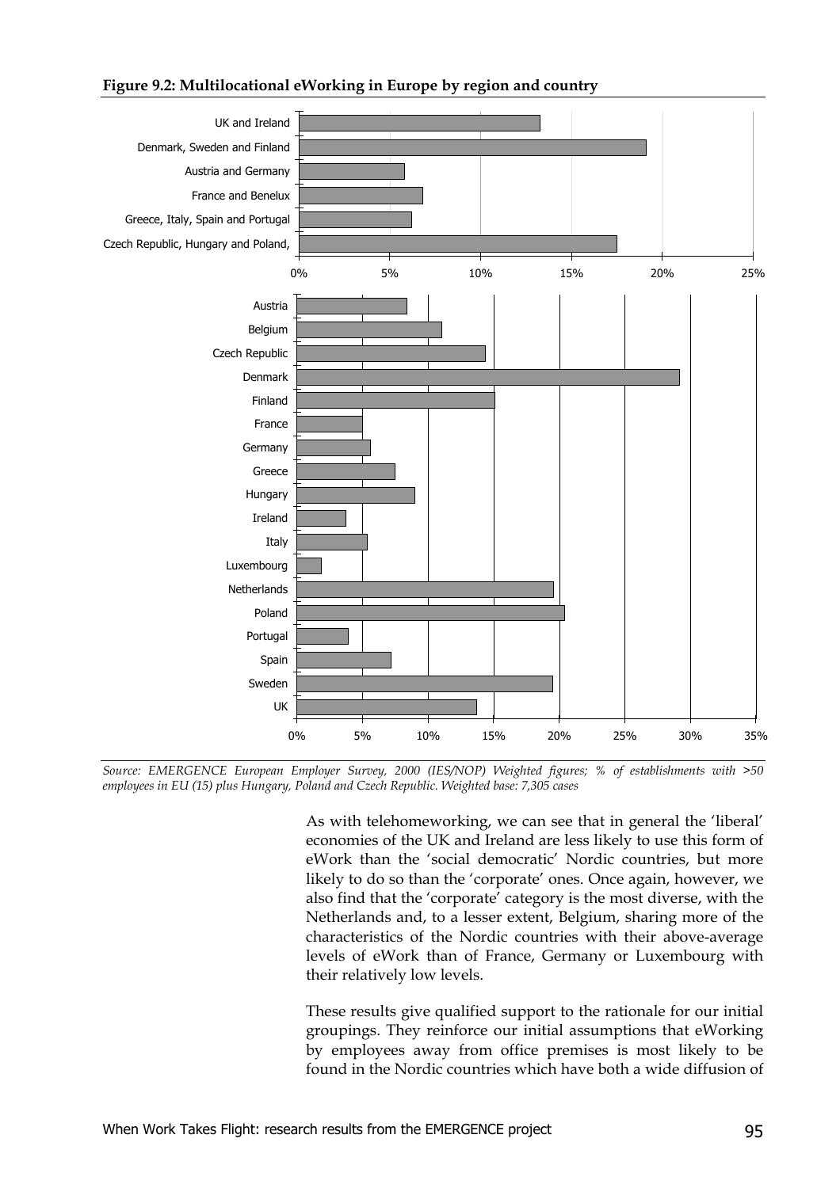#### **Figure 9.2: Multilocational eWorking in Europe by region and country**





As with telehomeworking, we can see that in general the 'liberal' economies of the UK and Ireland are less likely to use this form of eWork than the 'social democratic' Nordic countries, but more likely to do so than the 'corporate' ones. Once again, however, we also find that the 'corporate' category is the most diverse, with the Netherlands and, to a lesser extent, Belgium, sharing more of the characteristics of the Nordic countries with their above-average levels of eWork than of France, Germany or Luxembourg with their relatively low levels.

These results give qualified support to the rationale for our initial groupings. They reinforce our initial assumptions that eWorking by employees away from office premises is most likely to be found in the Nordic countries which have both a wide diffusion of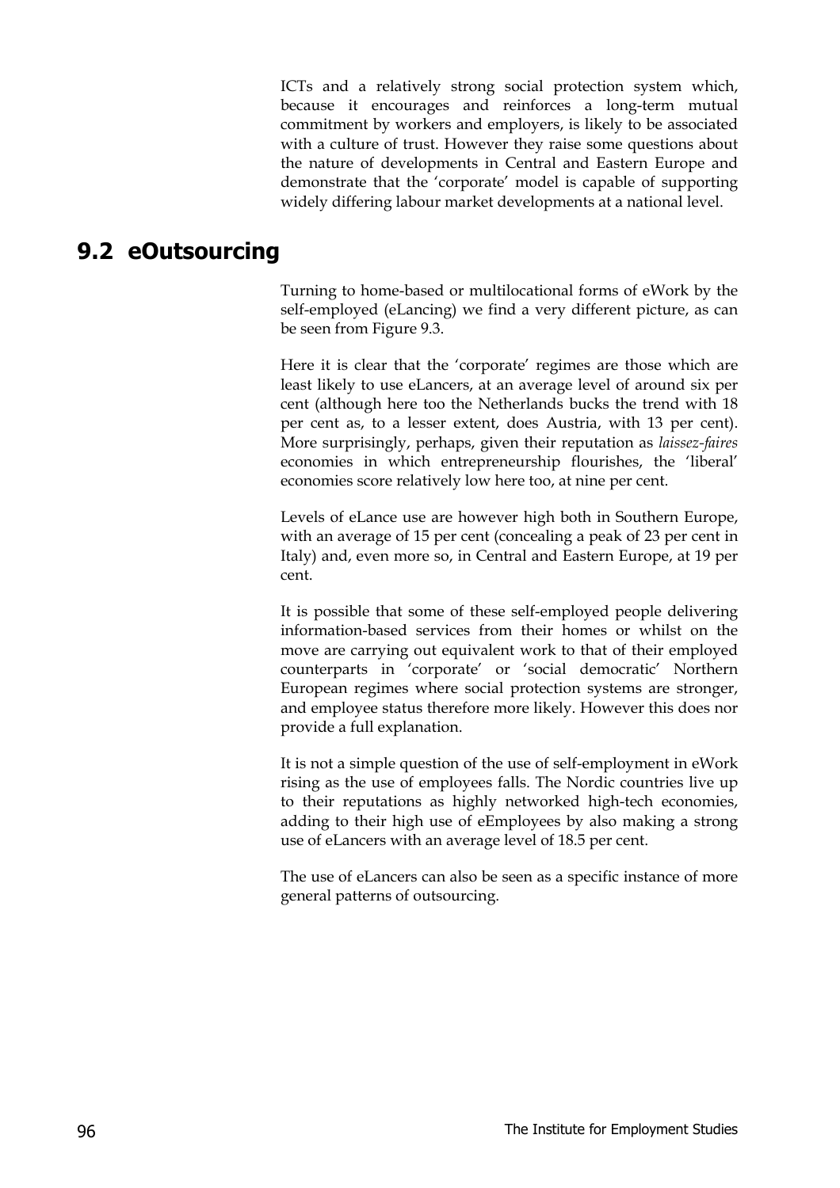ICTs and a relatively strong social protection system which, because it encourages and reinforces a long-term mutual commitment by workers and employers, is likely to be associated with a culture of trust. However they raise some questions about the nature of developments in Central and Eastern Europe and demonstrate that the 'corporate' model is capable of supporting widely differing labour market developments at a national level.

#### **9.2 eOutsourcing**

Turning to home-based or multilocational forms of eWork by the self-employed (eLancing) we find a very different picture, as can be seen from Figure 9.3.

Here it is clear that the 'corporate' regimes are those which are least likely to use eLancers, at an average level of around six per cent (although here too the Netherlands bucks the trend with 18 per cent as, to a lesser extent, does Austria, with 13 per cent). More surprisingly, perhaps, given their reputation as *laissez-faires* economies in which entrepreneurship flourishes, the 'liberal' economies score relatively low here too, at nine per cent.

Levels of eLance use are however high both in Southern Europe, with an average of 15 per cent (concealing a peak of 23 per cent in Italy) and, even more so, in Central and Eastern Europe, at 19 per cent.

It is possible that some of these self-employed people delivering information-based services from their homes or whilst on the move are carrying out equivalent work to that of their employed counterparts in 'corporate' or 'social democratic' Northern European regimes where social protection systems are stronger, and employee status therefore more likely. However this does nor provide a full explanation.

It is not a simple question of the use of self-employment in eWork rising as the use of employees falls. The Nordic countries live up to their reputations as highly networked high-tech economies, adding to their high use of eEmployees by also making a strong use of eLancers with an average level of 18.5 per cent.

The use of eLancers can also be seen as a specific instance of more general patterns of outsourcing.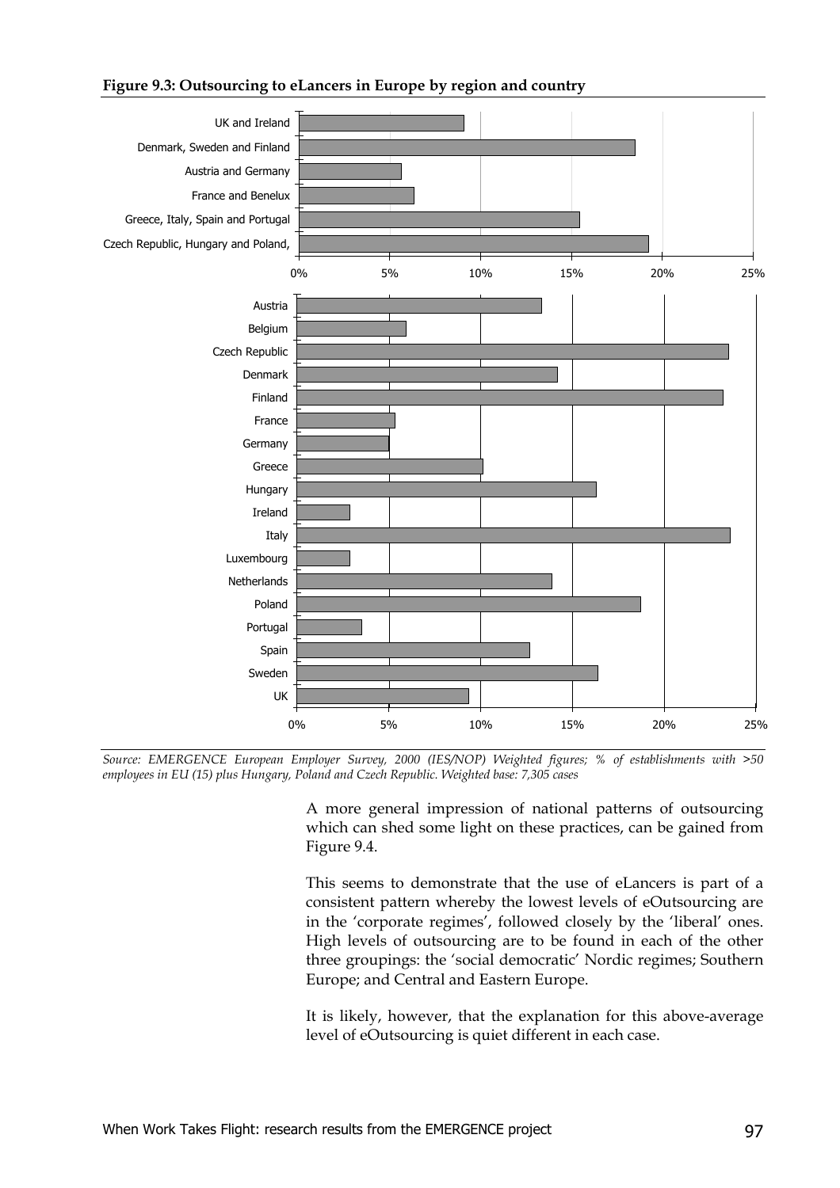#### **Figure 9.3: Outsourcing to eLancers in Europe by region and country**



*Source: EMERGENCE European Employer Survey, 2000 (IES/NOP) Weighted figures; % of establishments with >50 employees in EU (15) plus Hungary, Poland and Czech Republic. Weighted base: 7,305 cases*

> A more general impression of national patterns of outsourcing which can shed some light on these practices, can be gained from Figure 9.4.

> This seems to demonstrate that the use of eLancers is part of a consistent pattern whereby the lowest levels of eOutsourcing are in the 'corporate regimes', followed closely by the 'liberal' ones. High levels of outsourcing are to be found in each of the other three groupings: the 'social democratic' Nordic regimes; Southern Europe; and Central and Eastern Europe.

> It is likely, however, that the explanation for this above-average level of eOutsourcing is quiet different in each case.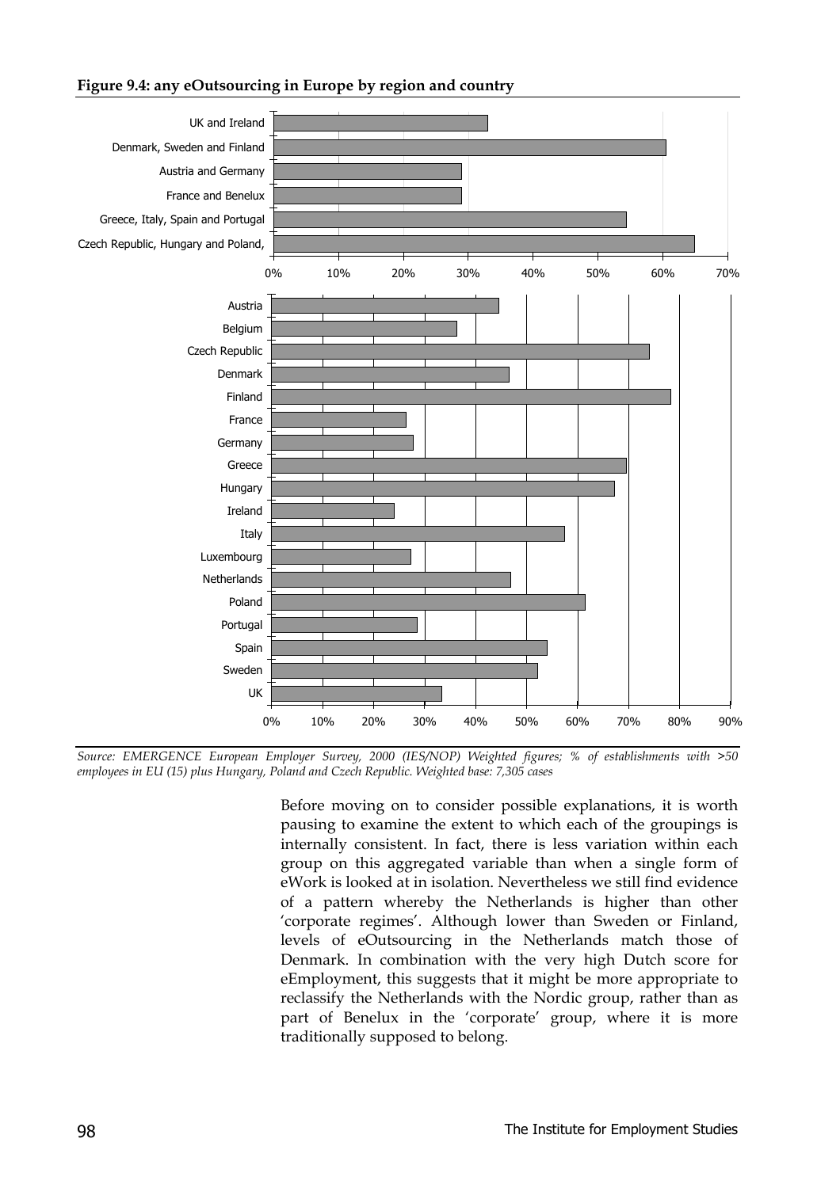#### **Figure 9.4: any eOutsourcing in Europe by region and country**



*Source: EMERGENCE European Employer Survey, 2000 (IES/NOP) Weighted figures; % of establishments with >50 employees in EU (15) plus Hungary, Poland and Czech Republic. Weighted base: 7,305 cases*

Before moving on to consider possible explanations, it is worth pausing to examine the extent to which each of the groupings is internally consistent. In fact, there is less variation within each group on this aggregated variable than when a single form of eWork is looked at in isolation. Nevertheless we still find evidence of a pattern whereby the Netherlands is higher than other 'corporate regimes'. Although lower than Sweden or Finland, levels of eOutsourcing in the Netherlands match those of Denmark. In combination with the very high Dutch score for eEmployment, this suggests that it might be more appropriate to reclassify the Netherlands with the Nordic group, rather than as part of Benelux in the 'corporate' group, where it is more traditionally supposed to belong.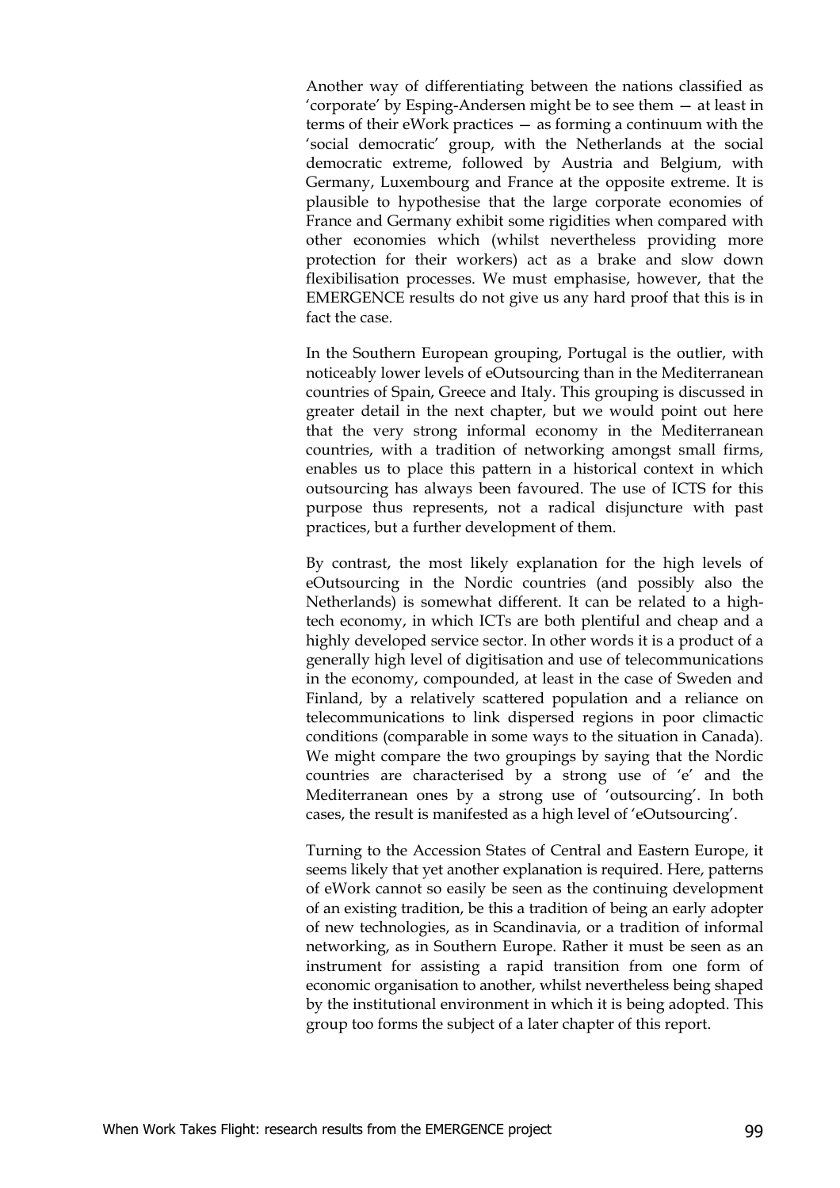Another way of differentiating between the nations classified as 'corporate' by Esping-Andersen might be to see them — at least in terms of their eWork practices — as forming a continuum with the 'social democratic' group, with the Netherlands at the social democratic extreme, followed by Austria and Belgium, with Germany, Luxembourg and France at the opposite extreme. It is plausible to hypothesise that the large corporate economies of France and Germany exhibit some rigidities when compared with other economies which (whilst nevertheless providing more protection for their workers) act as a brake and slow down flexibilisation processes. We must emphasise, however, that the EMERGENCE results do not give us any hard proof that this is in fact the case.

In the Southern European grouping, Portugal is the outlier, with noticeably lower levels of eOutsourcing than in the Mediterranean countries of Spain, Greece and Italy. This grouping is discussed in greater detail in the next chapter, but we would point out here that the very strong informal economy in the Mediterranean countries, with a tradition of networking amongst small firms, enables us to place this pattern in a historical context in which outsourcing has always been favoured. The use of ICTS for this purpose thus represents, not a radical disjuncture with past practices, but a further development of them.

By contrast, the most likely explanation for the high levels of eOutsourcing in the Nordic countries (and possibly also the Netherlands) is somewhat different. It can be related to a hightech economy, in which ICTs are both plentiful and cheap and a highly developed service sector. In other words it is a product of a generally high level of digitisation and use of telecommunications in the economy, compounded, at least in the case of Sweden and Finland, by a relatively scattered population and a reliance on telecommunications to link dispersed regions in poor climactic conditions (comparable in some ways to the situation in Canada). We might compare the two groupings by saying that the Nordic countries are characterised by a strong use of 'e' and the Mediterranean ones by a strong use of 'outsourcing'. In both cases, the result is manifested as a high level of 'eOutsourcing'.

Turning to the Accession States of Central and Eastern Europe, it seems likely that yet another explanation is required. Here, patterns of eWork cannot so easily be seen as the continuing development of an existing tradition, be this a tradition of being an early adopter of new technologies, as in Scandinavia, or a tradition of informal networking, as in Southern Europe. Rather it must be seen as an instrument for assisting a rapid transition from one form of economic organisation to another, whilst nevertheless being shaped by the institutional environment in which it is being adopted. This group too forms the subject of a later chapter of this report.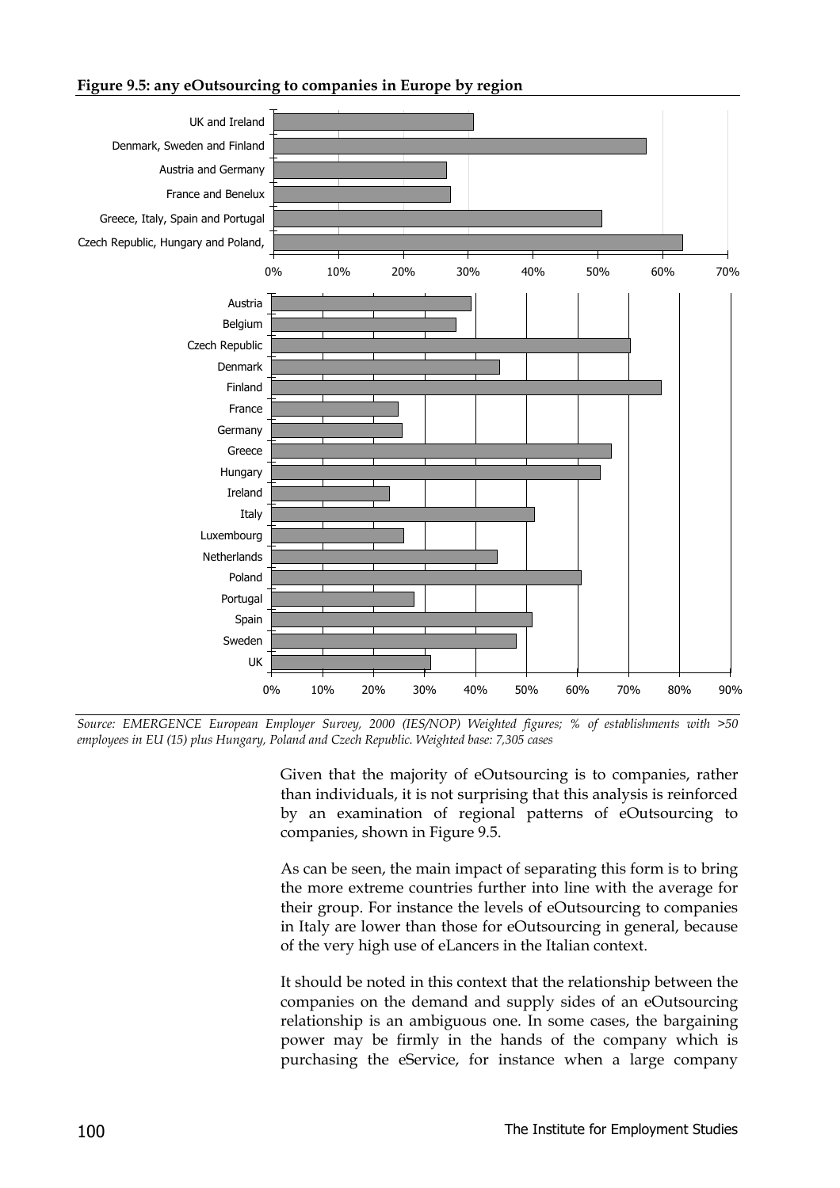#### **Figure 9.5: any eOutsourcing to companies in Europe by region**



*Source: EMERGENCE European Employer Survey, 2000 (IES/NOP) Weighted figures; % of establishments with >50 employees in EU (15) plus Hungary, Poland and Czech Republic. Weighted base: 7,305 cases*

Given that the majority of eOutsourcing is to companies, rather than individuals, it is not surprising that this analysis is reinforced by an examination of regional patterns of eOutsourcing to companies, shown in Figure 9.5.

As can be seen, the main impact of separating this form is to bring the more extreme countries further into line with the average for their group. For instance the levels of eOutsourcing to companies in Italy are lower than those for eOutsourcing in general, because of the very high use of eLancers in the Italian context.

It should be noted in this context that the relationship between the companies on the demand and supply sides of an eOutsourcing relationship is an ambiguous one. In some cases, the bargaining power may be firmly in the hands of the company which is purchasing the eService, for instance when a large company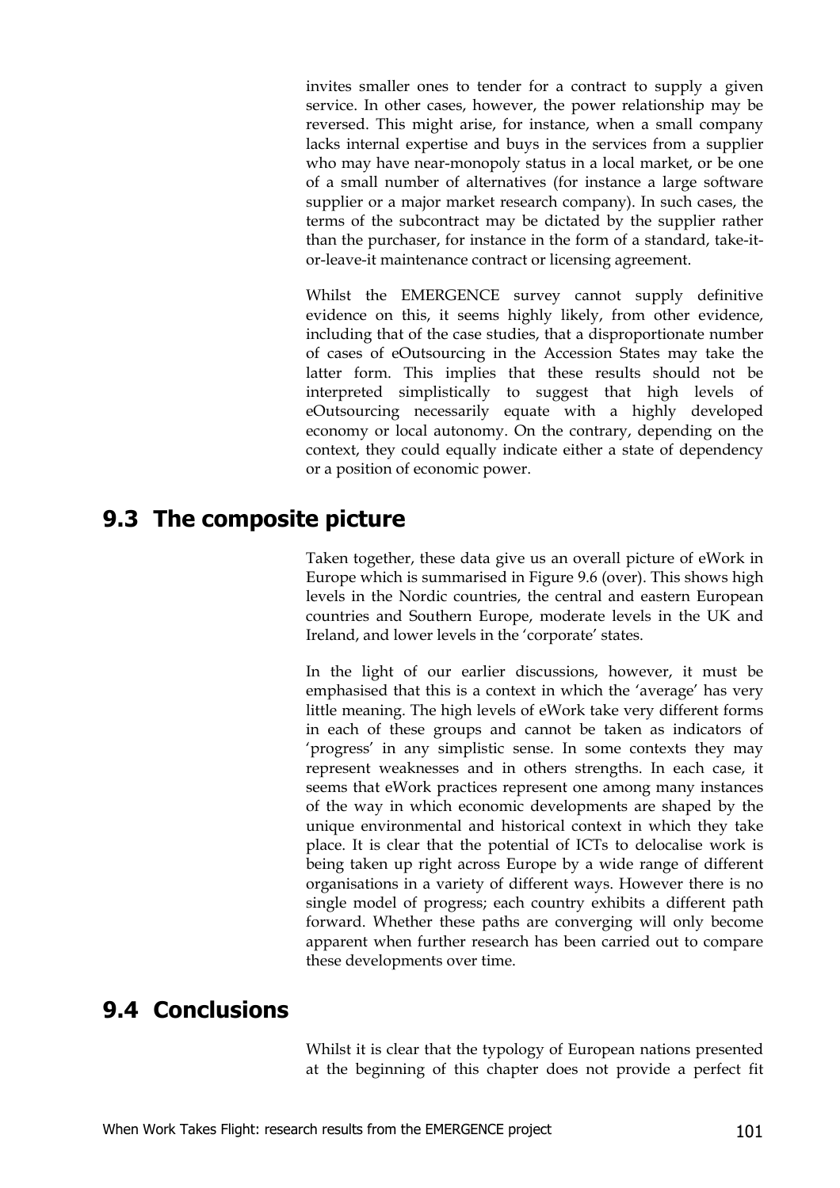invites smaller ones to tender for a contract to supply a given service. In other cases, however, the power relationship may be reversed. This might arise, for instance, when a small company lacks internal expertise and buys in the services from a supplier who may have near-monopoly status in a local market, or be one of a small number of alternatives (for instance a large software supplier or a major market research company). In such cases, the terms of the subcontract may be dictated by the supplier rather than the purchaser, for instance in the form of a standard, take-itor-leave-it maintenance contract or licensing agreement.

Whilst the EMERGENCE survey cannot supply definitive evidence on this, it seems highly likely, from other evidence, including that of the case studies, that a disproportionate number of cases of eOutsourcing in the Accession States may take the latter form. This implies that these results should not be interpreted simplistically to suggest that high levels of eOutsourcing necessarily equate with a highly developed economy or local autonomy. On the contrary, depending on the context, they could equally indicate either a state of dependency or a position of economic power.

## **9.3 The composite picture**

Taken together, these data give us an overall picture of eWork in Europe which is summarised in Figure 9.6 (over). This shows high levels in the Nordic countries, the central and eastern European countries and Southern Europe, moderate levels in the UK and Ireland, and lower levels in the 'corporate' states.

In the light of our earlier discussions, however, it must be emphasised that this is a context in which the 'average' has very little meaning. The high levels of eWork take very different forms in each of these groups and cannot be taken as indicators of 'progress' in any simplistic sense. In some contexts they may represent weaknesses and in others strengths. In each case, it seems that eWork practices represent one among many instances of the way in which economic developments are shaped by the unique environmental and historical context in which they take place. It is clear that the potential of ICTs to delocalise work is being taken up right across Europe by a wide range of different organisations in a variety of different ways. However there is no single model of progress; each country exhibits a different path forward. Whether these paths are converging will only become apparent when further research has been carried out to compare these developments over time.

## **9.4 Conclusions**

Whilst it is clear that the typology of European nations presented at the beginning of this chapter does not provide a perfect fit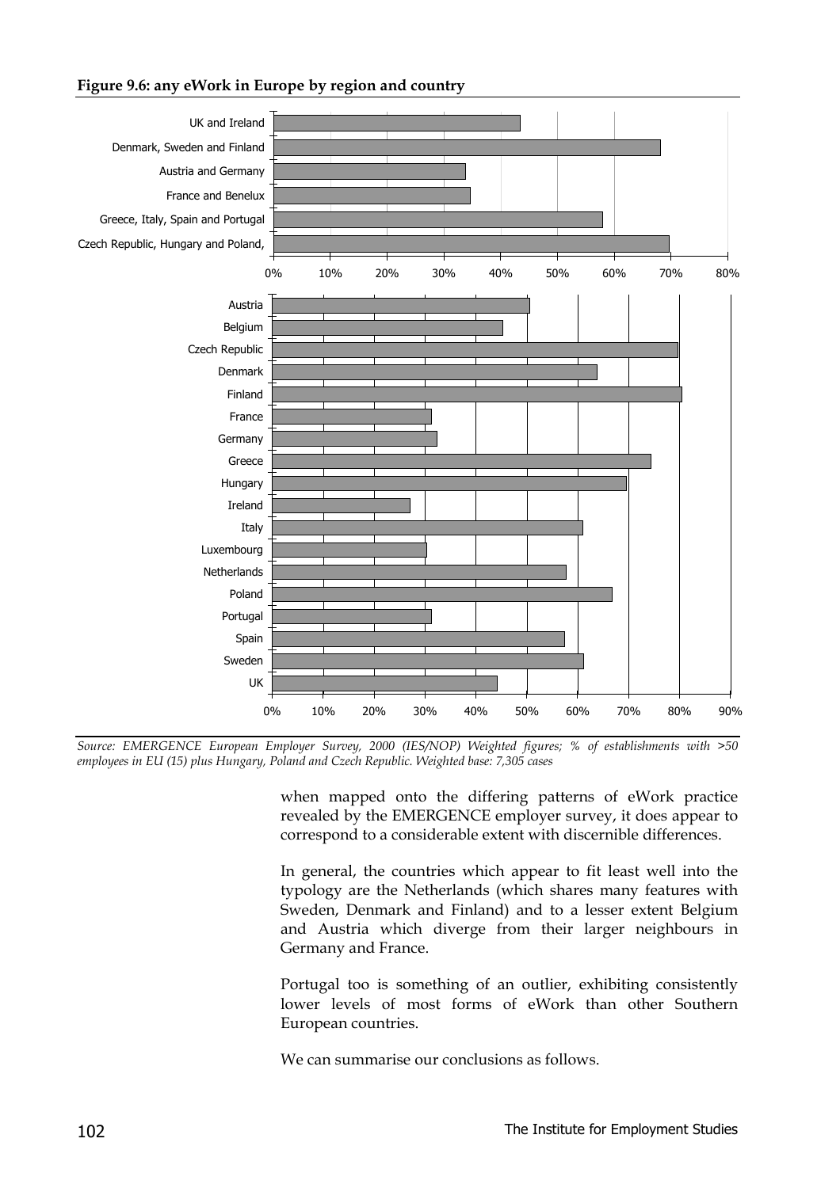#### **Figure 9.6: any eWork in Europe by region and country**



*Source: EMERGENCE European Employer Survey, 2000 (IES/NOP) Weighted figures; % of establishments with >50 employees in EU (15) plus Hungary, Poland and Czech Republic. Weighted base: 7,305 cases*

when mapped onto the differing patterns of eWork practice revealed by the EMERGENCE employer survey, it does appear to correspond to a considerable extent with discernible differences.

In general, the countries which appear to fit least well into the typology are the Netherlands (which shares many features with Sweden, Denmark and Finland) and to a lesser extent Belgium and Austria which diverge from their larger neighbours in Germany and France.

Portugal too is something of an outlier, exhibiting consistently lower levels of most forms of eWork than other Southern European countries.

We can summarise our conclusions as follows.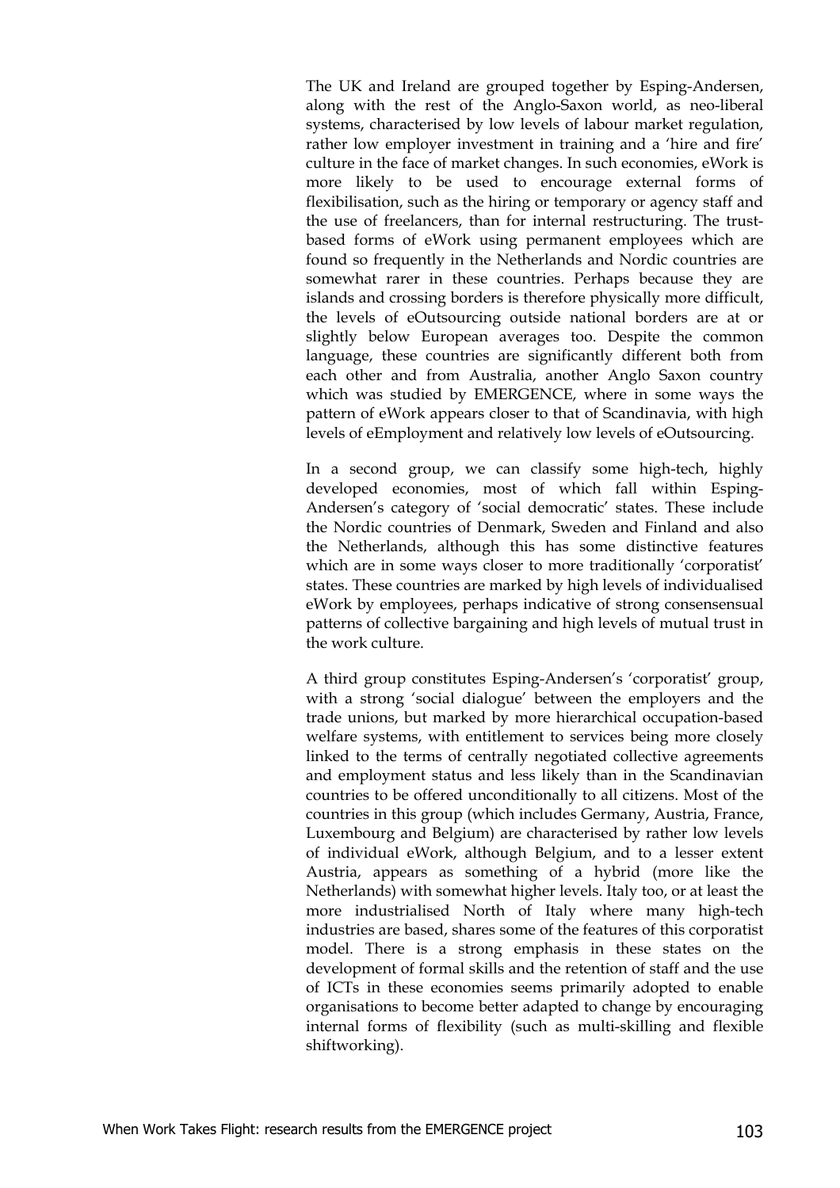The UK and Ireland are grouped together by Esping-Andersen, along with the rest of the Anglo-Saxon world, as neo-liberal systems, characterised by low levels of labour market regulation, rather low employer investment in training and a 'hire and fire' culture in the face of market changes. In such economies, eWork is more likely to be used to encourage external forms of flexibilisation, such as the hiring or temporary or agency staff and the use of freelancers, than for internal restructuring. The trustbased forms of eWork using permanent employees which are found so frequently in the Netherlands and Nordic countries are somewhat rarer in these countries. Perhaps because they are islands and crossing borders is therefore physically more difficult, the levels of eOutsourcing outside national borders are at or slightly below European averages too. Despite the common language, these countries are significantly different both from each other and from Australia, another Anglo Saxon country which was studied by EMERGENCE, where in some ways the pattern of eWork appears closer to that of Scandinavia, with high levels of eEmployment and relatively low levels of eOutsourcing.

In a second group, we can classify some high-tech, highly developed economies, most of which fall within Esping-Andersen's category of 'social democratic' states. These include the Nordic countries of Denmark, Sweden and Finland and also the Netherlands, although this has some distinctive features which are in some ways closer to more traditionally 'corporatist' states. These countries are marked by high levels of individualised eWork by employees, perhaps indicative of strong consensensual patterns of collective bargaining and high levels of mutual trust in the work culture.

A third group constitutes Esping-Andersen's 'corporatist' group, with a strong 'social dialogue' between the employers and the trade unions, but marked by more hierarchical occupation-based welfare systems, with entitlement to services being more closely linked to the terms of centrally negotiated collective agreements and employment status and less likely than in the Scandinavian countries to be offered unconditionally to all citizens. Most of the countries in this group (which includes Germany, Austria, France, Luxembourg and Belgium) are characterised by rather low levels of individual eWork, although Belgium, and to a lesser extent Austria, appears as something of a hybrid (more like the Netherlands) with somewhat higher levels. Italy too, or at least the more industrialised North of Italy where many high-tech industries are based, shares some of the features of this corporatist model. There is a strong emphasis in these states on the development of formal skills and the retention of staff and the use of ICTs in these economies seems primarily adopted to enable organisations to become better adapted to change by encouraging internal forms of flexibility (such as multi-skilling and flexible shiftworking).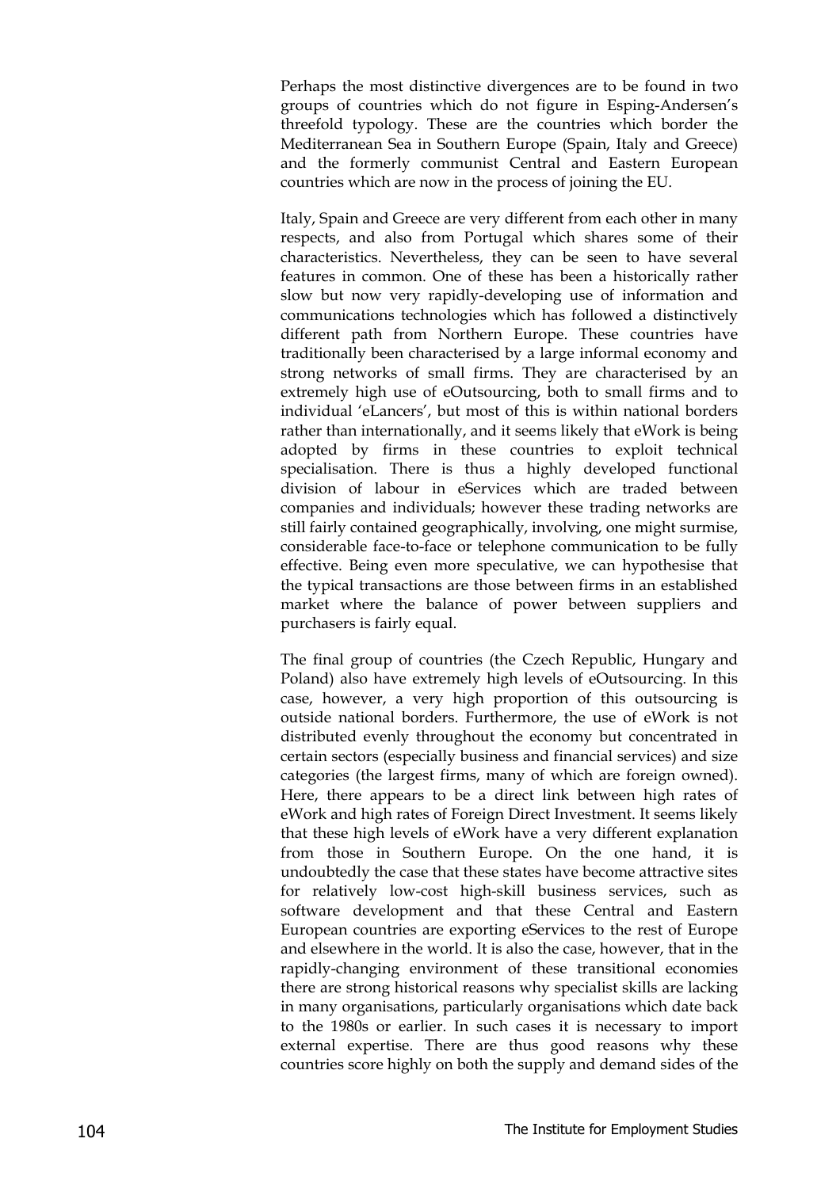Perhaps the most distinctive divergences are to be found in two groups of countries which do not figure in Esping-Andersen's threefold typology. These are the countries which border the Mediterranean Sea in Southern Europe (Spain, Italy and Greece) and the formerly communist Central and Eastern European countries which are now in the process of joining the EU.

Italy, Spain and Greece are very different from each other in many respects, and also from Portugal which shares some of their characteristics. Nevertheless, they can be seen to have several features in common. One of these has been a historically rather slow but now very rapidly-developing use of information and communications technologies which has followed a distinctively different path from Northern Europe. These countries have traditionally been characterised by a large informal economy and strong networks of small firms. They are characterised by an extremely high use of eOutsourcing, both to small firms and to individual 'eLancers', but most of this is within national borders rather than internationally, and it seems likely that eWork is being adopted by firms in these countries to exploit technical specialisation. There is thus a highly developed functional division of labour in eServices which are traded between companies and individuals; however these trading networks are still fairly contained geographically, involving, one might surmise, considerable face-to-face or telephone communication to be fully effective. Being even more speculative, we can hypothesise that the typical transactions are those between firms in an established market where the balance of power between suppliers and purchasers is fairly equal.

The final group of countries (the Czech Republic, Hungary and Poland) also have extremely high levels of eOutsourcing. In this case, however, a very high proportion of this outsourcing is outside national borders. Furthermore, the use of eWork is not distributed evenly throughout the economy but concentrated in certain sectors (especially business and financial services) and size categories (the largest firms, many of which are foreign owned). Here, there appears to be a direct link between high rates of eWork and high rates of Foreign Direct Investment. It seems likely that these high levels of eWork have a very different explanation from those in Southern Europe. On the one hand, it is undoubtedly the case that these states have become attractive sites for relatively low-cost high-skill business services, such as software development and that these Central and Eastern European countries are exporting eServices to the rest of Europe and elsewhere in the world. It is also the case, however, that in the rapidly-changing environment of these transitional economies there are strong historical reasons why specialist skills are lacking in many organisations, particularly organisations which date back to the 1980s or earlier. In such cases it is necessary to import external expertise. There are thus good reasons why these countries score highly on both the supply and demand sides of the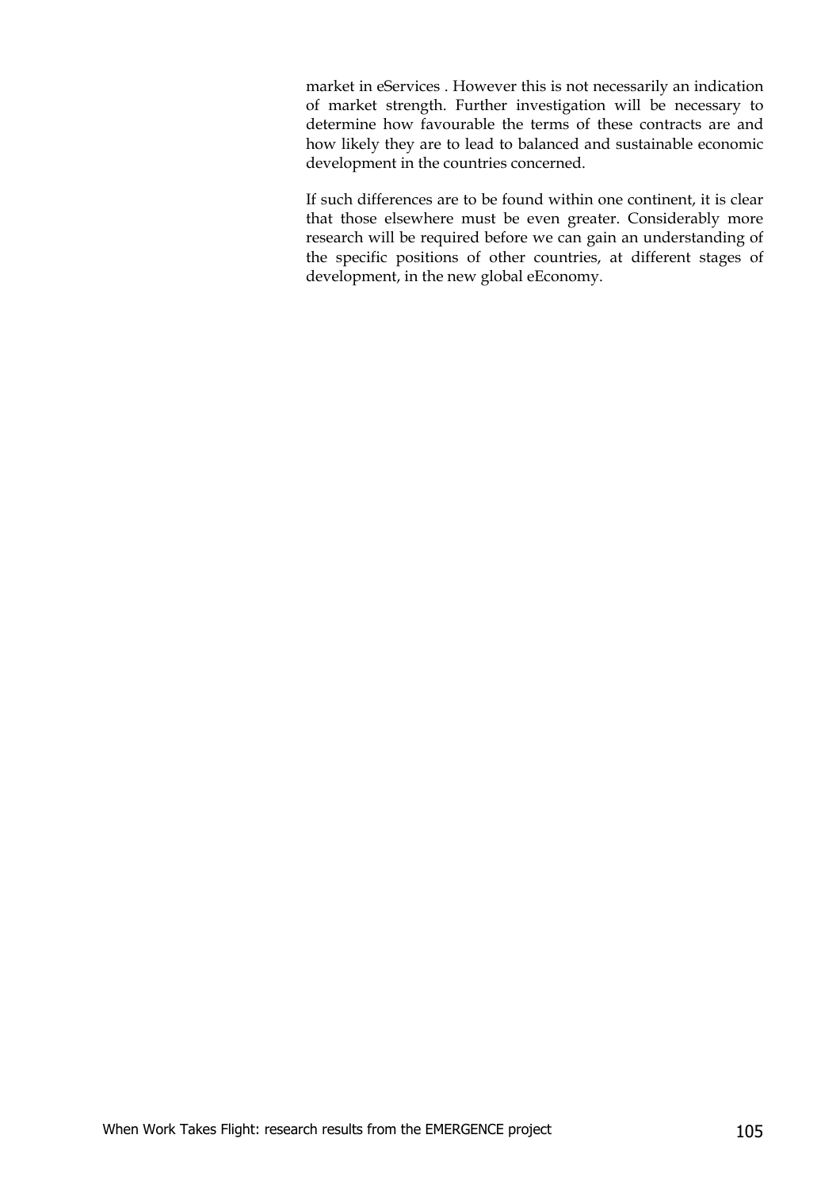market in eServices . However this is not necessarily an indication of market strength. Further investigation will be necessary to determine how favourable the terms of these contracts are and how likely they are to lead to balanced and sustainable economic development in the countries concerned.

If such differences are to be found within one continent, it is clear that those elsewhere must be even greater. Considerably more research will be required before we can gain an understanding of the specific positions of other countries, at different stages of development, in the new global eEconomy.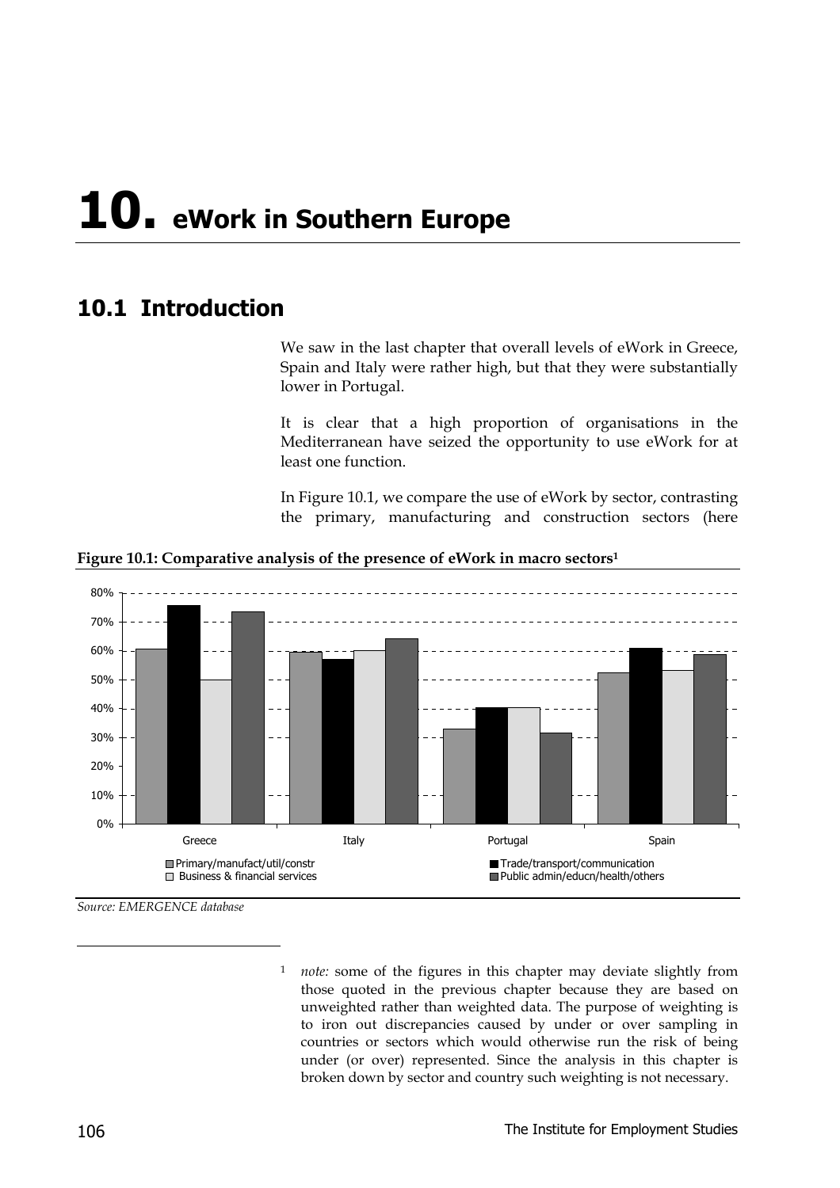## **10. eWork in Southern Europe**

## **10.1 Introduction**

We saw in the last chapter that overall levels of eWork in Greece, Spain and Italy were rather high, but that they were substantially lower in Portugal.

It is clear that a high proportion of organisations in the Mediterranean have seized the opportunity to use eWork for at least one function.

In Figure 10.1, we compare the use of eWork by sector, contrasting the primary, manufacturing and construction sectors (here



**Figure 10.1: Comparative analysis of the presence of eWork in macro sectors1**

*Source: EMERGENCE database*

*note:* some of the figures in this chapter may deviate slightly from those quoted in the previous chapter because they are based on unweighted rather than weighted data. The purpose of weighting is to iron out discrepancies caused by under or over sampling in countries or sectors which would otherwise run the risk of being under (or over) represented. Since the analysis in this chapter is broken down by sector and country such weighting is not necessary.

-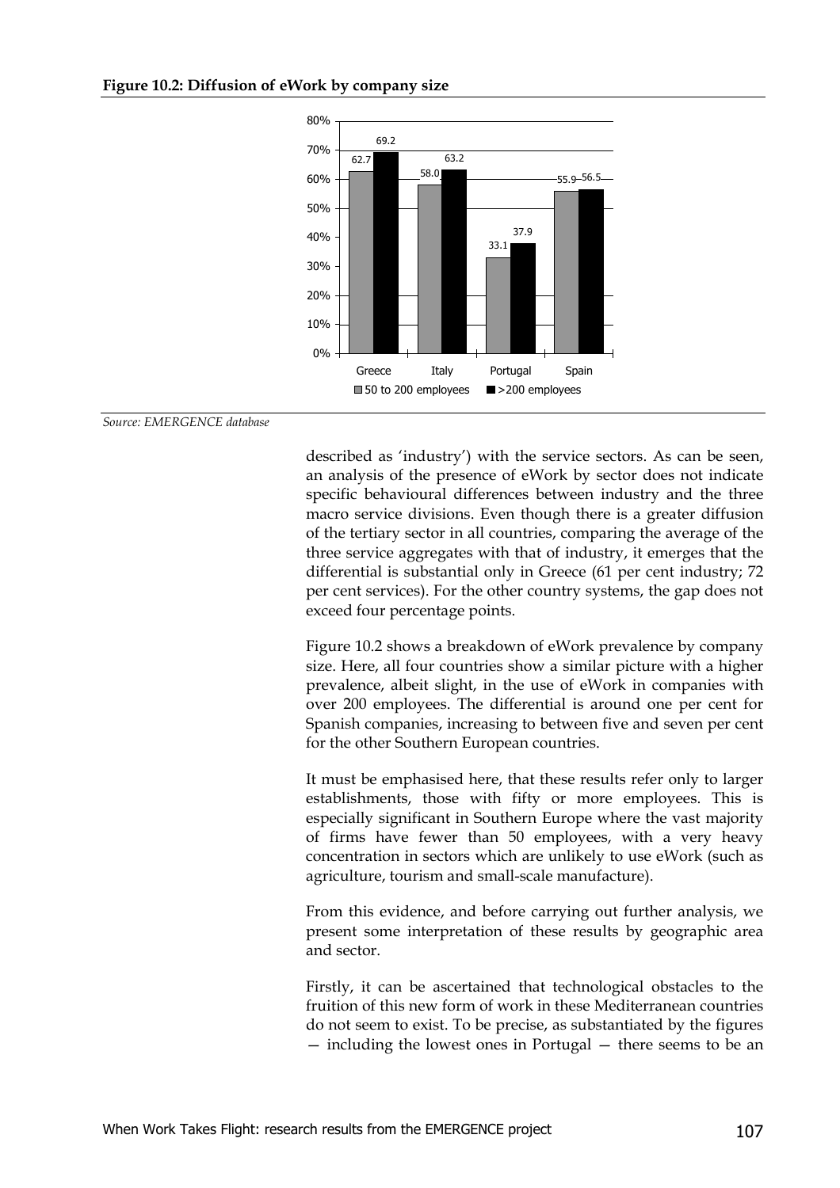

*Source: EMERGENCE database*

described as 'industry') with the service sectors. As can be seen, an analysis of the presence of eWork by sector does not indicate specific behavioural differences between industry and the three macro service divisions. Even though there is a greater diffusion of the tertiary sector in all countries, comparing the average of the three service aggregates with that of industry, it emerges that the differential is substantial only in Greece (61 per cent industry; 72 per cent services). For the other country systems, the gap does not exceed four percentage points.

Figure 10.2 shows a breakdown of eWork prevalence by company size. Here, all four countries show a similar picture with a higher prevalence, albeit slight, in the use of eWork in companies with over 200 employees. The differential is around one per cent for Spanish companies, increasing to between five and seven per cent for the other Southern European countries.

It must be emphasised here, that these results refer only to larger establishments, those with fifty or more employees. This is especially significant in Southern Europe where the vast majority of firms have fewer than 50 employees, with a very heavy concentration in sectors which are unlikely to use eWork (such as agriculture, tourism and small-scale manufacture).

From this evidence, and before carrying out further analysis, we present some interpretation of these results by geographic area and sector.

Firstly, it can be ascertained that technological obstacles to the fruition of this new form of work in these Mediterranean countries do not seem to exist. To be precise, as substantiated by the figures — including the lowest ones in Portugal — there seems to be an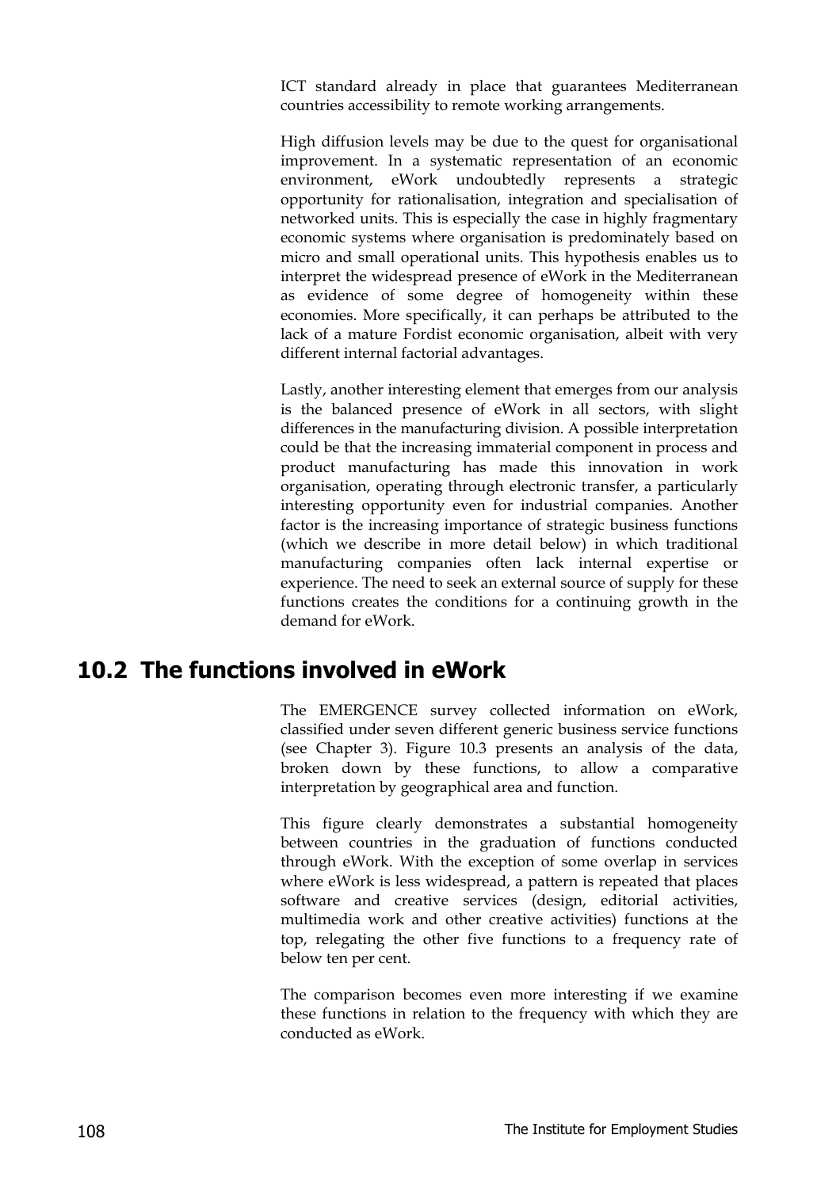ICT standard already in place that guarantees Mediterranean countries accessibility to remote working arrangements.

High diffusion levels may be due to the quest for organisational improvement. In a systematic representation of an economic environment, eWork undoubtedly represents a strategic opportunity for rationalisation, integration and specialisation of networked units. This is especially the case in highly fragmentary economic systems where organisation is predominately based on micro and small operational units. This hypothesis enables us to interpret the widespread presence of eWork in the Mediterranean as evidence of some degree of homogeneity within these economies. More specifically, it can perhaps be attributed to the lack of a mature Fordist economic organisation, albeit with very different internal factorial advantages.

Lastly, another interesting element that emerges from our analysis is the balanced presence of eWork in all sectors, with slight differences in the manufacturing division. A possible interpretation could be that the increasing immaterial component in process and product manufacturing has made this innovation in work organisation, operating through electronic transfer, a particularly interesting opportunity even for industrial companies. Another factor is the increasing importance of strategic business functions (which we describe in more detail below) in which traditional manufacturing companies often lack internal expertise or experience. The need to seek an external source of supply for these functions creates the conditions for a continuing growth in the demand for eWork.

## **10.2 The functions involved in eWork**

The EMERGENCE survey collected information on eWork, classified under seven different generic business service functions (see Chapter 3). Figure 10.3 presents an analysis of the data, broken down by these functions, to allow a comparative interpretation by geographical area and function.

This figure clearly demonstrates a substantial homogeneity between countries in the graduation of functions conducted through eWork. With the exception of some overlap in services where eWork is less widespread, a pattern is repeated that places software and creative services (design, editorial activities, multimedia work and other creative activities) functions at the top, relegating the other five functions to a frequency rate of below ten per cent.

The comparison becomes even more interesting if we examine these functions in relation to the frequency with which they are conducted as eWork.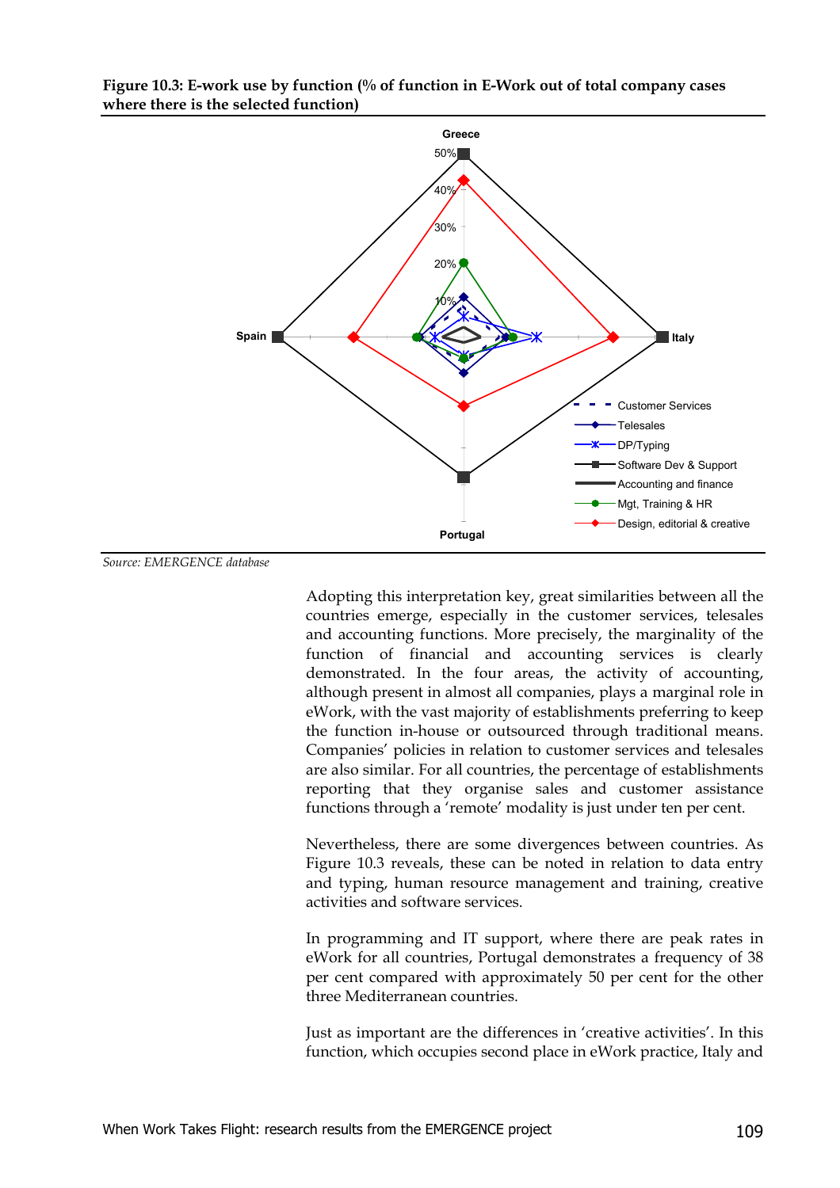

#### **Figure 10.3: E-work use by function (% of function in E-Work out of total company cases where there is the selected function)**

*Source: EMERGENCE database*

Adopting this interpretation key, great similarities between all the countries emerge, especially in the customer services, telesales and accounting functions. More precisely, the marginality of the function of financial and accounting services is clearly demonstrated. In the four areas, the activity of accounting, although present in almost all companies, plays a marginal role in eWork, with the vast majority of establishments preferring to keep the function in-house or outsourced through traditional means. Companies' policies in relation to customer services and telesales are also similar. For all countries, the percentage of establishments reporting that they organise sales and customer assistance functions through a 'remote' modality is just under ten per cent.

Nevertheless, there are some divergences between countries. As Figure 10.3 reveals, these can be noted in relation to data entry and typing, human resource management and training, creative activities and software services.

In programming and IT support, where there are peak rates in eWork for all countries, Portugal demonstrates a frequency of 38 per cent compared with approximately 50 per cent for the other three Mediterranean countries.

Just as important are the differences in 'creative activities'. In this function, which occupies second place in eWork practice, Italy and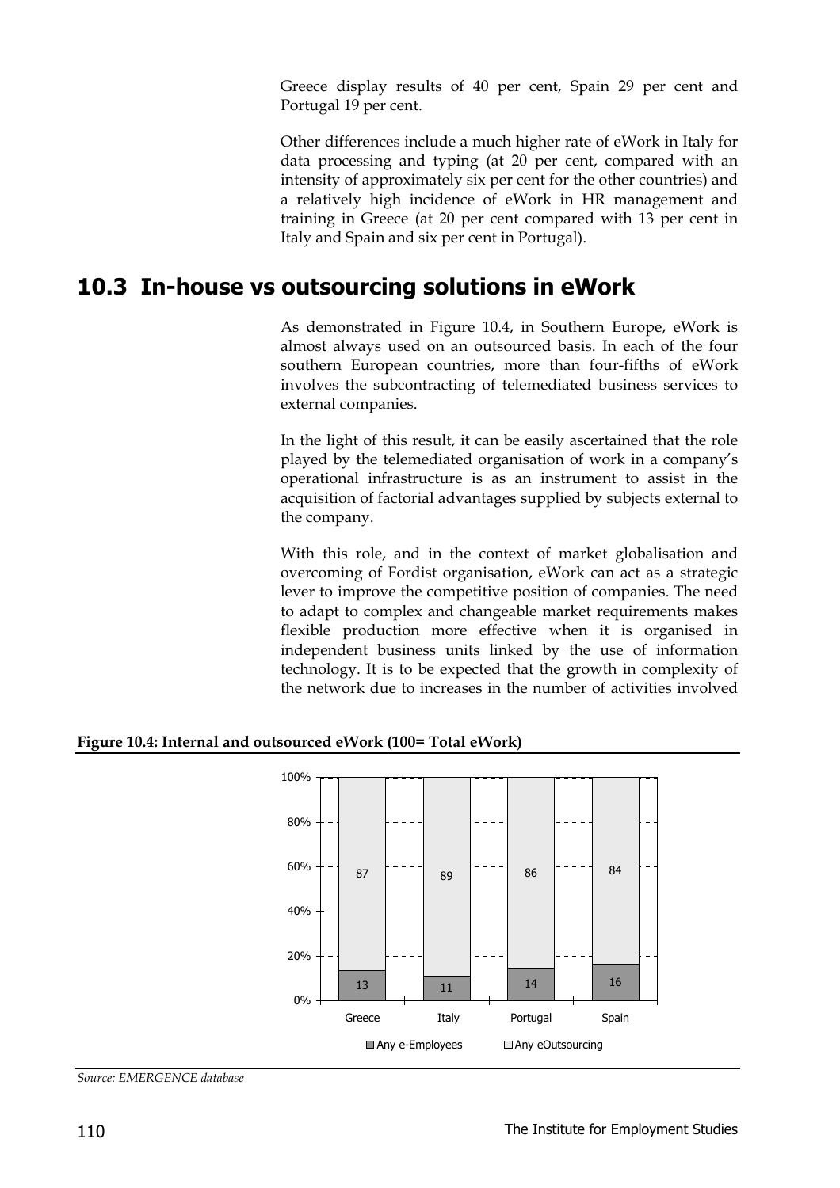Greece display results of 40 per cent, Spain 29 per cent and Portugal 19 per cent.

Other differences include a much higher rate of eWork in Italy for data processing and typing (at 20 per cent, compared with an intensity of approximately six per cent for the other countries) and a relatively high incidence of eWork in HR management and training in Greece (at 20 per cent compared with 13 per cent in Italy and Spain and six per cent in Portugal).

#### **10.3 In-house vs outsourcing solutions in eWork**

As demonstrated in Figure 10.4, in Southern Europe, eWork is almost always used on an outsourced basis. In each of the four southern European countries, more than four-fifths of eWork involves the subcontracting of telemediated business services to external companies.

In the light of this result, it can be easily ascertained that the role played by the telemediated organisation of work in a company's operational infrastructure is as an instrument to assist in the acquisition of factorial advantages supplied by subjects external to the company.

With this role, and in the context of market globalisation and overcoming of Fordist organisation, eWork can act as a strategic lever to improve the competitive position of companies. The need to adapt to complex and changeable market requirements makes flexible production more effective when it is organised in independent business units linked by the use of information technology. It is to be expected that the growth in complexity of the network due to increases in the number of activities involved



**Figure 10.4: Internal and outsourced eWork (100= Total eWork)**

*Source: EMERGENCE database*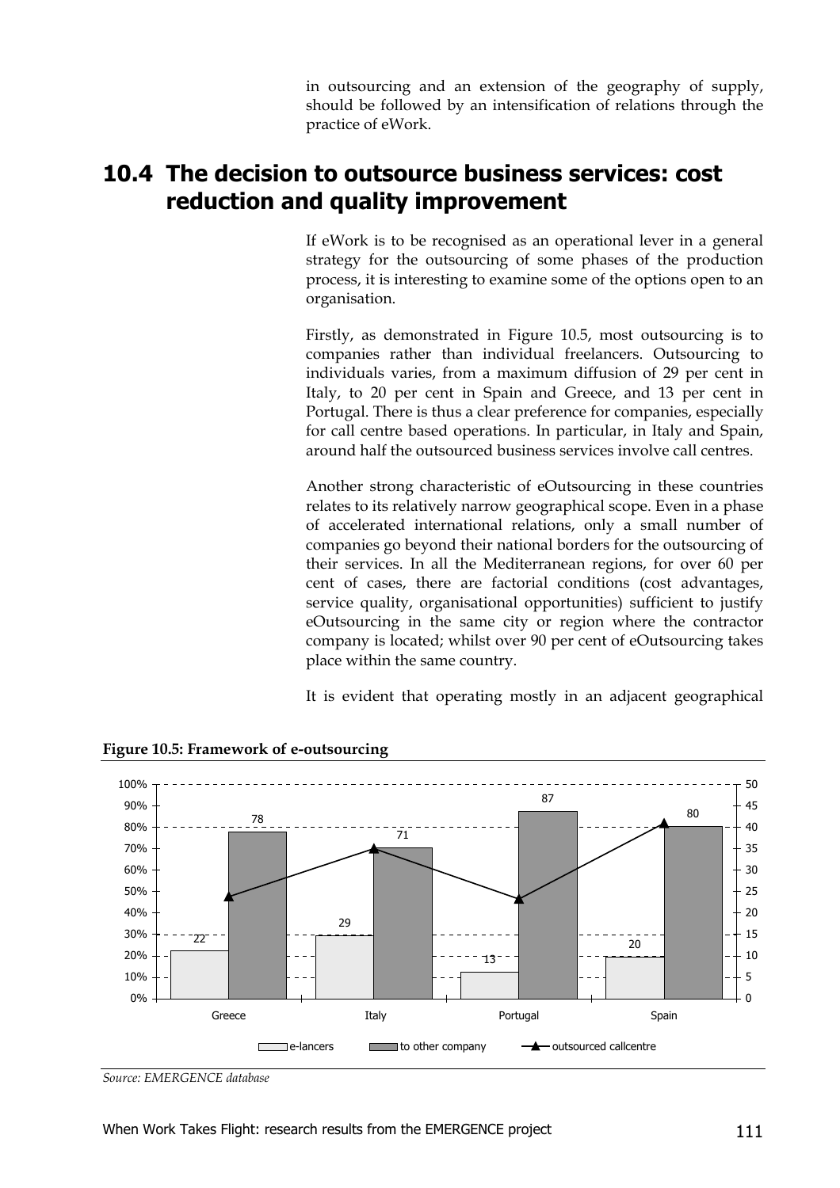in outsourcing and an extension of the geography of supply, should be followed by an intensification of relations through the practice of eWork.

## **10.4 The decision to outsource business services: cost reduction and quality improvement**

If eWork is to be recognised as an operational lever in a general strategy for the outsourcing of some phases of the production process, it is interesting to examine some of the options open to an organisation.

Firstly, as demonstrated in Figure 10.5, most outsourcing is to companies rather than individual freelancers. Outsourcing to individuals varies, from a maximum diffusion of 29 per cent in Italy, to 20 per cent in Spain and Greece, and 13 per cent in Portugal. There is thus a clear preference for companies, especially for call centre based operations. In particular, in Italy and Spain, around half the outsourced business services involve call centres.

Another strong characteristic of eOutsourcing in these countries relates to its relatively narrow geographical scope. Even in a phase of accelerated international relations, only a small number of companies go beyond their national borders for the outsourcing of their services. In all the Mediterranean regions, for over 60 per cent of cases, there are factorial conditions (cost advantages, service quality, organisational opportunities) sufficient to justify eOutsourcing in the same city or region where the contractor company is located; whilst over 90 per cent of eOutsourcing takes place within the same country.

It is evident that operating mostly in an adjacent geographical





*Source: EMERGENCE database*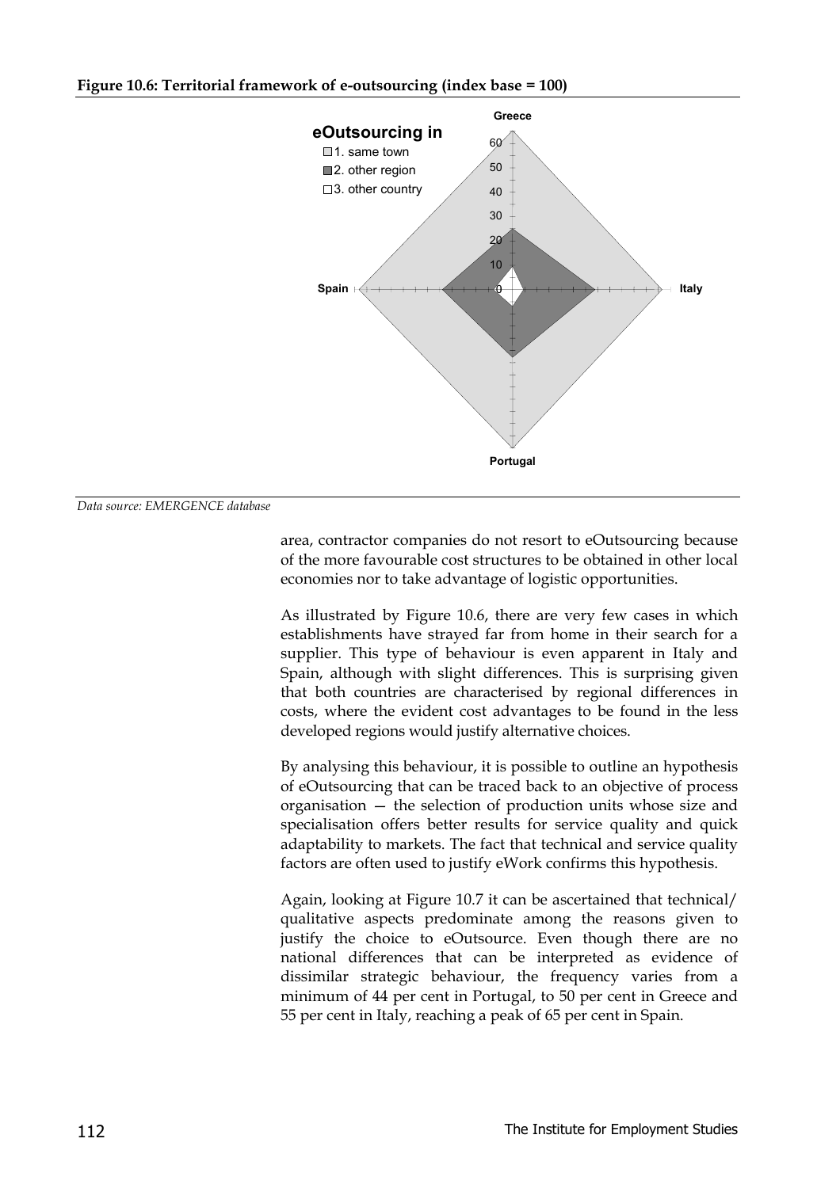#### **Figure 10.6: Territorial framework of e-outsourcing (index base = 100)**



#### *Data source: EMERGENCE database*

area, contractor companies do not resort to eOutsourcing because of the more favourable cost structures to be obtained in other local economies nor to take advantage of logistic opportunities.

As illustrated by Figure 10.6, there are very few cases in which establishments have strayed far from home in their search for a supplier. This type of behaviour is even apparent in Italy and Spain, although with slight differences. This is surprising given that both countries are characterised by regional differences in costs, where the evident cost advantages to be found in the less developed regions would justify alternative choices.

By analysing this behaviour, it is possible to outline an hypothesis of eOutsourcing that can be traced back to an objective of process organisation — the selection of production units whose size and specialisation offers better results for service quality and quick adaptability to markets. The fact that technical and service quality factors are often used to justify eWork confirms this hypothesis.

Again, looking at Figure 10.7 it can be ascertained that technical/ qualitative aspects predominate among the reasons given to justify the choice to eOutsource. Even though there are no national differences that can be interpreted as evidence of dissimilar strategic behaviour, the frequency varies from a minimum of 44 per cent in Portugal, to 50 per cent in Greece and 55 per cent in Italy, reaching a peak of 65 per cent in Spain.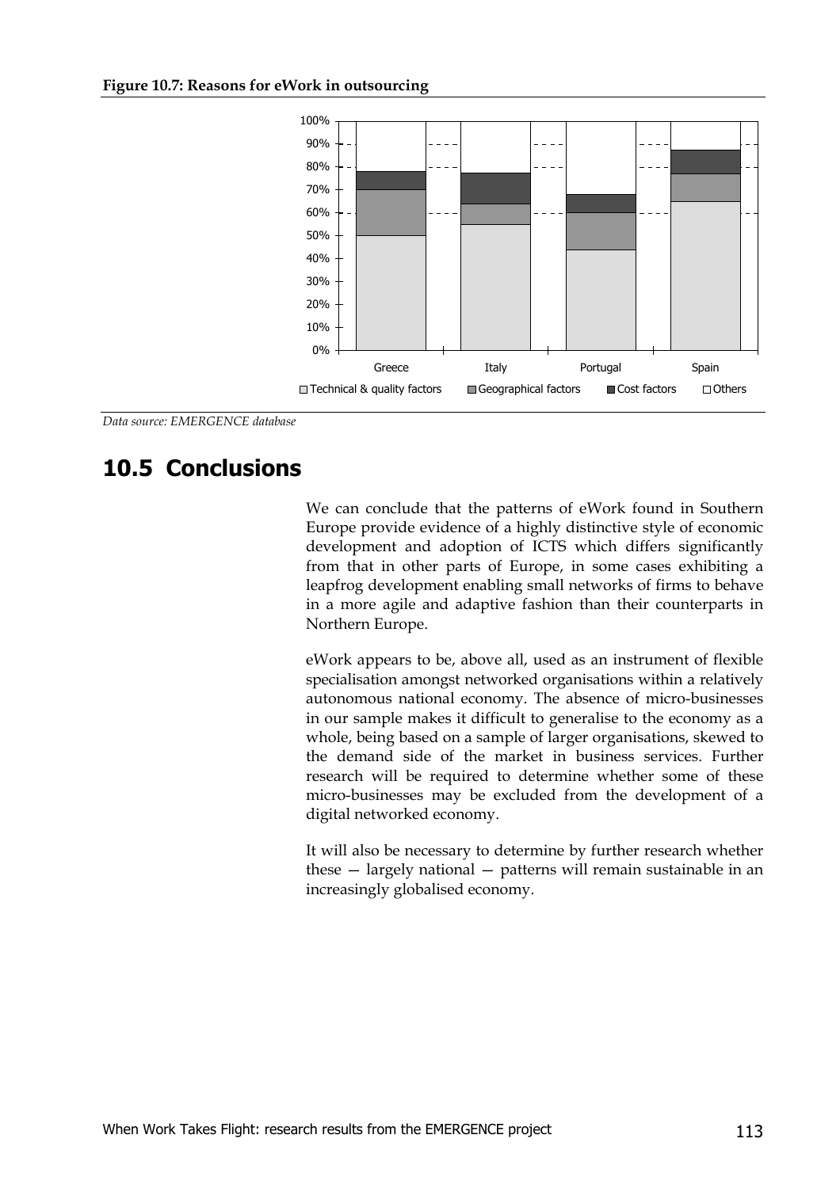

*Data source: EMERGENCE database*

## **10.5 Conclusions**

We can conclude that the patterns of eWork found in Southern Europe provide evidence of a highly distinctive style of economic development and adoption of ICTS which differs significantly from that in other parts of Europe, in some cases exhibiting a leapfrog development enabling small networks of firms to behave in a more agile and adaptive fashion than their counterparts in Northern Europe.

eWork appears to be, above all, used as an instrument of flexible specialisation amongst networked organisations within a relatively autonomous national economy. The absence of micro-businesses in our sample makes it difficult to generalise to the economy as a whole, being based on a sample of larger organisations, skewed to the demand side of the market in business services. Further research will be required to determine whether some of these micro-businesses may be excluded from the development of a digital networked economy.

It will also be necessary to determine by further research whether these — largely national — patterns will remain sustainable in an increasingly globalised economy.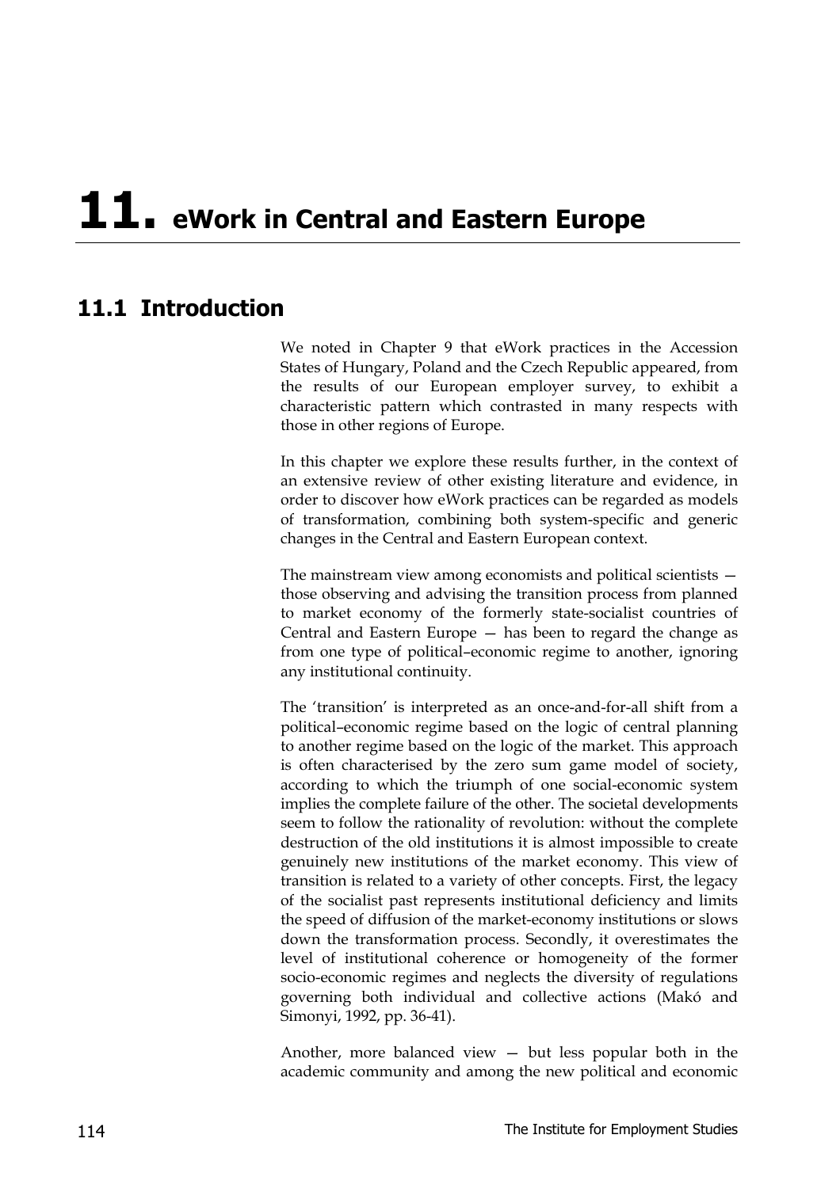# **11. eWork in Central and Eastern Europe**

## **11.1 Introduction**

We noted in Chapter 9 that eWork practices in the Accession States of Hungary, Poland and the Czech Republic appeared, from the results of our European employer survey, to exhibit a characteristic pattern which contrasted in many respects with those in other regions of Europe.

In this chapter we explore these results further, in the context of an extensive review of other existing literature and evidence, in order to discover how eWork practices can be regarded as models of transformation, combining both system-specific and generic changes in the Central and Eastern European context.

The mainstream view among economists and political scientists those observing and advising the transition process from planned to market economy of the formerly state-socialist countries of Central and Eastern Europe — has been to regard the change as from one type of political–economic regime to another, ignoring any institutional continuity.

The 'transition' is interpreted as an once-and-for-all shift from a political–economic regime based on the logic of central planning to another regime based on the logic of the market. This approach is often characterised by the zero sum game model of society, according to which the triumph of one social-economic system implies the complete failure of the other. The societal developments seem to follow the rationality of revolution: without the complete destruction of the old institutions it is almost impossible to create genuinely new institutions of the market economy. This view of transition is related to a variety of other concepts. First, the legacy of the socialist past represents institutional deficiency and limits the speed of diffusion of the market-economy institutions or slows down the transformation process. Secondly, it overestimates the level of institutional coherence or homogeneity of the former socio-economic regimes and neglects the diversity of regulations governing both individual and collective actions (Makó and Simonyi, 1992, pp. 36-41).

Another, more balanced view — but less popular both in the academic community and among the new political and economic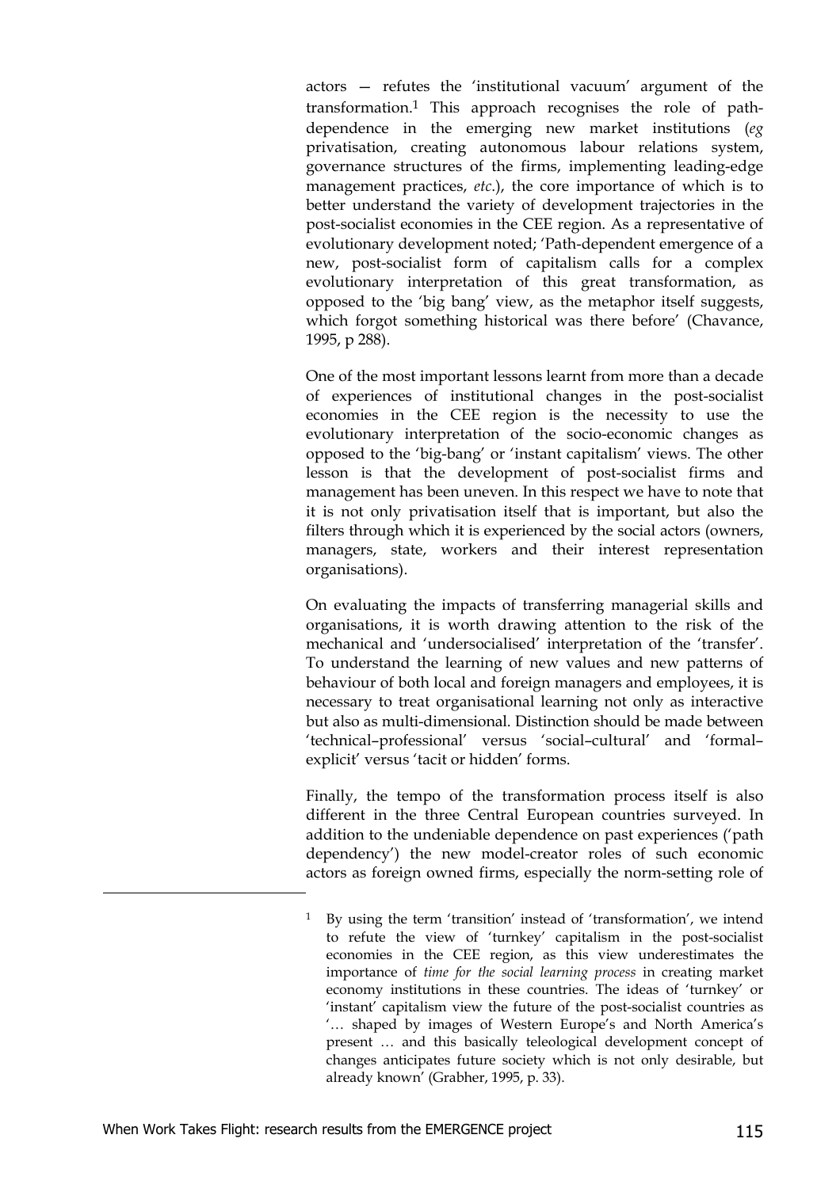actors — refutes the 'institutional vacuum' argument of the transformation.1 This approach recognises the role of pathdependence in the emerging new market institutions (*eg* privatisation, creating autonomous labour relations system, governance structures of the firms, implementing leading-edge management practices, *etc*.), the core importance of which is to better understand the variety of development trajectories in the post-socialist economies in the CEE region. As a representative of evolutionary development noted; 'Path-dependent emergence of a new, post-socialist form of capitalism calls for a complex evolutionary interpretation of this great transformation, as opposed to the 'big bang' view, as the metaphor itself suggests, which forgot something historical was there before' (Chavance, 1995, p 288).

One of the most important lessons learnt from more than a decade of experiences of institutional changes in the post-socialist economies in the CEE region is the necessity to use the evolutionary interpretation of the socio-economic changes as opposed to the 'big-bang' or 'instant capitalism' views. The other lesson is that the development of post-socialist firms and management has been uneven. In this respect we have to note that it is not only privatisation itself that is important, but also the filters through which it is experienced by the social actors (owners, managers, state, workers and their interest representation organisations).

On evaluating the impacts of transferring managerial skills and organisations, it is worth drawing attention to the risk of the mechanical and 'undersocialised' interpretation of the 'transfer'. To understand the learning of new values and new patterns of behaviour of both local and foreign managers and employees, it is necessary to treat organisational learning not only as interactive but also as multi-dimensional. Distinction should be made between 'technical–professional' versus 'social–cultural' and 'formal– explicit' versus 'tacit or hidden' forms.

Finally, the tempo of the transformation process itself is also different in the three Central European countries surveyed. In addition to the undeniable dependence on past experiences ('path dependency') the new model-creator roles of such economic actors as foreign owned firms, especially the norm-setting role of

1

<sup>1</sup> By using the term 'transition' instead of 'transformation', we intend to refute the view of 'turnkey' capitalism in the post-socialist economies in the CEE region, as this view underestimates the importance of *time for the social learning process* in creating market economy institutions in these countries. The ideas of 'turnkey' or 'instant' capitalism view the future of the post-socialist countries as '… shaped by images of Western Europe's and North America's present … and this basically teleological development concept of changes anticipates future society which is not only desirable, but already known' (Grabher, 1995, p. 33).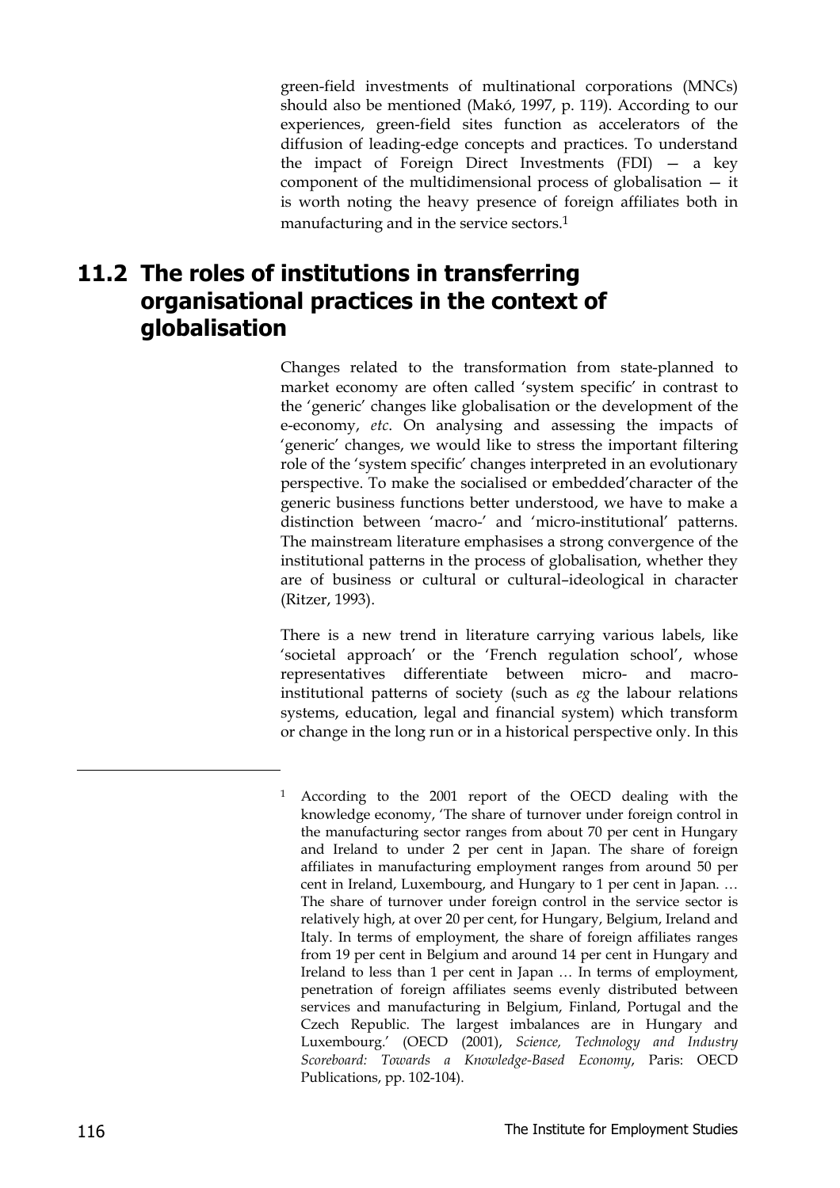green-field investments of multinational corporations (MNCs) should also be mentioned (Makó, 1997, p. 119). According to our experiences, green-field sites function as accelerators of the diffusion of leading-edge concepts and practices. To understand the impact of Foreign Direct Investments (FDI) — a key component of the multidimensional process of globalisation — it is worth noting the heavy presence of foreign affiliates both in manufacturing and in the service sectors.<sup>1</sup>

## **11.2 The roles of institutions in transferring organisational practices in the context of globalisation**

Changes related to the transformation from state-planned to market economy are often called 'system specific' in contrast to the 'generic' changes like globalisation or the development of the e-economy, *etc*. On analysing and assessing the impacts of 'generic' changes, we would like to stress the important filtering role of the 'system specific' changes interpreted in an evolutionary perspective. To make the socialised or embedded'character of the generic business functions better understood, we have to make a distinction between 'macro-' and 'micro-institutional' patterns. The mainstream literature emphasises a strong convergence of the institutional patterns in the process of globalisation, whether they are of business or cultural or cultural–ideological in character (Ritzer, 1993).

There is a new trend in literature carrying various labels, like 'societal approach' or the 'French regulation school', whose representatives differentiate between micro- and macroinstitutional patterns of society (such as *eg* the labour relations systems, education, legal and financial system) which transform or change in the long run or in a historical perspective only. In this

-

<sup>1</sup> According to the 2001 report of the OECD dealing with the knowledge economy, 'The share of turnover under foreign control in the manufacturing sector ranges from about 70 per cent in Hungary and Ireland to under 2 per cent in Japan. The share of foreign affiliates in manufacturing employment ranges from around 50 per cent in Ireland, Luxembourg, and Hungary to 1 per cent in Japan. … The share of turnover under foreign control in the service sector is relatively high, at over 20 per cent, for Hungary, Belgium, Ireland and Italy. In terms of employment, the share of foreign affiliates ranges from 19 per cent in Belgium and around 14 per cent in Hungary and Ireland to less than 1 per cent in Japan … In terms of employment, penetration of foreign affiliates seems evenly distributed between services and manufacturing in Belgium, Finland, Portugal and the Czech Republic. The largest imbalances are in Hungary and Luxembourg.' (OECD (2001), *Science, Technology and Industry Scoreboard: Towards a Knowledge-Based Economy*, Paris: OECD Publications, pp. 102-104).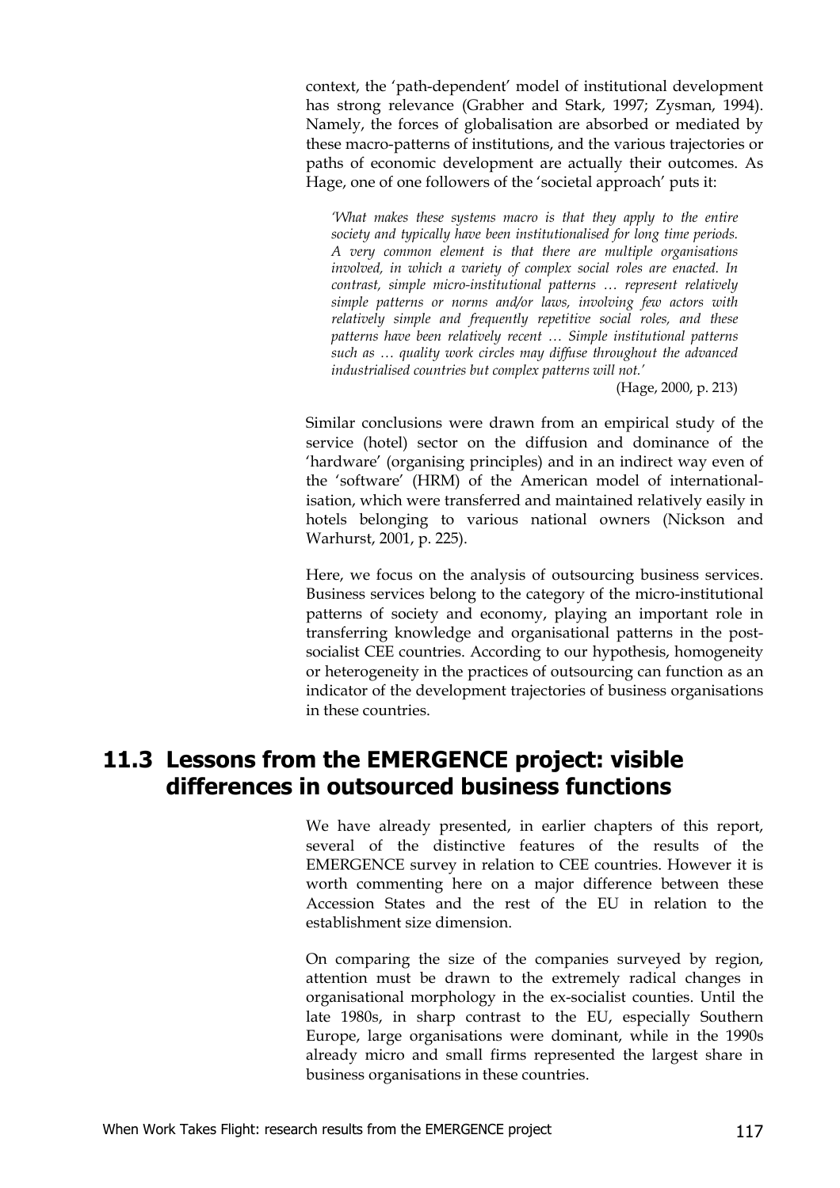context, the 'path-dependent' model of institutional development has strong relevance (Grabher and Stark, 1997; Zysman, 1994). Namely, the forces of globalisation are absorbed or mediated by these macro-patterns of institutions, and the various trajectories or paths of economic development are actually their outcomes. As Hage, one of one followers of the 'societal approach' puts it:

*'What makes these systems macro is that they apply to the entire society and typically have been institutionalised for long time periods. A very common element is that there are multiple organisations involved, in which a variety of complex social roles are enacted. In contrast, simple micro-institutional patterns … represent relatively simple patterns or norms and/or laws, involving few actors with relatively simple and frequently repetitive social roles, and these patterns have been relatively recent … Simple institutional patterns such as … quality work circles may diffuse throughout the advanced industrialised countries but complex patterns will not.'*

(Hage, 2000, p. 213)

Similar conclusions were drawn from an empirical study of the service (hotel) sector on the diffusion and dominance of the 'hardware' (organising principles) and in an indirect way even of the 'software' (HRM) of the American model of internationalisation, which were transferred and maintained relatively easily in hotels belonging to various national owners (Nickson and Warhurst, 2001, p. 225).

Here, we focus on the analysis of outsourcing business services. Business services belong to the category of the micro-institutional patterns of society and economy, playing an important role in transferring knowledge and organisational patterns in the postsocialist CEE countries. According to our hypothesis, homogeneity or heterogeneity in the practices of outsourcing can function as an indicator of the development trajectories of business organisations in these countries.

## **11.3 Lessons from the EMERGENCE project: visible differences in outsourced business functions**

We have already presented, in earlier chapters of this report, several of the distinctive features of the results of the EMERGENCE survey in relation to CEE countries. However it is worth commenting here on a major difference between these Accession States and the rest of the EU in relation to the establishment size dimension.

On comparing the size of the companies surveyed by region, attention must be drawn to the extremely radical changes in organisational morphology in the ex-socialist counties. Until the late 1980s, in sharp contrast to the EU, especially Southern Europe, large organisations were dominant, while in the 1990s already micro and small firms represented the largest share in business organisations in these countries.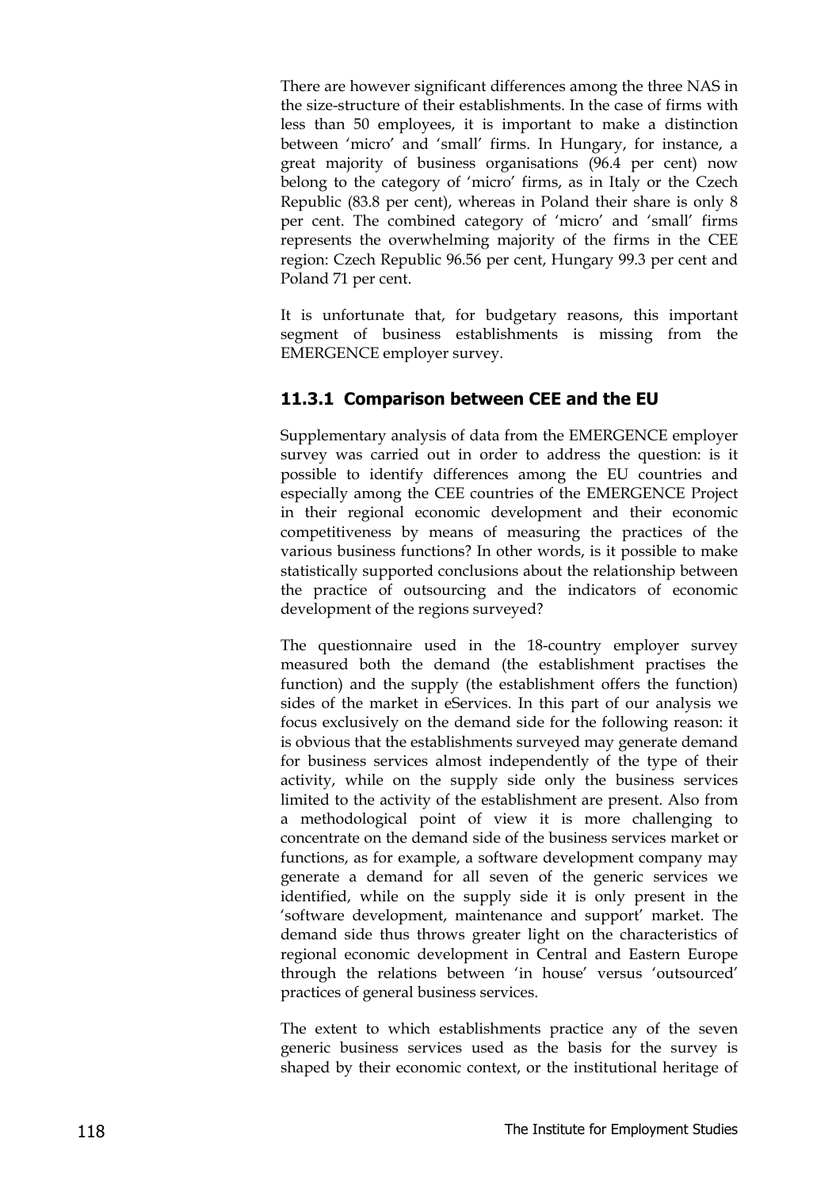There are however significant differences among the three NAS in the size-structure of their establishments. In the case of firms with less than 50 employees, it is important to make a distinction between 'micro' and 'small' firms. In Hungary, for instance, a great majority of business organisations (96.4 per cent) now belong to the category of 'micro' firms, as in Italy or the Czech Republic (83.8 per cent), whereas in Poland their share is only 8 per cent. The combined category of 'micro' and 'small' firms represents the overwhelming majority of the firms in the CEE region: Czech Republic 96.56 per cent, Hungary 99.3 per cent and Poland 71 per cent.

It is unfortunate that, for budgetary reasons, this important segment of business establishments is missing from the EMERGENCE employer survey.

#### **11.3.1 Comparison between CEE and the EU**

Supplementary analysis of data from the EMERGENCE employer survey was carried out in order to address the question: is it possible to identify differences among the EU countries and especially among the CEE countries of the EMERGENCE Project in their regional economic development and their economic competitiveness by means of measuring the practices of the various business functions? In other words, is it possible to make statistically supported conclusions about the relationship between the practice of outsourcing and the indicators of economic development of the regions surveyed?

The questionnaire used in the 18-country employer survey measured both the demand (the establishment practises the function) and the supply (the establishment offers the function) sides of the market in eServices. In this part of our analysis we focus exclusively on the demand side for the following reason: it is obvious that the establishments surveyed may generate demand for business services almost independently of the type of their activity, while on the supply side only the business services limited to the activity of the establishment are present. Also from a methodological point of view it is more challenging to concentrate on the demand side of the business services market or functions, as for example, a software development company may generate a demand for all seven of the generic services we identified, while on the supply side it is only present in the 'software development, maintenance and support' market. The demand side thus throws greater light on the characteristics of regional economic development in Central and Eastern Europe through the relations between 'in house' versus 'outsourced' practices of general business services.

The extent to which establishments practice any of the seven generic business services used as the basis for the survey is shaped by their economic context, or the institutional heritage of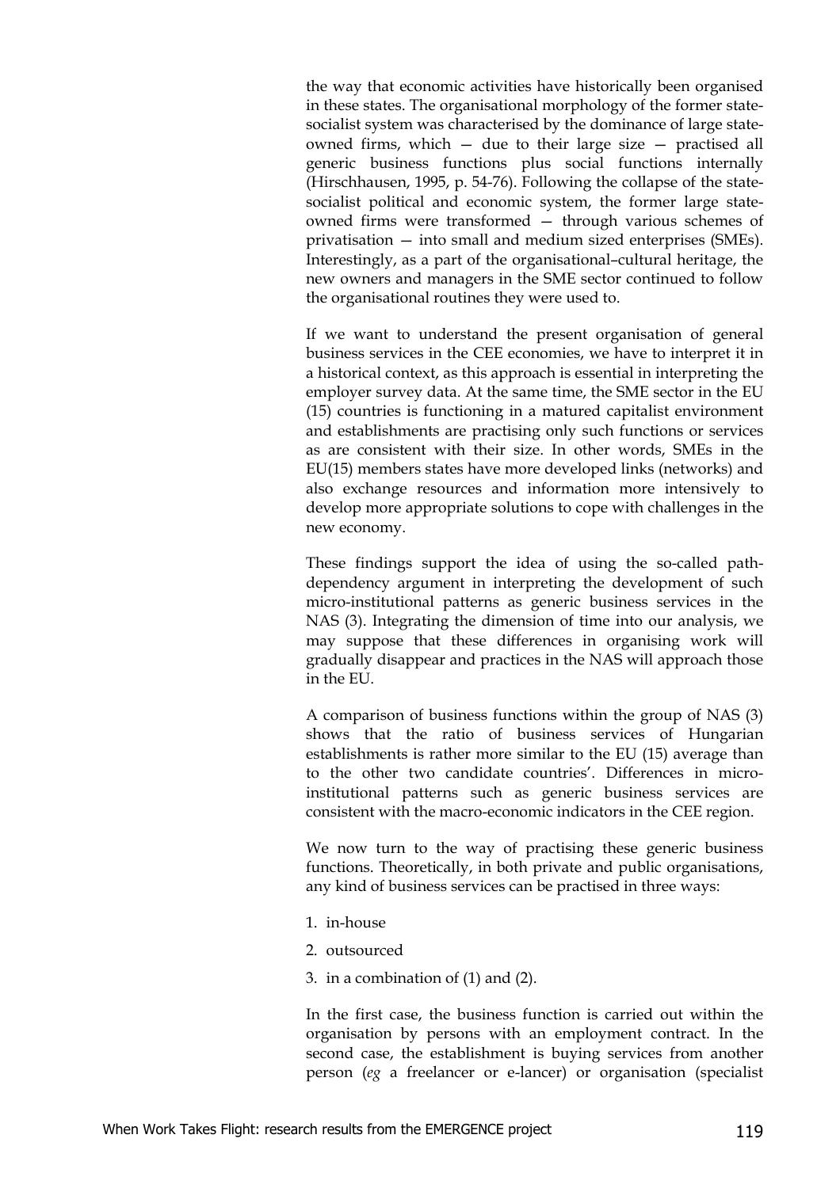the way that economic activities have historically been organised in these states. The organisational morphology of the former statesocialist system was characterised by the dominance of large stateowned firms, which — due to their large size — practised all generic business functions plus social functions internally (Hirschhausen, 1995, p. 54-76). Following the collapse of the statesocialist political and economic system, the former large stateowned firms were transformed — through various schemes of privatisation — into small and medium sized enterprises (SMEs). Interestingly, as a part of the organisational–cultural heritage, the new owners and managers in the SME sector continued to follow the organisational routines they were used to.

If we want to understand the present organisation of general business services in the CEE economies, we have to interpret it in a historical context, as this approach is essential in interpreting the employer survey data. At the same time, the SME sector in the EU (15) countries is functioning in a matured capitalist environment and establishments are practising only such functions or services as are consistent with their size. In other words, SMEs in the EU(15) members states have more developed links (networks) and also exchange resources and information more intensively to develop more appropriate solutions to cope with challenges in the new economy.

These findings support the idea of using the so-called pathdependency argument in interpreting the development of such micro-institutional patterns as generic business services in the NAS (3). Integrating the dimension of time into our analysis, we may suppose that these differences in organising work will gradually disappear and practices in the NAS will approach those in the EU.

A comparison of business functions within the group of NAS (3) shows that the ratio of business services of Hungarian establishments is rather more similar to the EU (15) average than to the other two candidate countries'. Differences in microinstitutional patterns such as generic business services are consistent with the macro-economic indicators in the CEE region.

We now turn to the way of practising these generic business functions. Theoretically, in both private and public organisations, any kind of business services can be practised in three ways:

- 1. in-house
- 2. outsourced
- 3. in a combination of (1) and (2).

In the first case, the business function is carried out within the organisation by persons with an employment contract. In the second case, the establishment is buying services from another person (*eg* a freelancer or e-lancer) or organisation (specialist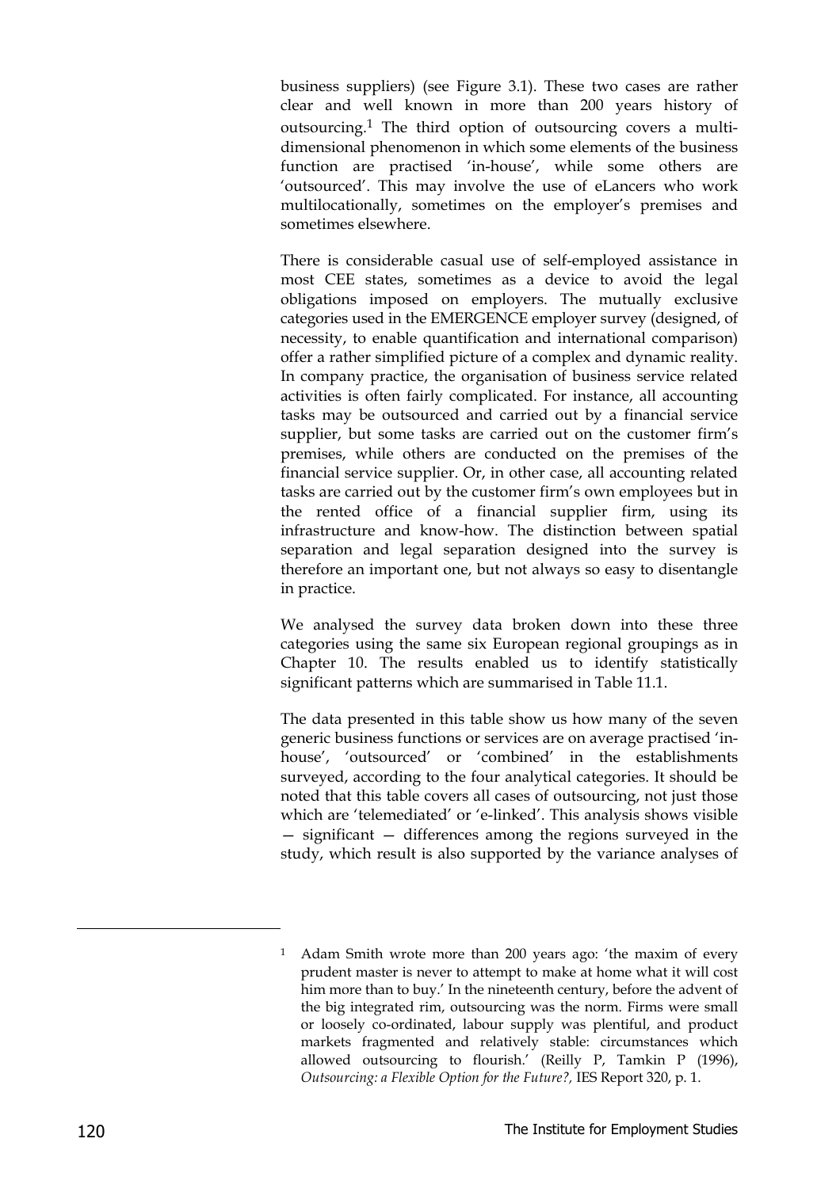business suppliers) (see Figure 3.1). These two cases are rather clear and well known in more than 200 years history of outsourcing.1 The third option of outsourcing covers a multidimensional phenomenon in which some elements of the business function are practised 'in-house', while some others are 'outsourced'. This may involve the use of eLancers who work multilocationally, sometimes on the employer's premises and sometimes elsewhere.

There is considerable casual use of self-employed assistance in most CEE states, sometimes as a device to avoid the legal obligations imposed on employers. The mutually exclusive categories used in the EMERGENCE employer survey (designed, of necessity, to enable quantification and international comparison) offer a rather simplified picture of a complex and dynamic reality. In company practice, the organisation of business service related activities is often fairly complicated. For instance, all accounting tasks may be outsourced and carried out by a financial service supplier, but some tasks are carried out on the customer firm's premises, while others are conducted on the premises of the financial service supplier. Or, in other case, all accounting related tasks are carried out by the customer firm's own employees but in the rented office of a financial supplier firm, using its infrastructure and know-how. The distinction between spatial separation and legal separation designed into the survey is therefore an important one, but not always so easy to disentangle in practice.

We analysed the survey data broken down into these three categories using the same six European regional groupings as in Chapter 10. The results enabled us to identify statistically significant patterns which are summarised in Table 11.1.

The data presented in this table show us how many of the seven generic business functions or services are on average practised 'inhouse', 'outsourced' or 'combined' in the establishments surveyed, according to the four analytical categories. It should be noted that this table covers all cases of outsourcing, not just those which are 'telemediated' or 'e-linked'. This analysis shows visible — significant — differences among the regions surveyed in the study, which result is also supported by the variance analyses of

-

<sup>1</sup> Adam Smith wrote more than 200 years ago: 'the maxim of every prudent master is never to attempt to make at home what it will cost him more than to buy.' In the nineteenth century, before the advent of the big integrated rim, outsourcing was the norm. Firms were small or loosely co-ordinated, labour supply was plentiful, and product markets fragmented and relatively stable: circumstances which allowed outsourcing to flourish.' (Reilly P, Tamkin P (1996), *Outsourcing: a Flexible Option for the Future?,* IES Report 320, p. 1.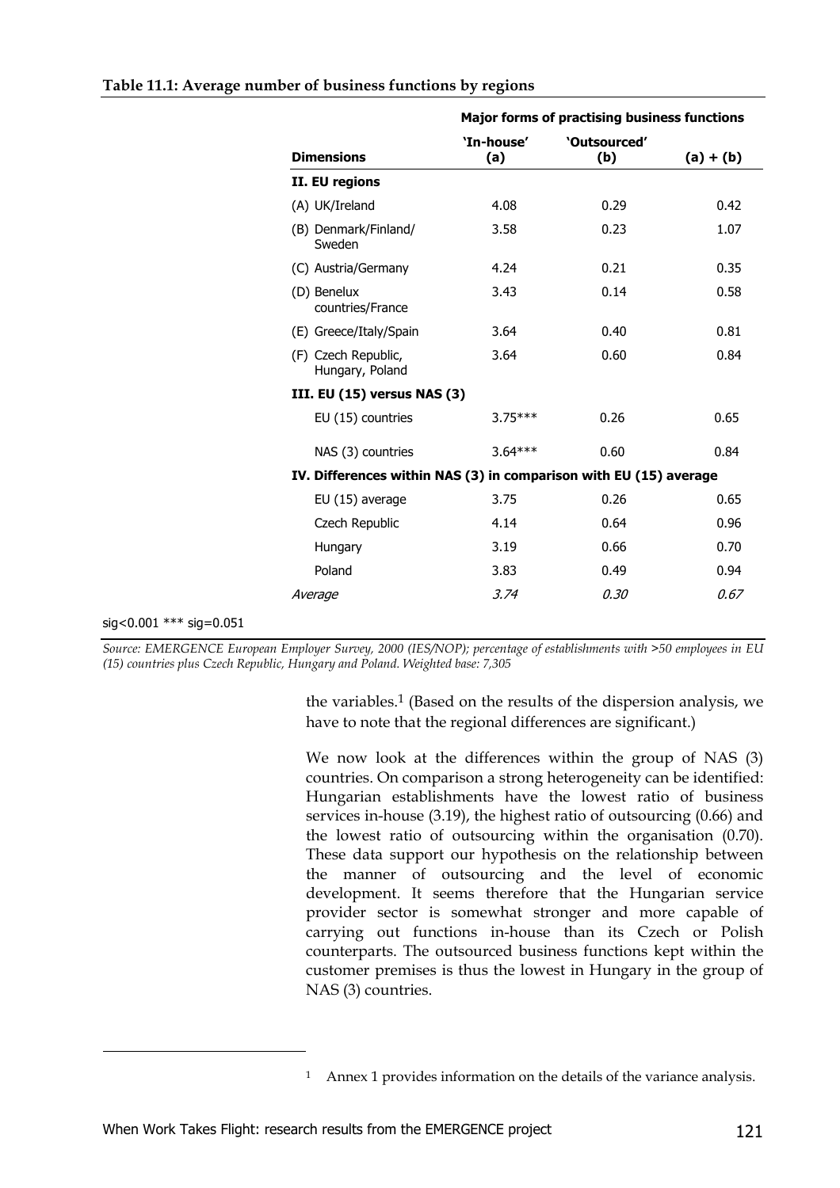| Table 11.1: Average number of business functions by regions |  |  |  |  |
|-------------------------------------------------------------|--|--|--|--|
|                                                             |  |  |  |  |

|                         |                                                                   | <b>Major forms of practising business functions</b> |                     |             |  |  |
|-------------------------|-------------------------------------------------------------------|-----------------------------------------------------|---------------------|-------------|--|--|
|                         | <b>Dimensions</b>                                                 | 'In-house'<br>(a)                                   | 'Outsourced'<br>(b) | $(a) + (b)$ |  |  |
|                         | II. EU regions                                                    |                                                     |                     |             |  |  |
|                         | (A) UK/Ireland                                                    | 4.08                                                | 0.29                | 0.42        |  |  |
|                         | (B) Denmark/Finland/<br>Sweden                                    | 3.58                                                | 0.23                | 1.07        |  |  |
|                         | (C) Austria/Germany                                               | 4.24                                                | 0.21                | 0.35        |  |  |
|                         | (D) Benelux<br>countries/France                                   | 3.43                                                | 0.14                | 0.58        |  |  |
|                         | (E) Greece/Italy/Spain                                            | 3.64                                                | 0.40                | 0.81        |  |  |
|                         | (F) Czech Republic,<br>Hungary, Poland                            | 3.64                                                | 0.60                | 0.84        |  |  |
|                         | III. EU (15) versus NAS (3)                                       |                                                     |                     |             |  |  |
|                         | EU (15) countries                                                 | $3.75***$                                           | 0.26                | 0.65        |  |  |
|                         | NAS (3) countries                                                 | $3.64***$                                           | 0.60                | 0.84        |  |  |
|                         | IV. Differences within NAS (3) in comparison with EU (15) average |                                                     |                     |             |  |  |
|                         | EU (15) average                                                   | 3.75                                                | 0.26                | 0.65        |  |  |
|                         | Czech Republic                                                    | 4.14                                                | 0.64                | 0.96        |  |  |
|                         | Hungary                                                           | 3.19                                                | 0.66                | 0.70        |  |  |
|                         | Poland                                                            | 3.83                                                | 0.49                | 0.94        |  |  |
|                         | Average                                                           | 3.74                                                | 0.30                | 0.67        |  |  |
| sig<0.001 *** sig=0.051 |                                                                   |                                                     |                     |             |  |  |

*Source: EMERGENCE European Employer Survey, 2000 (IES/NOP); percentage of establishments with >50 employees in EU (15) countries plus Czech Republic, Hungary and Poland. Weighted base: 7,305*

> the variables.1 (Based on the results of the dispersion analysis, we have to note that the regional differences are significant.)

> We now look at the differences within the group of NAS (3) countries. On comparison a strong heterogeneity can be identified: Hungarian establishments have the lowest ratio of business services in-house (3.19), the highest ratio of outsourcing (0.66) and the lowest ratio of outsourcing within the organisation (0.70). These data support our hypothesis on the relationship between the manner of outsourcing and the level of economic development. It seems therefore that the Hungarian service provider sector is somewhat stronger and more capable of carrying out functions in-house than its Czech or Polish counterparts. The outsourced business functions kept within the customer premises is thus the lowest in Hungary in the group of NAS (3) countries.

-

<sup>&</sup>lt;sup>1</sup> Annex 1 provides information on the details of the variance analysis.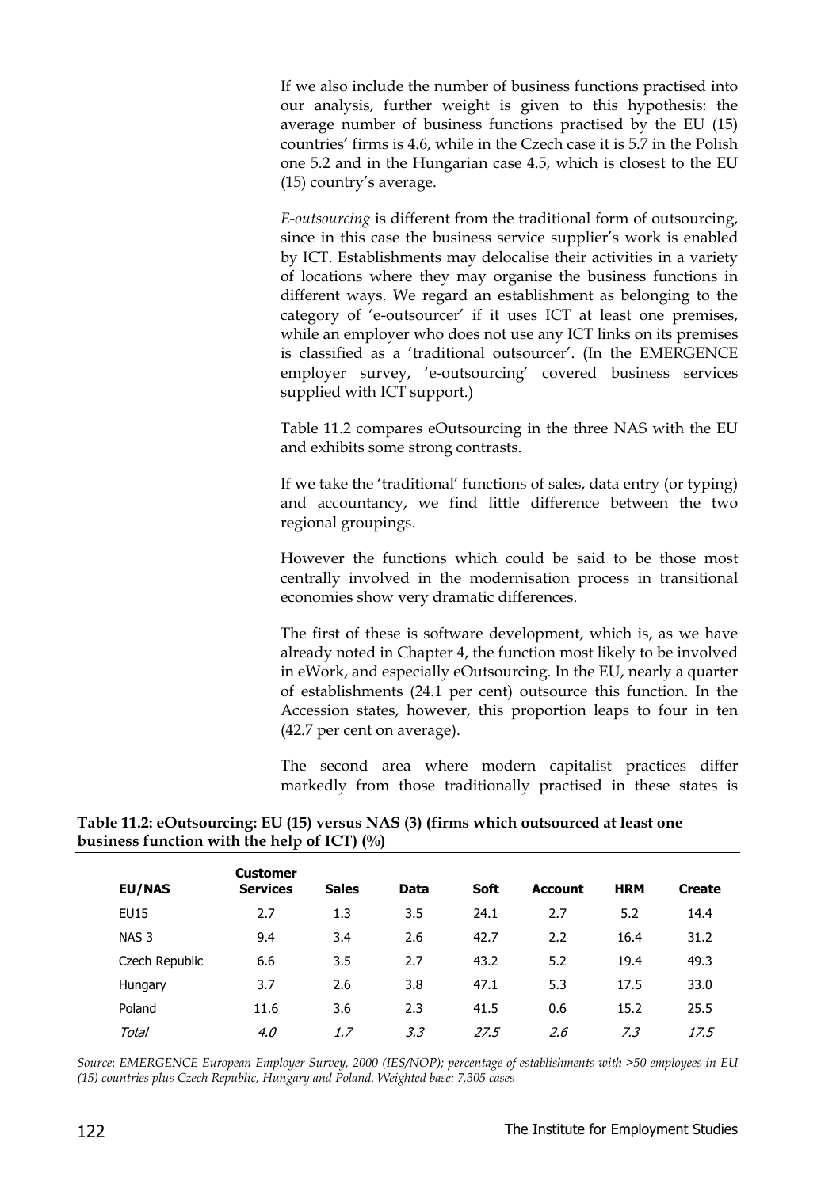If we also include the number of business functions practised into our analysis, further weight is given to this hypothesis: the average number of business functions practised by the EU (15) countries' firms is 4.6, while in the Czech case it is 5.7 in the Polish one 5.2 and in the Hungarian case 4.5, which is closest to the EU (15) country's average.

*E-outsourcing* is different from the traditional form of outsourcing, since in this case the business service supplier's work is enabled by ICT. Establishments may delocalise their activities in a variety of locations where they may organise the business functions in different ways. We regard an establishment as belonging to the category of 'e-outsourcer' if it uses ICT at least one premises, while an employer who does not use any ICT links on its premises is classified as a 'traditional outsourcer'. (In the EMERGENCE employer survey, 'e-outsourcing' covered business services supplied with ICT support.)

Table 11.2 compares eOutsourcing in the three NAS with the EU and exhibits some strong contrasts.

If we take the 'traditional' functions of sales, data entry (or typing) and accountancy, we find little difference between the two regional groupings.

However the functions which could be said to be those most centrally involved in the modernisation process in transitional economies show very dramatic differences.

The first of these is software development, which is, as we have already noted in Chapter 4, the function most likely to be involved in eWork, and especially eOutsourcing. In the EU, nearly a quarter of establishments (24.1 per cent) outsource this function. In the Accession states, however, this proportion leaps to four in ten (42.7 per cent on average).

The second area where modern capitalist practices differ markedly from those traditionally practised in these states is

| <b>EU/NAS</b>    | <b>Customer</b><br><b>Services</b> | <b>Sales</b> | <b>Data</b> | <b>Soft</b> | <b>Account</b> | <b>HRM</b> | <b>Create</b> |
|------------------|------------------------------------|--------------|-------------|-------------|----------------|------------|---------------|
| EU15             | 2.7                                | 1.3          | 3.5         | 24.1        | 2.7            | 5.2        | 14.4          |
| NAS <sub>3</sub> | 9.4                                | 3.4          | 2.6         | 42.7        | 2.2            | 16.4       | 31.2          |
| Czech Republic   | 6.6                                | 3.5          | 2.7         | 43.2        | 5.2            | 19.4       | 49.3          |
| Hungary          | 3.7                                | 2.6          | 3.8         | 47.1        | 5.3            | 17.5       | 33.0          |
| Poland           | 11.6                               | 3.6          | 2.3         | 41.5        | 0.6            | 15.2       | 25.5          |
| Total            | 4.0                                | 1.7          | 3.3         | 27.5        | 2.6            | 7.3        | 17.5          |

#### **Table 11.2: eOutsourcing: EU (15) versus NAS (3) (firms which outsourced at least one business function with the help of ICT) (%)**

*Source*: *EMERGENCE European Employer Survey, 2000 (IES/NOP); percentage of establishments with >50 employees in EU (15) countries plus Czech Republic, Hungary and Poland. Weighted base: 7,305 cases*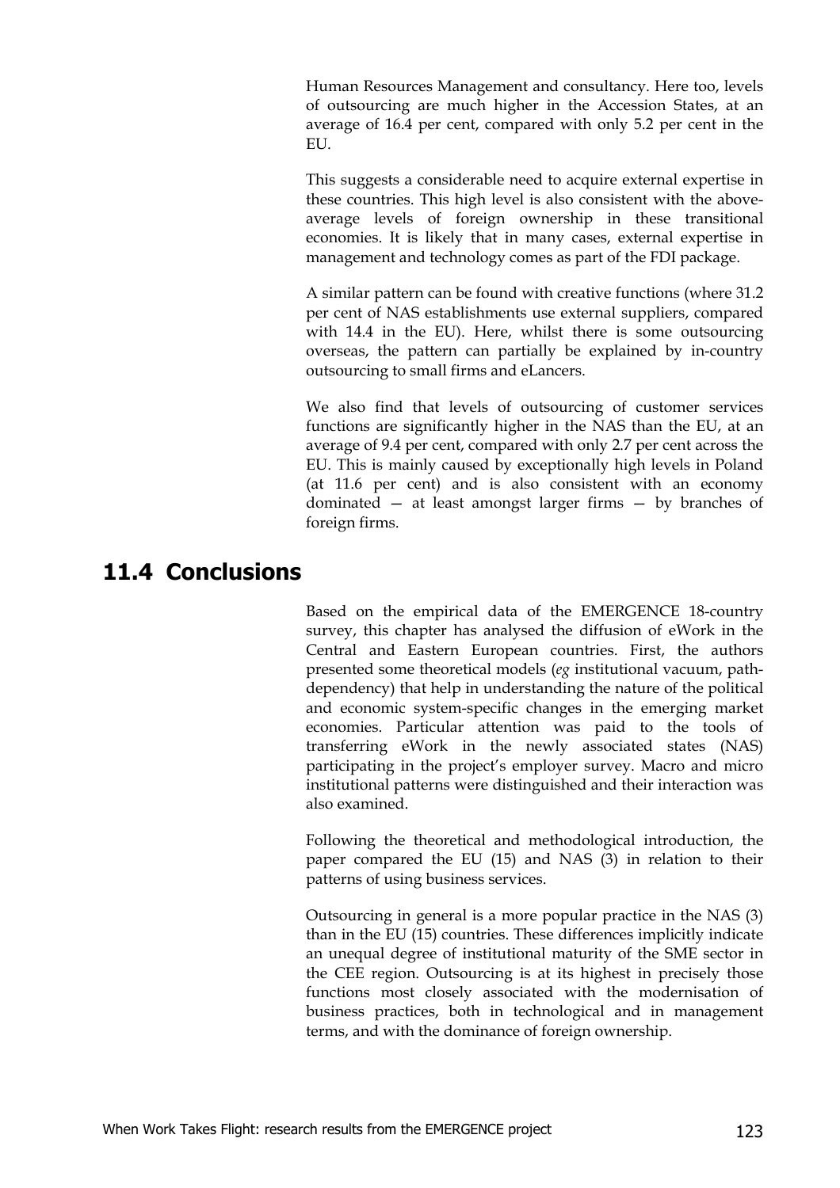Human Resources Management and consultancy. Here too, levels of outsourcing are much higher in the Accession States, at an average of 16.4 per cent, compared with only 5.2 per cent in the EU.

This suggests a considerable need to acquire external expertise in these countries. This high level is also consistent with the aboveaverage levels of foreign ownership in these transitional economies. It is likely that in many cases, external expertise in management and technology comes as part of the FDI package.

A similar pattern can be found with creative functions (where 31.2 per cent of NAS establishments use external suppliers, compared with 14.4 in the EU). Here, whilst there is some outsourcing overseas, the pattern can partially be explained by in-country outsourcing to small firms and eLancers.

We also find that levels of outsourcing of customer services functions are significantly higher in the NAS than the EU, at an average of 9.4 per cent, compared with only 2.7 per cent across the EU. This is mainly caused by exceptionally high levels in Poland (at 11.6 per cent) and is also consistent with an economy dominated — at least amongst larger firms — by branches of foreign firms.

## **11.4 Conclusions**

Based on the empirical data of the EMERGENCE 18-country survey, this chapter has analysed the diffusion of eWork in the Central and Eastern European countries. First, the authors presented some theoretical models (*eg* institutional vacuum, pathdependency) that help in understanding the nature of the political and economic system-specific changes in the emerging market economies. Particular attention was paid to the tools of transferring eWork in the newly associated states (NAS) participating in the project's employer survey. Macro and micro institutional patterns were distinguished and their interaction was also examined.

Following the theoretical and methodological introduction, the paper compared the EU (15) and NAS (3) in relation to their patterns of using business services.

Outsourcing in general is a more popular practice in the NAS (3) than in the EU (15) countries. These differences implicitly indicate an unequal degree of institutional maturity of the SME sector in the CEE region. Outsourcing is at its highest in precisely those functions most closely associated with the modernisation of business practices, both in technological and in management terms, and with the dominance of foreign ownership.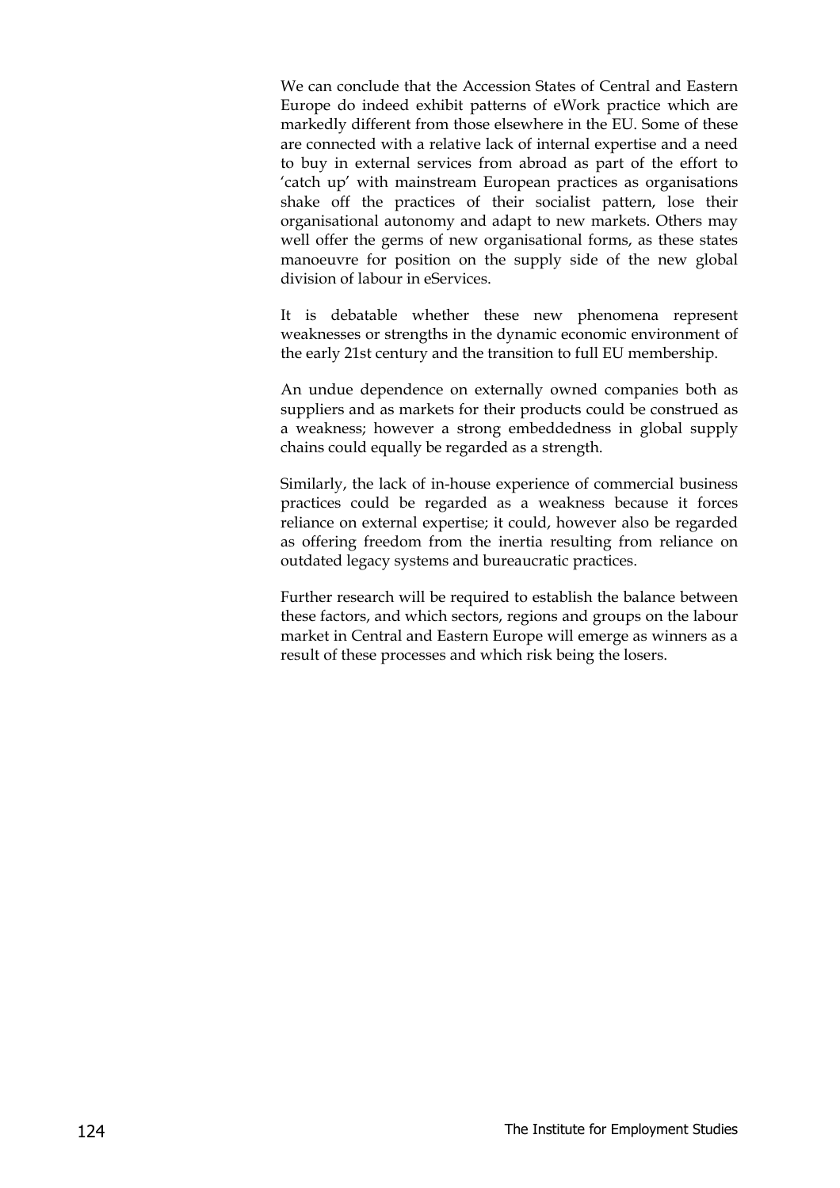We can conclude that the Accession States of Central and Eastern Europe do indeed exhibit patterns of eWork practice which are markedly different from those elsewhere in the EU. Some of these are connected with a relative lack of internal expertise and a need to buy in external services from abroad as part of the effort to 'catch up' with mainstream European practices as organisations shake off the practices of their socialist pattern, lose their organisational autonomy and adapt to new markets. Others may well offer the germs of new organisational forms, as these states manoeuvre for position on the supply side of the new global division of labour in eServices.

It is debatable whether these new phenomena represent weaknesses or strengths in the dynamic economic environment of the early 21st century and the transition to full EU membership.

An undue dependence on externally owned companies both as suppliers and as markets for their products could be construed as a weakness; however a strong embeddedness in global supply chains could equally be regarded as a strength.

Similarly, the lack of in-house experience of commercial business practices could be regarded as a weakness because it forces reliance on external expertise; it could, however also be regarded as offering freedom from the inertia resulting from reliance on outdated legacy systems and bureaucratic practices.

Further research will be required to establish the balance between these factors, and which sectors, regions and groups on the labour market in Central and Eastern Europe will emerge as winners as a result of these processes and which risk being the losers.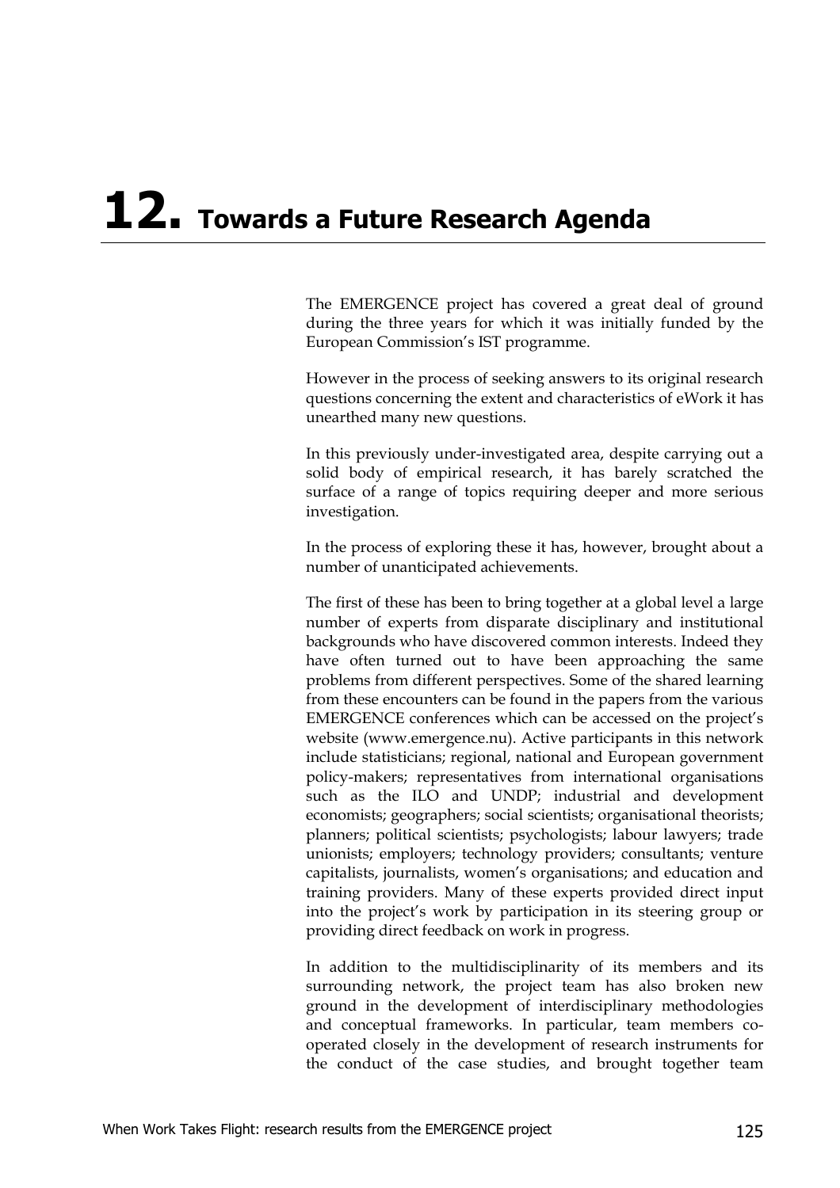# **12. Towards a Future Research Agenda**

The EMERGENCE project has covered a great deal of ground during the three years for which it was initially funded by the European Commission's IST programme.

However in the process of seeking answers to its original research questions concerning the extent and characteristics of eWork it has unearthed many new questions.

In this previously under-investigated area, despite carrying out a solid body of empirical research, it has barely scratched the surface of a range of topics requiring deeper and more serious investigation.

In the process of exploring these it has, however, brought about a number of unanticipated achievements.

The first of these has been to bring together at a global level a large number of experts from disparate disciplinary and institutional backgrounds who have discovered common interests. Indeed they have often turned out to have been approaching the same problems from different perspectives. Some of the shared learning from these encounters can be found in the papers from the various EMERGENCE conferences which can be accessed on the project's website (www.emergence.nu). Active participants in this network include statisticians; regional, national and European government policy-makers; representatives from international organisations such as the ILO and UNDP; industrial and development economists; geographers; social scientists; organisational theorists; planners; political scientists; psychologists; labour lawyers; trade unionists; employers; technology providers; consultants; venture capitalists, journalists, women's organisations; and education and training providers. Many of these experts provided direct input into the project's work by participation in its steering group or providing direct feedback on work in progress.

In addition to the multidisciplinarity of its members and its surrounding network, the project team has also broken new ground in the development of interdisciplinary methodologies and conceptual frameworks. In particular, team members cooperated closely in the development of research instruments for the conduct of the case studies, and brought together team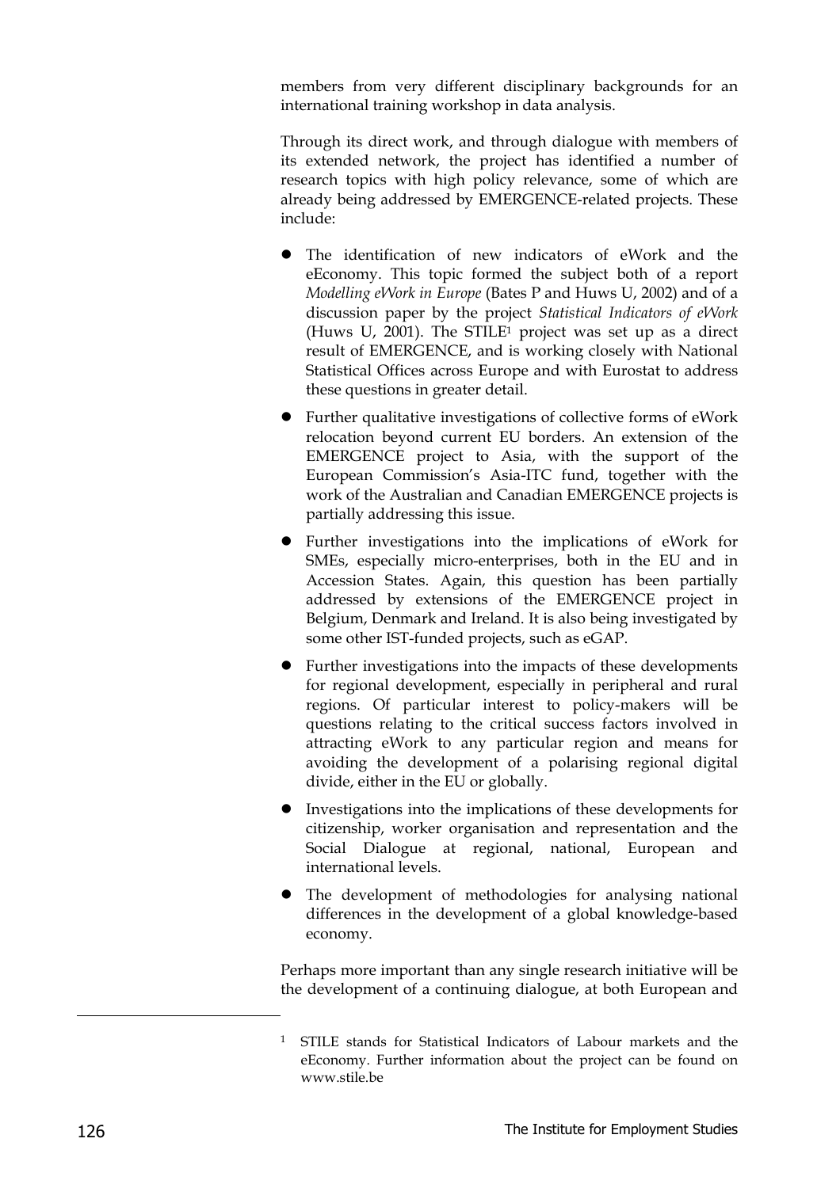members from very different disciplinary backgrounds for an international training workshop in data analysis.

Through its direct work, and through dialogue with members of its extended network, the project has identified a number of research topics with high policy relevance, some of which are already being addressed by EMERGENCE-related projects. These include:

- The identification of new indicators of eWork and the eEconomy. This topic formed the subject both of a report *Modelling eWork in Europe* (Bates P and Huws U, 2002) and of a discussion paper by the project *Statistical Indicators of eWork* (Huws U, 2001). The STILE1 project was set up as a direct result of EMERGENCE, and is working closely with National Statistical Offices across Europe and with Eurostat to address these questions in greater detail.
- Further qualitative investigations of collective forms of eWork relocation beyond current EU borders. An extension of the EMERGENCE project to Asia, with the support of the European Commission's Asia-ITC fund, together with the work of the Australian and Canadian EMERGENCE projects is partially addressing this issue.
- Further investigations into the implications of eWork for SMEs, especially micro-enterprises, both in the EU and in Accession States. Again, this question has been partially addressed by extensions of the EMERGENCE project in Belgium, Denmark and Ireland. It is also being investigated by some other IST-funded projects, such as eGAP.
- Further investigations into the impacts of these developments for regional development, especially in peripheral and rural regions. Of particular interest to policy-makers will be questions relating to the critical success factors involved in attracting eWork to any particular region and means for avoiding the development of a polarising regional digital divide, either in the EU or globally.
- Investigations into the implications of these developments for citizenship, worker organisation and representation and the Social Dialogue at regional, national, European and international levels.
- The development of methodologies for analysing national differences in the development of a global knowledge-based economy.

Perhaps more important than any single research initiative will be the development of a continuing dialogue, at both European and

-

<sup>&</sup>lt;sup>1</sup> STILE stands for Statistical Indicators of Labour markets and the eEconomy. Further information about the project can be found on www.stile.be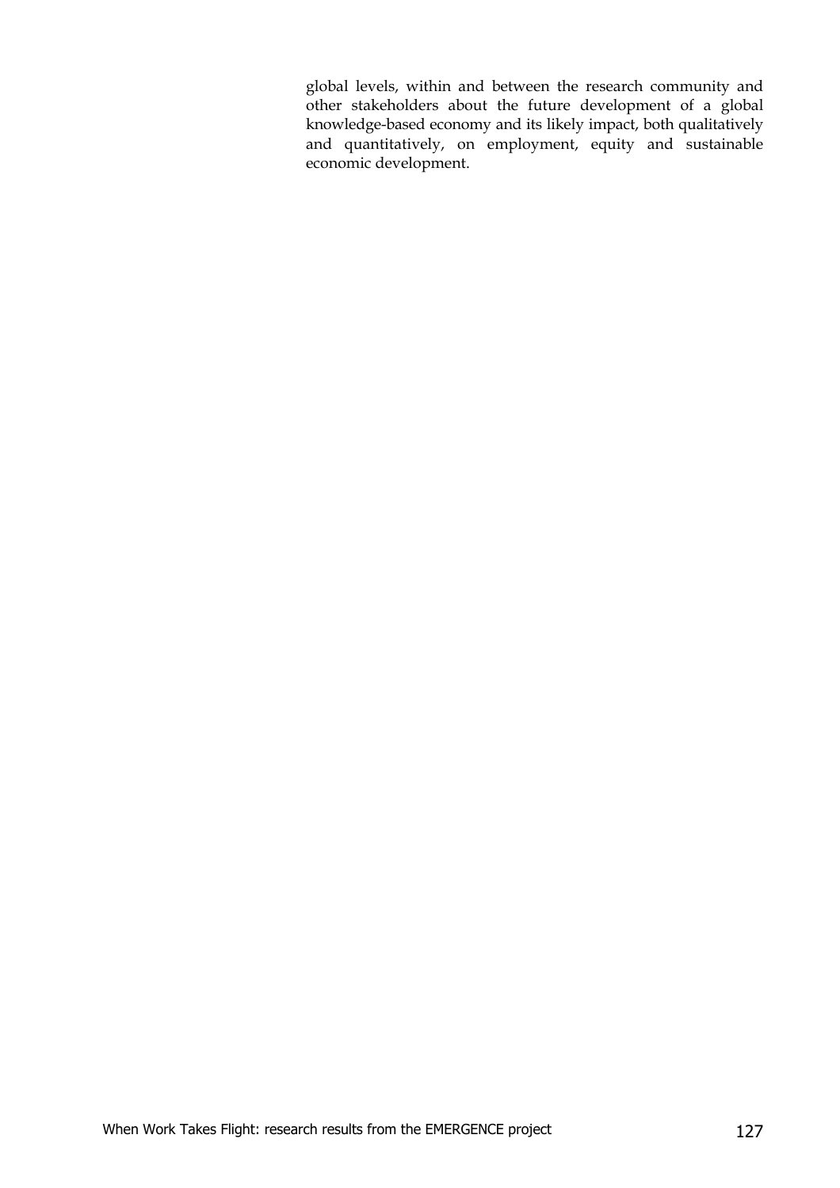global levels, within and between the research community and other stakeholders about the future development of a global knowledge-based economy and its likely impact, both qualitatively and quantitatively, on employment, equity and sustainable economic development.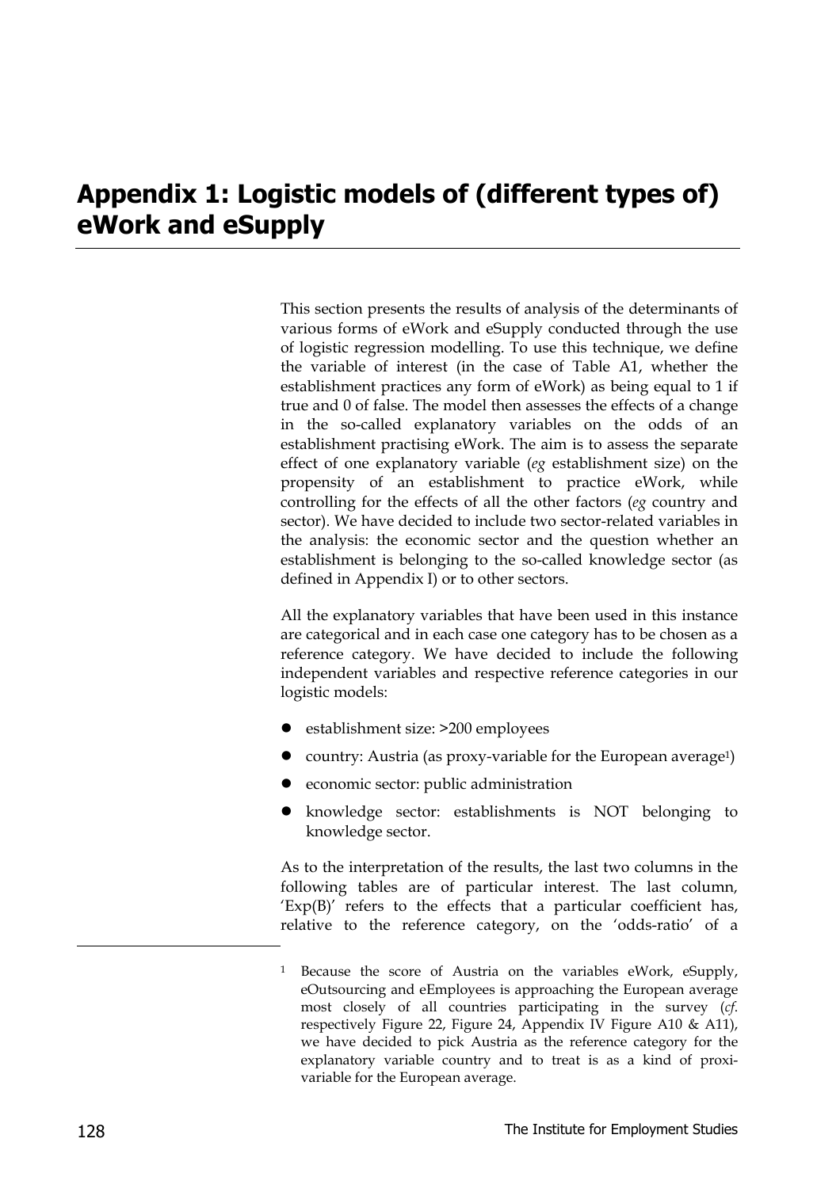## **Appendix 1: Logistic models of (different types of) eWork and eSupply**

This section presents the results of analysis of the determinants of various forms of eWork and eSupply conducted through the use of logistic regression modelling. To use this technique, we define the variable of interest (in the case of Table A1, whether the establishment practices any form of eWork) as being equal to 1 if true and 0 of false. The model then assesses the effects of a change in the so-called explanatory variables on the odds of an establishment practising eWork. The aim is to assess the separate effect of one explanatory variable (*eg* establishment size) on the propensity of an establishment to practice eWork, while controlling for the effects of all the other factors (*eg* country and sector). We have decided to include two sector-related variables in the analysis: the economic sector and the question whether an establishment is belonging to the so-called knowledge sector (as defined in Appendix I) or to other sectors.

All the explanatory variables that have been used in this instance are categorical and in each case one category has to be chosen as a reference category. We have decided to include the following independent variables and respective reference categories in our logistic models:

- establishment size: >200 employees
- country: Austria (as proxy-variable for the European average<sup>1</sup>)
- z economic sector: public administration
- z knowledge sector: establishments is NOT belonging to knowledge sector.

As to the interpretation of the results, the last two columns in the following tables are of particular interest. The last column,  $'Exp(B)'$  refers to the effects that a particular coefficient has, relative to the reference category, on the 'odds-ratio' of a

-

Because the score of Austria on the variables eWork, eSupply, eOutsourcing and eEmployees is approaching the European average most closely of all countries participating in the survey (*cf*. respectively Figure 22, Figure 24, Appendix IV Figure A10 & A11), we have decided to pick Austria as the reference category for the explanatory variable country and to treat is as a kind of proxivariable for the European average.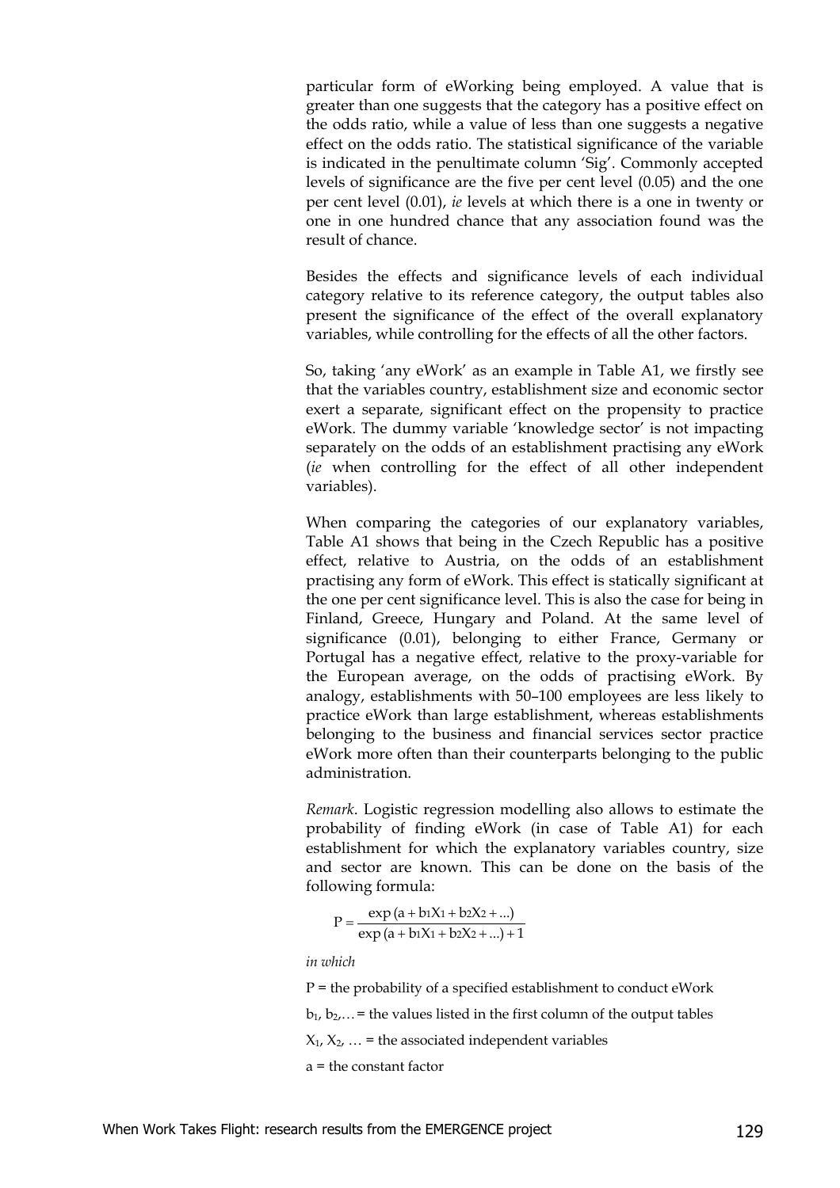particular form of eWorking being employed. A value that is greater than one suggests that the category has a positive effect on the odds ratio, while a value of less than one suggests a negative effect on the odds ratio. The statistical significance of the variable is indicated in the penultimate column 'Sig'. Commonly accepted levels of significance are the five per cent level (0.05) and the one per cent level (0.01), *ie* levels at which there is a one in twenty or one in one hundred chance that any association found was the result of chance.

Besides the effects and significance levels of each individual category relative to its reference category, the output tables also present the significance of the effect of the overall explanatory variables, while controlling for the effects of all the other factors.

So, taking 'any eWork' as an example in Table A1, we firstly see that the variables country, establishment size and economic sector exert a separate, significant effect on the propensity to practice eWork. The dummy variable 'knowledge sector' is not impacting separately on the odds of an establishment practising any eWork (*ie* when controlling for the effect of all other independent variables).

When comparing the categories of our explanatory variables, Table A1 shows that being in the Czech Republic has a positive effect, relative to Austria, on the odds of an establishment practising any form of eWork. This effect is statically significant at the one per cent significance level. This is also the case for being in Finland, Greece, Hungary and Poland. At the same level of significance (0.01), belonging to either France, Germany or Portugal has a negative effect, relative to the proxy-variable for the European average, on the odds of practising eWork. By analogy, establishments with 50–100 employees are less likely to practice eWork than large establishment, whereas establishments belonging to the business and financial services sector practice eWork more often than their counterparts belonging to the public administration.

*Remark*. Logistic regression modelling also allows to estimate the probability of finding eWork (in case of Table A1) for each establishment for which the explanatory variables country, size and sector are known. This can be done on the basis of the following formula:

 $P = \frac{\exp (a + b_1X_1 + b_2X_2 + ...)}{\exp (a + b_1X_1 + b_2X_2 + ...) + 1}$ 1X1 + b2X2  $= \frac{\exp (a + b_1X_1 + b_2X_2 + ...)}{\exp (a + b_1X_1 + b_2X_2 + ...) +}$ 

*in which*

 $P =$  the probability of a specified establishment to conduct eWork

 $b_1, b_2, \ldots$  = the values listed in the first column of the output tables

 $X_1, X_2, ...$  = the associated independent variables

a = the constant factor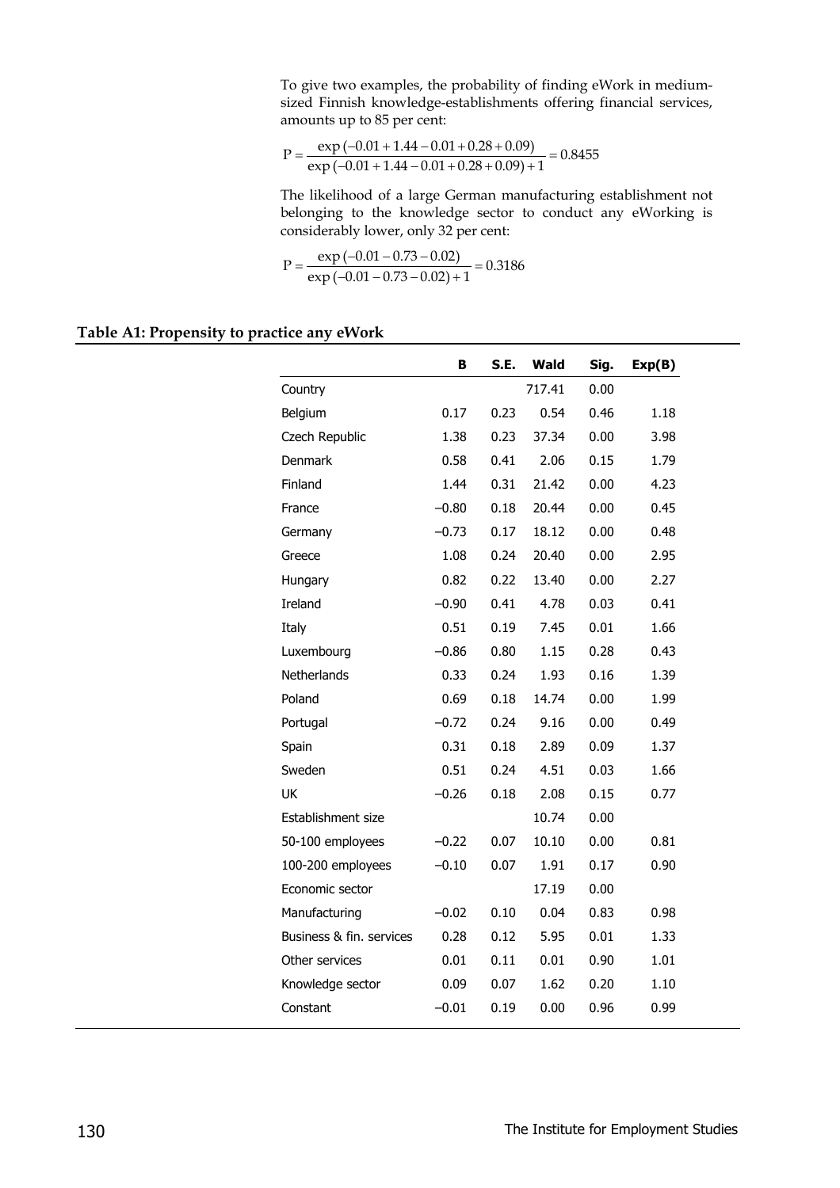To give two examples, the probability of finding eWork in mediumsized Finnish knowledge-establishments offering financial services, amounts up to 85 per cent:

$$
P = \frac{\exp(-0.01 + 1.44 - 0.01 + 0.28 + 0.09)}{\exp(-0.01 + 1.44 - 0.01 + 0.28 + 0.09) + 1} = 0.8455
$$

The likelihood of a large German manufacturing establishment not belonging to the knowledge sector to conduct any eWorking is considerably lower, only 32 per cent:

$$
P = \frac{\exp(-0.01 - 0.73 - 0.02)}{\exp(-0.01 - 0.73 - 0.02) + 1} = 0.3186
$$

#### **Table A1: Propensity to practice any eWork**

|                          | B       | S.E. | Wald   | Sig. | Exp(B) |
|--------------------------|---------|------|--------|------|--------|
| Country                  |         |      | 717.41 | 0.00 |        |
| Belgium                  | 0.17    | 0.23 | 0.54   | 0.46 | 1.18   |
| Czech Republic           | 1.38    | 0.23 | 37.34  | 0.00 | 3.98   |
| <b>Denmark</b>           | 0.58    | 0.41 | 2.06   | 0.15 | 1.79   |
| Finland                  | 1.44    | 0.31 | 21.42  | 0.00 | 4.23   |
| France                   | $-0.80$ | 0.18 | 20.44  | 0.00 | 0.45   |
| Germany                  | $-0.73$ | 0.17 | 18.12  | 0.00 | 0.48   |
| Greece                   | 1.08    | 0.24 | 20.40  | 0.00 | 2.95   |
| Hungary                  | 0.82    | 0.22 | 13.40  | 0.00 | 2.27   |
| Ireland                  | $-0.90$ | 0.41 | 4.78   | 0.03 | 0.41   |
| Italy                    | 0.51    | 0.19 | 7.45   | 0.01 | 1.66   |
| Luxembourg               | $-0.86$ | 0.80 | 1.15   | 0.28 | 0.43   |
| Netherlands              | 0.33    | 0.24 | 1.93   | 0.16 | 1.39   |
| Poland                   | 0.69    | 0.18 | 14.74  | 0.00 | 1.99   |
| Portugal                 | $-0.72$ | 0.24 | 9.16   | 0.00 | 0.49   |
| Spain                    | 0.31    | 0.18 | 2.89   | 0.09 | 1.37   |
| Sweden                   | 0.51    | 0.24 | 4.51   | 0.03 | 1.66   |
| UK                       | $-0.26$ | 0.18 | 2.08   | 0.15 | 0.77   |
| Establishment size       |         |      | 10.74  | 0.00 |        |
| 50-100 employees         | $-0.22$ | 0.07 | 10.10  | 0.00 | 0.81   |
| 100-200 employees        | $-0.10$ | 0.07 | 1.91   | 0.17 | 0.90   |
| Economic sector          |         |      | 17.19  | 0.00 |        |
| Manufacturing            | $-0.02$ | 0.10 | 0.04   | 0.83 | 0.98   |
| Business & fin. services | 0.28    | 0.12 | 5.95   | 0.01 | 1.33   |
| Other services           | 0.01    | 0.11 | 0.01   | 0.90 | 1.01   |
| Knowledge sector         | 0.09    | 0.07 | 1.62   | 0.20 | 1.10   |
| Constant                 | $-0.01$ | 0.19 | 0.00   | 0.96 | 0.99   |
|                          |         |      |        |      |        |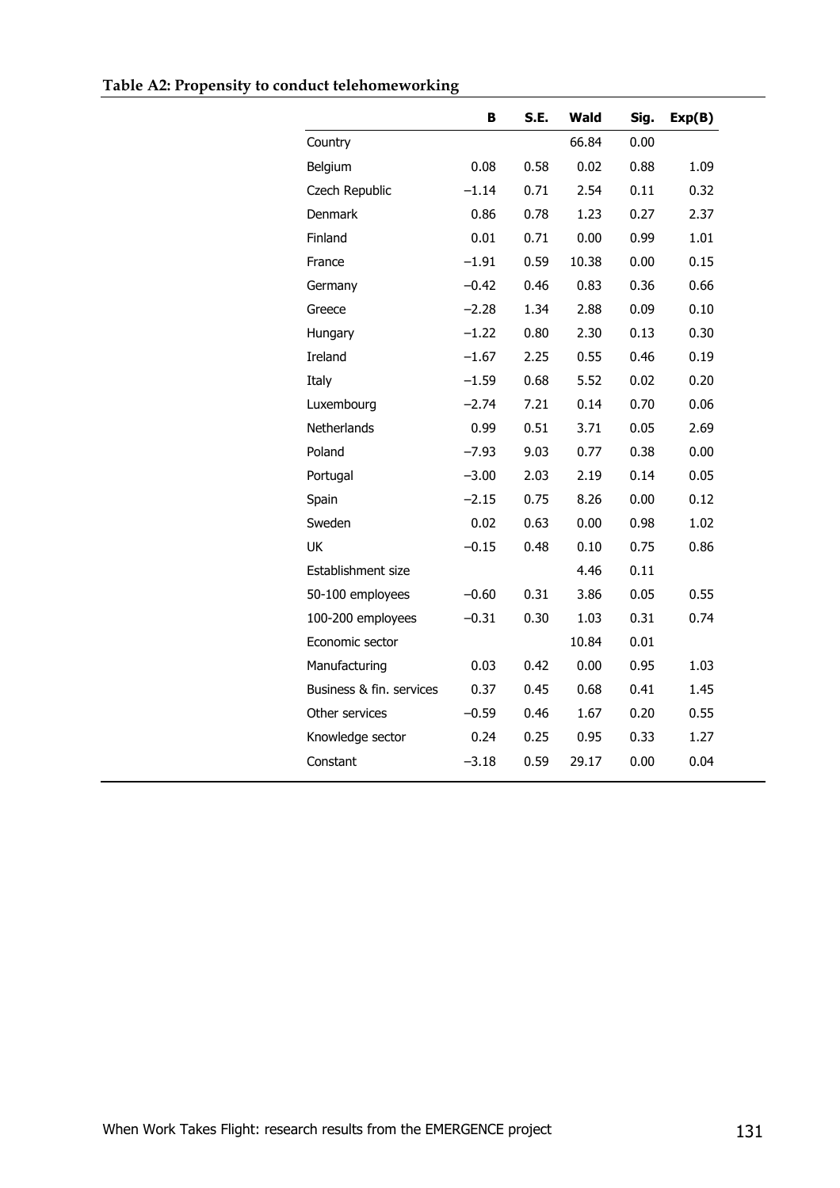|                          | в       | S.E. | Wald  | Sig. | Exp(B) |
|--------------------------|---------|------|-------|------|--------|
| Country                  |         |      | 66.84 | 0.00 |        |
| Belgium                  | 0.08    | 0.58 | 0.02  | 0.88 | 1.09   |
| Czech Republic           | $-1.14$ | 0.71 | 2.54  | 0.11 | 0.32   |
| <b>Denmark</b>           | 0.86    | 0.78 | 1.23  | 0.27 | 2.37   |
| Finland                  | 0.01    | 0.71 | 0.00  | 0.99 | 1.01   |
| France                   | $-1.91$ | 0.59 | 10.38 | 0.00 | 0.15   |
| Germany                  | $-0.42$ | 0.46 | 0.83  | 0.36 | 0.66   |
| Greece                   | $-2.28$ | 1.34 | 2.88  | 0.09 | 0.10   |
| Hungary                  | $-1.22$ | 0.80 | 2.30  | 0.13 | 0.30   |
| Ireland                  | $-1.67$ | 2.25 | 0.55  | 0.46 | 0.19   |
| Italy                    | $-1.59$ | 0.68 | 5.52  | 0.02 | 0.20   |
| Luxembourg               | $-2.74$ | 7.21 | 0.14  | 0.70 | 0.06   |
| Netherlands              | 0.99    | 0.51 | 3.71  | 0.05 | 2.69   |
| Poland                   | $-7.93$ | 9.03 | 0.77  | 0.38 | 0.00   |
| Portugal                 | $-3.00$ | 2.03 | 2.19  | 0.14 | 0.05   |
| Spain                    | $-2.15$ | 0.75 | 8.26  | 0.00 | 0.12   |
| Sweden                   | 0.02    | 0.63 | 0.00  | 0.98 | 1.02   |
| UK                       | $-0.15$ | 0.48 | 0.10  | 0.75 | 0.86   |
| Establishment size       |         |      | 4.46  | 0.11 |        |
| 50-100 employees         | $-0.60$ | 0.31 | 3.86  | 0.05 | 0.55   |
| 100-200 employees        | $-0.31$ | 0.30 | 1.03  | 0.31 | 0.74   |
| Economic sector          |         |      | 10.84 | 0.01 |        |
| Manufacturing            | 0.03    | 0.42 | 0.00  | 0.95 | 1.03   |
| Business & fin. services | 0.37    | 0.45 | 0.68  | 0.41 | 1.45   |
| Other services           | $-0.59$ | 0.46 | 1.67  | 0.20 | 0.55   |
| Knowledge sector         | 0.24    | 0.25 | 0.95  | 0.33 | 1.27   |
| Constant                 | $-3.18$ | 0.59 | 29.17 | 0.00 | 0.04   |
|                          |         |      |       |      |        |

### **Table A2: Propensity to conduct telehomeworking**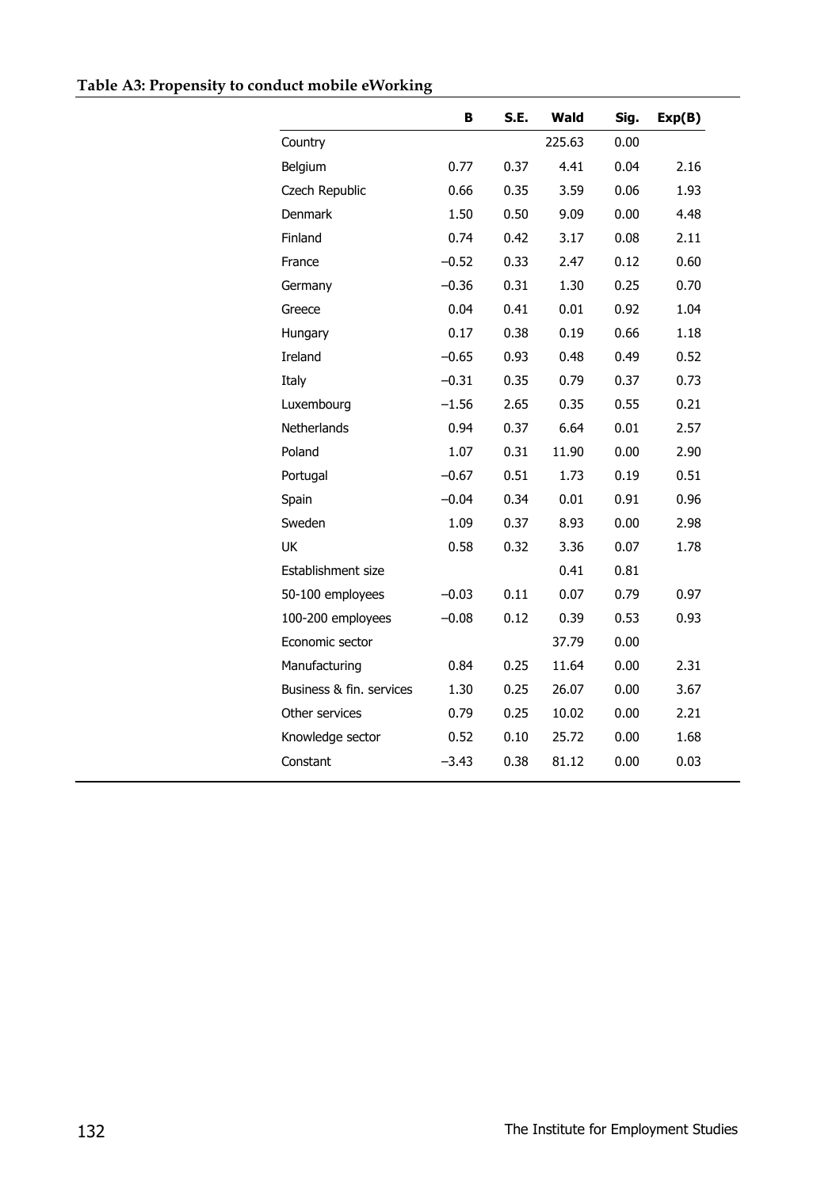|                          | в       | S.E. | Wald   | Sig. | Exp(B) |
|--------------------------|---------|------|--------|------|--------|
| Country                  |         |      | 225.63 | 0.00 |        |
| Belgium                  | 0.77    | 0.37 | 4.41   | 0.04 | 2.16   |
| Czech Republic           | 0.66    | 0.35 | 3.59   | 0.06 | 1.93   |
| <b>Denmark</b>           | 1.50    | 0.50 | 9.09   | 0.00 | 4.48   |
| Finland                  | 0.74    | 0.42 | 3.17   | 0.08 | 2.11   |
| France                   | $-0.52$ | 0.33 | 2.47   | 0.12 | 0.60   |
| Germany                  | $-0.36$ | 0.31 | 1.30   | 0.25 | 0.70   |
| Greece                   | 0.04    | 0.41 | 0.01   | 0.92 | 1.04   |
| Hungary                  | 0.17    | 0.38 | 0.19   | 0.66 | 1.18   |
| <b>Ireland</b>           | $-0.65$ | 0.93 | 0.48   | 0.49 | 0.52   |
| Italy                    | $-0.31$ | 0.35 | 0.79   | 0.37 | 0.73   |
| Luxembourg               | $-1.56$ | 2.65 | 0.35   | 0.55 | 0.21   |
| Netherlands              | 0.94    | 0.37 | 6.64   | 0.01 | 2.57   |
| Poland                   | 1.07    | 0.31 | 11.90  | 0.00 | 2.90   |
| Portugal                 | $-0.67$ | 0.51 | 1.73   | 0.19 | 0.51   |
| Spain                    | $-0.04$ | 0.34 | 0.01   | 0.91 | 0.96   |
| Sweden                   | 1.09    | 0.37 | 8.93   | 0.00 | 2.98   |
| UK                       | 0.58    | 0.32 | 3.36   | 0.07 | 1.78   |
| Establishment size       |         |      | 0.41   | 0.81 |        |
| 50-100 employees         | $-0.03$ | 0.11 | 0.07   | 0.79 | 0.97   |
| 100-200 employees        | $-0.08$ | 0.12 | 0.39   | 0.53 | 0.93   |
| Economic sector          |         |      | 37.79  | 0.00 |        |
| Manufacturing            | 0.84    | 0.25 | 11.64  | 0.00 | 2.31   |
| Business & fin. services | 1.30    | 0.25 | 26.07  | 0.00 | 3.67   |
| Other services           | 0.79    | 0.25 | 10.02  | 0.00 | 2.21   |
| Knowledge sector         | 0.52    | 0.10 | 25.72  | 0.00 | 1.68   |
| Constant                 | -3.43   | 0.38 | 81.12  | 0.00 | 0.03   |
|                          |         |      |        |      |        |

### **Table A3: Propensity to conduct mobile eWorking**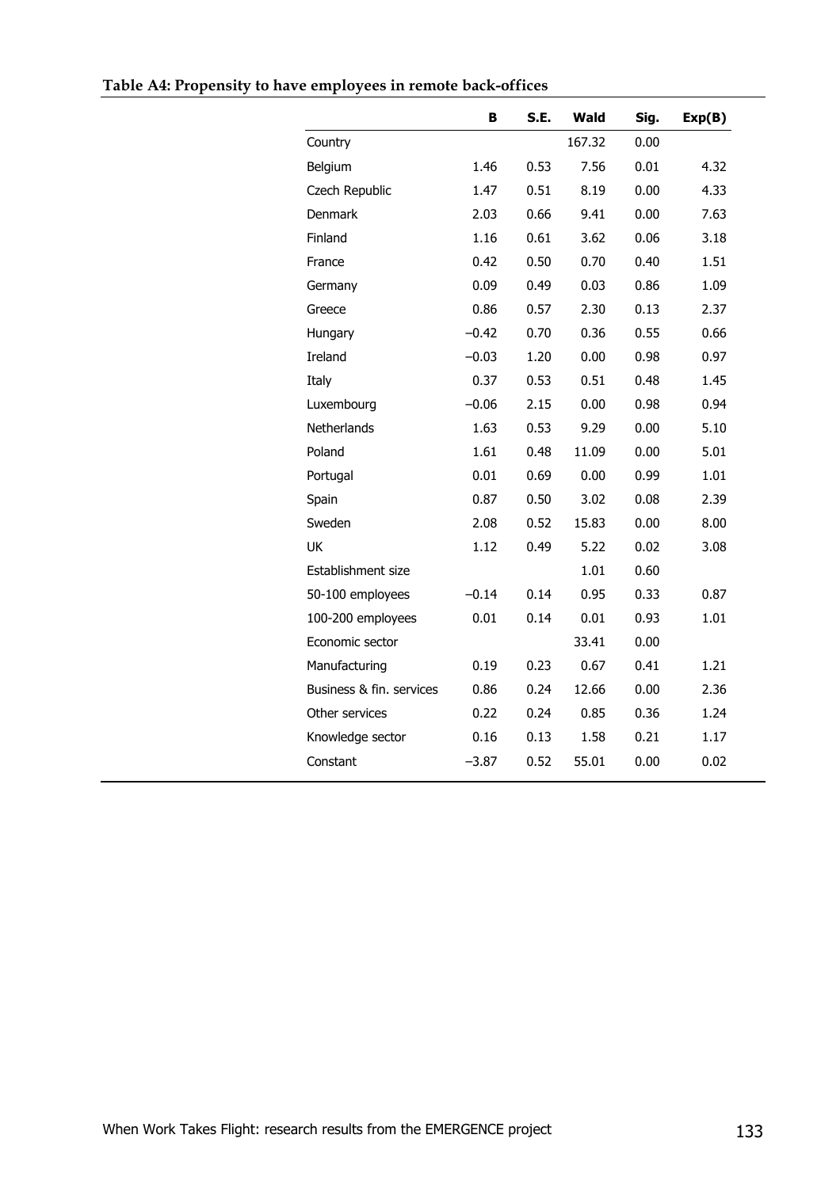|                          | в       | S.E. | Wald   | Sig. | Exp(B) |
|--------------------------|---------|------|--------|------|--------|
| Country                  |         |      | 167.32 | 0.00 |        |
| Belgium                  | 1.46    | 0.53 | 7.56   | 0.01 | 4.32   |
| Czech Republic           | 1.47    | 0.51 | 8.19   | 0.00 | 4.33   |
| <b>Denmark</b>           | 2.03    | 0.66 | 9.41   | 0.00 | 7.63   |
| Finland                  | 1.16    | 0.61 | 3.62   | 0.06 | 3.18   |
| France                   | 0.42    | 0.50 | 0.70   | 0.40 | 1.51   |
| Germany                  | 0.09    | 0.49 | 0.03   | 0.86 | 1.09   |
| Greece                   | 0.86    | 0.57 | 2.30   | 0.13 | 2.37   |
| Hungary                  | $-0.42$ | 0.70 | 0.36   | 0.55 | 0.66   |
| Ireland                  | $-0.03$ | 1.20 | 0.00   | 0.98 | 0.97   |
| Italy                    | 0.37    | 0.53 | 0.51   | 0.48 | 1.45   |
| Luxembourg               | $-0.06$ | 2.15 | 0.00   | 0.98 | 0.94   |
| Netherlands              | 1.63    | 0.53 | 9.29   | 0.00 | 5.10   |
| Poland                   | 1.61    | 0.48 | 11.09  | 0.00 | 5.01   |
| Portugal                 | 0.01    | 0.69 | 0.00   | 0.99 | 1.01   |
| Spain                    | 0.87    | 0.50 | 3.02   | 0.08 | 2.39   |
| Sweden                   | 2.08    | 0.52 | 15.83  | 0.00 | 8.00   |
| UK                       | 1.12    | 0.49 | 5.22   | 0.02 | 3.08   |
| Establishment size       |         |      | 1.01   | 0.60 |        |
| 50-100 employees         | $-0.14$ | 0.14 | 0.95   | 0.33 | 0.87   |
| 100-200 employees        | 0.01    | 0.14 | 0.01   | 0.93 | 1.01   |
| Economic sector          |         |      | 33.41  | 0.00 |        |
| Manufacturing            | 0.19    | 0.23 | 0.67   | 0.41 | 1.21   |
| Business & fin. services | 0.86    | 0.24 | 12.66  | 0.00 | 2.36   |
| Other services           | 0.22    | 0.24 | 0.85   | 0.36 | 1.24   |
| Knowledge sector         | 0.16    | 0.13 | 1.58   | 0.21 | 1.17   |
| Constant                 | $-3.87$ | 0.52 | 55.01  | 0.00 | 0.02   |
|                          |         |      |        |      |        |

### **Table A4: Propensity to have employees in remote back-offices**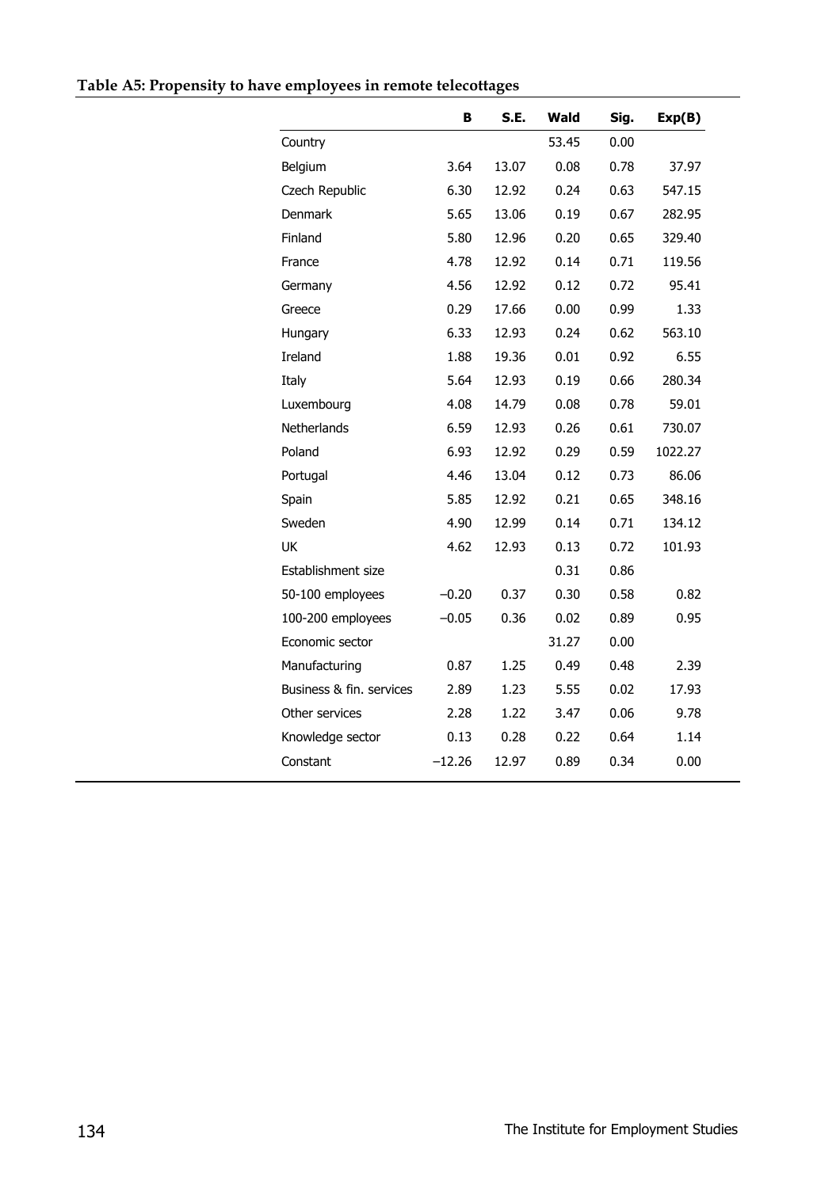|                          | В        | S.E.  | Wald  | Sig. | Exp(B)  |
|--------------------------|----------|-------|-------|------|---------|
| Country                  |          |       | 53.45 | 0.00 |         |
| Belgium                  | 3.64     | 13.07 | 0.08  | 0.78 | 37.97   |
| Czech Republic           | 6.30     | 12.92 | 0.24  | 0.63 | 547.15  |
| Denmark                  | 5.65     | 13.06 | 0.19  | 0.67 | 282.95  |
| Finland                  | 5.80     | 12.96 | 0.20  | 0.65 | 329.40  |
| France                   | 4.78     | 12.92 | 0.14  | 0.71 | 119.56  |
| Germany                  | 4.56     | 12.92 | 0.12  | 0.72 | 95.41   |
| Greece                   | 0.29     | 17.66 | 0.00  | 0.99 | 1.33    |
| Hungary                  | 6.33     | 12.93 | 0.24  | 0.62 | 563.10  |
| Ireland                  | 1.88     | 19.36 | 0.01  | 0.92 | 6.55    |
| Italy                    | 5.64     | 12.93 | 0.19  | 0.66 | 280.34  |
| Luxembourg               | 4.08     | 14.79 | 0.08  | 0.78 | 59.01   |
| Netherlands              | 6.59     | 12.93 | 0.26  | 0.61 | 730.07  |
| Poland                   | 6.93     | 12.92 | 0.29  | 0.59 | 1022.27 |
| Portugal                 | 4.46     | 13.04 | 0.12  | 0.73 | 86.06   |
| Spain                    | 5.85     | 12.92 | 0.21  | 0.65 | 348.16  |
| Sweden                   | 4.90     | 12.99 | 0.14  | 0.71 | 134.12  |
| UK                       | 4.62     | 12.93 | 0.13  | 0.72 | 101.93  |
| Establishment size       |          |       | 0.31  | 0.86 |         |
| 50-100 employees         | $-0.20$  | 0.37  | 0.30  | 0.58 | 0.82    |
| 100-200 employees        | $-0.05$  | 0.36  | 0.02  | 0.89 | 0.95    |
| Economic sector          |          |       | 31.27 | 0.00 |         |
| Manufacturing            | 0.87     | 1.25  | 0.49  | 0.48 | 2.39    |
| Business & fin. services | 2.89     | 1.23  | 5.55  | 0.02 | 17.93   |
| Other services           | 2.28     | 1.22  | 3.47  | 0.06 | 9.78    |
| Knowledge sector         | 0.13     | 0.28  | 0.22  | 0.64 | 1.14    |
| Constant                 | $-12.26$ | 12.97 | 0.89  | 0.34 | 0.00    |

## **Table A5: Propensity to have employees in remote telecottages**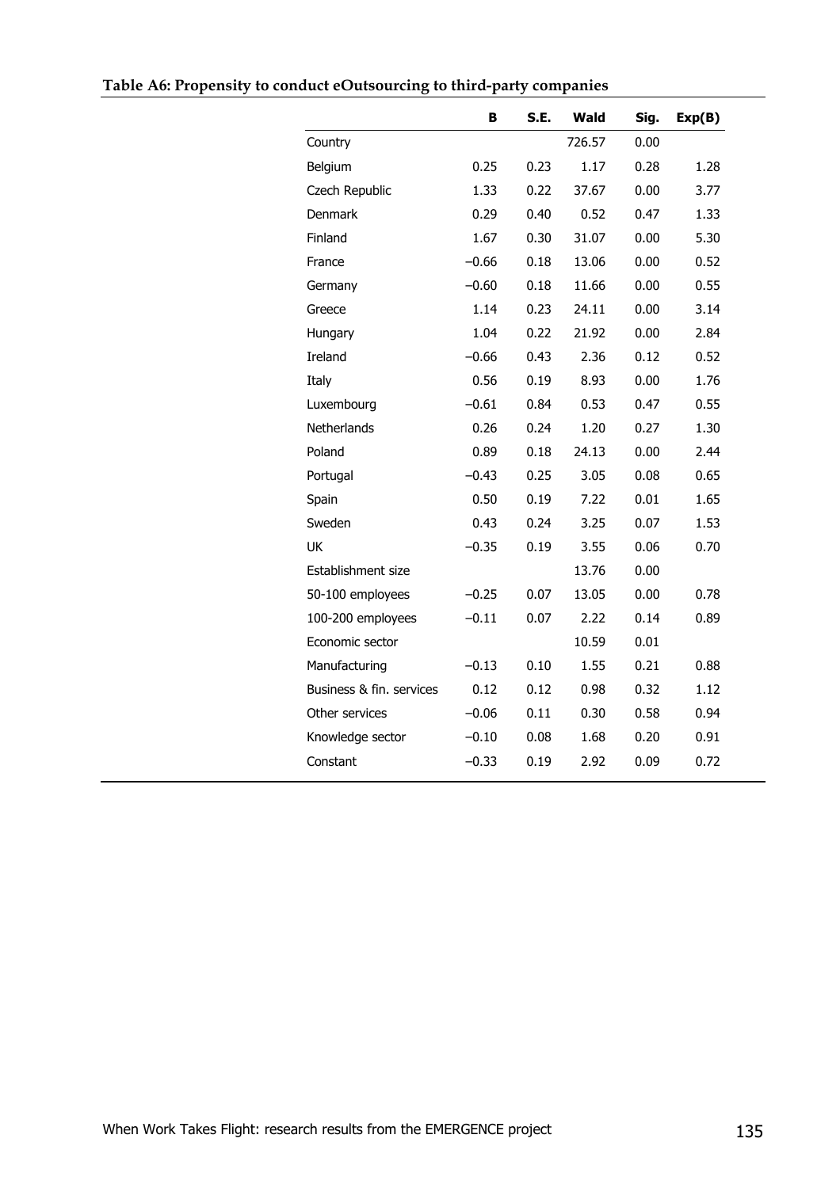|                          | в       | S.E. | Wald   | Sig. | Exp(B) |
|--------------------------|---------|------|--------|------|--------|
| Country                  |         |      | 726.57 | 0.00 |        |
| Belgium                  | 0.25    | 0.23 | 1.17   | 0.28 | 1.28   |
| Czech Republic           | 1.33    | 0.22 | 37.67  | 0.00 | 3.77   |
| <b>Denmark</b>           | 0.29    | 0.40 | 0.52   | 0.47 | 1.33   |
| Finland                  | 1.67    | 0.30 | 31.07  | 0.00 | 5.30   |
| France                   | $-0.66$ | 0.18 | 13.06  | 0.00 | 0.52   |
| Germany                  | $-0.60$ | 0.18 | 11.66  | 0.00 | 0.55   |
| Greece                   | 1.14    | 0.23 | 24.11  | 0.00 | 3.14   |
| Hungary                  | 1.04    | 0.22 | 21.92  | 0.00 | 2.84   |
| Ireland                  | $-0.66$ | 0.43 | 2.36   | 0.12 | 0.52   |
| Italy                    | 0.56    | 0.19 | 8.93   | 0.00 | 1.76   |
| Luxembourg               | $-0.61$ | 0.84 | 0.53   | 0.47 | 0.55   |
| <b>Netherlands</b>       | 0.26    | 0.24 | 1.20   | 0.27 | 1.30   |
| Poland                   | 0.89    | 0.18 | 24.13  | 0.00 | 2.44   |
| Portugal                 | $-0.43$ | 0.25 | 3.05   | 0.08 | 0.65   |
| Spain                    | 0.50    | 0.19 | 7.22   | 0.01 | 1.65   |
| Sweden                   | 0.43    | 0.24 | 3.25   | 0.07 | 1.53   |
| UK                       | $-0.35$ | 0.19 | 3.55   | 0.06 | 0.70   |
| Establishment size       |         |      | 13.76  | 0.00 |        |
| 50-100 employees         | $-0.25$ | 0.07 | 13.05  | 0.00 | 0.78   |
| 100-200 employees        | $-0.11$ | 0.07 | 2.22   | 0.14 | 0.89   |
| Economic sector          |         |      | 10.59  | 0.01 |        |
| Manufacturing            | $-0.13$ | 0.10 | 1.55   | 0.21 | 0.88   |
| Business & fin. services | 0.12    | 0.12 | 0.98   | 0.32 | 1.12   |
| Other services           | $-0.06$ | 0.11 | 0.30   | 0.58 | 0.94   |
| Knowledge sector         | $-0.10$ | 0.08 | 1.68   | 0.20 | 0.91   |
| Constant                 | $-0.33$ | 0.19 | 2.92   | 0.09 | 0.72   |
|                          |         |      |        |      |        |

### **Table A6: Propensity to conduct eOutsourcing to third-party companies**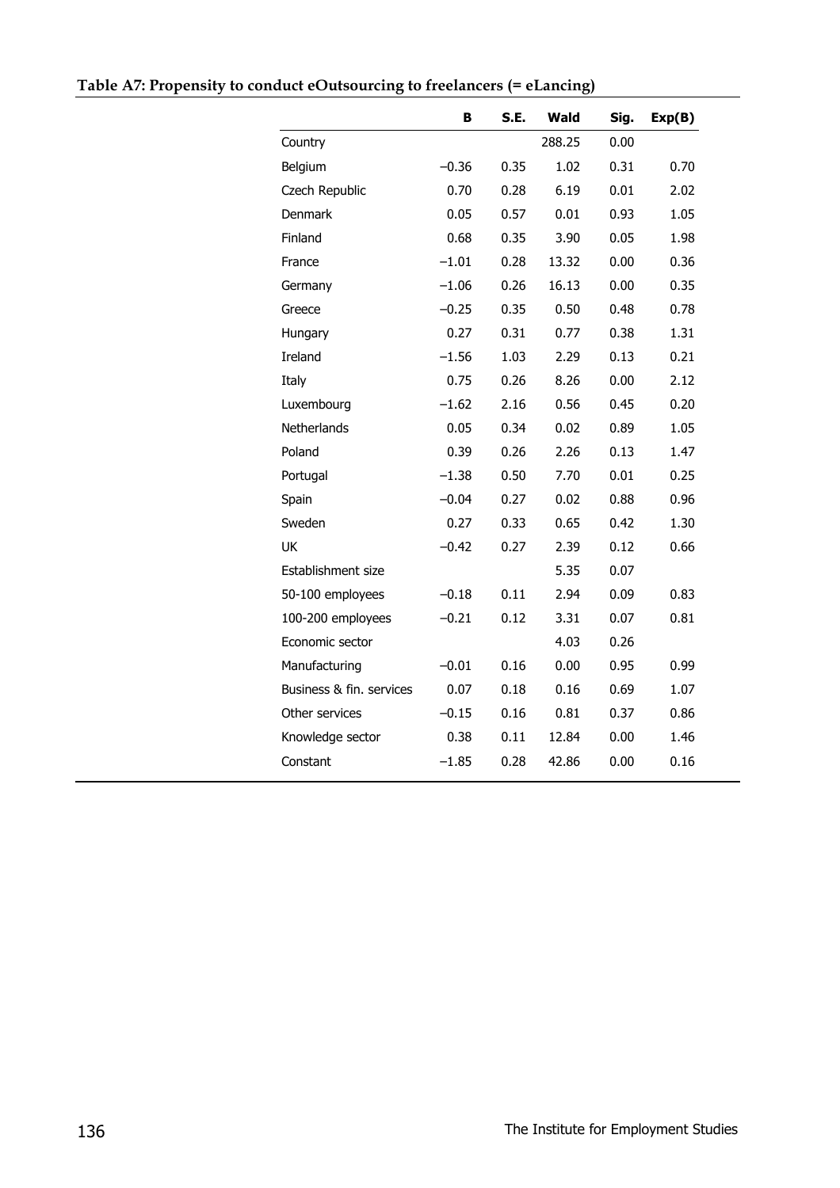|                          | в       | S.E. | Wald   | Sig. | Exp(B) |
|--------------------------|---------|------|--------|------|--------|
| Country                  |         |      | 288.25 | 0.00 |        |
| Belgium                  | $-0.36$ | 0.35 | 1.02   | 0.31 | 0.70   |
| Czech Republic           | 0.70    | 0.28 | 6.19   | 0.01 | 2.02   |
| <b>Denmark</b>           | 0.05    | 0.57 | 0.01   | 0.93 | 1.05   |
| Finland                  | 0.68    | 0.35 | 3.90   | 0.05 | 1.98   |
| France                   | $-1.01$ | 0.28 | 13.32  | 0.00 | 0.36   |
| Germany                  | $-1.06$ | 0.26 | 16.13  | 0.00 | 0.35   |
| Greece                   | $-0.25$ | 0.35 | 0.50   | 0.48 | 0.78   |
| Hungary                  | 0.27    | 0.31 | 0.77   | 0.38 | 1.31   |
| Ireland                  | $-1.56$ | 1.03 | 2.29   | 0.13 | 0.21   |
| Italy                    | 0.75    | 0.26 | 8.26   | 0.00 | 2.12   |
| Luxembourg               | $-1.62$ | 2.16 | 0.56   | 0.45 | 0.20   |
| Netherlands              | 0.05    | 0.34 | 0.02   | 0.89 | 1.05   |
| Poland                   | 0.39    | 0.26 | 2.26   | 0.13 | 1.47   |
| Portugal                 | $-1.38$ | 0.50 | 7.70   | 0.01 | 0.25   |
| Spain                    | $-0.04$ | 0.27 | 0.02   | 0.88 | 0.96   |
| Sweden                   | 0.27    | 0.33 | 0.65   | 0.42 | 1.30   |
| UK                       | $-0.42$ | 0.27 | 2.39   | 0.12 | 0.66   |
| Establishment size       |         |      | 5.35   | 0.07 |        |
| 50-100 employees         | $-0.18$ | 0.11 | 2.94   | 0.09 | 0.83   |
| 100-200 employees        | $-0.21$ | 0.12 | 3.31   | 0.07 | 0.81   |
| Economic sector          |         |      | 4.03   | 0.26 |        |
| Manufacturing            | $-0.01$ | 0.16 | 0.00   | 0.95 | 0.99   |
| Business & fin. services | 0.07    | 0.18 | 0.16   | 0.69 | 1.07   |
| Other services           | $-0.15$ | 0.16 | 0.81   | 0.37 | 0.86   |
| Knowledge sector         | 0.38    | 0.11 | 12.84  | 0.00 | 1.46   |
| Constant                 | $-1.85$ | 0.28 | 42.86  | 0.00 | 0.16   |
|                          |         |      |        |      |        |

**Table A7: Propensity to conduct eOutsourcing to freelancers (= eLancing)**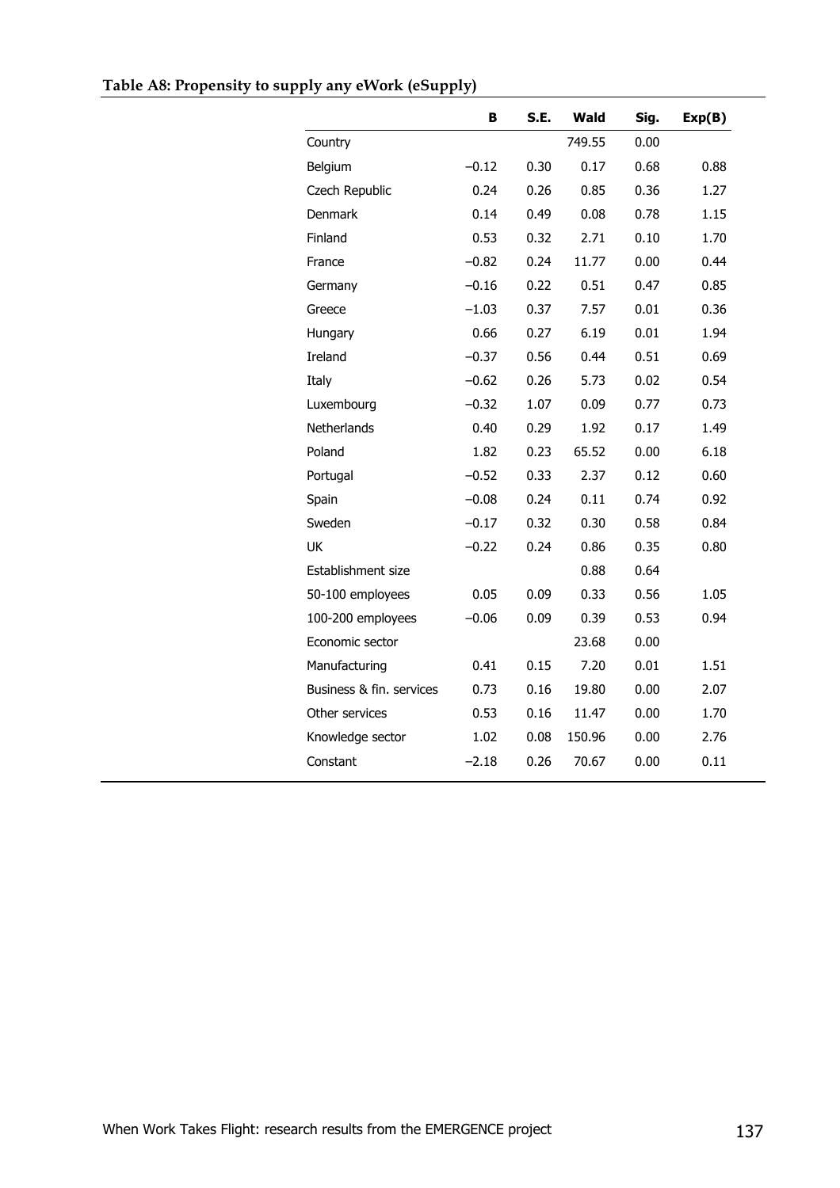|                          | в       | S.E. | Wald   | Sig. | Exp(B) |
|--------------------------|---------|------|--------|------|--------|
| Country                  |         |      | 749.55 | 0.00 |        |
| Belgium                  | $-0.12$ | 0.30 | 0.17   | 0.68 | 0.88   |
| Czech Republic           | 0.24    | 0.26 | 0.85   | 0.36 | 1.27   |
| Denmark                  | 0.14    | 0.49 | 0.08   | 0.78 | 1.15   |
| Finland                  | 0.53    | 0.32 | 2.71   | 0.10 | 1.70   |
| France                   | $-0.82$ | 0.24 | 11.77  | 0.00 | 0.44   |
| Germany                  | $-0.16$ | 0.22 | 0.51   | 0.47 | 0.85   |
| Greece                   | $-1.03$ | 0.37 | 7.57   | 0.01 | 0.36   |
| Hungary                  | 0.66    | 0.27 | 6.19   | 0.01 | 1.94   |
| Ireland                  | $-0.37$ | 0.56 | 0.44   | 0.51 | 0.69   |
| Italy                    | $-0.62$ | 0.26 | 5.73   | 0.02 | 0.54   |
| Luxembourg               | $-0.32$ | 1.07 | 0.09   | 0.77 | 0.73   |
| Netherlands              | 0.40    | 0.29 | 1.92   | 0.17 | 1.49   |
| Poland                   | 1.82    | 0.23 | 65.52  | 0.00 | 6.18   |
| Portugal                 | $-0.52$ | 0.33 | 2.37   | 0.12 | 0.60   |
| Spain                    | $-0.08$ | 0.24 | 0.11   | 0.74 | 0.92   |
| Sweden                   | $-0.17$ | 0.32 | 0.30   | 0.58 | 0.84   |
| UK                       | $-0.22$ | 0.24 | 0.86   | 0.35 | 0.80   |
| Establishment size       |         |      | 0.88   | 0.64 |        |
| 50-100 employees         | 0.05    | 0.09 | 0.33   | 0.56 | 1.05   |
| 100-200 employees        | $-0.06$ | 0.09 | 0.39   | 0.53 | 0.94   |
| Economic sector          |         |      | 23.68  | 0.00 |        |
| Manufacturing            | 0.41    | 0.15 | 7.20   | 0.01 | 1.51   |
| Business & fin. services | 0.73    | 0.16 | 19.80  | 0.00 | 2.07   |
| Other services           | 0.53    | 0.16 | 11.47  | 0.00 | 1.70   |
| Knowledge sector         | 1.02    | 0.08 | 150.96 | 0.00 | 2.76   |
| Constant                 | –2.18   | 0.26 | 70.67  | 0.00 | 0.11   |
|                          |         |      |        |      |        |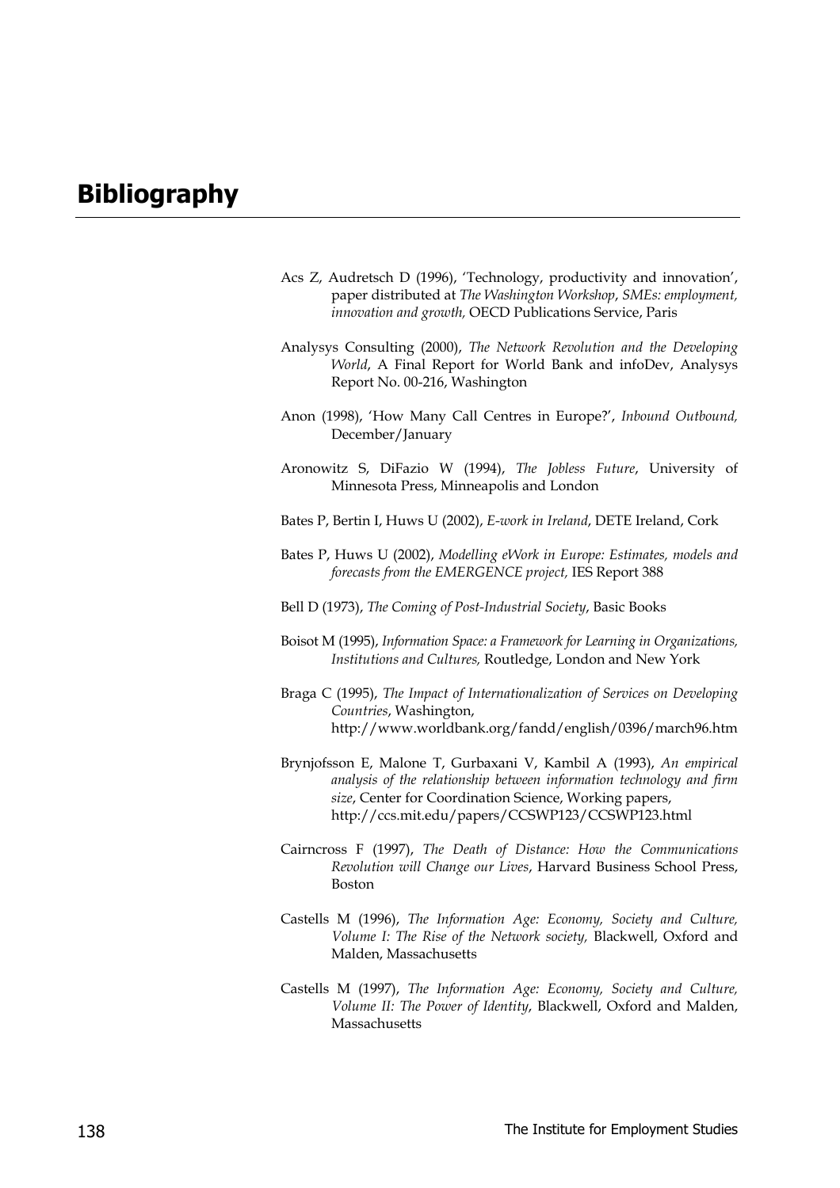# **Bibliography**

- Acs Z, Audretsch D (1996), 'Technology, productivity and innovation', paper distributed at *The Washington Workshop*, *SMEs: employment, innovation and growth,* OECD Publications Service, Paris
- Analysys Consulting (2000), *The Network Revolution and the Developing World*, A Final Report for World Bank and infoDev, Analysys Report No. 00-216, Washington
- Anon (1998), 'How Many Call Centres in Europe?', *Inbound Outbound,* December/January
- Aronowitz S, DiFazio W (1994), *The Jobless Future*, University of Minnesota Press, Minneapolis and London
- Bates P, Bertin I, Huws U (2002), *E-work in Ireland*, DETE Ireland, Cork
- Bates P, Huws U (2002), *Modelling eWork in Europe: Estimates, models and forecasts from the EMERGENCE project,* IES Report 388
- Bell D (1973), *The Coming of Post-Industrial Society*, Basic Books
- Boisot M (1995), *Information Space: a Framework for Learning in Organizations, Institutions and Cultures,* Routledge, London and New York
- Braga C (1995), *The Impact of Internationalization of Services on Developing Countries*, Washington, http://www.worldbank.org/fandd/english/0396/march96.htm
- Brynjofsson E, Malone T, Gurbaxani V, Kambil A (1993), *An empirical analysis of the relationship between information technology and firm size*, Center for Coordination Science, Working papers, http://ccs.mit.edu/papers/CCSWP123/CCSWP123.html
- Cairncross F (1997), *The Death of Distance: How the Communications Revolution will Change our Lives*, Harvard Business School Press, Boston
- Castells M (1996), *The Information Age: Economy, Society and Culture, Volume I: The Rise of the Network society,* Blackwell, Oxford and Malden, Massachusetts
- Castells M (1997), *The Information Age: Economy, Society and Culture, Volume II: The Power of Identity*, Blackwell, Oxford and Malden, Massachusetts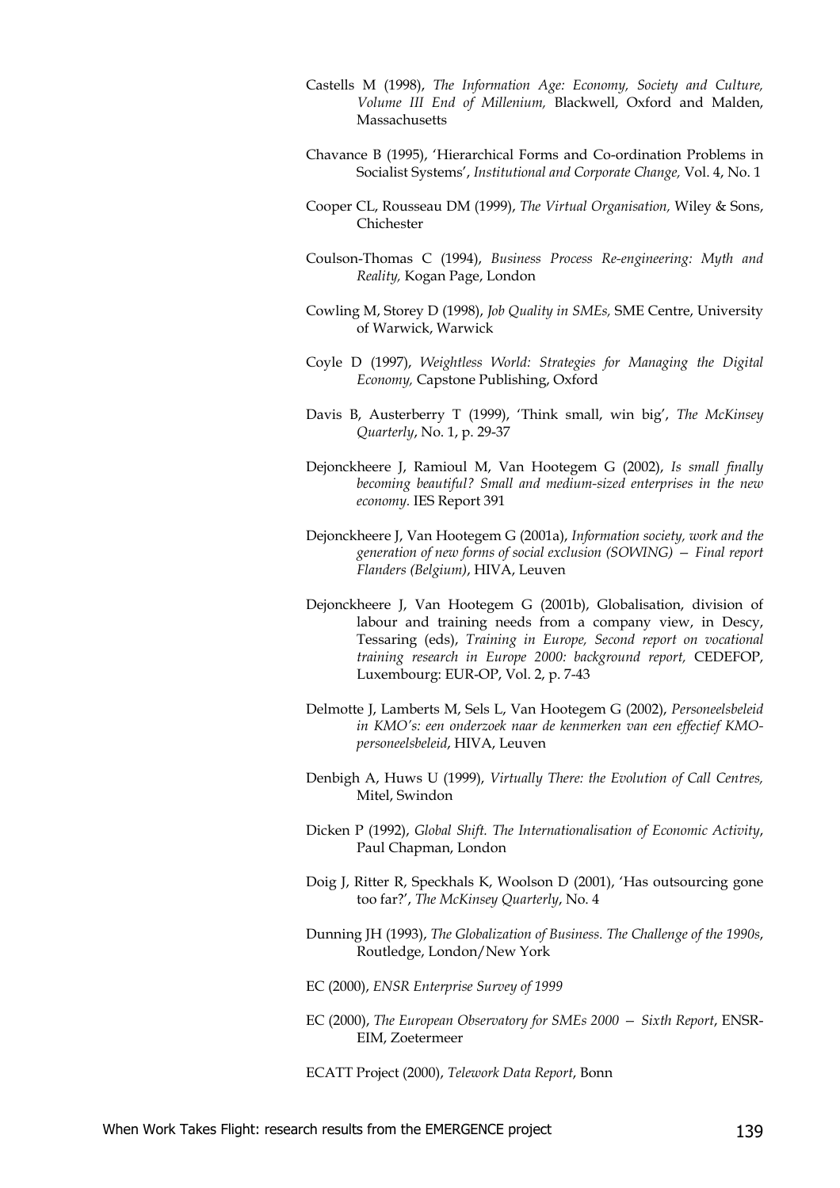- Castells M (1998), *The Information Age: Economy, Society and Culture, Volume III End of Millenium,* Blackwell, Oxford and Malden, Massachusetts
- Chavance B (1995), 'Hierarchical Forms and Co-ordination Problems in Socialist Systems', *Institutional and Corporate Change,* Vol. 4, No. 1
- Cooper CL, Rousseau DM (1999), *The Virtual Organisation,* Wiley & Sons, Chichester
- Coulson-Thomas C (1994), *Business Process Re-engineering: Myth and Reality,* Kogan Page, London
- Cowling M, Storey D (1998), *Job Quality in SMEs,* SME Centre, University of Warwick, Warwick
- Coyle D (1997), *Weightless World: Strategies for Managing the Digital Economy,* Capstone Publishing, Oxford
- Davis B, Austerberry T (1999), 'Think small, win big', *The McKinsey Quarterly*, No. 1, p. 29-37
- Dejonckheere J, Ramioul M, Van Hootegem G (2002), *Is small finally becoming beautiful? Small and medium-sized enterprises in the new economy.* IES Report 391
- Dejonckheere J, Van Hootegem G (2001a), *Information society, work and the generation of new forms of social exclusion (SOWING) — Final report Flanders (Belgium)*, HIVA, Leuven
- Dejonckheere J, Van Hootegem G (2001b), Globalisation, division of labour and training needs from a company view, in Descy, Tessaring (eds), *Training in Europe, Second report on vocational training research in Europe 2000: background report,* CEDEFOP, Luxembourg: EUR-OP, Vol. 2, p. 7-43
- Delmotte J, Lamberts M, Sels L, Van Hootegem G (2002), *Personeelsbeleid in KMO's: een onderzoek naar de kenmerken van een effectief KMOpersoneelsbeleid*, HIVA, Leuven
- Denbigh A, Huws U (1999), *Virtually There: the Evolution of Call Centres,* Mitel, Swindon
- Dicken P (1992), *Global Shift. The Internationalisation of Economic Activity*, Paul Chapman, London
- Doig J, Ritter R, Speckhals K, Woolson D (2001), 'Has outsourcing gone too far?', *The McKinsey Quarterly*, No. 4
- Dunning JH (1993), *The Globalization of Business. The Challenge of the 1990s*, Routledge, London/New York
- EC (2000), *ENSR Enterprise Survey of 1999*
- EC (2000), *The European Observatory for SMEs 2000 Sixth Report*, ENSR-EIM, Zoetermeer
- ECATT Project (2000), *Telework Data Report*, Bonn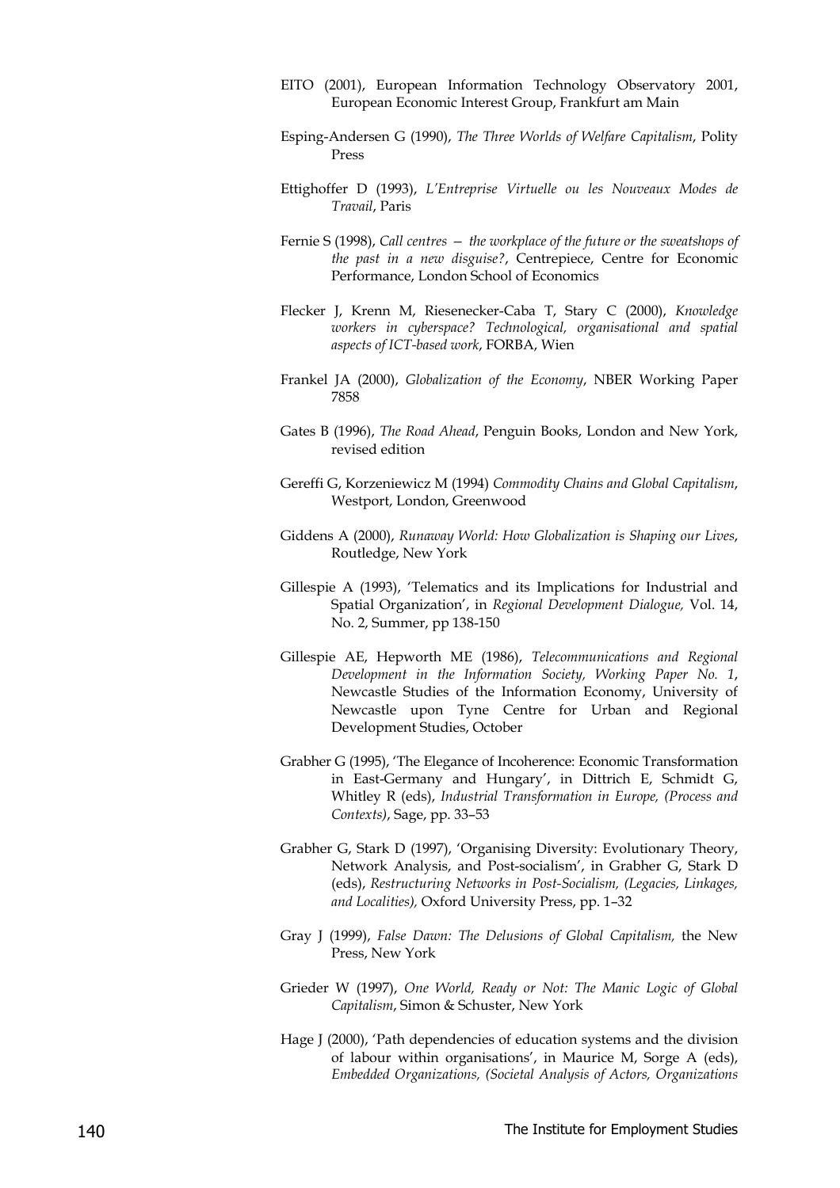- EITO (2001), European Information Technology Observatory 2001, European Economic Interest Group, Frankfurt am Main
- Esping-Andersen G (1990), *The Three Worlds of Welfare Capitalism*, Polity Press
- Ettighoffer D (1993), *L'Entreprise Virtuelle ou les Nouveaux Modes de Travail*, Paris
- Fernie S (1998), *Call centres the workplace of the future or the sweatshops of the past in a new disguise?*, Centrepiece, Centre for Economic Performance, London School of Economics
- Flecker J, Krenn M, Riesenecker-Caba T, Stary C (2000), *Knowledge workers in cyberspace? Technological, organisational and spatial aspects of ICT-based work*, FORBA, Wien
- Frankel JA (2000), *Globalization of the Economy*, NBER Working Paper 7858
- Gates B (1996), *The Road Ahead*, Penguin Books, London and New York, revised edition
- Gereffi G, Korzeniewicz M (1994) *Commodity Chains and Global Capitalism*, Westport, London, Greenwood
- Giddens A (2000), *Runaway World: How Globalization is Shaping our Lives*, Routledge, New York
- Gillespie A (1993), 'Telematics and its Implications for Industrial and Spatial Organization', in *Regional Development Dialogue,* Vol. 14, No. 2, Summer, pp 138-150
- Gillespie AE, Hepworth ME (1986), *Telecommunications and Regional Development in the Information Society, Working Paper No. 1*, Newcastle Studies of the Information Economy, University of Newcastle upon Tyne Centre for Urban and Regional Development Studies, October
- Grabher G (1995), 'The Elegance of Incoherence: Economic Transformation in East-Germany and Hungary', in Dittrich E, Schmidt G, Whitley R (eds), *Industrial Transformation in Europe, (Process and Contexts)*, Sage, pp. 33–53
- Grabher G, Stark D (1997), 'Organising Diversity: Evolutionary Theory, Network Analysis, and Post-socialism', in Grabher G, Stark D (eds), *Restructuring Networks in Post-Socialism, (Legacies, Linkages, and Localities),* Oxford University Press, pp. 1–32
- Gray J (1999), *False Dawn: The Delusions of Global Capitalism,* the New Press, New York
- Grieder W (1997), *One World, Ready or Not: The Manic Logic of Global Capitalism*, Simon & Schuster, New York
- Hage J (2000), 'Path dependencies of education systems and the division of labour within organisations', in Maurice M, Sorge A (eds), *Embedded Organizations, (Societal Analysis of Actors, Organizations*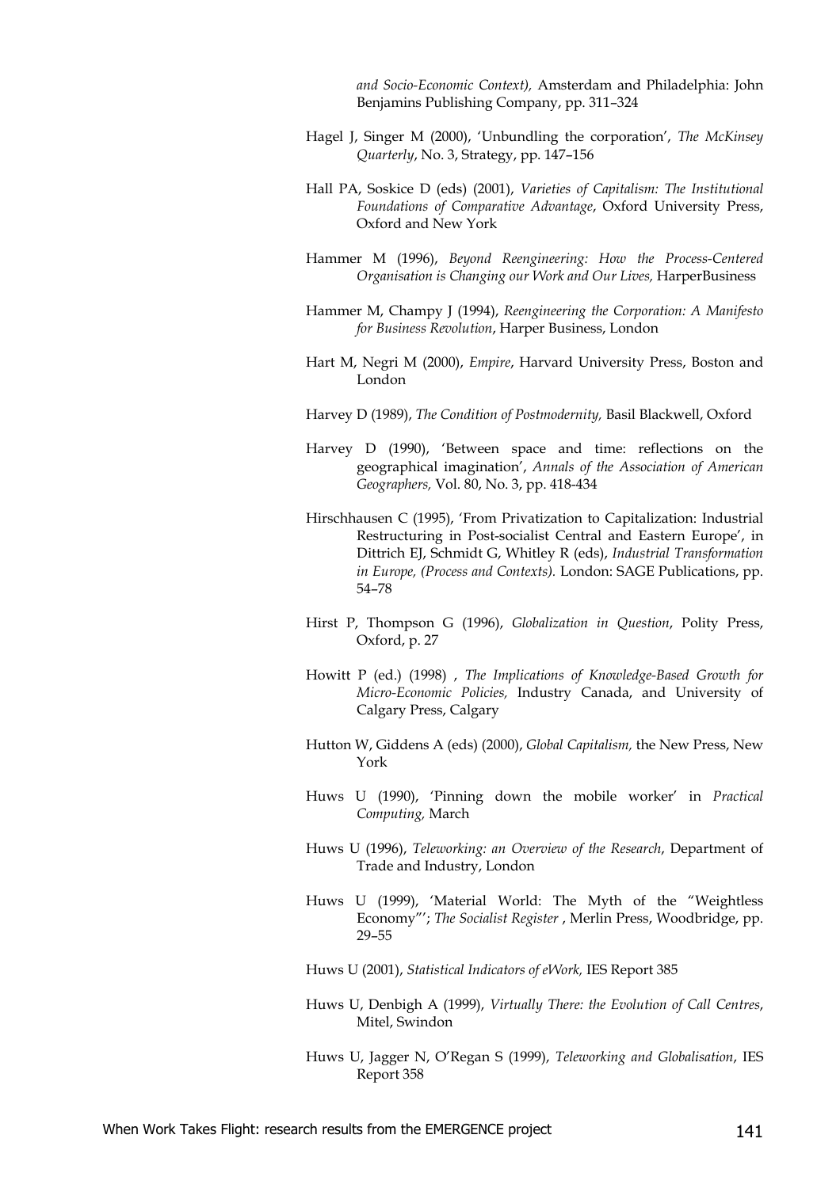*and Socio-Economic Context),* Amsterdam and Philadelphia: John Benjamins Publishing Company, pp. 311–324

- Hagel J, Singer M (2000), 'Unbundling the corporation', *The McKinsey Quarterly*, No. 3, Strategy, pp. 147–156
- Hall PA, Soskice D (eds) (2001), *Varieties of Capitalism: The Institutional Foundations of Comparative Advantage*, Oxford University Press, Oxford and New York
- Hammer M (1996), *Beyond Reengineering: How the Process-Centered Organisation is Changing our Work and Our Lives,* HarperBusiness
- Hammer M, Champy J (1994), *Reengineering the Corporation: A Manifesto for Business Revolution*, Harper Business, London
- Hart M, Negri M (2000), *Empire*, Harvard University Press, Boston and London
- Harvey D (1989), *The Condition of Postmodernity,* Basil Blackwell, Oxford
- Harvey D (1990), 'Between space and time: reflections on the geographical imagination', *Annals of the Association of American Geographers,* Vol. 80, No. 3, pp. 418-434
- Hirschhausen C (1995), 'From Privatization to Capitalization: Industrial Restructuring in Post-socialist Central and Eastern Europe', in Dittrich EJ, Schmidt G, Whitley R (eds), *Industrial Transformation in Europe, (Process and Contexts).* London: SAGE Publications, pp. 54–78
- Hirst P, Thompson G (1996), *Globalization in Question*, Polity Press, Oxford, p. 27
- Howitt P (ed.) (1998) , *The Implications of Knowledge-Based Growth for Micro-Economic Policies,* Industry Canada, and University of Calgary Press, Calgary
- Hutton W, Giddens A (eds) (2000), *Global Capitalism,* the New Press, New York
- Huws U (1990), 'Pinning down the mobile worker' in *Practical Computing,* March
- Huws U (1996), *Teleworking: an Overview of the Research*, Department of Trade and Industry, London
- Huws U (1999), 'Material World: The Myth of the "Weightless Economy"'; *The Socialist Register* , Merlin Press, Woodbridge, pp. 29–55
- Huws U (2001), *Statistical Indicators of eWork,* IES Report 385
- Huws U, Denbigh A (1999), *Virtually There: the Evolution of Call Centres*, Mitel, Swindon
- Huws U, Jagger N, O'Regan S (1999), *Teleworking and Globalisation*, IES Report 358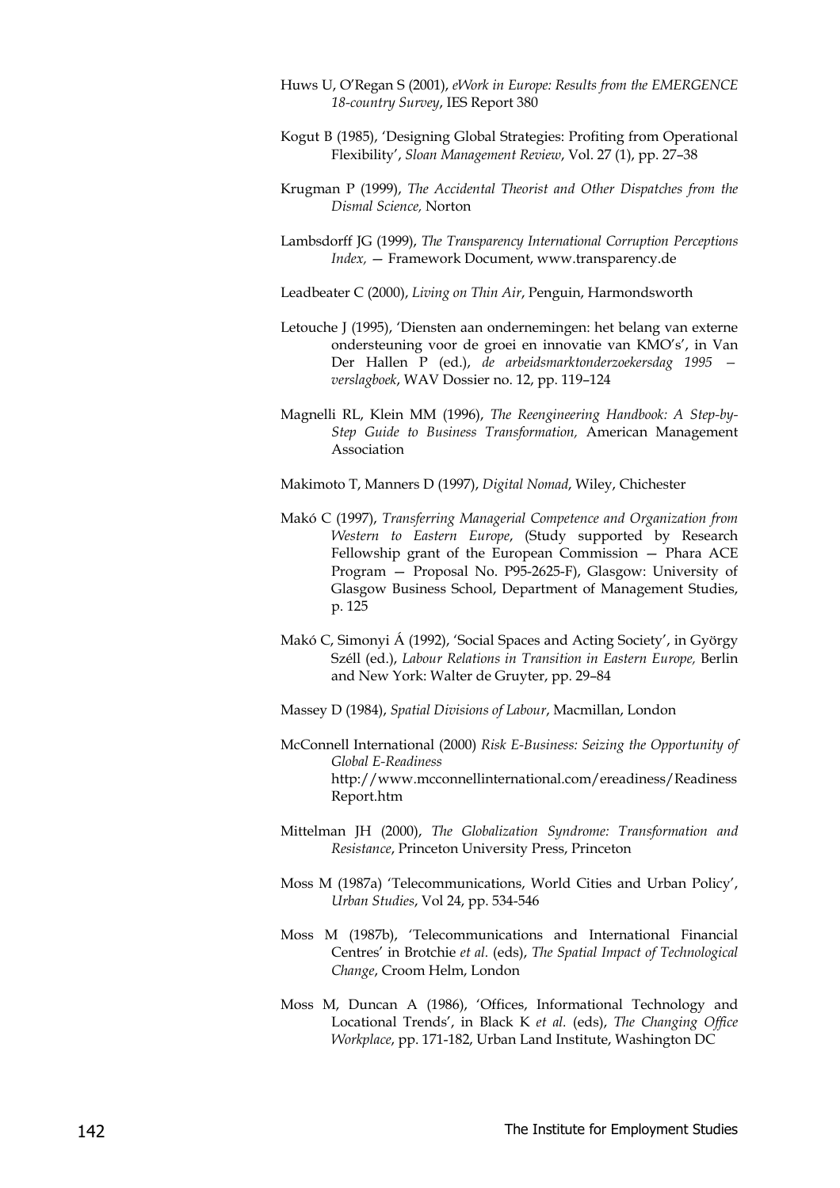- Huws U, O'Regan S (2001), *eWork in Europe: Results from the EMERGENCE 18-country Survey*, IES Report 380
- Kogut B (1985), 'Designing Global Strategies: Profiting from Operational Flexibility', *Sloan Management Review*, Vol. 27 (1), pp. 27–38
- Krugman P (1999), *The Accidental Theorist and Other Dispatches from the Dismal Science,* Norton
- Lambsdorff JG (1999), *The Transparency International Corruption Perceptions Index,* — Framework Document, www.transparency.de
- Leadbeater C (2000), *Living on Thin Air*, Penguin, Harmondsworth
- Letouche J (1995), 'Diensten aan ondernemingen: het belang van externe ondersteuning voor de groei en innovatie van KMO's', in Van Der Hallen P (ed.), *de arbeidsmarktonderzoekersdag 1995 verslagboek*, WAV Dossier no. 12, pp. 119–124
- Magnelli RL, Klein MM (1996), *The Reengineering Handbook: A Step-by-Step Guide to Business Transformation,* American Management Association
- Makimoto T, Manners D (1997), *Digital Nomad*, Wiley, Chichester
- Makó C (1997), *Transferring Managerial Competence and Organization from Western to Eastern Europe*, (Study supported by Research Fellowship grant of the European Commission — Phara ACE Program — Proposal No. P95-2625-F), Glasgow: University of Glasgow Business School, Department of Management Studies, p. 125
- Makó C, Simonyi Á (1992), 'Social Spaces and Acting Society', in György Széll (ed.), *Labour Relations in Transition in Eastern Europe,* Berlin and New York: Walter de Gruyter, pp. 29–84
- Massey D (1984), *Spatial Divisions of Labour*, Macmillan, London
- McConnell International (2000) *Risk E-Business: Seizing the Opportunity of Global E-Readiness* http://www.mcconnellinternational.com/ereadiness/Readiness Report.htm
- Mittelman JH (2000), *The Globalization Syndrome: Transformation and Resistance*, Princeton University Press, Princeton
- Moss M (1987a) 'Telecommunications, World Cities and Urban Policy', *Urban Studies*, Vol 24, pp. 534-546
- Moss M (1987b), 'Telecommunications and International Financial Centres' in Brotchie *et al.* (eds), *The Spatial Impact of Technological Change*, Croom Helm, London
- Moss M, Duncan A (1986), 'Offices, Informational Technology and Locational Trends', in Black K *et al.* (eds), *The Changing Office Workplace*, pp. 171-182, Urban Land Institute, Washington DC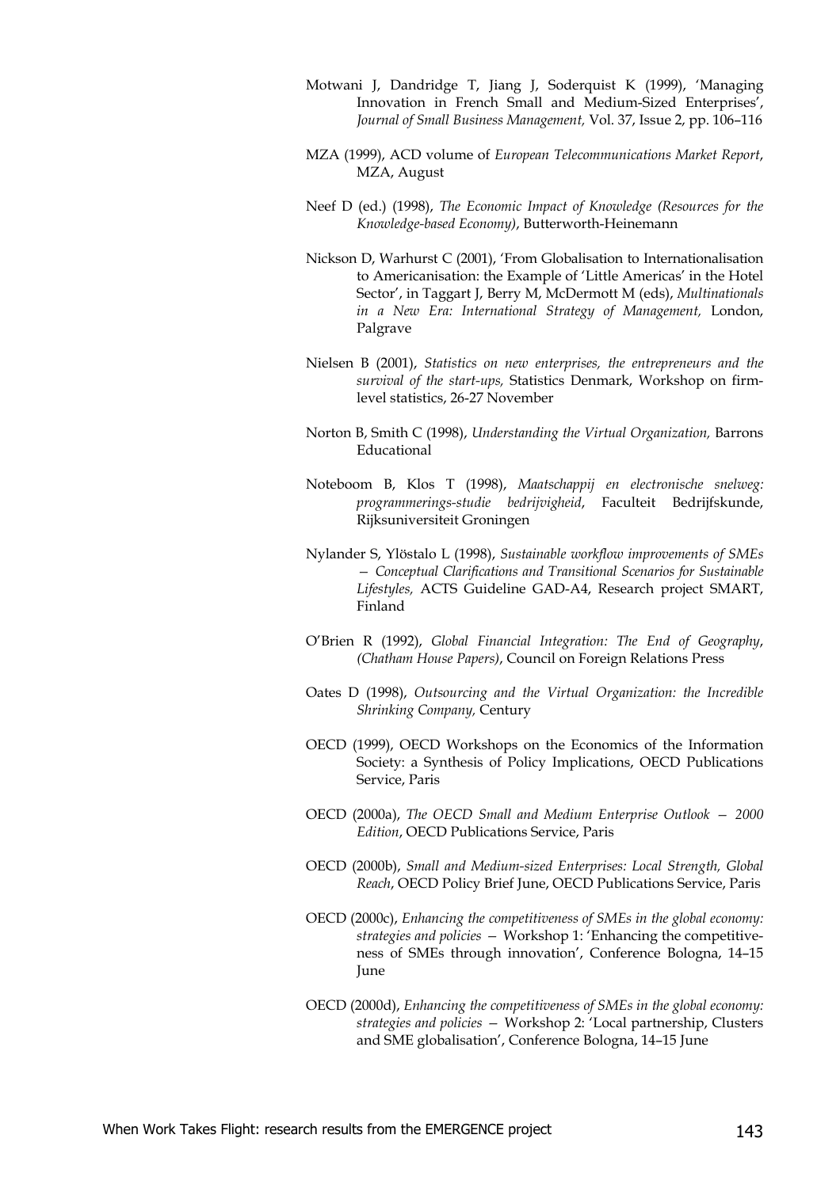- Motwani J, Dandridge T, Jiang J, Soderquist K (1999), 'Managing Innovation in French Small and Medium-Sized Enterprises', *Journal of Small Business Management,* Vol. 37, Issue 2, pp. 106–116
- MZA (1999), ACD volume of *European Telecommunications Market Report*, MZA, August
- Neef D (ed.) (1998), *The Economic Impact of Knowledge (Resources for the Knowledge-based Economy)*, Butterworth-Heinemann
- Nickson D, Warhurst C (2001), 'From Globalisation to Internationalisation to Americanisation: the Example of 'Little Americas' in the Hotel Sector', in Taggart J, Berry M, McDermott M (eds), *Multinationals in a New Era: International Strategy of Management,* London, Palgrave
- Nielsen B (2001), *Statistics on new enterprises, the entrepreneurs and the survival of the start-ups,* Statistics Denmark, Workshop on firmlevel statistics, 26-27 November
- Norton B, Smith C (1998), *Understanding the Virtual Organization,* Barrons Educational
- Noteboom B, Klos T (1998), *Maatschappij en electronische snelweg: programmerings-studie bedrijvigheid*, Faculteit Bedrijfskunde, Rijksuniversiteit Groningen
- Nylander S, Ylöstalo L (1998), *Sustainable workflow improvements of SMEs — Conceptual Clarifications and Transitional Scenarios for Sustainable Lifestyles,* ACTS Guideline GAD-A4, Research project SMART, Finland
- O'Brien R (1992), *Global Financial Integration: The End of Geography*, *(Chatham House Papers)*, Council on Foreign Relations Press
- Oates D (1998), *Outsourcing and the Virtual Organization: the Incredible Shrinking Company,* Century
- OECD (1999), OECD Workshops on the Economics of the Information Society: a Synthesis of Policy Implications, OECD Publications Service, Paris
- OECD (2000a), *The OECD Small and Medium Enterprise Outlook 2000 Edition*, OECD Publications Service, Paris
- OECD (2000b), *Small and Medium-sized Enterprises: Local Strength, Global Reach*, OECD Policy Brief June, OECD Publications Service, Paris
- OECD (2000c), *Enhancing the competitiveness of SMEs in the global economy: strategies and policies —* Workshop 1: 'Enhancing the competitiveness of SMEs through innovation', Conference Bologna, 14–15 June
- OECD (2000d), *Enhancing the competitiveness of SMEs in the global economy: strategies and policies —* Workshop 2: 'Local partnership, Clusters and SME globalisation', Conference Bologna, 14–15 June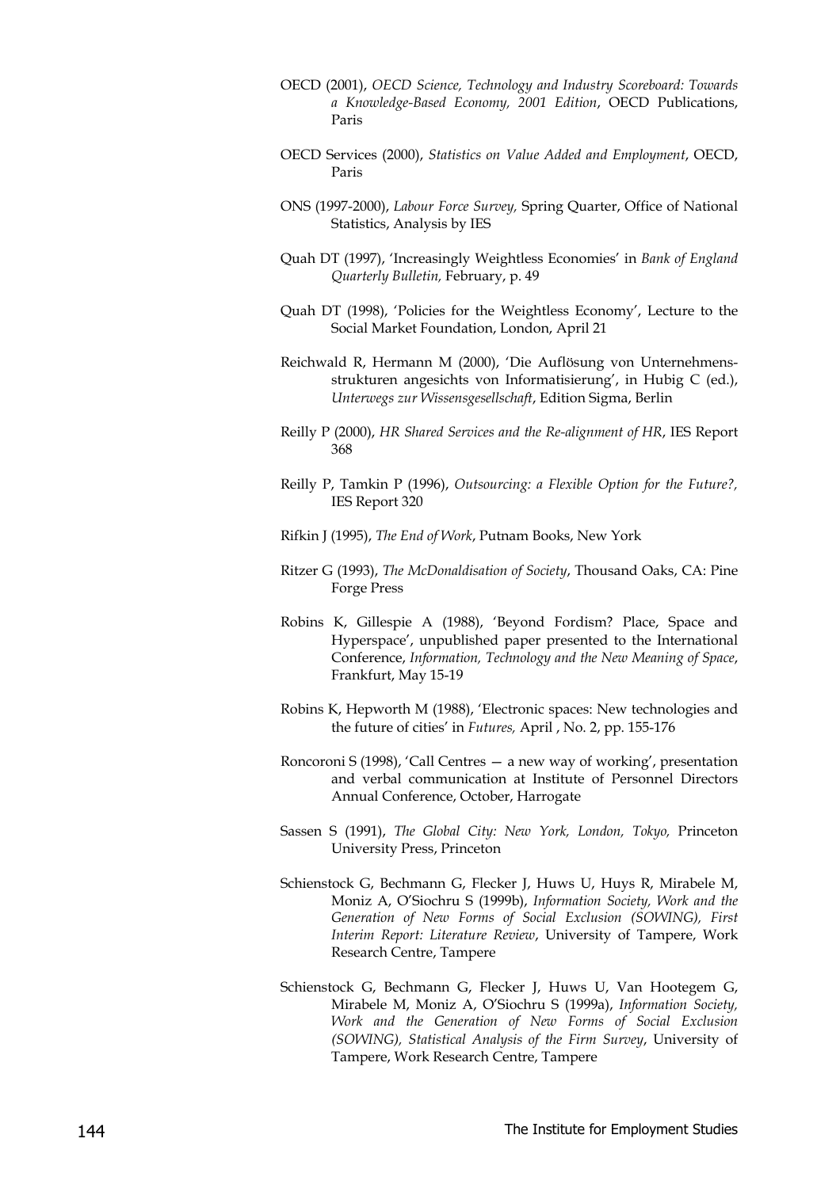- OECD (2001), *OECD Science, Technology and Industry Scoreboard: Towards a Knowledge-Based Economy, 2001 Edition*, OECD Publications, Paris
- OECD Services (2000), *Statistics on Value Added and Employment*, OECD, Paris
- ONS (1997-2000), *Labour Force Survey,* Spring Quarter, Office of National Statistics, Analysis by IES
- Quah DT (1997), 'Increasingly Weightless Economies' in *Bank of England Quarterly Bulletin,* February, p. 49
- Quah DT (1998), 'Policies for the Weightless Economy', Lecture to the Social Market Foundation, London, April 21
- Reichwald R, Hermann M (2000), 'Die Auflösung von Unternehmensstrukturen angesichts von Informatisierung', in Hubig C (ed.), *Unterwegs zur Wissensgesellschaft*, Edition Sigma, Berlin
- Reilly P (2000), *HR Shared Services and the Re-alignment of HR*, IES Report 368
- Reilly P, Tamkin P (1996), *Outsourcing: a Flexible Option for the Future?,* IES Report 320
- Rifkin J (1995), *The End of Work*, Putnam Books, New York
- Ritzer G (1993), *The McDonaldisation of Society*, Thousand Oaks, CA: Pine Forge Press
- Robins K, Gillespie A (1988), 'Beyond Fordism? Place, Space and Hyperspace', unpublished paper presented to the International Conference, *Information, Technology and the New Meaning of Space*, Frankfurt, May 15-19
- Robins K, Hepworth M (1988), 'Electronic spaces: New technologies and the future of cities' in *Futures,* April , No. 2, pp. 155-176
- Roncoroni S (1998), 'Call Centres a new way of working', presentation and verbal communication at Institute of Personnel Directors Annual Conference, October, Harrogate
- Sassen S (1991), *The Global City: New York, London, Tokyo,* Princeton University Press, Princeton
- Schienstock G, Bechmann G, Flecker J, Huws U, Huys R, Mirabele M, Moniz A, O'Siochru S (1999b), *Information Society, Work and the Generation of New Forms of Social Exclusion (SOWING), First Interim Report: Literature Review*, University of Tampere, Work Research Centre, Tampere
- Schienstock G, Bechmann G, Flecker J, Huws U, Van Hootegem G, Mirabele M, Moniz A, O'Siochru S (1999a), *Information Society, Work and the Generation of New Forms of Social Exclusion (SOWING), Statistical Analysis of the Firm Survey*, University of Tampere, Work Research Centre, Tampere